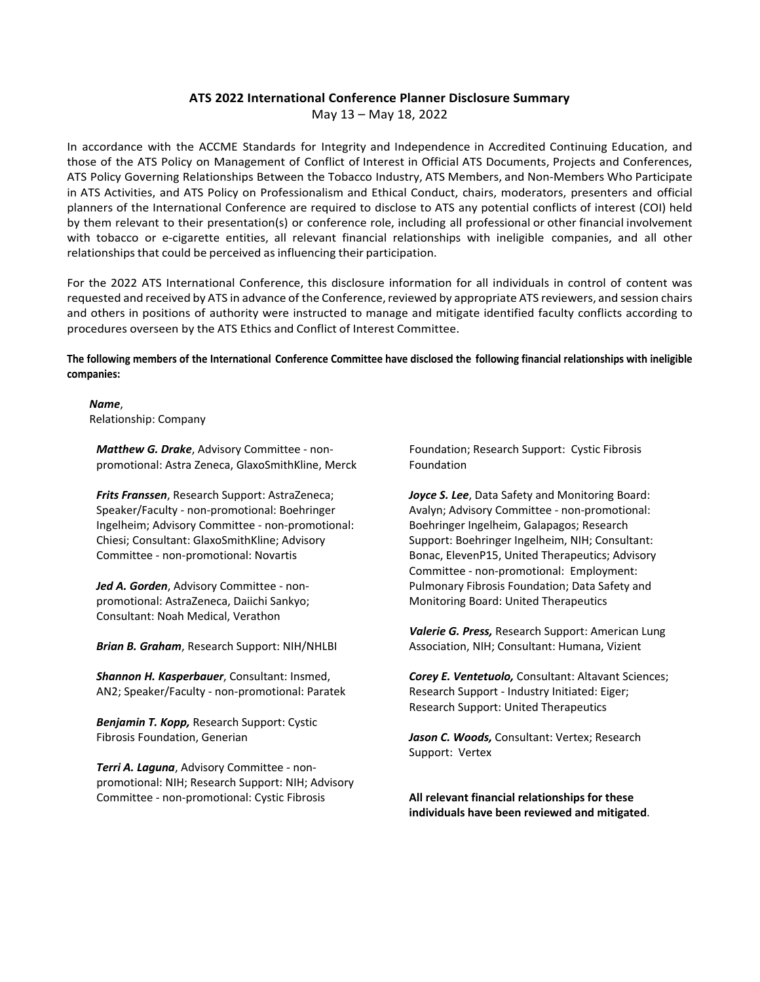## **ATS 2022 International Conference Planner Disclosure Summary**

May 13 – May 18, 2022

In accordance with the ACCME Standards for Integrity and Independence in Accredited Continuing Education, and those of the ATS Policy on Management of Conflict of Interest in Official ATS Documents, Projects and Conferences, ATS Policy Governing Relationships Between the Tobacco Industry, ATS Members, and Non‐Members Who Participate in ATS Activities, and ATS Policy on Professionalism and Ethical Conduct, chairs, moderators, presenters and official planners of the International Conference are required to disclose to ATS any potential conflicts of interest (COI) held by them relevant to their presentation(s) or conference role, including all professional or other financial involvement with tobacco or e-cigarette entities, all relevant financial relationships with ineligible companies, and all other relationships that could be perceived as influencing their participation.

For the 2022 ATS International Conference, this disclosure information for all individuals in control of content was requested and received by ATS in advance of the Conference, reviewed by appropriate ATS reviewers, and session chairs and others in positions of authority were instructed to manage and mitigate identified faculty conflicts according to procedures overseen by the ATS Ethics and Conflict of Interest Committee.

The following members of the International Conference Committee have disclosed the following financial relationships with ineligible **companies:**

*Name*, Relationship: Company

*Matthew G. Drake*, Advisory Committee ‐ non‐ promotional: Astra Zeneca, GlaxoSmithKline, Merck

*Frits Franssen*, Research Support: AstraZeneca; Speaker/Faculty ‐ non‐promotional: Boehringer Ingelheim; Advisory Committee ‐ non‐promotional: Chiesi; Consultant: GlaxoSmithKline; Advisory Committee ‐ non‐promotional: Novartis

*Jed A. Gorden*, Advisory Committee ‐ non‐ promotional: AstraZeneca, Daiichi Sankyo; Consultant: Noah Medical, Verathon

*Brian B. Graham*, Research Support: NIH/NHLBI

*Shannon H. Kasperbauer*, Consultant: Insmed, AN2; Speaker/Faculty ‐ non‐promotional: Paratek

*Benjamin T. Kopp,* Research Support: Cystic Fibrosis Foundation, Generian

*Terri A. Laguna*, Advisory Committee ‐ non‐ promotional: NIH; Research Support: NIH; Advisory Committee ‐ non‐promotional: Cystic Fibrosis

Foundation; Research Support: Cystic Fibrosis Foundation

*Joyce S. Lee*, Data Safety and Monitoring Board: Avalyn; Advisory Committee ‐ non‐promotional: Boehringer Ingelheim, Galapagos; Research Support: Boehringer Ingelheim, NIH; Consultant: Bonac, ElevenP15, United Therapeutics; Advisory Committee ‐ non‐promotional: Employment: Pulmonary Fibrosis Foundation; Data Safety and Monitoring Board: United Therapeutics

*Valerie G. Press,* Research Support: American Lung Association, NIH; Consultant: Humana, Vizient

*Corey E. Ventetuolo,* Consultant: Altavant Sciences; Research Support ‐ Industry Initiated: Eiger; Research Support: United Therapeutics

*Jason C. Woods,* Consultant: Vertex; Research Support: Vertex

**All relevant financial relationships for these individuals have been reviewed and mitigated**.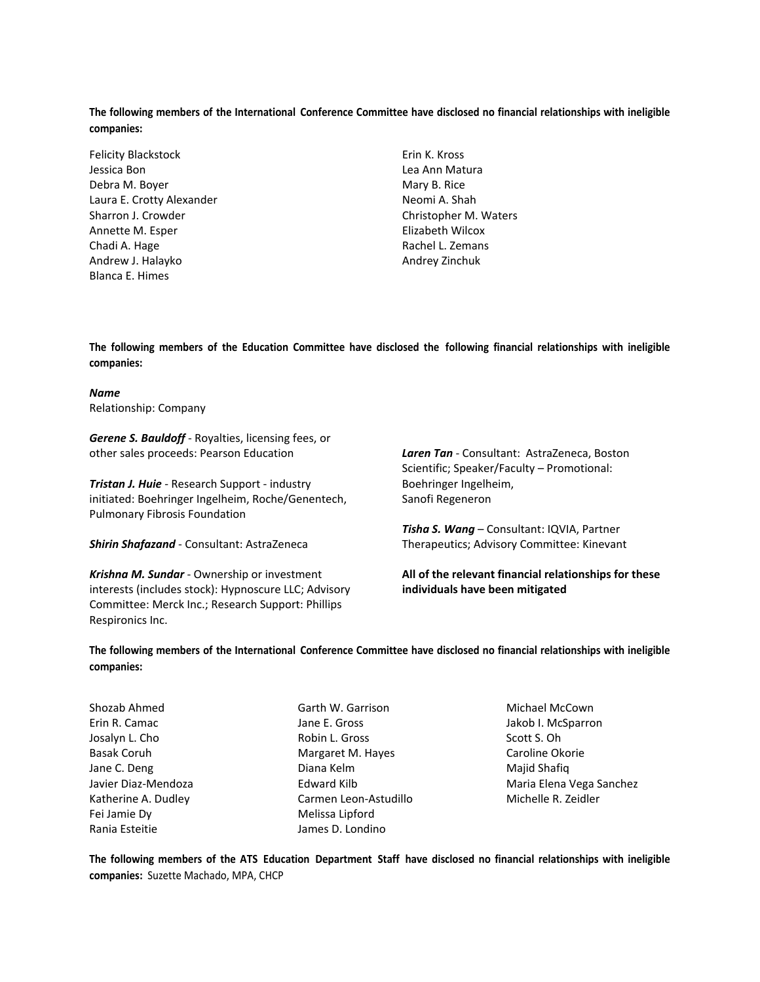The following members of the International Conference Committee have disclosed no financial relationships with ineligible **companies:**

Felicity Blackstock Jessica Bon Debra M. Boyer Laura E. Crotty Alexander Sharron J. Crowder Annette M. Esper Chadi A. Hage Andrew J. Halayko Blanca E. Himes

Erin K. Kross Lea Ann Matura Mary B. Rice Neomi A. Shah Christopher M. Waters Elizabeth Wilcox Rachel L. Zemans Andrey Zinchuk

**The following members of the Education Committee have disclosed the following financial relationships with ineligible companies:**

*Name* Relationship: Company

*Gerene S. Bauldoff* ‐ Royalties, licensing fees, or other sales proceeds: Pearson Education

*Tristan J. Huie* ‐ Research Support ‐ industry initiated: Boehringer Ingelheim, Roche/Genentech, Pulmonary Fibrosis Foundation

*Shirin Shafazand* ‐ Consultant: AstraZeneca

*Krishna M. Sundar* ‐ Ownership or investment interests (includes stock): Hypnoscure LLC; Advisory Committee: Merck Inc.; Research Support: Phillips Respironics Inc.

*Laren Tan* ‐ Consultant: AstraZeneca, Boston Scientific; Speaker/Faculty – Promotional: Boehringer Ingelheim, Sanofi Regeneron

*Tisha S. Wang* – Consultant: IQVIA, Partner Therapeutics; Advisory Committee: Kinevant

**All of the relevant financial relationships for these individuals have been mitigated**

The following members of the International Conference Committee have disclosed no financial relationships with ineligible **companies:**

Shozab Ahmed Erin R. Camac Josalyn L. Cho Basak Coruh Jane C. Deng Javier Diaz‐Mendoza Katherine A. Dudley Fei Jamie Dy Rania Esteitie

Garth W. Garrison Jane E. Gross Robin L. Gross Margaret M. Hayes Diana Kelm Edward Kilb Carmen Leon‐Astudillo Melissa Lipford James D. Londino

Michael McCown Jakob I. McSparron Scott S. Oh Caroline Okorie Majid Shafiq Maria Elena Vega Sanchez Michelle R. Zeidler

The following members of the ATS Education Department Staff have disclosed no financial relationships with ineligible **companies:** Suzette Machado, MPA, CHCP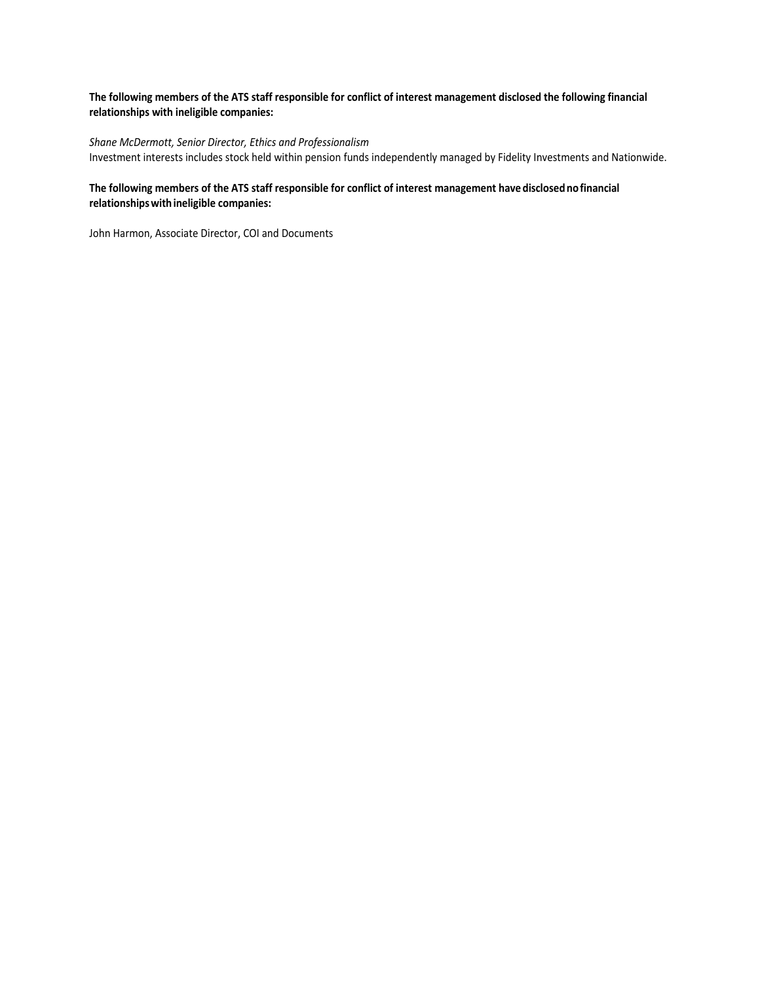## The following members of the ATS staff responsible for conflict of interest management disclosed the following financial **relationships with ineligible companies:**

## *Shane McDermott, Senior Director, Ethics and Professionalism*

Investment interests includes stock held within pension funds independently managed by Fidelity Investments and Nationwide.

## **The following members of the ATS staff responsible for conflict of interest management havedisclosednofinancial relationshipswithineligible companies:**

John Harmon, Associate Director, COI and Documents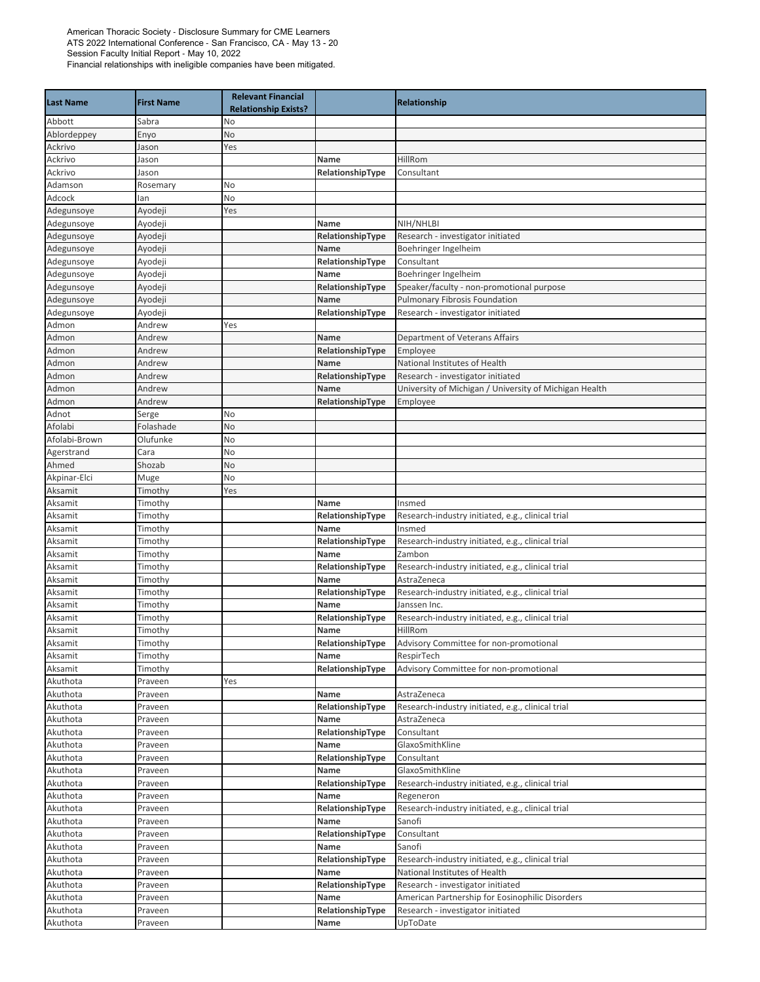| <b>Last Name</b>     | <b>First Name</b>  | <b>Relevant Financial</b><br><b>Relationship Exists?</b> |                          | Relationship                                           |
|----------------------|--------------------|----------------------------------------------------------|--------------------------|--------------------------------------------------------|
| Abbott               | Sabra              | No                                                       |                          |                                                        |
| Ablordeppey          | Enyo               | No                                                       |                          |                                                        |
| Ackrivo              | Jason              | Yes                                                      |                          |                                                        |
| Ackrivo              | Jason              |                                                          | Name                     | HillRom                                                |
| Ackrivo              | Jason              |                                                          | RelationshipType         | Consultant                                             |
| Adamson              | Rosemary           | No                                                       |                          |                                                        |
| Adcock               | lan                | No                                                       |                          |                                                        |
| Adegunsoye           | Ayodeji            | Yes                                                      |                          |                                                        |
| Adegunsoye           | Ayodeji            |                                                          | Name                     | NIH/NHLBI                                              |
| Adegunsoye           | Ayodeji            |                                                          | RelationshipType         | Research - investigator initiated                      |
| Adegunsoye           | Ayodeji            |                                                          | Name                     | Boehringer Ingelheim                                   |
| Adegunsoye           | Ayodeji            |                                                          | RelationshipType         | Consultant                                             |
| Adegunsoye           | Ayodeji            |                                                          | Name                     | Boehringer Ingelheim                                   |
| Adegunsoye           | Ayodeji            |                                                          | RelationshipType         | Speaker/faculty - non-promotional purpose              |
| Adegunsoye           | Ayodeji            |                                                          | Name                     | <b>Pulmonary Fibrosis Foundation</b>                   |
| Adegunsoye           | Ayodeji            |                                                          | RelationshipType         | Research - investigator initiated                      |
| Admon                | Andrew             | Yes                                                      |                          |                                                        |
| Admon                | Andrew             |                                                          | Name                     | Department of Veterans Affairs                         |
| Admon                | Andrew             |                                                          | RelationshipType         | Employee                                               |
| Admon                | Andrew             |                                                          | Name                     | National Institutes of Health                          |
| Admon                | Andrew             |                                                          | RelationshipType         | Research - investigator initiated                      |
| Admon                | Andrew             |                                                          | Name                     | University of Michigan / University of Michigan Health |
| Admon                | Andrew             |                                                          | RelationshipType         | Employee                                               |
| Adnot<br>Afolabi     | Serge<br>Folashade | No<br>No                                                 |                          |                                                        |
| Afolabi-Brown        | Olufunke           | No                                                       |                          |                                                        |
| Agerstrand           | Cara               | No                                                       |                          |                                                        |
| Ahmed                | Shozab             | No                                                       |                          |                                                        |
| Akpinar-Elci         | Muge               | No                                                       |                          |                                                        |
| Aksamit              | Timothy            | Yes                                                      |                          |                                                        |
| Aksamit              | Timothy            |                                                          | Name                     | Insmed                                                 |
| Aksamit              | Timothy            |                                                          | RelationshipType         | Research-industry initiated, e.g., clinical trial      |
| Aksamit              | Timothy            |                                                          | Name                     | Insmed                                                 |
| Aksamit              | Timothy            |                                                          | RelationshipType         | Research-industry initiated, e.g., clinical trial      |
| Aksamit              | Timothy            |                                                          | Name                     | Zambon                                                 |
| Aksamit              | Timothy            |                                                          | RelationshipType         | Research-industry initiated, e.g., clinical trial      |
| Aksamit              | Timothy            |                                                          | Name                     | AstraZeneca                                            |
| Aksamit              | Timothy            |                                                          | RelationshipType         | Research-industry initiated, e.g., clinical trial      |
| Aksamit              | Timothy            |                                                          | Name                     | Janssen Inc.                                           |
| Aksamit              | Timothy            |                                                          | RelationshipType         | Research-industry initiated, e.g., clinical trial      |
| Aksamit              | Timothy            |                                                          | Name                     | HillRom                                                |
| Aksamit              | Timothy            |                                                          | RelationshipType         | Advisory Committee for non-promotional                 |
| Aksamit              | Timothy            |                                                          | Name                     | RespirTech                                             |
| Aksamit              | Timothy            |                                                          | RelationshipType         | Advisory Committee for non-promotional                 |
| Akuthota             | Praveen            | Yes                                                      |                          |                                                        |
| Akuthota             | Praveen            |                                                          | Name                     | AstraZeneca                                            |
| Akuthota             | Praveen            |                                                          | RelationshipType         | Research-industry initiated, e.g., clinical trial      |
| Akuthota             | Praveen            |                                                          | Name                     | AstraZeneca                                            |
| Akuthota             | Praveen            |                                                          | RelationshipType         | Consultant                                             |
| Akuthota             | Praveen            |                                                          | Name                     | GlaxoSmithKline                                        |
| Akuthota             | Praveen            |                                                          | RelationshipType         | Consultant                                             |
| Akuthota             | Praveen            |                                                          | Name                     | GlaxoSmithKline                                        |
| Akuthota             | Praveen            |                                                          | RelationshipType         | Research-industry initiated, e.g., clinical trial      |
| Akuthota             | Praveen            |                                                          | Name                     | Regeneron                                              |
| Akuthota<br>Akuthota | Praveen            |                                                          | RelationshipType         | Research-industry initiated, e.g., clinical trial      |
|                      | Praveen            |                                                          | Name                     | Sanofi                                                 |
| Akuthota<br>Akuthota | Praveen            |                                                          | RelationshipType<br>Name | Consultant<br>Sanofi                                   |
| Akuthota             | Praveen<br>Praveen |                                                          | RelationshipType         | Research-industry initiated, e.g., clinical trial      |
| Akuthota             | Praveen            |                                                          | Name                     | National Institutes of Health                          |
| Akuthota             | Praveen            |                                                          | RelationshipType         | Research - investigator initiated                      |
| Akuthota             | Praveen            |                                                          | Name                     | American Partnership for Eosinophilic Disorders        |
| Akuthota             | Praveen            |                                                          | RelationshipType         | Research - investigator initiated                      |
| Akuthota             | Praveen            |                                                          | Name                     | UpToDate                                               |
|                      |                    |                                                          |                          |                                                        |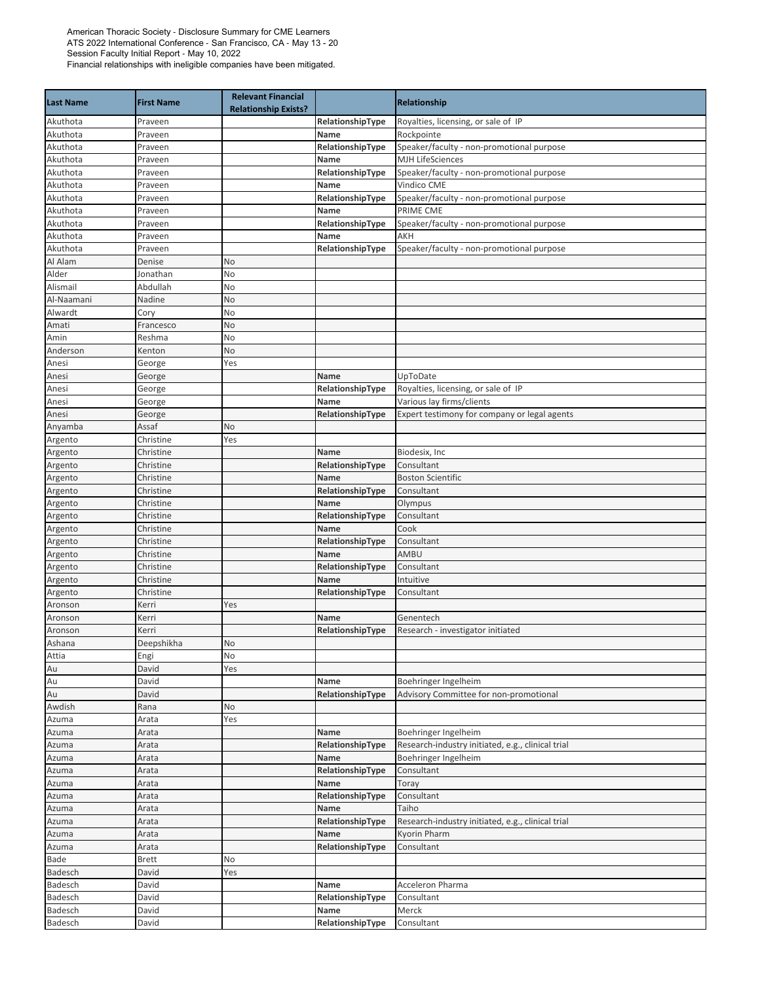| <b>Last Name</b> | <b>First Name</b> | <b>Relevant Financial</b><br><b>Relationship Exists?</b> |                  | Relationship                                      |
|------------------|-------------------|----------------------------------------------------------|------------------|---------------------------------------------------|
| Akuthota         | Praveen           |                                                          | RelationshipType | Royalties, licensing, or sale of IP               |
| Akuthota         | Praveen           |                                                          | Name             | Rockpointe                                        |
| Akuthota         | Praveen           |                                                          | RelationshipType | Speaker/faculty - non-promotional purpose         |
| Akuthota         | Praveen           |                                                          | Name             | <b>MJH LifeSciences</b>                           |
| Akuthota         | Praveen           |                                                          | RelationshipType | Speaker/faculty - non-promotional purpose         |
| Akuthota         | Praveen           |                                                          | Name             | Vindico CME                                       |
| Akuthota         | Praveen           |                                                          | RelationshipType | Speaker/faculty - non-promotional purpose         |
| Akuthota         | Praveen           |                                                          | Name             | PRIME CME                                         |
| Akuthota         | Praveen           |                                                          | RelationshipType | Speaker/faculty - non-promotional purpose         |
| Akuthota         | Praveen           |                                                          | Name             | AKH                                               |
| Akuthota         | Praveen           |                                                          | RelationshipType | Speaker/faculty - non-promotional purpose         |
| Al Alam          | Denise            | No                                                       |                  |                                                   |
| Alder            | Jonathan          | No                                                       |                  |                                                   |
| Alismail         | Abdullah          | No                                                       |                  |                                                   |
| Al-Naamani       | Nadine            | No                                                       |                  |                                                   |
| Alwardt          | Cory              | No                                                       |                  |                                                   |
| Amati            | Francesco         | No                                                       |                  |                                                   |
| Amin             | Reshma            | No                                                       |                  |                                                   |
| Anderson         | Kenton            | No                                                       |                  |                                                   |
| Anesi            | George            | Yes                                                      |                  |                                                   |
| Anesi            | George            |                                                          | Name             | UpToDate                                          |
| Anesi            | George            |                                                          | RelationshipType | Royalties, licensing, or sale of IP               |
| Anesi            | George            |                                                          | Name             | Various lay firms/clients                         |
| Anesi            | George            |                                                          | RelationshipType | Expert testimony for company or legal agents      |
| Anyamba          | Assaf             | No                                                       |                  |                                                   |
| Argento          | Christine         | Yes                                                      |                  |                                                   |
| Argento          | Christine         |                                                          | Name             | Biodesix, Inc                                     |
| Argento          | Christine         |                                                          | RelationshipType | Consultant                                        |
| Argento          | Christine         |                                                          | Name             | <b>Boston Scientific</b>                          |
| Argento          | Christine         |                                                          | RelationshipType | Consultant                                        |
| Argento          | Christine         |                                                          | Name             | Olympus                                           |
| Argento          | Christine         |                                                          | RelationshipType | Consultant                                        |
| Argento          | Christine         |                                                          | Name             | Cook                                              |
| Argento          | Christine         |                                                          | RelationshipType | Consultant                                        |
| Argento          | Christine         |                                                          | Name             | AMBU                                              |
| Argento          | Christine         |                                                          | RelationshipType | Consultant                                        |
| Argento          | Christine         |                                                          | Name             | Intuitive                                         |
| Argento          | Christine         |                                                          | RelationshipType | Consultant                                        |
| Aronson          | Kerri             | Yes                                                      |                  |                                                   |
| Aronson          | Kerri             |                                                          | Name             | Genentech                                         |
| Aronson          | Kerri             |                                                          | RelationshipType | Research - investigator initiated                 |
| Ashana           | Deepshikha        | <b>No</b>                                                |                  |                                                   |
| Attia            | Engi              | No                                                       |                  |                                                   |
| Au               | David             | Yes                                                      |                  |                                                   |
| Au               | David             |                                                          | Name             | Boehringer Ingelheim                              |
| Au               | David             |                                                          | RelationshipType | Advisory Committee for non-promotional            |
| Awdish           | Rana              | No                                                       |                  |                                                   |
| Azuma            | Arata             | Yes                                                      |                  |                                                   |
| Azuma            | Arata             |                                                          | Name             | Boehringer Ingelheim                              |
| Azuma            | Arata             |                                                          | RelationshipType | Research-industry initiated, e.g., clinical trial |
| Azuma            | Arata             |                                                          | Name             | Boehringer Ingelheim                              |
| Azuma            | Arata             |                                                          | RelationshipType | Consultant                                        |
| Azuma            | Arata             |                                                          | Name             | Toray                                             |
| Azuma            | Arata             |                                                          | RelationshipType | Consultant                                        |
| Azuma            | Arata             |                                                          | Name             | Taiho                                             |
| Azuma            | Arata             |                                                          | RelationshipType | Research-industry initiated, e.g., clinical trial |
| Azuma            | Arata             |                                                          | Name             | Kyorin Pharm                                      |
| Azuma            | Arata             |                                                          | RelationshipType | Consultant                                        |
| Bade             | <b>Brett</b>      | No                                                       |                  |                                                   |
| Badesch          | David             | Yes                                                      |                  |                                                   |
| Badesch          | David             |                                                          | Name             | Acceleron Pharma                                  |
| Badesch          | David             |                                                          | RelationshipType | Consultant                                        |
| Badesch          | David             |                                                          | Name             | Merck                                             |
| Badesch          | David             |                                                          | RelationshipType | Consultant                                        |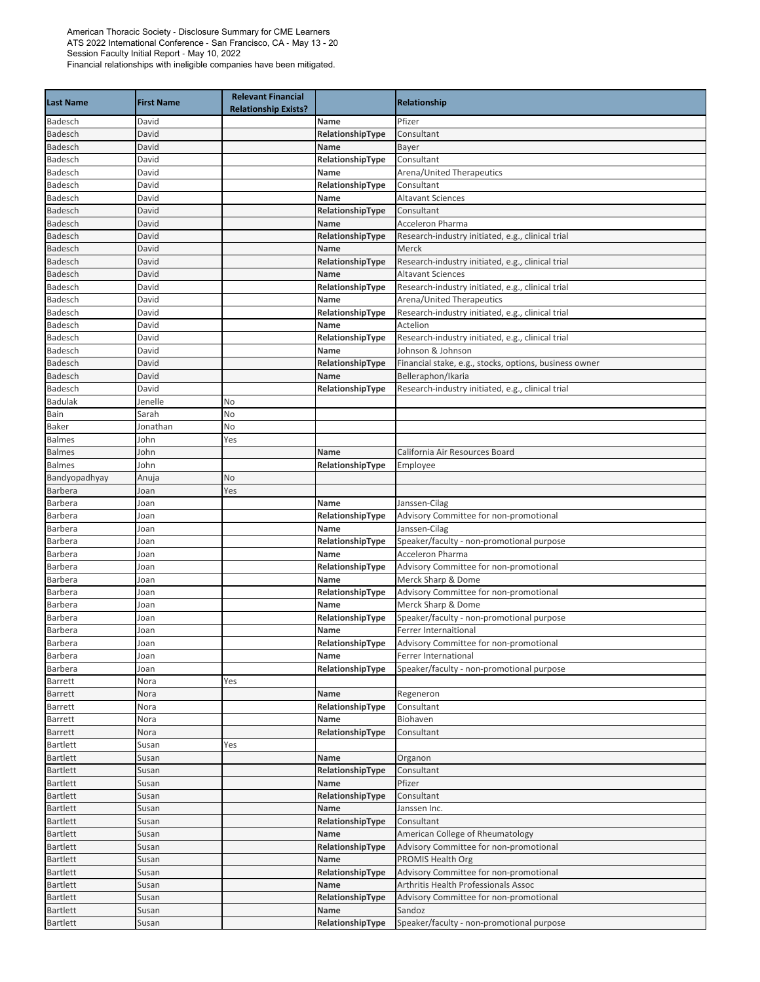| <b>Last Name</b>                   | <b>First Name</b> | <b>Relevant Financial</b><br><b>Relationship Exists?</b> |                          | Relationship                                                                   |
|------------------------------------|-------------------|----------------------------------------------------------|--------------------------|--------------------------------------------------------------------------------|
| Badesch                            | David             |                                                          | Name                     | Pfizer                                                                         |
| Badesch                            | David             |                                                          | RelationshipType         | Consultant                                                                     |
| Badesch                            | David             |                                                          | Name                     | Bayer                                                                          |
| Badesch                            | David             |                                                          | RelationshipType         | Consultant                                                                     |
| Badesch                            | David             |                                                          | Name                     | Arena/United Therapeutics                                                      |
| Badesch                            | David             |                                                          | RelationshipType         | Consultant                                                                     |
| Badesch                            | David             |                                                          | Name                     | <b>Altavant Sciences</b>                                                       |
| Badesch                            | David             |                                                          | RelationshipType         | Consultant                                                                     |
| <b>Badesch</b>                     | David             |                                                          | Name                     | <b>Acceleron Pharma</b>                                                        |
| Badesch                            | David<br>David    |                                                          | RelationshipType<br>Name | Research-industry initiated, e.g., clinical trial                              |
| Badesch<br><b>Badesch</b>          | David             |                                                          | RelationshipType         | Merck<br>Research-industry initiated, e.g., clinical trial                     |
| Badesch                            | David             |                                                          | Name                     | <b>Altavant Sciences</b>                                                       |
| Badesch                            | David             |                                                          | RelationshipType         | Research-industry initiated, e.g., clinical trial                              |
| Badesch                            | David             |                                                          | Name                     | Arena/United Therapeutics                                                      |
| Badesch                            | David             |                                                          | RelationshipType         | Research-industry initiated, e.g., clinical trial                              |
| Badesch                            | David             |                                                          | Name                     | Actelion                                                                       |
| Badesch                            | David             |                                                          | RelationshipType         | Research-industry initiated, e.g., clinical trial                              |
| Badesch                            | David             |                                                          | Name                     | Johnson & Johnson                                                              |
| Badesch                            | David             |                                                          | RelationshipType         | Financial stake, e.g., stocks, options, business owner                         |
| Badesch                            | David             |                                                          | Name                     | Belleraphon/Ikaria                                                             |
| Badesch                            | David             |                                                          | RelationshipType         | Research-industry initiated, e.g., clinical trial                              |
| <b>Badulak</b>                     | Jenelle           | No                                                       |                          |                                                                                |
| Bain                               | Sarah             | No                                                       |                          |                                                                                |
| Baker                              | Jonathan          | No                                                       |                          |                                                                                |
| <b>Balmes</b>                      | John              | Yes                                                      |                          |                                                                                |
| <b>Balmes</b>                      | John              |                                                          | Name                     | California Air Resources Board                                                 |
| <b>Balmes</b>                      | John              |                                                          | RelationshipType         | Employee                                                                       |
| Bandyopadhyay                      | Anuja             | No                                                       |                          |                                                                                |
| Barbera                            | Joan              | Yes                                                      |                          |                                                                                |
| Barbera                            | Joan              |                                                          | Name                     | Janssen-Cilag                                                                  |
| Barbera                            | Joan              |                                                          | RelationshipType         | Advisory Committee for non-promotional                                         |
| <b>Barbera</b>                     | Joan              |                                                          | Name                     | Janssen-Cilag                                                                  |
| Barbera                            | Joan              |                                                          | RelationshipType         | Speaker/faculty - non-promotional purpose                                      |
| Barbera                            | Joan              |                                                          | Name                     | <b>Acceleron Pharma</b>                                                        |
| Barbera                            | Joan              |                                                          | RelationshipType         | Advisory Committee for non-promotional                                         |
| Barbera                            | Joan              |                                                          | Name                     | Merck Sharp & Dome                                                             |
| Barbera                            | Joan              |                                                          | RelationshipType         | Advisory Committee for non-promotional                                         |
| <b>Barbera</b>                     | Joan              |                                                          | Name                     | Merck Sharp & Dome                                                             |
| Barbera                            | Joan              |                                                          | RelationshipType         | Speaker/faculty - non-promotional purpose                                      |
| Barbera                            | Joan              |                                                          | Name                     | Ferrer Internaitional                                                          |
| <b>Barbera</b>                     | Joan              |                                                          | RelationshipType         | Advisory Committee for non-promotional                                         |
| Barbera                            | Joan              |                                                          | Name                     | Ferrer International                                                           |
| Barbera                            | loan              |                                                          | RelationshipType         | Speaker/faculty - non-promotional purpose                                      |
| Barrett                            | Nora              | Yes                                                      |                          |                                                                                |
| Barrett                            | Nora              |                                                          | Name                     | Regeneron                                                                      |
| Barrett                            | Nora              |                                                          | RelationshipType         | Consultant                                                                     |
| Barrett                            | Nora              |                                                          | Name                     | Biohaven                                                                       |
| Barrett                            | Nora              |                                                          | RelationshipType         | Consultant                                                                     |
| <b>Bartlett</b>                    | Susan             | Yes                                                      |                          |                                                                                |
| <b>Bartlett</b>                    | Susan             |                                                          | Name                     | Organon                                                                        |
| <b>Bartlett</b>                    | Susan             |                                                          | RelationshipType         | Consultant                                                                     |
| <b>Bartlett</b>                    | Susan             |                                                          | Name                     | Pfizer                                                                         |
| <b>Bartlett</b>                    | Susan             |                                                          | RelationshipType         | Consultant                                                                     |
| <b>Bartlett</b>                    | Susan             |                                                          | Name                     | Janssen Inc.                                                                   |
| <b>Bartlett</b>                    | Susan             |                                                          | RelationshipType         | Consultant                                                                     |
| <b>Bartlett</b>                    | Susan             |                                                          | Name                     | American College of Rheumatology                                               |
| <b>Bartlett</b>                    | Susan             |                                                          | RelationshipType         | Advisory Committee for non-promotional                                         |
| <b>Bartlett</b>                    | Susan             |                                                          | Name                     | <b>PROMIS Health Org</b>                                                       |
| <b>Bartlett</b>                    | Susan             |                                                          | RelationshipType         | Advisory Committee for non-promotional                                         |
| <b>Bartlett</b><br><b>Bartlett</b> | Susan             |                                                          | Name                     | Arthritis Health Professionals Assoc<br>Advisory Committee for non-promotional |
| <b>Bartlett</b>                    | Susan             |                                                          | RelationshipType<br>Name | Sandoz                                                                         |
|                                    | Susan             |                                                          | RelationshipType         |                                                                                |
| <b>Bartlett</b>                    | Susan             |                                                          |                          | Speaker/faculty - non-promotional purpose                                      |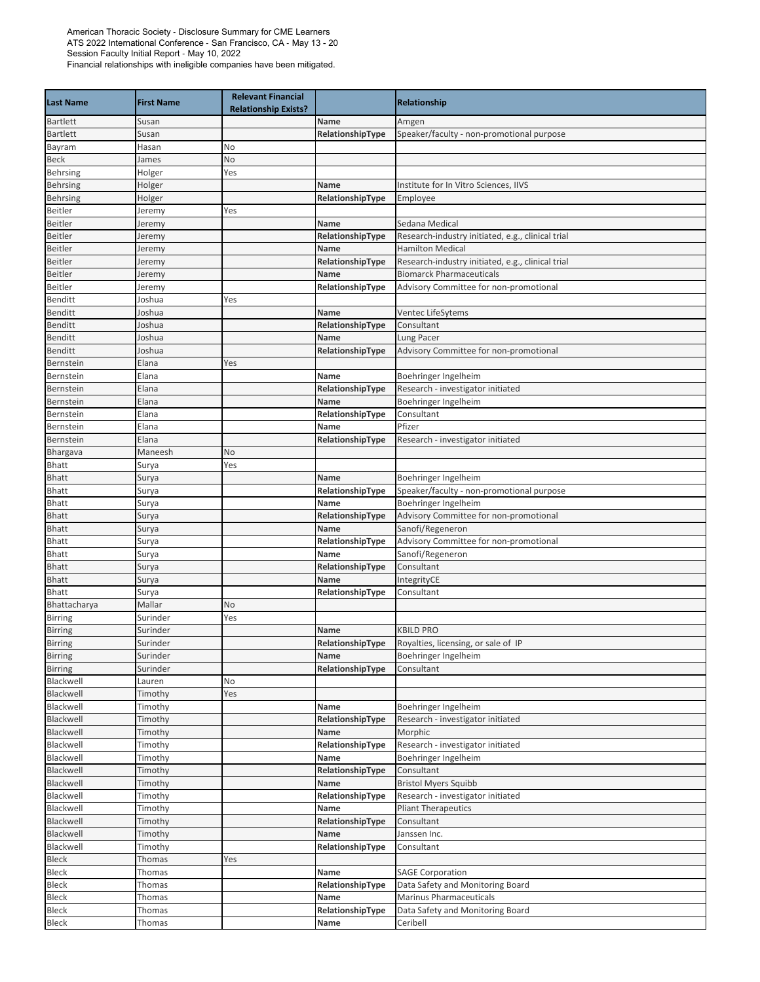| <b>Last Name</b>       | <b>First Name</b>  | <b>Relevant Financial</b><br><b>Relationship Exists?</b> |                          | <b>Relationship</b>                                       |
|------------------------|--------------------|----------------------------------------------------------|--------------------------|-----------------------------------------------------------|
| Bartlett               | Susan              |                                                          | Name                     | Amgen                                                     |
| <b>Bartlett</b>        | Susan              |                                                          | RelationshipType         | Speaker/faculty - non-promotional purpose                 |
| Bayram                 | Hasan              | No                                                       |                          |                                                           |
| <b>Beck</b>            | James              | No                                                       |                          |                                                           |
| <b>Behrsing</b>        | Holger             | Yes                                                      |                          |                                                           |
| <b>Behrsing</b>        | Holger             |                                                          | Name                     | Institute for In Vitro Sciences, IIVS                     |
| <b>Behrsing</b>        | Holger             |                                                          | RelationshipType         | Employee                                                  |
| <b>Beitler</b>         | Jeremy             | Yes                                                      |                          |                                                           |
| <b>Beitler</b>         | Jeremy             |                                                          | Name                     | Sedana Medical                                            |
| Beitler                | Jeremy             |                                                          | RelationshipType         | Research-industry initiated, e.g., clinical trial         |
| <b>Beitler</b>         | Jeremy             |                                                          | Name                     | <b>Hamilton Medical</b>                                   |
| <b>Beitler</b>         | Jeremy             |                                                          | RelationshipType         | Research-industry initiated, e.g., clinical trial         |
| <b>Beitler</b>         | Jeremy             |                                                          | Name                     | <b>Biomarck Pharmaceuticals</b>                           |
| <b>Beitler</b>         | Jeremy             |                                                          | RelationshipType         | Advisory Committee for non-promotional                    |
| <b>Benditt</b>         | Joshua             | Yes                                                      |                          |                                                           |
| <b>Benditt</b>         | Joshua             |                                                          | Name                     | Ventec LifeSytems                                         |
| <b>Benditt</b>         | Joshua             |                                                          | RelationshipType         | Consultant                                                |
| <b>Benditt</b>         | Joshua             |                                                          | Name                     | Lung Pacer                                                |
| <b>Benditt</b>         | Joshua             |                                                          | RelationshipType         | Advisory Committee for non-promotional                    |
| Bernstein              | Elana              | Yes                                                      |                          |                                                           |
| Bernstein              | Elana<br>Elana     |                                                          | Name                     | Boehringer Ingelheim<br>Research - investigator initiated |
| Bernstein<br>Bernstein | Elana              |                                                          | RelationshipType<br>Name | Boehringer Ingelheim                                      |
| Bernstein              | Elana              |                                                          | RelationshipType         | Consultant                                                |
| Bernstein              | Elana              |                                                          | Name                     | Pfizer                                                    |
| Bernstein              | Elana              |                                                          | RelationshipType         | Research - investigator initiated                         |
| Bhargava               | Maneesh            | No                                                       |                          |                                                           |
| <b>Bhatt</b>           | Surya              | Yes                                                      |                          |                                                           |
| <b>Bhatt</b>           | Surya              |                                                          | Name                     | Boehringer Ingelheim                                      |
| <b>Bhatt</b>           | Surya              |                                                          | RelationshipType         | Speaker/faculty - non-promotional purpose                 |
| Bhatt                  | Surya              |                                                          | Name                     | Boehringer Ingelheim                                      |
| <b>Bhatt</b>           | Surya              |                                                          | RelationshipType         | Advisory Committee for non-promotional                    |
| <b>Bhatt</b>           | Surya              |                                                          | Name                     | Sanofi/Regeneron                                          |
| <b>Bhatt</b>           | Surya              |                                                          | RelationshipType         | Advisory Committee for non-promotional                    |
| <b>Bhatt</b>           | Surya              |                                                          | Name                     | Sanofi/Regeneron                                          |
| <b>Bhatt</b>           | Surya              |                                                          | RelationshipType         | Consultant                                                |
| <b>Bhatt</b>           | Surya              |                                                          | Name                     | IntegrityCE                                               |
| <b>Bhatt</b>           | Surya              |                                                          | RelationshipType         | Consultant                                                |
| Bhattacharya           | Mallar             | No                                                       |                          |                                                           |
| <b>Birring</b>         | Surinder           | Yes                                                      |                          |                                                           |
| <b>Birring</b>         | Surinder           |                                                          | Name                     | <b>KBILD PRO</b>                                          |
| Birring                | Surinder           |                                                          | RelationshipType         | Royalties, licensing, or sale of IP                       |
| Birring                | Surinder           |                                                          | Name                     | Boehringer Ingelheim                                      |
| <b>Birring</b>         | Surinder           |                                                          | RelationshipType         | Consultant                                                |
| Blackwell              | Lauren             | No                                                       |                          |                                                           |
| Blackwell              | Timothy            | Yes                                                      |                          |                                                           |
| Blackwell<br>Blackwell | Timothy            |                                                          | Name<br>RelationshipType | Boehringer Ingelheim<br>Research - investigator initiated |
| Blackwell              | Timothy<br>Timothy |                                                          | Name                     | Morphic                                                   |
| Blackwell              | Timothy            |                                                          | RelationshipType         | Research - investigator initiated                         |
| Blackwell              | Timothy            |                                                          | Name                     | Boehringer Ingelheim                                      |
| Blackwell              | Timothy            |                                                          | RelationshipType         | Consultant                                                |
| Blackwell              | Timothy            |                                                          | Name                     | <b>Bristol Myers Squibb</b>                               |
| Blackwell              | Timothy            |                                                          | RelationshipType         | Research - investigator initiated                         |
| Blackwell              | Timothy            |                                                          | Name                     | <b>Pliant Therapeutics</b>                                |
| Blackwell              | Timothy            |                                                          | RelationshipType         | Consultant                                                |
| Blackwell              | Timothy            |                                                          | Name                     | Janssen Inc.                                              |
| Blackwell              | Timothy            |                                                          | RelationshipType         | Consultant                                                |
| Bleck                  | Thomas             | Yes                                                      |                          |                                                           |
| Bleck                  | Thomas             |                                                          | Name                     | <b>SAGE Corporation</b>                                   |
| Bleck                  | Thomas             |                                                          | RelationshipType         | Data Safety and Monitoring Board                          |
| <b>Bleck</b>           | Thomas             |                                                          | Name                     | Marinus Pharmaceuticals                                   |
| Bleck                  | Thomas             |                                                          | RelationshipType         | Data Safety and Monitoring Board                          |
| Bleck                  | Thomas             |                                                          | Name                     | Ceribell                                                  |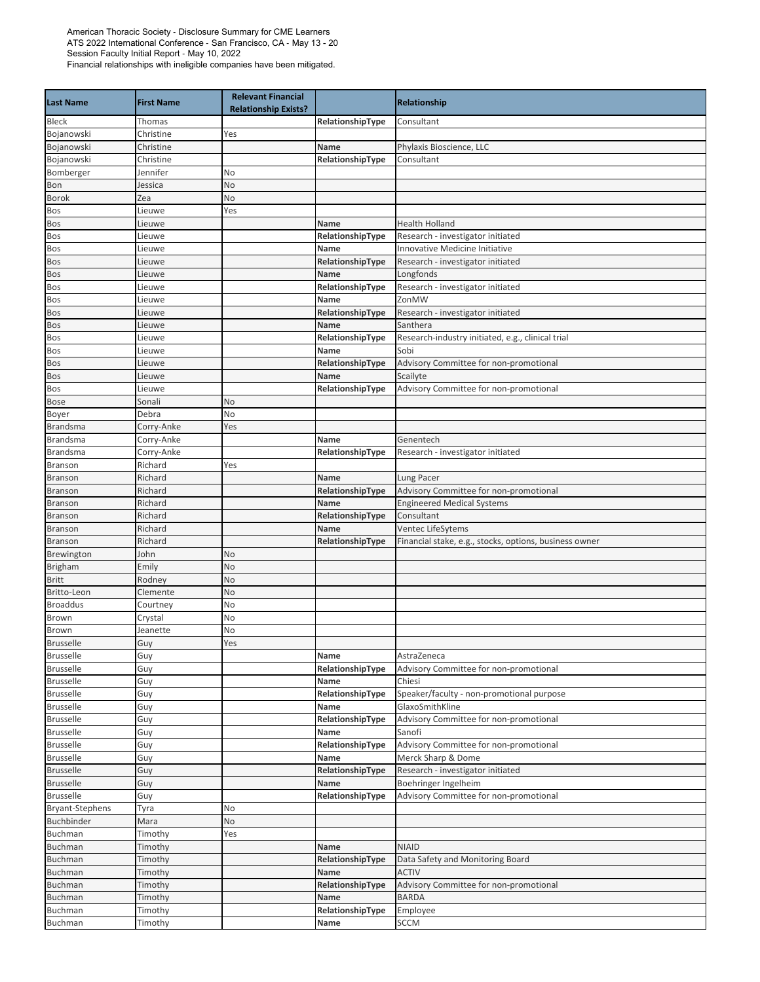| <b>Last Name</b>          | <b>First Name</b> | <b>Relevant Financial</b><br><b>Relationship Exists?</b> |                          | Relationship                                           |
|---------------------------|-------------------|----------------------------------------------------------|--------------------------|--------------------------------------------------------|
| <b>Bleck</b>              | Thomas            |                                                          | RelationshipType         | Consultant                                             |
| Bojanowski                | Christine         | Yes                                                      |                          |                                                        |
| Bojanowski                | Christine         |                                                          | Name                     | Phylaxis Bioscience, LLC                               |
| Bojanowski                | Christine         |                                                          | RelationshipType         | Consultant                                             |
| Bomberger                 | Jennifer          | No                                                       |                          |                                                        |
| Bon                       | Jessica           | No                                                       |                          |                                                        |
| <b>Borok</b>              | Zea               | No                                                       |                          |                                                        |
| Bos                       | Lieuwe            | Yes                                                      |                          |                                                        |
| Bos                       | Lieuwe            |                                                          | Name                     | <b>Health Holland</b>                                  |
| Bos                       | Lieuwe            |                                                          | RelationshipType         | Research - investigator initiated                      |
| Bos                       | Lieuwe            |                                                          | Name                     | Innovative Medicine Initiative                         |
| Bos                       | Lieuwe            |                                                          | RelationshipType         | Research - investigator initiated                      |
| Bos                       | Lieuwe            |                                                          | Name                     | Longfonds                                              |
| Bos                       | Lieuwe            |                                                          | RelationshipType<br>Name | Research - investigator initiated<br>ZonMW             |
| Bos                       | Lieuwe<br>Lieuwe  |                                                          |                          |                                                        |
| Bos<br>Bos                | Lieuwe            |                                                          | RelationshipType<br>Name | Research - investigator initiated<br>Santhera          |
| Bos                       | Lieuwe            |                                                          | RelationshipType         | Research-industry initiated, e.g., clinical trial      |
| Bos                       | Lieuwe            |                                                          | Name                     | Sobi                                                   |
| Bos                       | Lieuwe            |                                                          | RelationshipType         | Advisory Committee for non-promotional                 |
| Bos                       | Lieuwe            |                                                          | Name                     | Scailyte                                               |
| Bos                       | Lieuwe            |                                                          | RelationshipType         | Advisory Committee for non-promotional                 |
| <b>Bose</b>               | Sonali            | No                                                       |                          |                                                        |
| Boyer                     | Debra             | No                                                       |                          |                                                        |
| <b>Brandsma</b>           | Corry-Anke        | Yes                                                      |                          |                                                        |
| <b>Brandsma</b>           | Corry-Anke        |                                                          | Name                     | Genentech                                              |
| <b>Brandsma</b>           | Corry-Anke        |                                                          | RelationshipType         | Research - investigator initiated                      |
| Branson                   | Richard           | Yes                                                      |                          |                                                        |
| Branson                   | Richard           |                                                          | Name                     | Lung Pacer                                             |
| <b>Branson</b>            | Richard           |                                                          | RelationshipType         | Advisory Committee for non-promotional                 |
| <b>Branson</b>            | Richard           |                                                          | Name                     | <b>Engineered Medical Systems</b>                      |
| Branson                   | Richard           |                                                          | RelationshipType         | Consultant                                             |
| <b>Branson</b>            | Richard           |                                                          | Name                     | Ventec LifeSytems                                      |
| <b>Branson</b>            | Richard           |                                                          | RelationshipType         | Financial stake, e.g., stocks, options, business owner |
| Brewington                | John              | No                                                       |                          |                                                        |
| <b>Brigham</b>            | Emily             | No                                                       |                          |                                                        |
| Britt                     | Rodney            | No                                                       |                          |                                                        |
| Britto-Leon               | Clemente          | No                                                       |                          |                                                        |
| <b>Broaddus</b>           | Courtney          | No                                                       |                          |                                                        |
| Brown                     | Crystal           | No                                                       |                          |                                                        |
| Brown<br><b>Brusselle</b> | Jeanette<br>Guy   | No<br>Yes                                                |                          |                                                        |
| <b>Brusselle</b>          | Guy               |                                                          | Name                     | AstraZeneca                                            |
| <b>Brusselle</b>          | Guy               |                                                          | RelationshipType         | Advisory Committee for non-promotional                 |
| <b>Brusselle</b>          | Guy               |                                                          | Name                     | Chiesi                                                 |
| <b>Brusselle</b>          | Guy               |                                                          | RelationshipType         | Speaker/faculty - non-promotional purpose              |
| <b>Brusselle</b>          | Guy               |                                                          | Name                     | GlaxoSmithKline                                        |
| <b>Brusselle</b>          | Guy               |                                                          | RelationshipType         | Advisory Committee for non-promotional                 |
| <b>Brusselle</b>          | Guy               |                                                          | Name                     | Sanofi                                                 |
| <b>Brusselle</b>          | Guy               |                                                          | RelationshipType         | Advisory Committee for non-promotional                 |
| <b>Brusselle</b>          | Guy               |                                                          | Name                     | Merck Sharp & Dome                                     |
| <b>Brusselle</b>          | Guy               |                                                          | RelationshipType         | Research - investigator initiated                      |
| <b>Brusselle</b>          | Guy               |                                                          | Name                     | Boehringer Ingelheim                                   |
| <b>Brusselle</b>          | Guy               |                                                          | RelationshipType         | Advisory Committee for non-promotional                 |
| <b>Bryant-Stephens</b>    | Tyra              | No                                                       |                          |                                                        |
| Buchbinder                | Mara              | No                                                       |                          |                                                        |
| Buchman                   | Timothy           | Yes                                                      |                          |                                                        |
| Buchman                   | Timothy           |                                                          | Name                     | <b>NIAID</b>                                           |
| Buchman                   | Timothy           |                                                          | RelationshipType         | Data Safety and Monitoring Board                       |
| Buchman                   | Timothy           |                                                          | Name                     | <b>ACTIV</b>                                           |
| Buchman                   | Timothy           |                                                          | RelationshipType         | Advisory Committee for non-promotional                 |
| Buchman                   | Timothy           |                                                          | Name                     | <b>BARDA</b>                                           |
| Buchman                   | Timothy           |                                                          | RelationshipType         | Employee                                               |
| Buchman                   | Timothy           |                                                          | Name                     | SCCM                                                   |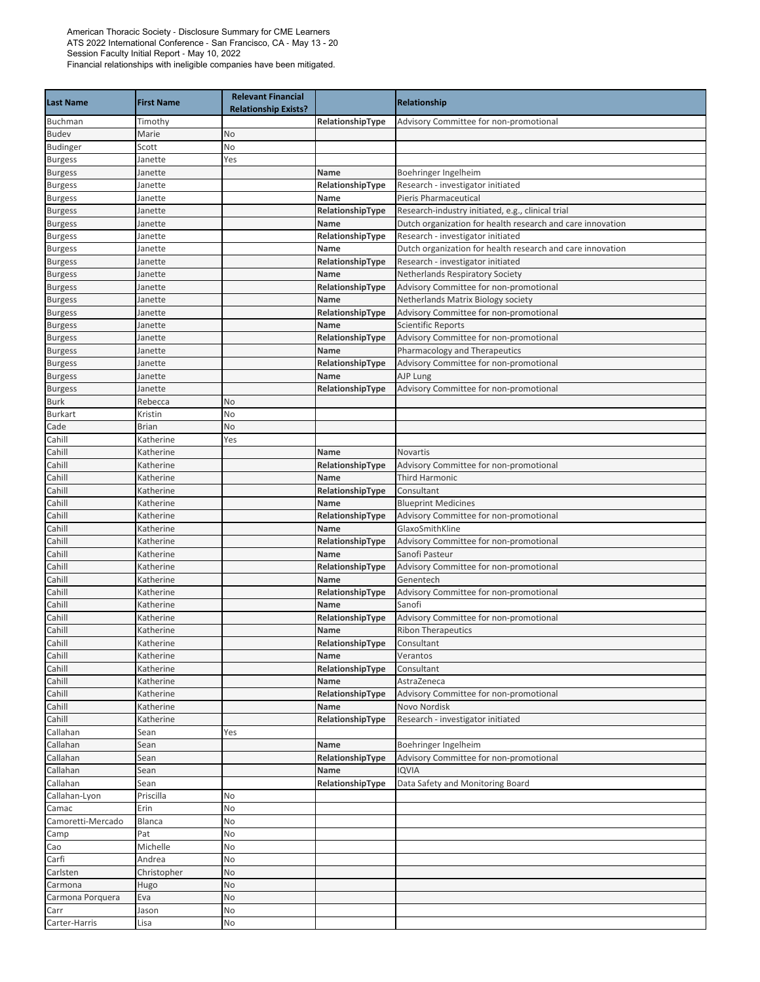| <b>Last Name</b>       | <b>First Name</b>       | <b>Relevant Financial</b><br><b>Relationship Exists?</b> |                  | Relationship                                               |
|------------------------|-------------------------|----------------------------------------------------------|------------------|------------------------------------------------------------|
| Buchman                | Timothy                 |                                                          | RelationshipType | Advisory Committee for non-promotional                     |
| <b>Budev</b>           | Marie                   | No                                                       |                  |                                                            |
| <b>Budinger</b>        | Scott                   | No                                                       |                  |                                                            |
| <b>Burgess</b>         | Janette                 | Yes                                                      |                  |                                                            |
| <b>Burgess</b>         | Janette                 |                                                          | Name             | Boehringer Ingelheim                                       |
| <b>Burgess</b>         | Janette                 |                                                          | RelationshipType | Research - investigator initiated                          |
| <b>Burgess</b>         | Janette                 |                                                          | <b>Name</b>      | <b>Pieris Pharmaceutical</b>                               |
| <b>Burgess</b>         | Janette                 |                                                          | RelationshipType | Research-industry initiated, e.g., clinical trial          |
| <b>Burgess</b>         | Janette                 |                                                          | Name             | Dutch organization for health research and care innovation |
| <b>Burgess</b>         | Janette                 |                                                          | RelationshipType | Research - investigator initiated                          |
| <b>Burgess</b>         | Janette                 |                                                          | Name             | Dutch organization for health research and care innovation |
| <b>Burgess</b>         | Janette                 |                                                          | RelationshipType | Research - investigator initiated                          |
| <b>Burgess</b>         | Janette                 |                                                          | Name             | Netherlands Respiratory Society                            |
| <b>Burgess</b>         | Janette                 |                                                          | RelationshipType | Advisory Committee for non-promotional                     |
| <b>Burgess</b>         | Janette                 |                                                          | Name             | Netherlands Matrix Biology society                         |
| <b>Burgess</b>         | Janette                 |                                                          | RelationshipType | Advisory Committee for non-promotional                     |
| <b>Burgess</b>         | Janette                 |                                                          | Name             | <b>Scientific Reports</b>                                  |
| <b>Burgess</b>         | Janette                 |                                                          | RelationshipType | Advisory Committee for non-promotional                     |
| <b>Burgess</b>         | Janette                 |                                                          | Name             | Pharmacology and Therapeutics                              |
| <b>Burgess</b>         | Janette                 |                                                          | RelationshipType | Advisory Committee for non-promotional                     |
| <b>Burgess</b>         | Janette                 |                                                          | Name             | AJP Lung                                                   |
| <b>Burgess</b>         | Janette                 |                                                          | RelationshipType | Advisory Committee for non-promotional                     |
| <b>Burk</b>            | Rebecca                 | No                                                       |                  |                                                            |
| <b>Burkart</b><br>Cade | Kristin<br><b>Brian</b> | No<br>No                                                 |                  |                                                            |
| Cahill                 | Katherine               | Yes                                                      |                  |                                                            |
| Cahill                 | Katherine               |                                                          | Name             | Novartis                                                   |
| Cahill                 | Katherine               |                                                          | RelationshipType | Advisory Committee for non-promotional                     |
| Cahill                 | Katherine               |                                                          | Name             | <b>Third Harmonic</b>                                      |
| Cahill                 | Katherine               |                                                          | RelationshipType | Consultant                                                 |
| Cahill                 | Katherine               |                                                          | Name             | <b>Blueprint Medicines</b>                                 |
| Cahill                 | Katherine               |                                                          | RelationshipType | Advisory Committee for non-promotional                     |
| Cahill                 | Katherine               |                                                          | Name             | GlaxoSmithKline                                            |
| Cahill                 | Katherine               |                                                          | RelationshipType | Advisory Committee for non-promotional                     |
| Cahill                 | Katherine               |                                                          | Name             | Sanofi Pasteur                                             |
| Cahill                 | Katherine               |                                                          | RelationshipType | Advisory Committee for non-promotional                     |
| Cahill                 | Katherine               |                                                          | Name             | Genentech                                                  |
| Cahill                 | Katherine               |                                                          | RelationshipType | Advisory Committee for non-promotional                     |
| Cahill                 | Katherine               |                                                          | Name             | Sanofi                                                     |
| Cahill                 | Katherine               |                                                          | RelationshipType | Advisory Committee for non-promotional                     |
| Cahill                 | Katherine               |                                                          | Name             | <b>Ribon Therapeutics</b>                                  |
| Cahill                 | Katherine               |                                                          | RelationshipType | Consultant                                                 |
| Cahill                 | Katherine               |                                                          | Name             | Verantos                                                   |
| Cahill                 | Katherine               |                                                          | RelationshipType | Consultant                                                 |
| Cahill                 | Katherine               |                                                          | Name             | AstraZeneca                                                |
| Cahill                 | Katherine               |                                                          | RelationshipType | Advisory Committee for non-promotional                     |
| Cahill                 | Katherine               |                                                          | Name             | Novo Nordisk                                               |
| Cahill                 | Katherine               |                                                          | RelationshipType | Research - investigator initiated                          |
| Callahan               | Sean                    | Yes                                                      |                  |                                                            |
| Callahan               | Sean                    |                                                          | Name             | Boehringer Ingelheim                                       |
| Callahan               | Sean                    |                                                          | RelationshipType | Advisory Committee for non-promotional                     |
| Callahan               | Sean                    |                                                          | Name             | <b>IQVIA</b>                                               |
| Callahan               | Sean                    |                                                          | RelationshipType | Data Safety and Monitoring Board                           |
| Callahan-Lyon          | Priscilla               | No                                                       |                  |                                                            |
| Camac                  | Erin                    | No                                                       |                  |                                                            |
| Camoretti-Mercado      | Blanca                  | No                                                       |                  |                                                            |
| Camp                   | Pat                     | No                                                       |                  |                                                            |
| Cao                    | Michelle                | No                                                       |                  |                                                            |
| Carfi                  | Andrea                  | No                                                       |                  |                                                            |
| Carlsten               | Christopher             | No                                                       |                  |                                                            |
| Carmona                | Hugo                    | No                                                       |                  |                                                            |
| Carmona Porquera       | Eva                     | No                                                       |                  |                                                            |
| Carr                   | Jason                   | No                                                       |                  |                                                            |
| Carter-Harris          | Lisa                    | No                                                       |                  |                                                            |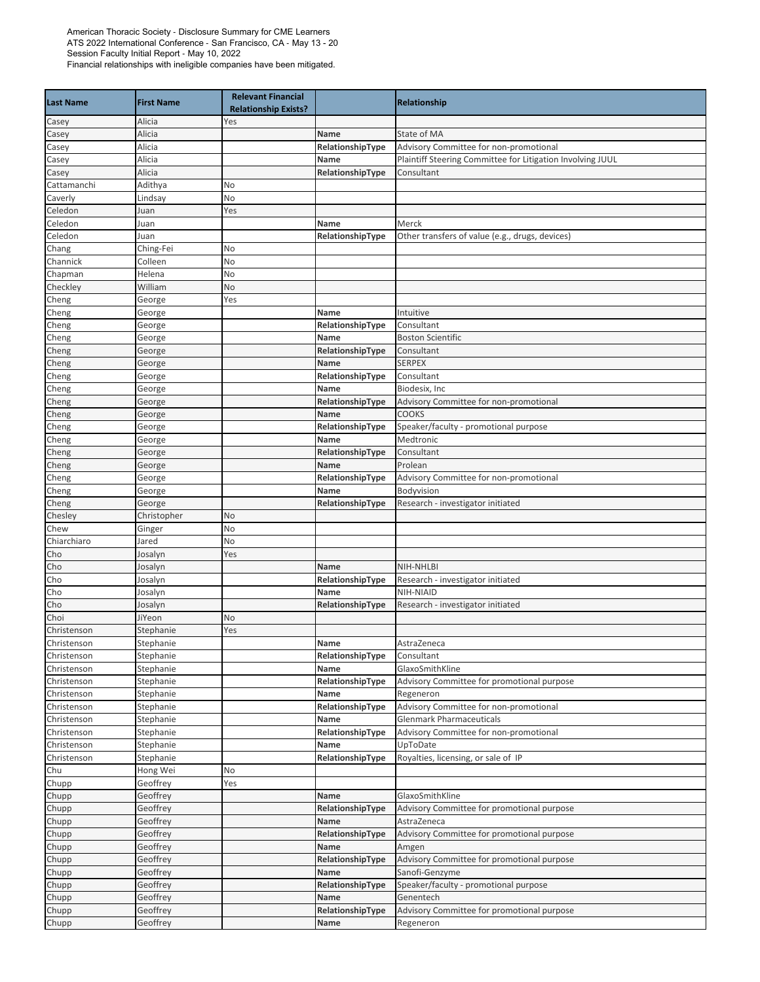| <b>Last Name</b> | <b>First Name</b> | <b>Relevant Financial</b><br><b>Relationship Exists?</b> |                  | Relationship                                               |
|------------------|-------------------|----------------------------------------------------------|------------------|------------------------------------------------------------|
| Casey            | Alicia            | Yes                                                      |                  |                                                            |
| Casey            | Alicia            |                                                          | Name             | State of MA                                                |
| Casey            | Alicia            |                                                          | RelationshipType | Advisory Committee for non-promotional                     |
| Casey            | Alicia            |                                                          | Name             | Plaintiff Steering Committee for Litigation Involving JUUL |
| Casey            | Alicia            |                                                          | RelationshipType | Consultant                                                 |
| Cattamanchi      | Adithya           | No                                                       |                  |                                                            |
| Caverly          | Lindsay           | No                                                       |                  |                                                            |
| Celedon          | Juan              | Yes                                                      |                  |                                                            |
| Celedon          | Juan              |                                                          | Name             | Merck                                                      |
| Celedon          | Juan              |                                                          | RelationshipType | Other transfers of value (e.g., drugs, devices)            |
| Chang            | Ching-Fei         | No                                                       |                  |                                                            |
| Channick         | Colleen           | No                                                       |                  |                                                            |
| Chapman          | Helena            | No                                                       |                  |                                                            |
| Checkley         | William           | No                                                       |                  |                                                            |
| Cheng            | George            | Yes                                                      |                  |                                                            |
| Cheng            | George            |                                                          | <b>Name</b>      | Intuitive                                                  |
| Cheng            | George            |                                                          | RelationshipType | Consultant                                                 |
| Cheng            | George            |                                                          | Name             | <b>Boston Scientific</b>                                   |
| Cheng            | George            |                                                          | RelationshipType | Consultant                                                 |
| Cheng            | George            |                                                          | Name             | <b>SERPEX</b>                                              |
| Cheng            | George            |                                                          | RelationshipType | Consultant                                                 |
| Cheng            | George            |                                                          | Name             | Biodesix, Inc                                              |
| Cheng            | George            |                                                          | RelationshipType | Advisory Committee for non-promotional                     |
| Cheng            | George            |                                                          | Name             | <b>COOKS</b>                                               |
| Cheng            | George            |                                                          | RelationshipType | Speaker/faculty - promotional purpose                      |
| Cheng            | George            |                                                          | Name             | Medtronic                                                  |
| Cheng            | George            |                                                          | RelationshipType | Consultant                                                 |
| Cheng            | George            |                                                          | Name             | Prolean                                                    |
| Cheng            | George            |                                                          | RelationshipType | Advisory Committee for non-promotional                     |
| Cheng            | George            |                                                          | Name             | Bodyvision                                                 |
| Cheng            | George            |                                                          | RelationshipType | Research - investigator initiated                          |
| Chesley          | Christopher       | No                                                       |                  |                                                            |
| Chew             | Ginger            | No                                                       |                  |                                                            |
| Chiarchiaro      | lared             | No                                                       |                  |                                                            |
| Cho              | Iosalyn           | Yes                                                      |                  |                                                            |
| Cho              | Iosalyn           |                                                          | Name             | NIH-NHLBI                                                  |
| Cho              | Iosalyn           |                                                          | RelationshipType | Research - investigator initiated                          |
| Cho              | losalyn           |                                                          | Name             | NIH-NIAID                                                  |
| Cho              | Josalyn           |                                                          | RelationshipType | Research - investigator initiated                          |
| Choi             | JiYeon            | No                                                       |                  |                                                            |
| Christenson      | Stephanie         | Yes                                                      |                  |                                                            |
| Christenson      | Stephanie         |                                                          | Name             | AstraZeneca                                                |
| Christenson      | Stephanie         |                                                          | RelationshipType | Consultant                                                 |
| Christenson      | Stephanie         |                                                          | Name             | GlaxoSmithKline                                            |
| Christenson      | Stephanie         |                                                          | RelationshipType | Advisory Committee for promotional purpose                 |
| Christenson      | Stephanie         |                                                          | Name             | Regeneron                                                  |
| Christenson      | Stephanie         |                                                          | RelationshipType | Advisory Committee for non-promotional                     |
| Christenson      | Stephanie         |                                                          | Name             | <b>Glenmark Pharmaceuticals</b>                            |
| Christenson      | Stephanie         |                                                          | RelationshipType | Advisory Committee for non-promotional                     |
| Christenson      | Stephanie         |                                                          | Name             | UpToDate                                                   |
| Christenson      | Stephanie         |                                                          | RelationshipType | Royalties, licensing, or sale of IP                        |
| Chu              | Hong Wei          | No                                                       |                  |                                                            |
| Chupp            | Geoffrey          | Yes                                                      |                  |                                                            |
| Chupp            | Geoffrey          |                                                          | Name             | GlaxoSmithKline                                            |
| Chupp            | Geoffrey          |                                                          | RelationshipType | Advisory Committee for promotional purpose                 |
| Chupp            | Geoffrey          |                                                          | Name             | AstraZeneca                                                |
| Chupp            | Geoffrey          |                                                          | RelationshipType | Advisory Committee for promotional purpose                 |
| Chupp            | Geoffrey          |                                                          | Name             | Amgen                                                      |
| Chupp            | Geoffrey          |                                                          | RelationshipType | Advisory Committee for promotional purpose                 |
| Chupp            | Geoffrey          |                                                          | Name             | Sanofi-Genzyme                                             |
| Chupp            | Geoffrey          |                                                          | RelationshipType | Speaker/faculty - promotional purpose                      |
| Chupp            | Geoffrey          |                                                          | Name             | Genentech                                                  |
| Chupp            | Geoffrey          |                                                          | RelationshipType | Advisory Committee for promotional purpose                 |
| Chupp            | Geoffrey          |                                                          | Name             | Regeneron                                                  |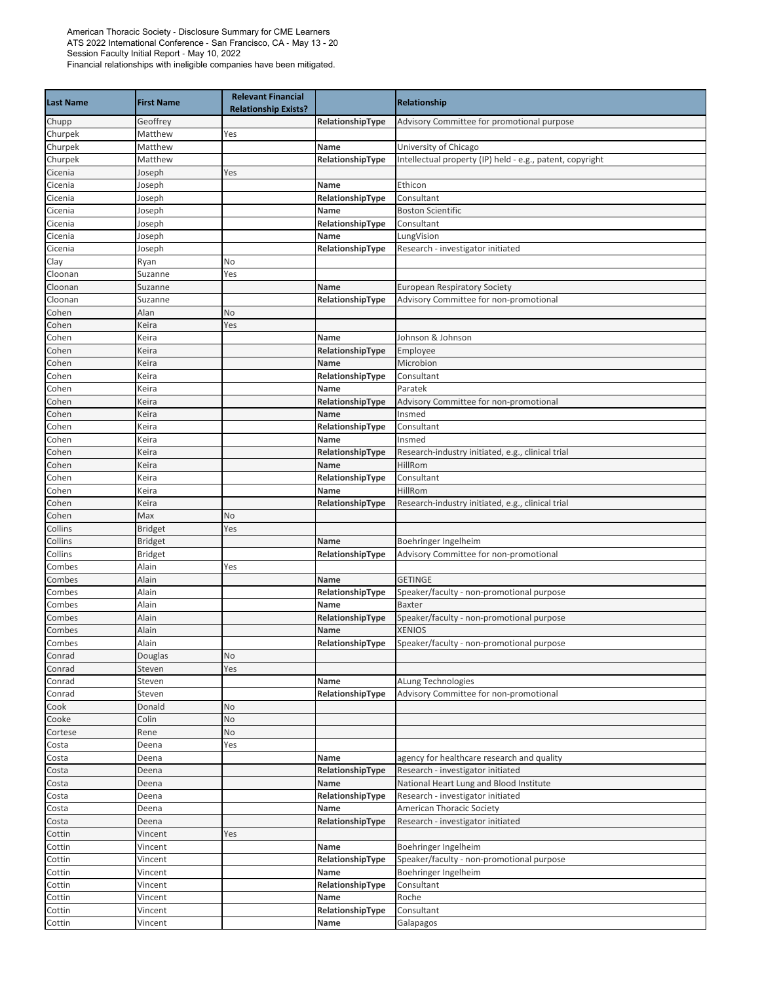| <b>Last Name</b>   | <b>First Name</b>  | <b>Relevant Financial</b><br><b>Relationship Exists?</b> |                          | <b>Relationship</b>                                                           |
|--------------------|--------------------|----------------------------------------------------------|--------------------------|-------------------------------------------------------------------------------|
| Chupp              | Geoffrey           |                                                          | RelationshipType         | Advisory Committee for promotional purpose                                    |
| Churpek            | Matthew            | Yes                                                      |                          |                                                                               |
| Churpek            | Matthew            |                                                          | Name                     | University of Chicago                                                         |
| Churpek            | Matthew            |                                                          | RelationshipType         | Intellectual property (IP) held - e.g., patent, copyright                     |
| Cicenia            | Joseph             | Yes                                                      |                          |                                                                               |
| Cicenia            | Joseph             |                                                          | Name                     | Ethicon                                                                       |
| Cicenia            | Joseph             |                                                          | RelationshipType         | Consultant                                                                    |
| Cicenia            | Joseph             |                                                          | Name                     | <b>Boston Scientific</b>                                                      |
| Cicenia            | Joseph             |                                                          | RelationshipType         | Consultant                                                                    |
| Cicenia            | Joseph             |                                                          | Name                     | LungVision                                                                    |
| Cicenia            | Joseph             |                                                          | RelationshipType         | Research - investigator initiated                                             |
| Clay               | Ryan               | No                                                       |                          |                                                                               |
| Cloonan<br>Cloonan | Suzanne<br>Suzanne | Yes                                                      | Name                     |                                                                               |
| Cloonan            | Suzanne            |                                                          | RelationshipType         | <b>European Respiratory Society</b><br>Advisory Committee for non-promotional |
| Cohen              | Alan               | No                                                       |                          |                                                                               |
| Cohen              | Keira              | Yes                                                      |                          |                                                                               |
| Cohen              | Keira              |                                                          | Name                     | Johnson & Johnson                                                             |
| Cohen              | Keira              |                                                          | RelationshipType         | Employee                                                                      |
| Cohen              | Keira              |                                                          | Name                     | Microbion                                                                     |
| Cohen              | Keira              |                                                          | RelationshipType         | Consultant                                                                    |
| Cohen              | Keira              |                                                          | Name                     | Paratek                                                                       |
| Cohen              | Keira              |                                                          | RelationshipType         | Advisory Committee for non-promotional                                        |
| Cohen              | Keira              |                                                          | Name                     | Insmed                                                                        |
| Cohen              | Keira              |                                                          | RelationshipType         | Consultant                                                                    |
| Cohen              | Keira              |                                                          | Name                     | Insmed                                                                        |
| Cohen              | Keira              |                                                          | RelationshipType         | Research-industry initiated, e.g., clinical trial                             |
| Cohen              | Keira              |                                                          | Name                     | HillRom                                                                       |
| Cohen              | Keira              |                                                          | RelationshipType         | Consultant                                                                    |
| Cohen              | Keira              |                                                          | Name                     | HillRom                                                                       |
| Cohen              | Keira              |                                                          | RelationshipType         | Research-industry initiated, e.g., clinical trial                             |
| Cohen              | Max                | No                                                       |                          |                                                                               |
| Collins            | <b>Bridget</b>     | Yes                                                      |                          |                                                                               |
| Collins            | <b>Bridget</b>     |                                                          | Name                     | Boehringer Ingelheim                                                          |
| Collins            | <b>Bridget</b>     |                                                          | RelationshipType         | Advisory Committee for non-promotional                                        |
| Combes             | Alain              | Yes                                                      |                          |                                                                               |
| Combes             | Alain              |                                                          | Name                     | <b>GETINGE</b>                                                                |
| Combes             | Alain              |                                                          | RelationshipType         | Speaker/faculty - non-promotional purpose                                     |
| Combes             | Alain              |                                                          | Name                     | <b>Baxter</b>                                                                 |
| Combes             | Alain              |                                                          | RelationshipType         | Speaker/faculty - non-promotional purpose                                     |
| Combes             | Alain              |                                                          | Name                     | <b>XENIOS</b>                                                                 |
| Combes             | Alain              |                                                          | RelationshipType         | Speaker/faculty - non-promotional purpose                                     |
| Conrad             | Douglas            | No                                                       |                          |                                                                               |
| Conrad             | Steven             | Yes                                                      |                          |                                                                               |
| Conrad             | Steven             |                                                          | Name<br>RelationshipType | ALung Technologies                                                            |
| Conrad<br>Cook     | Steven<br>Donald   | No                                                       |                          | Advisory Committee for non-promotional                                        |
| Cooke              | Colin              | No                                                       |                          |                                                                               |
| Cortese            | Rene               | No                                                       |                          |                                                                               |
| Costa              | Deena              | Yes                                                      |                          |                                                                               |
| Costa              | Deena              |                                                          | Name                     | agency for healthcare research and quality                                    |
| Costa              | Deena              |                                                          | RelationshipType         | Research - investigator initiated                                             |
| Costa              | Deena              |                                                          | Name                     | National Heart Lung and Blood Institute                                       |
| Costa              | Deena              |                                                          | RelationshipType         | Research - investigator initiated                                             |
| Costa              | Deena              |                                                          | Name                     | American Thoracic Society                                                     |
| Costa              | Deena              |                                                          | RelationshipType         | Research - investigator initiated                                             |
| Cottin             | Vincent            | Yes                                                      |                          |                                                                               |
| Cottin             | Vincent            |                                                          | Name                     | Boehringer Ingelheim                                                          |
| Cottin             | Vincent            |                                                          | RelationshipType         | Speaker/faculty - non-promotional purpose                                     |
| Cottin             | Vincent            |                                                          | Name                     | Boehringer Ingelheim                                                          |
| Cottin             | Vincent            |                                                          | RelationshipType         | Consultant                                                                    |
| Cottin             | Vincent            |                                                          | Name                     | Roche                                                                         |
| Cottin             | Vincent            |                                                          | RelationshipType         | Consultant                                                                    |
| Cottin             | Vincent            |                                                          | Name                     | Galapagos                                                                     |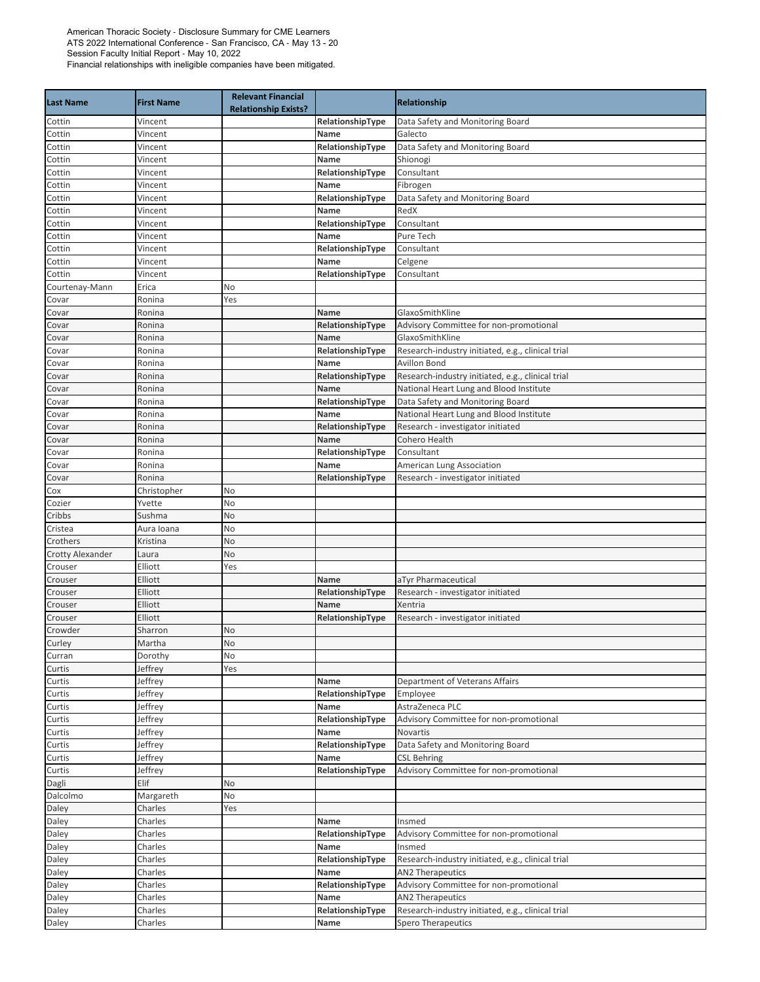| <b>Last Name</b>        | <b>First Name</b> | <b>Relevant Financial</b><br><b>Relationship Exists?</b> |                          | Relationship                                                                                 |
|-------------------------|-------------------|----------------------------------------------------------|--------------------------|----------------------------------------------------------------------------------------------|
| Cottin                  | Vincent           |                                                          | RelationshipType         | Data Safety and Monitoring Board                                                             |
| Cottin                  | Vincent           |                                                          | Name                     | Galecto                                                                                      |
| Cottin                  | Vincent           |                                                          | RelationshipType         | Data Safety and Monitoring Board                                                             |
| Cottin                  | Vincent           |                                                          | Name                     | Shionogi                                                                                     |
| Cottin                  | Vincent           |                                                          | RelationshipType         | Consultant                                                                                   |
| Cottin                  | Vincent           |                                                          | Name                     | Fibrogen                                                                                     |
| Cottin                  | Vincent           |                                                          | RelationshipType         | Data Safety and Monitoring Board                                                             |
| Cottin                  | Vincent           |                                                          | Name                     | RedX                                                                                         |
| Cottin                  | Vincent           |                                                          | RelationshipType         | Consultant                                                                                   |
| Cottin                  | Vincent           |                                                          | Name                     | Pure Tech                                                                                    |
| Cottin                  | Vincent           |                                                          | RelationshipType         | Consultant                                                                                   |
| Cottin                  | Vincent           |                                                          | Name                     | Celgene                                                                                      |
| Cottin                  | Vincent           |                                                          | RelationshipType         | Consultant                                                                                   |
| Courtenay-Mann          | Erica             | No                                                       |                          |                                                                                              |
| Covar                   | Ronina            | Yes                                                      |                          |                                                                                              |
| Covar                   | Ronina            |                                                          | Name                     | GlaxoSmithKline                                                                              |
| Covar                   | Ronina            |                                                          | RelationshipType         | Advisory Committee for non-promotional                                                       |
| Covar                   | Ronina            |                                                          | Name                     | GlaxoSmithKline                                                                              |
| Covar                   | Ronina            |                                                          | RelationshipType         | Research-industry initiated, e.g., clinical trial                                            |
| Covar                   | Ronina            |                                                          | Name                     | Avillon Bond                                                                                 |
| Covar                   | Ronina            |                                                          | RelationshipType         | Research-industry initiated, e.g., clinical trial<br>National Heart Lung and Blood Institute |
| Covar                   | Ronina            |                                                          | Name                     | Data Safety and Monitoring Board                                                             |
| Covar                   | Ronina            |                                                          | RelationshipType         |                                                                                              |
| Covar                   | Ronina<br>Ronina  |                                                          | Name<br>RelationshipType | National Heart Lung and Blood Institute                                                      |
| Covar<br>Covar          |                   |                                                          | Name                     | Research - investigator initiated<br>Cohero Health                                           |
|                         | Ronina<br>Ronina  |                                                          |                          | Consultant                                                                                   |
| Covar<br>Covar          | Ronina            |                                                          | RelationshipType<br>Name | American Lung Association                                                                    |
| Covar                   | Ronina            |                                                          | RelationshipType         | Research - investigator initiated                                                            |
| Cox                     | Christopher       | No                                                       |                          |                                                                                              |
| Cozier                  | Yvette            | No                                                       |                          |                                                                                              |
| Cribbs                  | Sushma            | No                                                       |                          |                                                                                              |
| Cristea                 | Aura Ioana        | No                                                       |                          |                                                                                              |
| Crothers                | Kristina          | No                                                       |                          |                                                                                              |
| <b>Crotty Alexander</b> | Laura             | No                                                       |                          |                                                                                              |
| Crouser                 | Elliott           | Yes                                                      |                          |                                                                                              |
| Crouser                 | Elliott           |                                                          | Name                     | aTyr Pharmaceutical                                                                          |
| Crouser                 | Elliott           |                                                          | RelationshipType         | Research - investigator initiated                                                            |
| Crouser                 | Elliott           |                                                          | Name                     | Xentria                                                                                      |
| Crouser                 | Elliott           |                                                          | RelationshipType         | Research - investigator initiated                                                            |
| Crowder                 | Sharron           | No                                                       |                          |                                                                                              |
| Curley                  | Martha            | No                                                       |                          |                                                                                              |
| Curran                  | Dorothy           | No                                                       |                          |                                                                                              |
| Curtis                  | Jeffrey           | Yes                                                      |                          |                                                                                              |
| Curtis                  | Jeffrey           |                                                          | Name                     | Department of Veterans Affairs                                                               |
| Curtis                  | Jeffrey           |                                                          | RelationshipType         | Employee                                                                                     |
| Curtis                  | Jeffrey           |                                                          | Name                     | AstraZeneca PLC                                                                              |
| Curtis                  | Jeffrey           |                                                          | RelationshipType         | Advisory Committee for non-promotional                                                       |
| Curtis                  | Jeffrey           |                                                          | Name                     | Novartis                                                                                     |
| Curtis                  | Jeffrey           |                                                          | RelationshipType         | Data Safety and Monitoring Board                                                             |
| Curtis                  | Jeffrey           |                                                          | Name                     | <b>CSL Behring</b>                                                                           |
| Curtis                  | Jeffrey           |                                                          | RelationshipType         | Advisory Committee for non-promotional                                                       |
| Dagli                   | Elif              | No                                                       |                          |                                                                                              |
| Dalcolmo                | Margareth         | No                                                       |                          |                                                                                              |
| Daley                   | Charles           | Yes                                                      |                          |                                                                                              |
| Daley                   | Charles           |                                                          | Name                     | Insmed                                                                                       |
| Daley                   | Charles           |                                                          | RelationshipType         | Advisory Committee for non-promotional                                                       |
| Daley                   | Charles           |                                                          | Name                     | Insmed                                                                                       |
| Daley                   | Charles           |                                                          | RelationshipType         | Research-industry initiated, e.g., clinical trial                                            |
| Daley                   | Charles           |                                                          | Name                     | <b>AN2 Therapeutics</b>                                                                      |
| Daley                   | Charles           |                                                          | RelationshipType         | Advisory Committee for non-promotional                                                       |
| Daley                   | Charles           |                                                          | Name                     | <b>AN2 Therapeutics</b>                                                                      |
| Daley                   | Charles           |                                                          | RelationshipType         | Research-industry initiated, e.g., clinical trial                                            |
| Daley                   | Charles           |                                                          | Name                     | <b>Spero Therapeutics</b>                                                                    |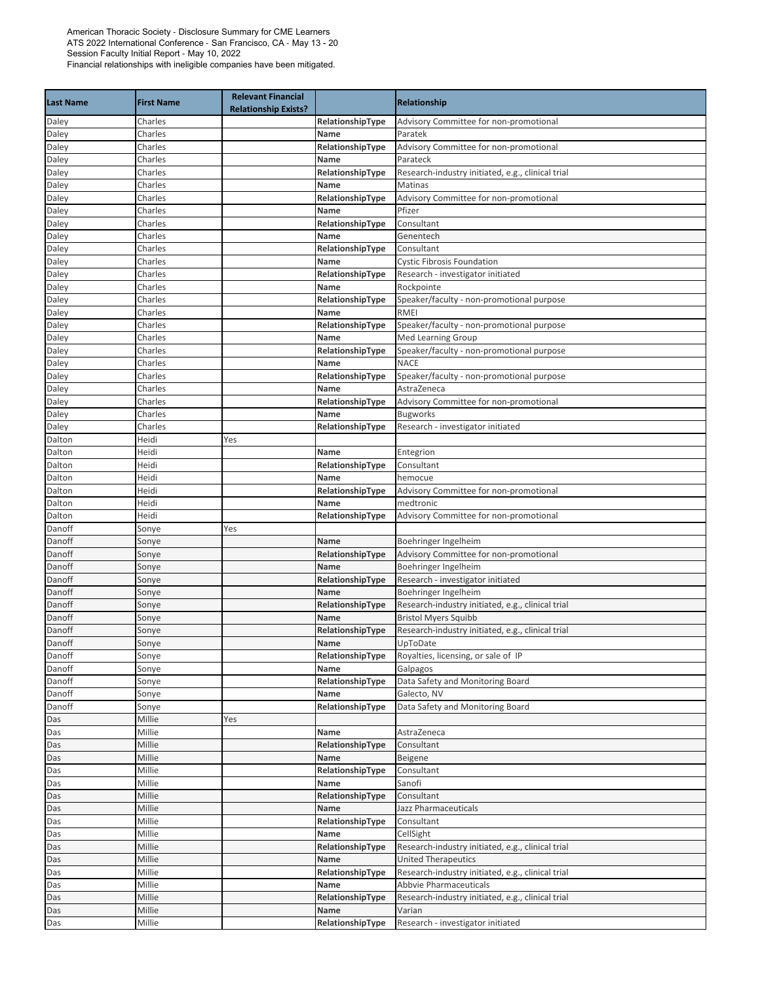| <b>Last Name</b> | <b>First Name</b> | <b>Relevant Financial</b><br><b>Relationship Exists?</b> |                          | <b>Relationship</b>                                 |
|------------------|-------------------|----------------------------------------------------------|--------------------------|-----------------------------------------------------|
| Daley            | Charles           |                                                          | RelationshipType         | Advisory Committee for non-promotional              |
| Daley            | Charles           |                                                          | Name                     | Paratek                                             |
| Daley            | Charles           |                                                          | RelationshipType         | Advisory Committee for non-promotional              |
| Daley            | Charles           |                                                          | Name                     | Parateck                                            |
| Daley            | Charles           |                                                          | RelationshipType         | Research-industry initiated, e.g., clinical trial   |
| Daley            | Charles           |                                                          | Name                     | Matinas                                             |
| Daley            | Charles           |                                                          | RelationshipType         | Advisory Committee for non-promotional              |
| Daley            | Charles           |                                                          | Name                     | Pfizer                                              |
| Daley            | Charles           |                                                          | RelationshipType         | Consultant                                          |
| Daley            | Charles           |                                                          | Name                     | Genentech                                           |
| Daley            | Charles           |                                                          | RelationshipType         | Consultant                                          |
| Daley            | Charles           |                                                          | Name                     | <b>Cystic Fibrosis Foundation</b>                   |
| Daley            | Charles           |                                                          | RelationshipType         | Research - investigator initiated                   |
| Daley            | Charles           |                                                          | Name                     | Rockpointe                                          |
| Daley            | Charles           |                                                          | RelationshipType         | Speaker/faculty - non-promotional purpose           |
| Daley            | Charles           |                                                          | Name                     | <b>RMEI</b>                                         |
| Daley            | Charles           |                                                          | RelationshipType         | Speaker/faculty - non-promotional purpose           |
| Daley            | Charles           |                                                          | Name                     | <b>Med Learning Group</b>                           |
| Daley            | Charles           |                                                          | RelationshipType         | Speaker/faculty - non-promotional purpose           |
| Daley            | Charles           |                                                          | Name                     | <b>NACE</b>                                         |
| Daley            | Charles           |                                                          | RelationshipType         | Speaker/faculty - non-promotional purpose           |
| Daley            | Charles           |                                                          | Name                     | AstraZeneca                                         |
| Daley            | Charles           |                                                          | RelationshipType         | Advisory Committee for non-promotional              |
| Daley            | Charles           |                                                          | Name                     | <b>Bugworks</b>                                     |
| Daley            | Charles           |                                                          | RelationshipType         | Research - investigator initiated                   |
| Dalton           | Heidi             | Yes                                                      |                          |                                                     |
| Dalton           | Heidi             |                                                          | Name                     | Entegrion                                           |
| Dalton           | Heidi<br>Heidi    |                                                          | RelationshipType<br>Name | Consultant                                          |
| Dalton           |                   |                                                          |                          | hemocue                                             |
| Dalton<br>Dalton | Heidi<br>Heidi    |                                                          | RelationshipType<br>Name | Advisory Committee for non-promotional<br>medtronic |
| Dalton           | Heidi             |                                                          | RelationshipType         | Advisory Committee for non-promotional              |
| Danoff           | Sonye             | Yes                                                      |                          |                                                     |
| Danoff           | Sonye             |                                                          | <b>Name</b>              | Boehringer Ingelheim                                |
| Danoff           | Sonye             |                                                          | RelationshipType         | Advisory Committee for non-promotional              |
| Danoff           | Sonye             |                                                          | Name                     | Boehringer Ingelheim                                |
| Danoff           | Sonye             |                                                          | RelationshipType         | Research - investigator initiated                   |
| Danoff           | Sonye             |                                                          | Name                     | Boehringer Ingelheim                                |
| Danoff           | Sonye             |                                                          | RelationshipType         | Research-industry initiated, e.g., clinical trial   |
| Danoff           | Sonye             |                                                          | Name                     | <b>Bristol Myers Squibb</b>                         |
| Danoff           | Sonye             |                                                          | RelationshipType         | Research-industry initiated, e.g., clinical trial   |
| Danoff           | Sonye             |                                                          | Name                     | UpToDate                                            |
| Danoff           | Sonye             |                                                          | RelationshipType         | Royalties, licensing, or sale of IP                 |
| Danoff           | Sonye             |                                                          | Name                     | Galpagos                                            |
| Danoff           | Sonye             |                                                          | RelationshipType         | Data Safety and Monitoring Board                    |
| Danoff           | Sonye             |                                                          | Name                     | Galecto, NV                                         |
| Danoff           | Sonye             |                                                          | RelationshipType         | Data Safety and Monitoring Board                    |
| Das              | Millie            | Yes                                                      |                          |                                                     |
| Das              | Millie            |                                                          | Name                     | AstraZeneca                                         |
| Das              | Millie            |                                                          | RelationshipType         | Consultant                                          |
| Das              | Millie            |                                                          | Name                     | Beigene                                             |
| Das              | Millie            |                                                          | RelationshipType         | Consultant                                          |
| Das              | Millie            |                                                          | Name                     | Sanofi                                              |
| Das              | Millie            |                                                          | RelationshipType         | Consultant                                          |
| Das              | Millie            |                                                          | Name                     | Jazz Pharmaceuticals                                |
| Das              | Millie            |                                                          | RelationshipType         | Consultant                                          |
| Das              | Millie            |                                                          | Name                     | CellSight                                           |
| Das              | Millie            |                                                          | RelationshipType         | Research-industry initiated, e.g., clinical trial   |
| Das              | Millie            |                                                          | Name                     | <b>United Therapeutics</b>                          |
| Das              | Millie            |                                                          | RelationshipType         | Research-industry initiated, e.g., clinical trial   |
| Das              | Millie            |                                                          | Name                     | Abbvie Pharmaceuticals                              |
| Das              | Millie            |                                                          | RelationshipType         | Research-industry initiated, e.g., clinical trial   |
| Das              | Millie            |                                                          | Name                     | Varian                                              |
| Das              | Millie            |                                                          | RelationshipType         | Research - investigator initiated                   |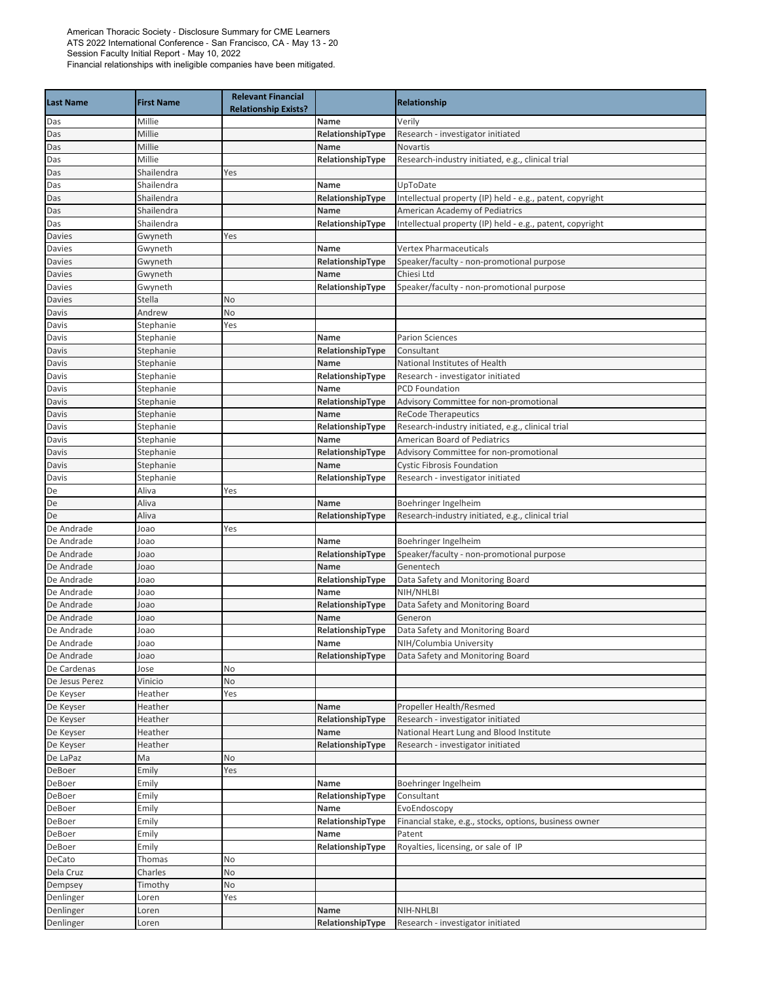| <b>Last Name</b> | <b>First Name</b> | <b>Relevant Financial</b><br><b>Relationship Exists?</b> |                  | <b>Relationship</b>                                       |
|------------------|-------------------|----------------------------------------------------------|------------------|-----------------------------------------------------------|
| Das              | Millie            |                                                          | <b>Name</b>      | Verily                                                    |
| Das              | Millie            |                                                          | RelationshipType | Research - investigator initiated                         |
| Das              | Millie            |                                                          | Name             | Novartis                                                  |
| Das              | Millie            |                                                          | RelationshipType | Research-industry initiated, e.g., clinical trial         |
| Das              | Shailendra        | Yes                                                      |                  |                                                           |
| Das              | Shailendra        |                                                          | Name             | UpToDate                                                  |
| Das              | Shailendra        |                                                          | RelationshipType | Intellectual property (IP) held - e.g., patent, copyright |
| Das              | Shailendra        |                                                          | Name             | American Academy of Pediatrics                            |
| Das              | Shailendra        |                                                          | RelationshipType | Intellectual property (IP) held - e.g., patent, copyright |
| Davies           | Gwyneth           | Yes                                                      |                  |                                                           |
| Davies           | Gwyneth           |                                                          | Name             | <b>Vertex Pharmaceuticals</b>                             |
| Davies           | Gwyneth           |                                                          | RelationshipType | Speaker/faculty - non-promotional purpose                 |
| <b>Davies</b>    | Gwyneth           |                                                          | Name             | Chiesi Ltd                                                |
| Davies           | Gwyneth           |                                                          | RelationshipType | Speaker/faculty - non-promotional purpose                 |
| Davies           | Stella            | No                                                       |                  |                                                           |
| Davis            | Andrew            | No                                                       |                  |                                                           |
| Davis            | Stephanie         | Yes                                                      |                  |                                                           |
| Davis            | Stephanie         |                                                          | Name             | <b>Parion Sciences</b>                                    |
| Davis            | Stephanie         |                                                          | RelationshipType | Consultant                                                |
| Davis            | Stephanie         |                                                          | Name             | National Institutes of Health                             |
| Davis            | Stephanie         |                                                          | RelationshipType | Research - investigator initiated                         |
| Davis            | Stephanie         |                                                          | Name             | <b>PCD Foundation</b>                                     |
| Davis            | Stephanie         |                                                          | RelationshipType | Advisory Committee for non-promotional                    |
| Davis            | Stephanie         |                                                          | Name             | <b>ReCode Therapeutics</b>                                |
| Davis            | Stephanie         |                                                          | RelationshipType | Research-industry initiated, e.g., clinical trial         |
| Davis            | Stephanie         |                                                          | Name             | American Board of Pediatrics                              |
| Davis            | Stephanie         |                                                          | RelationshipType | Advisory Committee for non-promotional                    |
| Davis            | Stephanie         |                                                          | Name             | <b>Cystic Fibrosis Foundation</b>                         |
| Davis            | Stephanie         |                                                          | RelationshipType | Research - investigator initiated                         |
| De               | Aliva             | Yes                                                      |                  |                                                           |
| De               | Aliva             |                                                          | Name             | Boehringer Ingelheim                                      |
| De               | Aliva             |                                                          | RelationshipType | Research-industry initiated, e.g., clinical trial         |
| De Andrade       | Joao              | Yes                                                      |                  |                                                           |
| De Andrade       | Joao              |                                                          | <b>Name</b>      | Boehringer Ingelheim                                      |
| De Andrade       | Joao              |                                                          | RelationshipType | Speaker/faculty - non-promotional purpose                 |
| De Andrade       | Joao              |                                                          | Name             | Genentech                                                 |
| De Andrade       | Joao              |                                                          | RelationshipType | Data Safety and Monitoring Board                          |
| De Andrade       | Joao              |                                                          | Name             | NIH/NHLBI                                                 |
| De Andrade       | Joao              |                                                          | RelationshipType | Data Safety and Monitoring Board                          |
| De Andrade       | loao              |                                                          | Name             | Generon                                                   |
| De Andrade       | Joao              |                                                          | RelationshipType | Data Safety and Monitoring Board                          |
| De Andrade       | Joao              |                                                          | Name             | NIH/Columbia University                                   |
| De Andrade       | Joao              |                                                          | RelationshipType | Data Safety and Monitoring Board                          |
| De Cardenas      | lose              | No                                                       |                  |                                                           |
| De Jesus Perez   | Vinicio           | No                                                       |                  |                                                           |
| De Keyser        | Heather           | Yes                                                      |                  |                                                           |
| De Keyser        | Heather           |                                                          | Name             | Propeller Health/Resmed                                   |
| De Keyser        | Heather           |                                                          | RelationshipType | Research - investigator initiated                         |
| De Keyser        | Heather           |                                                          | Name             | National Heart Lung and Blood Institute                   |
| De Keyser        | Heather           |                                                          | RelationshipType | Research - investigator initiated                         |
| De LaPaz         | Ma                | No                                                       |                  |                                                           |
| DeBoer           | Emily             | Yes                                                      |                  |                                                           |
| DeBoer           | Emily             |                                                          | Name             | Boehringer Ingelheim                                      |
| DeBoer           | Emily             |                                                          | RelationshipType | Consultant                                                |
| DeBoer           | Emily             |                                                          | Name             | EvoEndoscopy                                              |
| DeBoer           | Emily             |                                                          | RelationshipType | Financial stake, e.g., stocks, options, business owner    |
| DeBoer           | Emily             |                                                          | Name             | Patent                                                    |
| DeBoer           | Emily             |                                                          | RelationshipType | Royalties, licensing, or sale of IP                       |
| DeCato           | Thomas            | No                                                       |                  |                                                           |
| Dela Cruz        | Charles           | No                                                       |                  |                                                           |
| Dempsey          | Timothy           | No                                                       |                  |                                                           |
| Denlinger        | Loren             | Yes                                                      |                  |                                                           |
| Denlinger        | Loren             |                                                          | Name             | NIH-NHLBI                                                 |
| Denlinger        | Loren             |                                                          | RelationshipType | Research - investigator initiated                         |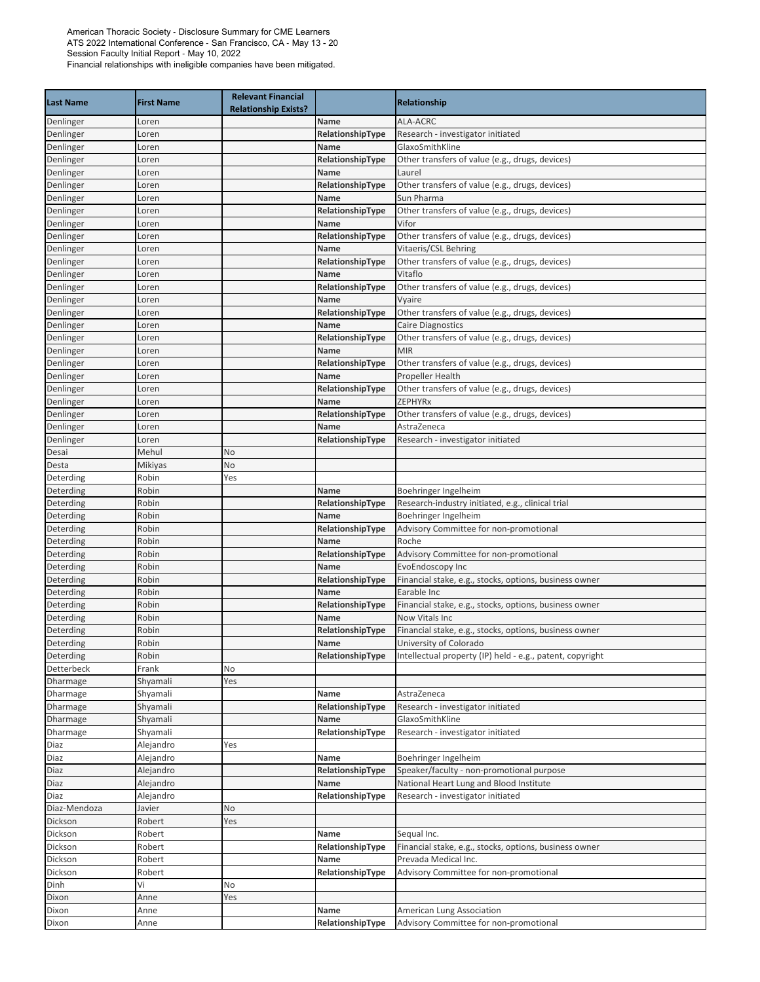|                        |                   | <b>Relevant Financial</b>   |                          |                                                                                     |
|------------------------|-------------------|-----------------------------|--------------------------|-------------------------------------------------------------------------------------|
| <b>Last Name</b>       | <b>First Name</b> | <b>Relationship Exists?</b> |                          | <b>Relationship</b>                                                                 |
| Denlinger              | Loren             |                             | Name                     | <b>ALA-ACRC</b>                                                                     |
| Denlinger              | Loren             |                             | RelationshipType         | Research - investigator initiated                                                   |
| Denlinger              | Loren             |                             | Name                     | GlaxoSmithKline                                                                     |
| Denlinger              | Loren             |                             | RelationshipType         | Other transfers of value (e.g., drugs, devices)                                     |
| Denlinger              | Loren             |                             | Name                     | Laurel                                                                              |
| Denlinger              | Loren             |                             | RelationshipType         | Other transfers of value (e.g., drugs, devices)                                     |
| Denlinger              | Loren             |                             | Name                     | Sun Pharma                                                                          |
| Denlinger              | Loren             |                             | RelationshipType         | Other transfers of value (e.g., drugs, devices)                                     |
| Denlinger              | Loren             |                             | Name                     | Vifor                                                                               |
| Denlinger              | Loren             |                             | RelationshipType         | Other transfers of value (e.g., drugs, devices)                                     |
| Denlinger              | Loren             |                             | Name                     | Vitaeris/CSL Behring                                                                |
| Denlinger              | Loren             |                             | RelationshipType         | Other transfers of value (e.g., drugs, devices)<br>Vitaflo                          |
| Denlinger              | Loren<br>Loren    |                             | Name<br>RelationshipType | Other transfers of value (e.g., drugs, devices)                                     |
| Denlinger<br>Denlinger | Loren             |                             | Name                     | Vyaire                                                                              |
| Denlinger              | Loren             |                             | RelationshipType         | Other transfers of value (e.g., drugs, devices)                                     |
| Denlinger              | Loren             |                             | Name                     | Caire Diagnostics                                                                   |
| Denlinger              | Loren             |                             | RelationshipType         | Other transfers of value (e.g., drugs, devices)                                     |
| Denlinger              | Loren             |                             | Name                     | <b>MIR</b>                                                                          |
| Denlinger              | Loren             |                             | RelationshipType         | Other transfers of value (e.g., drugs, devices)                                     |
| Denlinger              | Loren             |                             | Name                     | <b>Propeller Health</b>                                                             |
| Denlinger              | Loren             |                             | RelationshipType         | Other transfers of value (e.g., drugs, devices)                                     |
| Denlinger              | Loren             |                             | Name                     | <b>ZEPHYRx</b>                                                                      |
| Denlinger              | Loren             |                             | RelationshipType         | Other transfers of value (e.g., drugs, devices)                                     |
| Denlinger              | Loren             |                             | Name                     | AstraZeneca                                                                         |
| Denlinger              | Loren             |                             | RelationshipType         | Research - investigator initiated                                                   |
| Desai                  | Mehul             | No                          |                          |                                                                                     |
| Desta                  | Mikiyas           | No                          |                          |                                                                                     |
| Deterding              | Robin             | Yes                         |                          |                                                                                     |
| Deterding              | Robin             |                             | Name                     | Boehringer Ingelheim                                                                |
| Deterding              | Robin             |                             | RelationshipType         | Research-industry initiated, e.g., clinical trial                                   |
| Deterding              | Robin             |                             | Name                     | Boehringer Ingelheim                                                                |
| Deterding              | Robin             |                             | RelationshipType         | Advisory Committee for non-promotional                                              |
| Deterding              | Robin             |                             | Name                     | Roche                                                                               |
| Deterding              | Robin             |                             | RelationshipType         | Advisory Committee for non-promotional                                              |
| Deterding              | Robin             |                             | Name                     | EvoEndoscopy Inc                                                                    |
| Deterding              | Robin             |                             | RelationshipType         | Financial stake, e.g., stocks, options, business owner                              |
| Deterding              | Robin             |                             | Name                     | Earable Inc                                                                         |
| Deterding              | Robin             |                             | RelationshipType         | Financial stake, e.g., stocks, options, business owner                              |
| Deterding              | Robin             |                             | Name                     | Now Vitals Inc                                                                      |
| Deterding<br>Deterding | Robin             |                             | RelationshipType         | Financial stake, e.g., stocks, options, business owner                              |
| Deterding              | Robin<br>Robin    |                             | Name<br>RelationshipType | University of Colorado<br>Intellectual property (IP) held - e.g., patent, copyright |
| Detterbeck             | Frank             | No                          |                          |                                                                                     |
| Dharmage               | Shyamali          | Yes                         |                          |                                                                                     |
| Dharmage               | Shyamali          |                             | Name                     | AstraZeneca                                                                         |
| Dharmage               | Shyamali          |                             | RelationshipType         | Research - investigator initiated                                                   |
| Dharmage               | Shyamali          |                             | Name                     | GlaxoSmithKline                                                                     |
| Dharmage               | Shyamali          |                             | RelationshipType         | Research - investigator initiated                                                   |
| Diaz                   | Alejandro         | Yes                         |                          |                                                                                     |
| Diaz                   | Alejandro         |                             | Name                     | Boehringer Ingelheim                                                                |
| Diaz                   | Alejandro         |                             | RelationshipType         | Speaker/faculty - non-promotional purpose                                           |
| Diaz                   | Alejandro         |                             | Name                     | National Heart Lung and Blood Institute                                             |
| Diaz                   | Alejandro         |                             | RelationshipType         | Research - investigator initiated                                                   |
| Diaz-Mendoza           | Javier            | No                          |                          |                                                                                     |
| Dickson                | Robert            | Yes                         |                          |                                                                                     |
| Dickson                | Robert            |                             | Name                     | Sequal Inc.                                                                         |
| Dickson                | Robert            |                             | RelationshipType         | Financial stake, e.g., stocks, options, business owner                              |
| Dickson                | Robert            |                             | Name                     | Prevada Medical Inc.                                                                |
| Dickson                | Robert            |                             | RelationshipType         | Advisory Committee for non-promotional                                              |
| Dinh                   | Vi                | No                          |                          |                                                                                     |
| Dixon                  | Anne              | Yes                         |                          |                                                                                     |
| Dixon                  | Anne              |                             | Name                     | <b>American Lung Association</b>                                                    |
| Dixon                  | Anne              |                             | RelationshipType         | Advisory Committee for non-promotional                                              |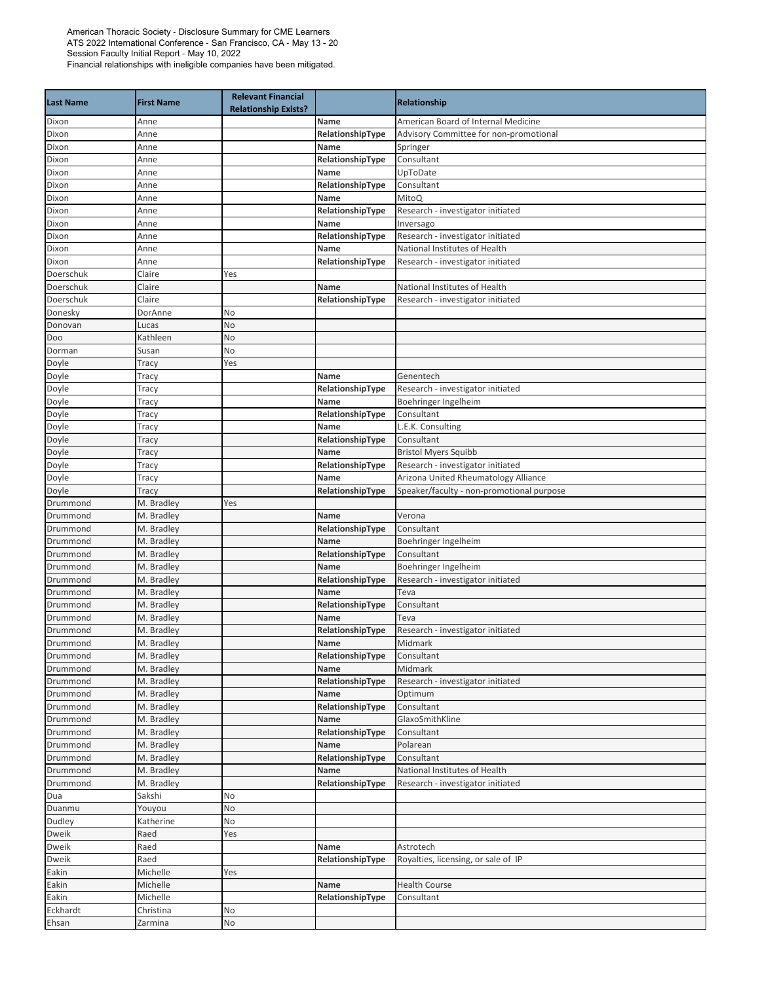| <b>Last Name</b>       | <b>First Name</b>        | <b>Relevant Financial</b><br><b>Relationship Exists?</b> |                          | <b>Relationship</b>                       |
|------------------------|--------------------------|----------------------------------------------------------|--------------------------|-------------------------------------------|
| Dixon                  | Anne                     |                                                          | Name                     | American Board of Internal Medicine       |
| Dixon                  | Anne                     |                                                          | RelationshipType         | Advisory Committee for non-promotional    |
| Dixon                  | Anne                     |                                                          | Name                     | Springer                                  |
| Dixon                  | Anne                     |                                                          | RelationshipType         | Consultant                                |
| Dixon                  | Anne                     |                                                          | Name                     | UpToDate                                  |
| Dixon                  | Anne                     |                                                          | RelationshipType         | Consultant                                |
| Dixon                  | Anne                     |                                                          | Name                     | MitoQ                                     |
| Dixon                  | Anne                     |                                                          | RelationshipType         | Research - investigator initiated         |
| Dixon                  | Anne                     |                                                          | Name                     | Inversago                                 |
| Dixon                  | Anne                     |                                                          | RelationshipType         | Research - investigator initiated         |
| Dixon                  | Anne                     |                                                          | Name                     | National Institutes of Health             |
| Dixon                  | Anne                     |                                                          | RelationshipType         | Research - investigator initiated         |
| Doerschuk<br>Doerschuk | Claire<br>Claire         | Yes                                                      | Name                     | National Institutes of Health             |
| Doerschuk              | Claire                   |                                                          | RelationshipType         | Research - investigator initiated         |
| Donesky                | DorAnne                  | No                                                       |                          |                                           |
| Donovan                | Lucas                    | No                                                       |                          |                                           |
| Doo                    | Kathleen                 | No                                                       |                          |                                           |
| Dorman                 | Susan                    | No                                                       |                          |                                           |
| Doyle                  | Tracy                    | Yes                                                      |                          |                                           |
| Doyle                  | Tracy                    |                                                          | Name                     | Genentech                                 |
| Doyle                  | Tracy                    |                                                          | RelationshipType         | Research - investigator initiated         |
| Doyle                  | Tracy                    |                                                          | Name                     | Boehringer Ingelheim                      |
| Doyle                  | Tracy                    |                                                          | RelationshipType         | Consultant                                |
| Doyle                  | Tracy                    |                                                          | Name                     | L.E.K. Consulting                         |
| Doyle                  | Tracy                    |                                                          | RelationshipType         | Consultant                                |
| Doyle                  | Tracy                    |                                                          | Name                     | <b>Bristol Myers Squibb</b>               |
| Doyle                  | Tracy                    |                                                          | RelationshipType         | Research - investigator initiated         |
| Doyle                  | Tracy                    |                                                          | Name                     | Arizona United Rheumatology Alliance      |
| Doyle                  | Tracy                    |                                                          | RelationshipType         | Speaker/faculty - non-promotional purpose |
| Drummond               | M. Bradley               | Yes                                                      |                          |                                           |
| Drummond               | M. Bradley               |                                                          | Name                     | Verona                                    |
| Drummond               | M. Bradley               |                                                          | RelationshipType         | Consultant                                |
| Drummond               | M. Bradley               |                                                          | Name                     | Boehringer Ingelheim                      |
| Drummond               | M. Bradley               |                                                          | RelationshipType         | Consultant                                |
| Drummond               | M. Bradley               |                                                          | Name                     | Boehringer Ingelheim                      |
| Drummond               | M. Bradley               |                                                          | RelationshipType         | Research - investigator initiated         |
| Drummond               | M. Bradley               |                                                          | <b>Name</b>              | Teva                                      |
| Drummond               | M. Bradley               |                                                          | RelationshipType         | Consultant                                |
| Drummond               | M. Bradley               |                                                          | Name                     | Teva                                      |
| Drummond               | M. Bradley               |                                                          | RelationshipType         | Research - investigator initiated         |
| Drummond               | M. Bradley               |                                                          | Name                     | Midmark                                   |
| Drummond<br>Drummond   | M. Bradley<br>M. Bradley |                                                          | RelationshipType<br>Name | Consultant<br>Midmark                     |
| Drummond               | M. Bradley               |                                                          | RelationshipType         | Research - investigator initiated         |
| Drummond               | M. Bradley               |                                                          | Name                     | Optimum                                   |
| Drummond               | M. Bradley               |                                                          | RelationshipType         | Consultant                                |
| Drummond               | M. Bradley               |                                                          | Name                     | GlaxoSmithKline                           |
| Drummond               | M. Bradley               |                                                          | RelationshipType         | Consultant                                |
| Drummond               | M. Bradley               |                                                          | Name                     | Polarean                                  |
| Drummond               | M. Bradley               |                                                          | RelationshipType         | Consultant                                |
| Drummond               | M. Bradley               |                                                          | Name                     | National Institutes of Health             |
| Drummond               | M. Bradley               |                                                          | RelationshipType         | Research - investigator initiated         |
| Dua                    | Sakshi                   | No                                                       |                          |                                           |
| Duanmu                 | Youyou                   | No                                                       |                          |                                           |
| Dudley                 | Katherine                | No                                                       |                          |                                           |
| Dweik                  | Raed                     | Yes                                                      |                          |                                           |
| Dweik                  | Raed                     |                                                          | Name                     | Astrotech                                 |
| Dweik                  | Raed                     |                                                          | RelationshipType         | Royalties, licensing, or sale of IP       |
| Eakin                  | Michelle                 | Yes                                                      |                          |                                           |
| Eakin                  | Michelle                 |                                                          | Name                     | <b>Health Course</b>                      |
| Eakin                  | Michelle                 |                                                          | RelationshipType         | Consultant                                |
| Eckhardt               | Christina                | No                                                       |                          |                                           |
| Ehsan                  | Zarmina                  | No                                                       |                          |                                           |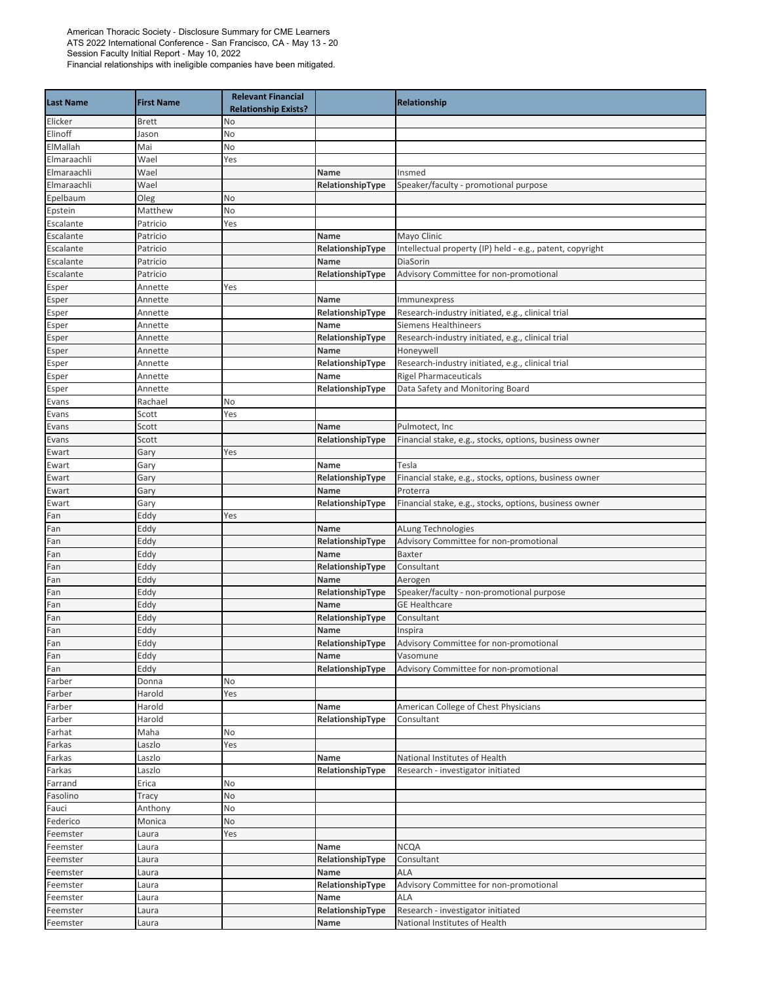| <b>Last Name</b> | <b>First Name</b>  | <b>Relevant Financial</b><br><b>Relationship Exists?</b> |                          | <b>Relationship</b>                                                       |
|------------------|--------------------|----------------------------------------------------------|--------------------------|---------------------------------------------------------------------------|
| Elicker          | <b>Brett</b>       | No                                                       |                          |                                                                           |
| Elinoff          | Jason              | No                                                       |                          |                                                                           |
| ElMallah         | Mai                | No                                                       |                          |                                                                           |
| Elmaraachli      | Wael               | Yes                                                      |                          |                                                                           |
| Elmaraachli      | Wael               |                                                          | Name                     | Insmed                                                                    |
| Elmaraachli      | Wael               |                                                          | RelationshipType         | Speaker/faculty - promotional purpose                                     |
| Epelbaum         | Oleg               | No                                                       |                          |                                                                           |
| Epstein          | Matthew            | No                                                       |                          |                                                                           |
| Escalante        | Patricio           | Yes                                                      |                          |                                                                           |
| Escalante        | Patricio           |                                                          | Name                     | Mayo Clinic                                                               |
| Escalante        | Patricio           |                                                          | RelationshipType         | Intellectual property (IP) held - e.g., patent, copyright                 |
| Escalante        | Patricio           |                                                          | Name                     | DiaSorin                                                                  |
| Escalante        | Patricio           |                                                          | RelationshipType         | Advisory Committee for non-promotional                                    |
| Esper            | Annette            | Yes                                                      |                          |                                                                           |
| Esper            | Annette            |                                                          | <b>Name</b>              | Immunexpress                                                              |
| Esper            | Annette            |                                                          | RelationshipType<br>Name | Research-industry initiated, e.g., clinical trial<br>Siemens Healthineers |
| Esper<br>Esper   | Annette<br>Annette |                                                          | RelationshipType         | Research-industry initiated, e.g., clinical trial                         |
| Esper            | Annette            |                                                          | Name                     | Honeywell                                                                 |
| Esper            | Annette            |                                                          | RelationshipType         | Research-industry initiated, e.g., clinical trial                         |
| Esper            | Annette            |                                                          | Name                     | <b>Rigel Pharmaceuticals</b>                                              |
| Esper            | Annette            |                                                          | RelationshipType         | Data Safety and Monitoring Board                                          |
| Evans            | Rachael            | No                                                       |                          |                                                                           |
| Evans            | Scott              | Yes                                                      |                          |                                                                           |
| Evans            | Scott              |                                                          | Name                     | Pulmotect, Inc                                                            |
| Evans            | Scott              |                                                          | RelationshipType         | Financial stake, e.g., stocks, options, business owner                    |
| Ewart            | Gary               | Yes                                                      |                          |                                                                           |
| Ewart            | Gary               |                                                          | Name                     | Tesla                                                                     |
| Ewart            | Gary               |                                                          | RelationshipType         | Financial stake, e.g., stocks, options, business owner                    |
| Ewart            | Gary               |                                                          | Name                     | Proterra                                                                  |
| Ewart            | Gary               |                                                          | RelationshipType         | Financial stake, e.g., stocks, options, business owner                    |
| Fan              | Eddy               | Yes                                                      |                          |                                                                           |
| Fan              | Eddy               |                                                          | Name                     | ALung Technologies                                                        |
| Fan              | Eddy               |                                                          | RelationshipType         | Advisory Committee for non-promotional                                    |
| Fan              | Eddy               |                                                          | Name                     | <b>Baxter</b>                                                             |
| Fan              | Eddy               |                                                          | RelationshipType         | Consultant                                                                |
| Fan              | Eddy               |                                                          | Name                     | Aerogen                                                                   |
| Fan<br>Fan       | Eddy<br>Eddy       |                                                          | RelationshipType<br>Name | Speaker/faculty - non-promotional purpose<br><b>GE Healthcare</b>         |
| Fan              | Eddy               |                                                          | RelationshipType         | Consultant                                                                |
| Fan              | Eddy               |                                                          | Name                     | Inspira                                                                   |
| Fan              | Eddy               |                                                          | RelationshipType         | Advisory Committee for non-promotional                                    |
| Fan              | Eddy               |                                                          | Name                     | Vasomune                                                                  |
| Fan              | Eddy               |                                                          | RelationshipType         | Advisory Committee for non-promotional                                    |
| Farber           | Donna              | No                                                       |                          |                                                                           |
| Farber           | Harold             | Yes                                                      |                          |                                                                           |
| Farber           | Harold             |                                                          | Name                     | American College of Chest Physicians                                      |
| Farber           | Harold             |                                                          | RelationshipType         | Consultant                                                                |
| Farhat           | Maha               | No                                                       |                          |                                                                           |
| Farkas           | Laszlo             | Yes                                                      |                          |                                                                           |
| Farkas           | Laszlo             |                                                          | Name                     | National Institutes of Health                                             |
| Farkas           | Laszlo             |                                                          | RelationshipType         | Research - investigator initiated                                         |
| Farrand          | Erica              | No                                                       |                          |                                                                           |
| Fasolino         | Tracy              | No                                                       |                          |                                                                           |
| Fauci            | Anthony            | No                                                       |                          |                                                                           |
| Federico         | Monica             | No                                                       |                          |                                                                           |
| Feemster         | Laura              | Yes                                                      |                          |                                                                           |
| Feemster         | Laura              |                                                          | Name                     | <b>NCQA</b>                                                               |
| Feemster         | Laura              |                                                          | RelationshipType         | Consultant                                                                |
| Feemster         | Laura              |                                                          | Name                     | ALA                                                                       |
| Feemster         | Laura              |                                                          | RelationshipType         | Advisory Committee for non-promotional<br>ALA                             |
| Feemster         | Laura              |                                                          | Name                     |                                                                           |
| Feemster         | Laura              |                                                          | RelationshipType         | Research - investigator initiated<br>National Institutes of Health        |
| Feemster         | Laura              |                                                          | Name                     |                                                                           |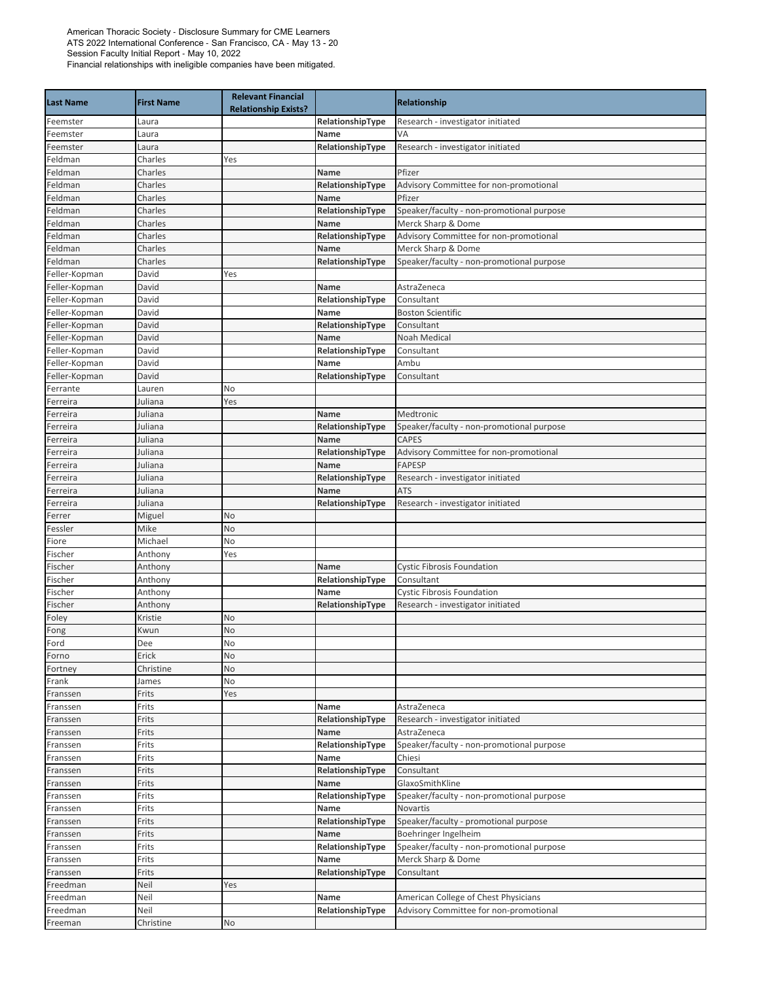| <b>Last Name</b>     | <b>First Name</b>  | <b>Relevant Financial</b><br><b>Relationship Exists?</b> |                  | Relationship                              |
|----------------------|--------------------|----------------------------------------------------------|------------------|-------------------------------------------|
| Feemster             | Laura              |                                                          | RelationshipType | Research - investigator initiated         |
| Feemster             | Laura              |                                                          | Name             | VA                                        |
| Feemster             | Laura              |                                                          | RelationshipType | Research - investigator initiated         |
| Feldman              | Charles            | Yes                                                      |                  |                                           |
| Feldman              | Charles            |                                                          | <b>Name</b>      | Pfizer                                    |
| Feldman              | Charles            |                                                          | RelationshipType | Advisory Committee for non-promotional    |
| Feldman              | Charles            |                                                          | Name             | Pfizer                                    |
| Feldman              | Charles            |                                                          | RelationshipType | Speaker/faculty - non-promotional purpose |
| Feldman              | Charles            |                                                          | Name             | Merck Sharp & Dome                        |
| Feldman              | Charles            |                                                          | RelationshipType | Advisory Committee for non-promotional    |
| Feldman              | Charles            |                                                          | Name             | Merck Sharp & Dome                        |
| Feldman              | Charles            |                                                          | RelationshipType | Speaker/faculty - non-promotional purpose |
| Feller-Kopman        | David              | Yes                                                      |                  |                                           |
| Feller-Kopman        | David              |                                                          | Name             | AstraZeneca                               |
| Feller-Kopman        | David              |                                                          | RelationshipType | Consultant                                |
| Feller-Kopman        | David              |                                                          | Name             | <b>Boston Scientific</b>                  |
| Feller-Kopman        | David              |                                                          | RelationshipType | Consultant                                |
| Feller-Kopman        | David              |                                                          | Name             | <b>Noah Medical</b>                       |
| Feller-Kopman        | David              |                                                          | RelationshipType | Consultant                                |
| Feller-Kopman        | David              |                                                          | Name             | Ambu                                      |
| Feller-Kopman        | David              |                                                          | RelationshipType | Consultant                                |
| Ferrante             | Lauren             | No                                                       |                  |                                           |
| Ferreira             | Juliana            | Yes                                                      |                  |                                           |
| Ferreira             | Juliana            |                                                          | <b>Name</b>      | Medtronic                                 |
| Ferreira             | Juliana            |                                                          | RelationshipType | Speaker/faculty - non-promotional purpose |
| Ferreira             | Juliana            |                                                          | Name             | <b>CAPES</b>                              |
| Ferreira             | Juliana            |                                                          | RelationshipType | Advisory Committee for non-promotional    |
| Ferreira             | Juliana            |                                                          | Name             | <b>FAPESP</b>                             |
| Ferreira             | Juliana            |                                                          | RelationshipType | Research - investigator initiated         |
| Ferreira             | Juliana            |                                                          | Name             | <b>ATS</b>                                |
| Ferreira             | Juliana            |                                                          | RelationshipType | Research - investigator initiated         |
| Ferrer               | Miguel             | No                                                       |                  |                                           |
| Fessler              | Mike               | No                                                       |                  |                                           |
| Fiore                | Michael            | No                                                       |                  |                                           |
| Fischer              | Anthony            | Yes                                                      |                  |                                           |
| Fischer              | Anthony            |                                                          | Name             | <b>Cystic Fibrosis Foundation</b>         |
| Fischer              | Anthony            |                                                          | RelationshipType | Consultant                                |
| Fischer              | Anthony            |                                                          | Name             | <b>Cystic Fibrosis Foundation</b>         |
| Fischer              | Anthony            |                                                          | RelationshipType | Research - investigator initiated         |
| Foley                | Kristie            | No                                                       |                  |                                           |
| Fong<br>Ford         | Kwun<br>Dee        | No<br><b>No</b>                                          |                  |                                           |
|                      |                    | No                                                       |                  |                                           |
| Forno<br>Fortney     | Erick<br>Christine | No                                                       |                  |                                           |
| Frank                | James              | No                                                       |                  |                                           |
| Franssen             | Frits              | Yes                                                      |                  |                                           |
|                      | Frits              |                                                          | Name             | AstraZeneca                               |
| Franssen<br>Franssen | Frits              |                                                          | RelationshipType | Research - investigator initiated         |
| Franssen             | Frits              |                                                          | Name             | AstraZeneca                               |
| Franssen             | Frits              |                                                          | RelationshipType | Speaker/faculty - non-promotional purpose |
| Franssen             | Frits              |                                                          | Name             | Chiesi                                    |
| Franssen             | Frits              |                                                          | RelationshipType | Consultant                                |
| Franssen             | Frits              |                                                          | Name             | GlaxoSmithKline                           |
| Franssen             | Frits              |                                                          | RelationshipType | Speaker/faculty - non-promotional purpose |
| Franssen             | Frits              |                                                          | Name             | Novartis                                  |
| Franssen             | Frits              |                                                          | RelationshipType | Speaker/faculty - promotional purpose     |
| Franssen             | Frits              |                                                          | Name             | Boehringer Ingelheim                      |
| Franssen             | Frits              |                                                          | RelationshipType | Speaker/faculty - non-promotional purpose |
| Franssen             | Frits              |                                                          | Name             | Merck Sharp & Dome                        |
| Franssen             | Frits              |                                                          | RelationshipType | Consultant                                |
| Freedman             | Neil               | Yes                                                      |                  |                                           |
| Freedman             | Neil               |                                                          | Name             | American College of Chest Physicians      |
| Freedman             | Neil               |                                                          | RelationshipType | Advisory Committee for non-promotional    |
| Freeman              | Christine          | No                                                       |                  |                                           |
|                      |                    |                                                          |                  |                                           |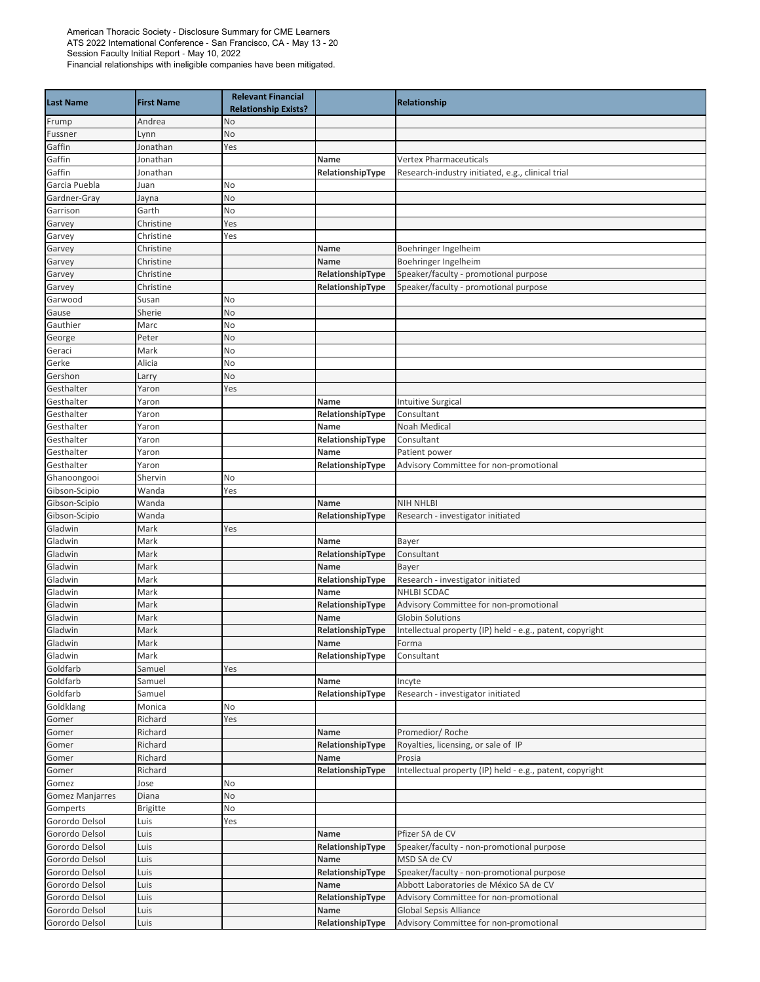| <b>Last Name</b>       | <b>First Name</b> | <b>Relevant Financial</b><br><b>Relationship Exists?</b> |                  | <b>Relationship</b>                                       |
|------------------------|-------------------|----------------------------------------------------------|------------------|-----------------------------------------------------------|
| Frump                  | Andrea            | No                                                       |                  |                                                           |
| Fussner                | Lynn              | No                                                       |                  |                                                           |
| Gaffin                 | Jonathan          | Yes                                                      |                  |                                                           |
| Gaffin                 | Jonathan          |                                                          | Name             | <b>Vertex Pharmaceuticals</b>                             |
| Gaffin                 | Jonathan          |                                                          | RelationshipType | Research-industry initiated, e.g., clinical trial         |
| Garcia Puebla          | Juan              | No                                                       |                  |                                                           |
| Gardner-Gray           | Jayna             | No                                                       |                  |                                                           |
| Garrison               | Garth             | No                                                       |                  |                                                           |
| Garvey                 | Christine         | Yes                                                      |                  |                                                           |
| Garvey                 | Christine         | Yes                                                      |                  |                                                           |
| Garvey                 | Christine         |                                                          | Name             | Boehringer Ingelheim                                      |
| Garvey                 | Christine         |                                                          | Name             | Boehringer Ingelheim                                      |
| Garvey                 | Christine         |                                                          | RelationshipType | Speaker/faculty - promotional purpose                     |
| Garvey                 | Christine         |                                                          | RelationshipType | Speaker/faculty - promotional purpose                     |
| Garwood                | Susan             | No                                                       |                  |                                                           |
| Gause                  | Sherie            | No                                                       |                  |                                                           |
| Gauthier               | Marc              | No                                                       |                  |                                                           |
| George                 | Peter             | No                                                       |                  |                                                           |
| Geraci<br>Gerke        | Mark<br>Alicia    | No<br>No                                                 |                  |                                                           |
| Gershon                | Larry             | No                                                       |                  |                                                           |
| Gesthalter             | Yaron             | Yes                                                      |                  |                                                           |
| Gesthalter             | Yaron             |                                                          | Name             | <b>Intuitive Surgical</b>                                 |
| Gesthalter             | Yaron             |                                                          | RelationshipType | Consultant                                                |
| Gesthalter             | Yaron             |                                                          | Name             | Noah Medical                                              |
| Gesthalter             | Yaron             |                                                          | RelationshipType | Consultant                                                |
| Gesthalter             | Yaron             |                                                          | Name             | Patient power                                             |
| Gesthalter             | Yaron             |                                                          | RelationshipType | Advisory Committee for non-promotional                    |
| Ghanoongooi            | Shervin           | No                                                       |                  |                                                           |
| Gibson-Scipio          | Wanda             | Yes                                                      |                  |                                                           |
| Gibson-Scipio          | Wanda             |                                                          | Name             | <b>NIH NHLBI</b>                                          |
| Gibson-Scipio          | Wanda             |                                                          | RelationshipType | Research - investigator initiated                         |
| Gladwin                | Mark              | Yes                                                      |                  |                                                           |
| Gladwin                | Mark              |                                                          | <b>Name</b>      | Bayer                                                     |
| Gladwin                | Mark              |                                                          | RelationshipType | Consultant                                                |
| Gladwin                | Mark              |                                                          | Name             | Bayer                                                     |
| Gladwin                | Mark              |                                                          | RelationshipType | Research - investigator initiated                         |
| Gladwin                | Mark              |                                                          | Name             | NHLBI SCDAC                                               |
| Gladwin                | Mark              |                                                          | RelationshipType | Advisory Committee for non-promotional                    |
| Gladwin                | Mark              |                                                          | Name             | <b>Globin Solutions</b>                                   |
| Gladwin                | Mark              |                                                          | RelationshipType | Intellectual property (IP) held - e.g., patent, copyright |
| Gladwin                | Mark              |                                                          | Name             | Forma                                                     |
| Gladwin                | Mark              |                                                          | RelationshipType | Consultant                                                |
| Goldfarb               | Samuel            | Yes                                                      |                  |                                                           |
| Goldfarb               | Samuel            |                                                          | Name             | Incyte                                                    |
| Goldfarb<br>Goldklang  | Samuel            |                                                          | RelationshipType | Research - investigator initiated                         |
| Gomer                  | Monica<br>Richard | No<br>Yes                                                |                  |                                                           |
| Gomer                  | Richard           |                                                          | Name             | Promedior/Roche                                           |
| Gomer                  | Richard           |                                                          | RelationshipType | Royalties, licensing, or sale of IP                       |
| Gomer                  | Richard           |                                                          | Name             | Prosia                                                    |
| Gomer                  | Richard           |                                                          | RelationshipType | Intellectual property (IP) held - e.g., patent, copyright |
| Gomez                  | Jose              | No                                                       |                  |                                                           |
| <b>Gomez Manjarres</b> | Diana             | No                                                       |                  |                                                           |
| Gomperts               | <b>Brigitte</b>   | No                                                       |                  |                                                           |
| Gorordo Delsol         | Luis              | Yes                                                      |                  |                                                           |
| Gorordo Delsol         | Luis              |                                                          | Name             | Pfizer SA de CV                                           |
| Gorordo Delsol         | Luis              |                                                          | RelationshipType | Speaker/faculty - non-promotional purpose                 |
| Gorordo Delsol         | Luis              |                                                          | Name             | MSD SA de CV                                              |
| Gorordo Delsol         | Luis              |                                                          | RelationshipType | Speaker/faculty - non-promotional purpose                 |
| Gorordo Delsol         | Luis              |                                                          | Name             | Abbott Laboratories de México SA de CV                    |
| Gorordo Delsol         | Luis              |                                                          | RelationshipType | Advisory Committee for non-promotional                    |
| Gorordo Delsol         | Luis              |                                                          | Name             | <b>Global Sepsis Alliance</b>                             |
| Gorordo Delsol         | Luis              |                                                          | RelationshipType | Advisory Committee for non-promotional                    |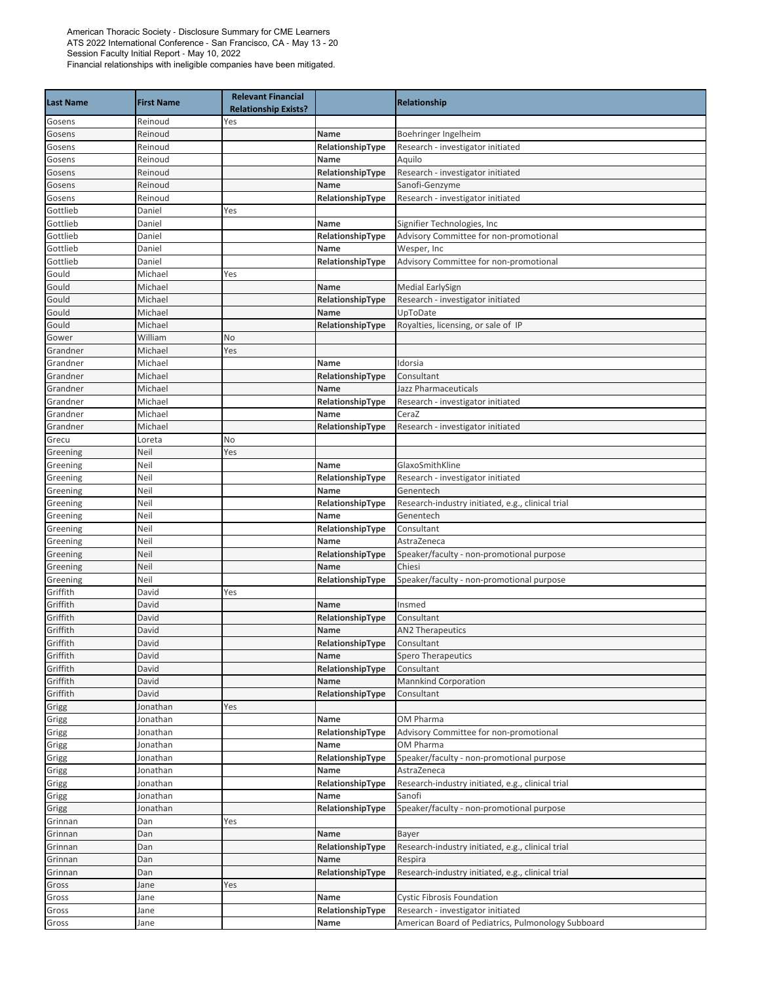| <b>Last Name</b> | <b>First Name</b> | <b>Relevant Financial</b><br><b>Relationship Exists?</b> |                  | <b>Relationship</b>                                |
|------------------|-------------------|----------------------------------------------------------|------------------|----------------------------------------------------|
| Gosens           | Reinoud           | Yes                                                      |                  |                                                    |
| Gosens           | Reinoud           |                                                          | Name             | Boehringer Ingelheim                               |
| Gosens           | Reinoud           |                                                          | RelationshipType | Research - investigator initiated                  |
| Gosens           | Reinoud           |                                                          | Name             | Aquilo                                             |
| Gosens           | Reinoud           |                                                          | RelationshipType | Research - investigator initiated                  |
| Gosens           | Reinoud           |                                                          | Name             | Sanofi-Genzyme                                     |
| Gosens           | Reinoud           |                                                          | RelationshipType | Research - investigator initiated                  |
| Gottlieb         | Daniel            | Yes                                                      |                  |                                                    |
| Gottlieb         | Daniel            |                                                          | Name             | Signifier Technologies, Inc                        |
| Gottlieb         | Daniel            |                                                          | RelationshipType | Advisory Committee for non-promotional             |
| Gottlieb         | Daniel            |                                                          | Name             | Wesper, Inc                                        |
| Gottlieb         | Daniel            |                                                          | RelationshipType | Advisory Committee for non-promotional             |
| Gould            | Michael           | Yes                                                      |                  |                                                    |
| Gould            | Michael           |                                                          | Name             | <b>Medial EarlySign</b>                            |
| Gould            | Michael           |                                                          | RelationshipType | Research - investigator initiated                  |
| Gould            | Michael           |                                                          | Name             | UpToDate                                           |
| Gould            | Michael           |                                                          | RelationshipType | Royalties, licensing, or sale of IP                |
| Gower            | William           | No                                                       |                  |                                                    |
| Grandner         | Michael           | Yes                                                      |                  |                                                    |
| Grandner         | Michael           |                                                          | Name             | Idorsia                                            |
| Grandner         | Michael           |                                                          | RelationshipType | Consultant                                         |
| Grandner         | Michael           |                                                          | Name             | Jazz Pharmaceuticals                               |
| Grandner         | Michael           |                                                          | RelationshipType | Research - investigator initiated                  |
| Grandner         | Michael           |                                                          | Name             | CeraZ                                              |
| Grandner         | Michael           |                                                          | RelationshipType | Research - investigator initiated                  |
| Grecu            | Loreta            | No                                                       |                  |                                                    |
| Greening         | Neil              | Yes                                                      |                  |                                                    |
| Greening         | Neil              |                                                          | Name             | GlaxoSmithKline                                    |
| Greening         | Neil              |                                                          | RelationshipType | Research - investigator initiated                  |
| Greening         | Neil              |                                                          | Name             | Genentech                                          |
| Greening         | Neil              |                                                          | RelationshipType | Research-industry initiated, e.g., clinical trial  |
| Greening         | Neil              |                                                          | Name             | Genentech                                          |
| Greening         | Neil              |                                                          | RelationshipType | Consultant                                         |
| Greening         | Neil              |                                                          | Name             | AstraZeneca                                        |
| Greening         | Neil              |                                                          | RelationshipType | Speaker/faculty - non-promotional purpose          |
| Greening         | Neil              |                                                          | Name             | Chiesi                                             |
| Greening         | Neil              |                                                          | RelationshipType | Speaker/faculty - non-promotional purpose          |
| Griffith         | David             | Yes                                                      |                  |                                                    |
| Griffith         | David             |                                                          | Name             | Insmed                                             |
| Griffith         | David             |                                                          | RelationshipType | Consultant                                         |
| Griffith         | David             |                                                          | Name             | <b>AN2 Therapeutics</b>                            |
| Griffith         | David             |                                                          | RelationshipType | Consultant                                         |
| Griffith         | David             |                                                          | Name             | Spero Therapeutics                                 |
| Griffith         | David             |                                                          | RelationshipType | Consultant                                         |
| Griffith         | David             |                                                          | Name             | <b>Mannkind Corporation</b>                        |
| Griffith         | David             |                                                          | RelationshipType | Consultant                                         |
| Grigg            | Jonathan          | Yes                                                      |                  |                                                    |
| Grigg            | Jonathan          |                                                          | Name             | OM Pharma                                          |
| Grigg            | Jonathan          |                                                          | RelationshipType | Advisory Committee for non-promotional             |
| Grigg            | Jonathan          |                                                          | Name             | OM Pharma                                          |
| Grigg            | Jonathan          |                                                          | RelationshipType | Speaker/faculty - non-promotional purpose          |
| Grigg            | Jonathan          |                                                          | Name             | AstraZeneca                                        |
| Grigg            | Jonathan          |                                                          | RelationshipType | Research-industry initiated, e.g., clinical trial  |
| Grigg            | Jonathan          |                                                          | Name             | Sanofi                                             |
| Grigg            | Jonathan          |                                                          | RelationshipType | Speaker/faculty - non-promotional purpose          |
| Grinnan          | Dan               | Yes                                                      |                  |                                                    |
| Grinnan          | Dan               |                                                          | Name             | Bayer                                              |
| Grinnan          | Dan               |                                                          | RelationshipType | Research-industry initiated, e.g., clinical trial  |
| Grinnan          | Dan               |                                                          | Name             | Respira                                            |
| Grinnan          | Dan               |                                                          | RelationshipType | Research-industry initiated, e.g., clinical trial  |
| Gross            | Jane              | Yes                                                      |                  |                                                    |
| Gross            | Jane              |                                                          | Name             | <b>Cystic Fibrosis Foundation</b>                  |
| Gross            | Jane              |                                                          | RelationshipType | Research - investigator initiated                  |
| Gross            | Jane              |                                                          | Name             | American Board of Pediatrics, Pulmonology Subboard |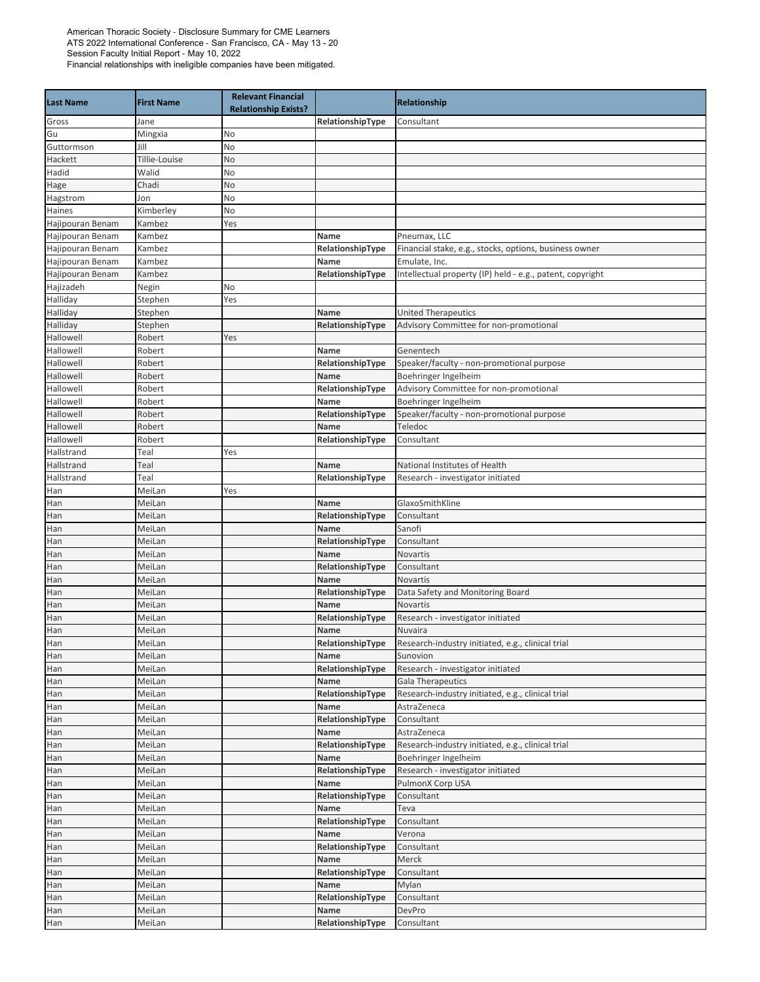| <b>Last Name</b> | <b>First Name</b> | <b>Relevant Financial</b><br><b>Relationship Exists?</b> |                          | Relationship                                              |
|------------------|-------------------|----------------------------------------------------------|--------------------------|-----------------------------------------------------------|
| Gross            | Jane              |                                                          | RelationshipType         | Consultant                                                |
| Gu               | Mingxia           | No                                                       |                          |                                                           |
| Guttormson       | Jill              | No                                                       |                          |                                                           |
| Hackett          | Tillie-Louise     | No                                                       |                          |                                                           |
| Hadid            | Walid             | No                                                       |                          |                                                           |
| Hage             | Chadi             | No                                                       |                          |                                                           |
| Hagstrom         | Jon               | No                                                       |                          |                                                           |
| Haines           | Kimberley         | No                                                       |                          |                                                           |
| Hajipouran Benam | Kambez            | Yes                                                      |                          |                                                           |
| Hajipouran Benam | Kambez            |                                                          | Name                     | Pneumax, LLC                                              |
| Hajipouran Benam | Kambez            |                                                          | RelationshipType         | Financial stake, e.g., stocks, options, business owner    |
| Hajipouran Benam | Kambez            |                                                          | Name                     | Emulate, Inc.                                             |
| Hajipouran Benam | Kambez            |                                                          | RelationshipType         | Intellectual property (IP) held - e.g., patent, copyright |
| Hajizadeh        | Negin             | No                                                       |                          |                                                           |
| Halliday         | Stephen           | Yes                                                      |                          |                                                           |
| Halliday         | Stephen           |                                                          | Name                     | <b>United Therapeutics</b>                                |
| Halliday         | Stephen           |                                                          | RelationshipType         | Advisory Committee for non-promotional                    |
| Hallowell        | Robert            | Yes                                                      |                          |                                                           |
| Hallowell        | Robert            |                                                          | Name                     | Genentech                                                 |
| Hallowell        | Robert            |                                                          | RelationshipType         | Speaker/faculty - non-promotional purpose                 |
| Hallowell        | Robert            |                                                          | Name                     | Boehringer Ingelheim                                      |
| Hallowell        | Robert            |                                                          | RelationshipType         | Advisory Committee for non-promotional                    |
| Hallowell        | Robert            |                                                          | Name                     | Boehringer Ingelheim                                      |
| Hallowell        | Robert            |                                                          | RelationshipType         | Speaker/faculty - non-promotional purpose                 |
| Hallowell        | Robert            |                                                          | Name                     | Teledoc                                                   |
| Hallowell        | Robert            |                                                          | RelationshipType         | Consultant                                                |
| Hallstrand       | Teal              | Yes                                                      |                          |                                                           |
| Hallstrand       | Teal              |                                                          | Name                     | National Institutes of Health                             |
| Hallstrand       | Teal              |                                                          | RelationshipType         | Research - investigator initiated                         |
| Han              | MeiLan            | Yes                                                      |                          |                                                           |
| Han              | MeiLan            |                                                          | Name                     | GlaxoSmithKline                                           |
| Han              | MeiLan            |                                                          | RelationshipType         | Consultant                                                |
|                  |                   |                                                          | Name                     | Sanofi                                                    |
| Han<br>Han       | MeiLan<br>MeiLan  |                                                          | RelationshipType         | Consultant                                                |
|                  | MeiLan            |                                                          | Name                     | Novartis                                                  |
| Han<br>Han       | MeiLan            |                                                          |                          | Consultant                                                |
|                  | MeiLan            |                                                          | RelationshipType<br>Name | <b>Novartis</b>                                           |
| Han              |                   |                                                          | RelationshipType         |                                                           |
| Han              | MeiLan            |                                                          |                          | Data Safety and Monitoring Board<br>Novartis              |
| Han              | MeiLan            |                                                          | Name<br>RelationshipType |                                                           |
| Han              | MeiLan            |                                                          |                          | Research - investigator initiated                         |
| Han<br>Han       | MeiLan            |                                                          | Name                     | Nuvaira                                                   |
|                  | MeiLan            |                                                          | RelationshipType         | Research-industry initiated, e.g., clinical trial         |
| Han              | MeiLan            |                                                          | Name                     | Sunovion                                                  |
| Han              | MeiLan            |                                                          | RelationshipType         | Research - investigator initiated                         |
| Han              | MeiLan            |                                                          | Name                     | <b>Gala Therapeutics</b>                                  |
| Han              | MeiLan            |                                                          | RelationshipType         | Research-industry initiated, e.g., clinical trial         |
| Han              | MeiLan            |                                                          | Name                     | AstraZeneca                                               |
| Han              | MeiLan            |                                                          | RelationshipType         | Consultant                                                |
| Han              | MeiLan            |                                                          | Name                     | AstraZeneca                                               |
| Han              | MeiLan            |                                                          | RelationshipType         | Research-industry initiated, e.g., clinical trial         |
| Han              | MeiLan            |                                                          | Name                     | Boehringer Ingelheim                                      |
| Han              | MeiLan            |                                                          | RelationshipType         | Research - investigator initiated                         |
| Han              | MeiLan            |                                                          | Name                     | PulmonX Corp USA                                          |
| Han              | MeiLan            |                                                          | RelationshipType         | Consultant                                                |
| Han              | MeiLan            |                                                          | Name                     | Teva                                                      |
| Han              | MeiLan            |                                                          | RelationshipType         | Consultant                                                |
| Han              | MeiLan            |                                                          | Name                     | Verona                                                    |
| Han              | MeiLan            |                                                          | RelationshipType         | Consultant                                                |
| Han              | MeiLan            |                                                          | Name                     | Merck                                                     |
| Han              | MeiLan            |                                                          | RelationshipType         | Consultant                                                |
| Han              | MeiLan            |                                                          | Name                     | Mylan                                                     |
| Han              | MeiLan            |                                                          | RelationshipType         | Consultant                                                |
| Han              | MeiLan            |                                                          | Name                     | DevPro                                                    |
| Han              | MeiLan            |                                                          | RelationshipType         | Consultant                                                |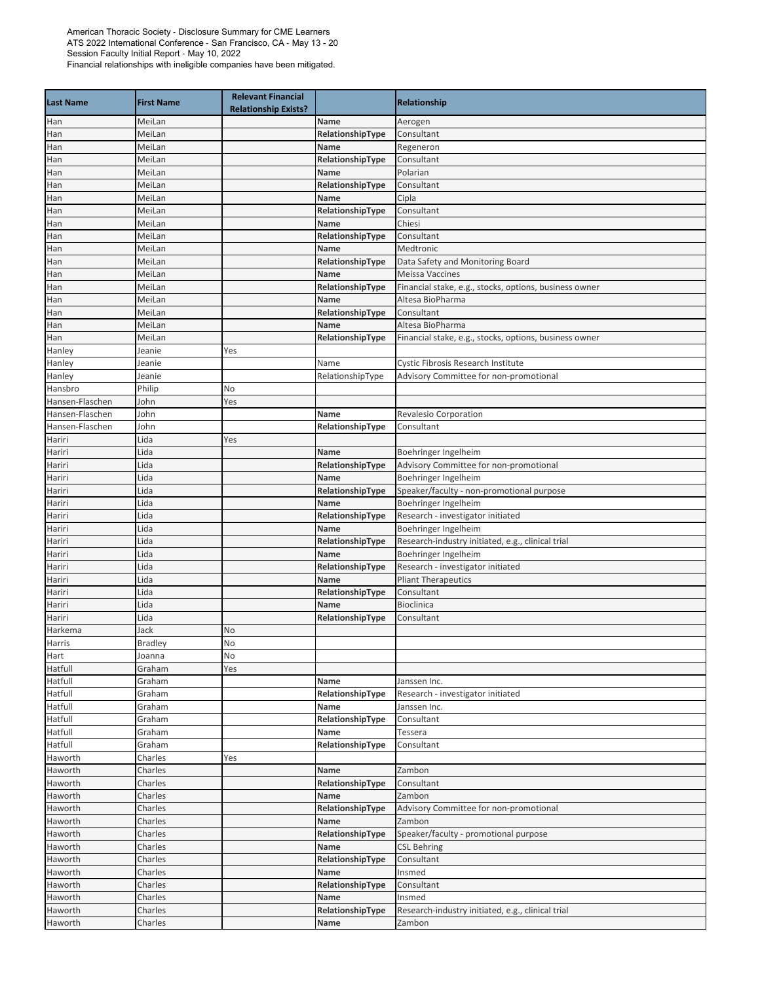|                  |                   | <b>Relevant Financial</b>   |                  |                                                        |
|------------------|-------------------|-----------------------------|------------------|--------------------------------------------------------|
| <b>Last Name</b> | <b>First Name</b> | <b>Relationship Exists?</b> |                  | Relationship                                           |
| Han              | MeiLan            |                             | Name             | Aerogen                                                |
| Han              | MeiLan            |                             | RelationshipType | Consultant                                             |
| Han              | MeiLan            |                             | Name             | Regeneron                                              |
| Han              | MeiLan            |                             | RelationshipType | Consultant                                             |
| Han              | MeiLan            |                             | Name             | Polarian                                               |
| Han              | MeiLan            |                             | RelationshipType | Consultant                                             |
| Han              | MeiLan            |                             | Name             | Cipla                                                  |
| Han              | MeiLan            |                             | RelationshipType | Consultant                                             |
| Han              | MeiLan            |                             | Name             | Chiesi                                                 |
| Han              | MeiLan            |                             | RelationshipType | Consultant                                             |
| Han              | MeiLan            |                             | Name             | Medtronic                                              |
| Han              | MeiLan            |                             | RelationshipType | Data Safety and Monitoring Board                       |
| Han              | MeiLan            |                             | Name             | <b>Meissa Vaccines</b>                                 |
| Han              | MeiLan            |                             | RelationshipType | Financial stake, e.g., stocks, options, business owner |
| Han              | MeiLan            |                             | Name             | Altesa BioPharma                                       |
| Han              | MeiLan            |                             | RelationshipType | Consultant                                             |
| Han              | MeiLan            |                             | Name             | Altesa BioPharma                                       |
| Han              | MeiLan            |                             | RelationshipType | Financial stake, e.g., stocks, options, business owner |
| Hanley           | Jeanie            | Yes                         |                  |                                                        |
| Hanley           | Jeanie            |                             | Name             | Cystic Fibrosis Research Institute                     |
| Hanley           | Jeanie            |                             | RelationshipType | Advisory Committee for non-promotional                 |
| Hansbro          | Philip            | No                          |                  |                                                        |
| Hansen-Flaschen  | John              | Yes                         |                  |                                                        |
| Hansen-Flaschen  | John              |                             | Name             | Revalesio Corporation                                  |
| Hansen-Flaschen  | John              |                             | RelationshipType | Consultant                                             |
| Hariri           | Lida              | Yes                         |                  |                                                        |
| Hariri           | Lida              |                             | Name             | Boehringer Ingelheim                                   |
| Hariri           | Lida              |                             | RelationshipType | Advisory Committee for non-promotional                 |
| Hariri           | Lida              |                             | Name             | Boehringer Ingelheim                                   |
| Hariri           | Lida              |                             | RelationshipType | Speaker/faculty - non-promotional purpose              |
| Hariri           | Lida              |                             | Name             | Boehringer Ingelheim                                   |
| Hariri           | Lida              |                             | RelationshipType | Research - investigator initiated                      |
| Hariri           | Lida              |                             | Name             | Boehringer Ingelheim                                   |
| Hariri           | Lida              |                             | RelationshipType | Research-industry initiated, e.g., clinical trial      |
| Hariri           | Lida              |                             | Name             | Boehringer Ingelheim                                   |
| Hariri           | Lida              |                             | RelationshipType | Research - investigator initiated                      |
| Hariri           | Lida              |                             | Name             | <b>Pliant Therapeutics</b>                             |
| Hariri           | Lida              |                             | RelationshipType | Consultant                                             |
| Hariri           | Lida              |                             | Name             | <b>Bioclinica</b>                                      |
| Hariri           | Lida              |                             | RelationshipType | Consultant                                             |
| Harkema          | Jack              | No                          |                  |                                                        |
| Harris           | <b>Bradley</b>    | No                          |                  |                                                        |
| Hart             | Joanna            | No                          |                  |                                                        |
| Hatfull          | Graham            | Yes                         |                  |                                                        |
| Hatfull          | Graham            |                             | Name             | Janssen Inc.                                           |
| Hatfull          | Graham            |                             |                  |                                                        |
|                  |                   |                             | RelationshipType | Research - investigator initiated                      |
| Hatfull          | Graham            |                             | Name             | Janssen Inc.                                           |
| Hatfull          | Graham            |                             | RelationshipType | Consultant                                             |
| Hatfull          | Graham            |                             | Name             | Tessera                                                |
| Hatfull          | Graham            |                             | RelationshipType | Consultant                                             |
| Haworth          | Charles           | Yes                         |                  |                                                        |
| Haworth          | Charles           |                             | Name             | Zambon                                                 |
| Haworth          | Charles           |                             | RelationshipType | Consultant                                             |
| Haworth          | Charles           |                             | Name             | Zambon                                                 |
| Haworth          | Charles           |                             | RelationshipType | Advisory Committee for non-promotional                 |
| Haworth          | Charles           |                             | Name             | Zambon                                                 |
| Haworth          | Charles           |                             | RelationshipType | Speaker/faculty - promotional purpose                  |
| Haworth          | Charles           |                             | Name             | <b>CSL Behring</b>                                     |
| Haworth          | Charles           |                             | RelationshipType | Consultant                                             |
| Haworth          | Charles           |                             | Name             | Insmed                                                 |
| Haworth          | Charles           |                             | RelationshipType | Consultant                                             |
| Haworth          | Charles           |                             | Name             | Insmed                                                 |
| Haworth          | Charles           |                             | RelationshipType | Research-industry initiated, e.g., clinical trial      |
| Haworth          | Charles           |                             | Name             | Zambon                                                 |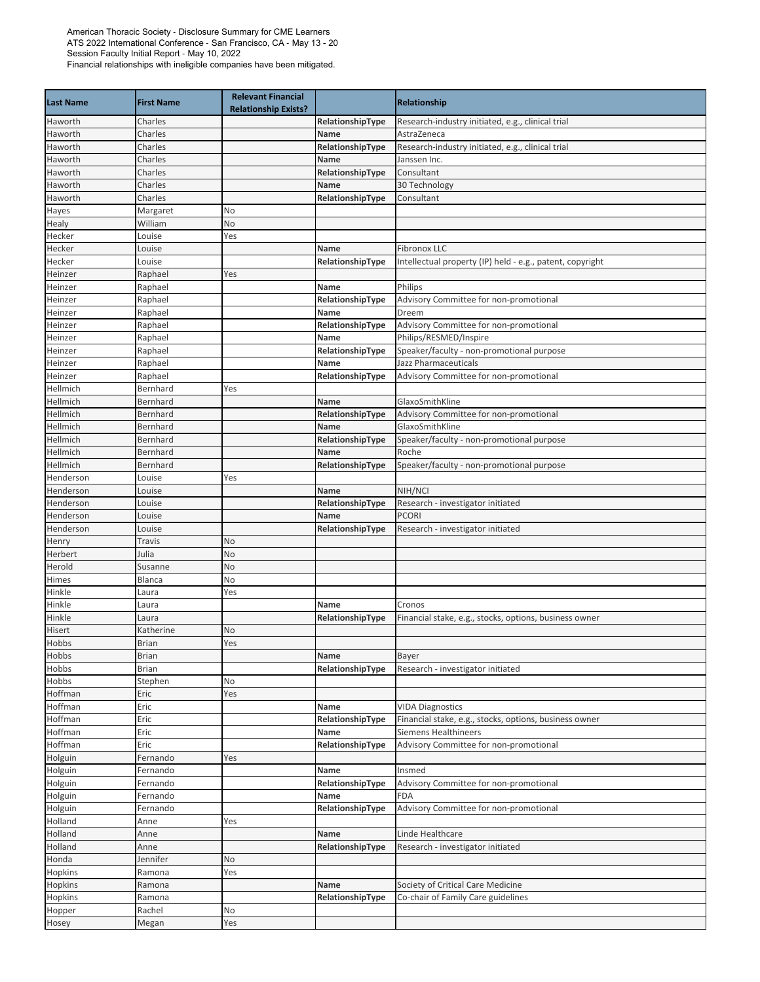| <b>Last Name</b>    | <b>First Name</b>  | <b>Relevant Financial</b><br><b>Relationship Exists?</b> |                          | Relationship                                                      |
|---------------------|--------------------|----------------------------------------------------------|--------------------------|-------------------------------------------------------------------|
| Haworth             | Charles            |                                                          | RelationshipType         | Research-industry initiated, e.g., clinical trial                 |
| Haworth             | Charles            |                                                          | Name                     | AstraZeneca                                                       |
| Haworth             | Charles            |                                                          | RelationshipType         | Research-industry initiated, e.g., clinical trial                 |
| Haworth             | Charles            |                                                          | Name                     | Janssen Inc.                                                      |
| Haworth             | Charles            |                                                          | RelationshipType         | Consultant                                                        |
| Haworth             | Charles            |                                                          | Name                     | 30 Technology                                                     |
| Haworth             | Charles            |                                                          | RelationshipType         | Consultant                                                        |
| Hayes               | Margaret           | No                                                       |                          |                                                                   |
| Healy               | William            | No                                                       |                          |                                                                   |
| Hecker              | Louise             | Yes                                                      |                          |                                                                   |
| Hecker              | Louise             |                                                          | Name                     | Fibronox LLC                                                      |
| Hecker              | Louise             |                                                          | RelationshipType         | Intellectual property (IP) held - e.g., patent, copyright         |
| Heinzer             | Raphael            | Yes                                                      |                          |                                                                   |
| Heinzer             | Raphael            |                                                          | Name                     | Philips                                                           |
| Heinzer             | Raphael            |                                                          | RelationshipType         | Advisory Committee for non-promotional                            |
| Heinzer             | Raphael            |                                                          | Name                     | Dreem                                                             |
| Heinzer             | Raphael            |                                                          | RelationshipType         | Advisory Committee for non-promotional                            |
| Heinzer             | Raphael            |                                                          | Name                     | Philips/RESMED/Inspire                                            |
| Heinzer             | Raphael<br>Raphael |                                                          | RelationshipType<br>Name | Speaker/faculty - non-promotional purpose<br>Jazz Pharmaceuticals |
| Heinzer             | Raphael            |                                                          |                          |                                                                   |
| Heinzer<br>Hellmich | Bernhard           | Yes                                                      | RelationshipType         | Advisory Committee for non-promotional                            |
| Hellmich            | Bernhard           |                                                          | Name                     | GlaxoSmithKline                                                   |
| Hellmich            | Bernhard           |                                                          | RelationshipType         | Advisory Committee for non-promotional                            |
| Hellmich            | Bernhard           |                                                          | Name                     | GlaxoSmithKline                                                   |
| Hellmich            | Bernhard           |                                                          | RelationshipType         | Speaker/faculty - non-promotional purpose                         |
| Hellmich            | Bernhard           |                                                          | Name                     | Roche                                                             |
| Hellmich            | Bernhard           |                                                          | RelationshipType         | Speaker/faculty - non-promotional purpose                         |
| Henderson           | Louise             | Yes                                                      |                          |                                                                   |
| Henderson           | Louise             |                                                          | Name                     | NIH/NCI                                                           |
| Henderson           | Louise             |                                                          | RelationshipType         | Research - investigator initiated                                 |
| Henderson           | Louise             |                                                          | Name                     | <b>PCORI</b>                                                      |
| Henderson           | Louise             |                                                          | RelationshipType         | Research - investigator initiated                                 |
| Henry               | Travis             | No                                                       |                          |                                                                   |
| Herbert             | Julia              | No                                                       |                          |                                                                   |
| Herold              | Susanne            | No                                                       |                          |                                                                   |
| Himes               | Blanca             | No                                                       |                          |                                                                   |
| Hinkle              | Laura              | Yes                                                      |                          |                                                                   |
| Hinkle              | Laura              |                                                          | Name                     | Cronos                                                            |
| Hinkle              | Laura              |                                                          | RelationshipType         | Financial stake, e.g., stocks, options, business owner            |
| Hisert              | Katherine          | No                                                       |                          |                                                                   |
| Hobbs               | <b>Brian</b>       | Yes                                                      |                          |                                                                   |
| Hobbs               | <b>Brian</b>       |                                                          | Name                     | Bayer                                                             |
| Hobbs               | <b>Brian</b>       |                                                          | RelationshipType         | Research - investigator initiated                                 |
| Hobbs               | Stephen            | No                                                       |                          |                                                                   |
| Hoffman             | Eric               | Yes                                                      |                          |                                                                   |
| Hoffman             | Eric               |                                                          | Name                     | <b>VIDA Diagnostics</b>                                           |
| Hoffman             | Eric               |                                                          | RelationshipType         | Financial stake, e.g., stocks, options, business owner            |
| Hoffman             | Eric               |                                                          | Name                     | <b>Siemens Healthineers</b>                                       |
| Hoffman             | Eric               |                                                          | RelationshipType         | Advisory Committee for non-promotional                            |
| Holguin             | Fernando           | Yes                                                      |                          |                                                                   |
| Holguin             | Fernando           |                                                          | Name                     | Insmed                                                            |
| Holguin             | Fernando           |                                                          | RelationshipType         | Advisory Committee for non-promotional                            |
| Holguin             | Fernando           |                                                          | Name                     | <b>FDA</b>                                                        |
| Holguin             | Fernando           |                                                          | RelationshipType         | Advisory Committee for non-promotional                            |
| Holland             | Anne               | Yes                                                      |                          |                                                                   |
| Holland             | Anne               |                                                          | Name                     | Linde Healthcare                                                  |
| Holland             | Anne               |                                                          | RelationshipType         | Research - investigator initiated                                 |
| Honda               | Jennifer           | No                                                       |                          |                                                                   |
| Hopkins             | Ramona             | Yes                                                      |                          |                                                                   |
| Hopkins             | Ramona             |                                                          | Name                     | Society of Critical Care Medicine                                 |
| Hopkins             | Ramona             |                                                          | RelationshipType         | Co-chair of Family Care guidelines                                |
| Hopper              | Rachel             | No                                                       |                          |                                                                   |
| Hosey               | Megan              | Yes                                                      |                          |                                                                   |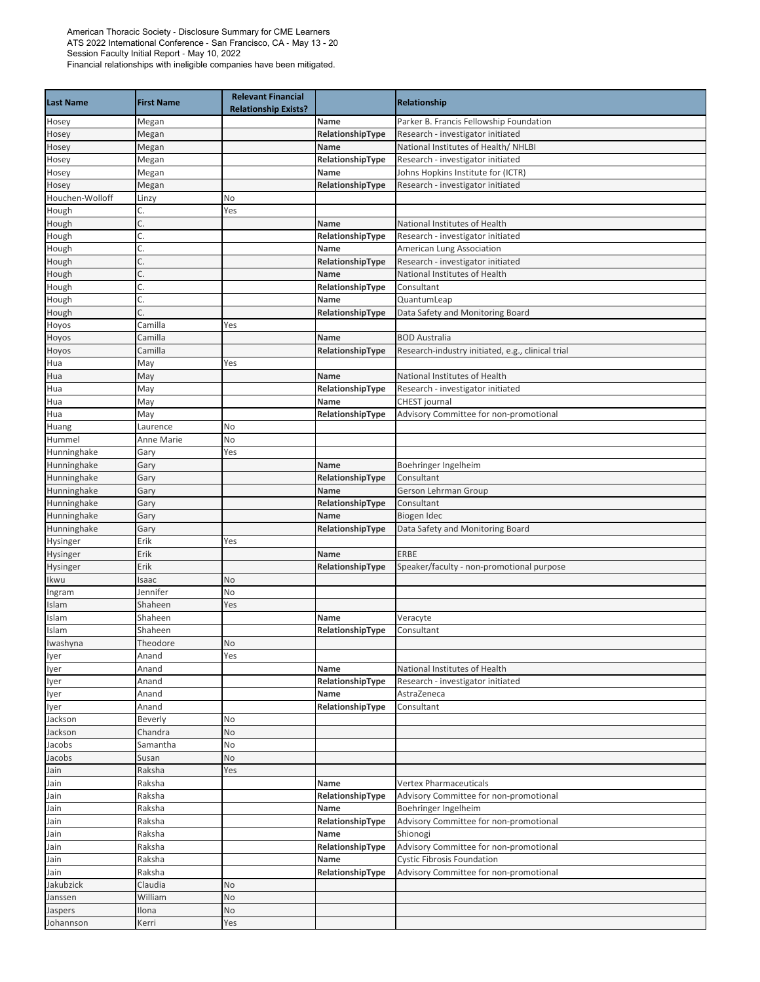|                  |                   | <b>Relevant Financial</b>   |                  |                                                   |
|------------------|-------------------|-----------------------------|------------------|---------------------------------------------------|
| <b>Last Name</b> | <b>First Name</b> | <b>Relationship Exists?</b> |                  | Relationship                                      |
| Hosey            | Megan             |                             | Name             | Parker B. Francis Fellowship Foundation           |
| Hosey            | Megan             |                             | RelationshipType | Research - investigator initiated                 |
| Hosey            | Megan             |                             | Name             | National Institutes of Health/ NHLBI              |
| Hosey            | Megan             |                             | RelationshipType | Research - investigator initiated                 |
| Hosey            | Megan             |                             | Name             | Johns Hopkins Institute for (ICTR)                |
| Hosey            | Megan             |                             | RelationshipType | Research - investigator initiated                 |
| Houchen-Wolloff  | Linzy             | No                          |                  |                                                   |
| Hough            | C.                | Yes                         |                  |                                                   |
| Hough            | C.                |                             | Name             | National Institutes of Health                     |
| Hough            | Ć.                |                             | RelationshipType | Research - investigator initiated                 |
| Hough            | Ć.                |                             | Name             | American Lung Association                         |
| Hough            | C.                |                             | RelationshipType | Research - investigator initiated                 |
| Hough            | C.                |                             | Name             | National Institutes of Health                     |
| Hough            | Ć.                |                             | RelationshipType | Consultant                                        |
| Hough            | Ć.                |                             | Name             | QuantumLeap                                       |
| Hough            | C.                |                             | RelationshipType | Data Safety and Monitoring Board                  |
| Hoyos            | Camilla           | Yes                         |                  |                                                   |
| Hoyos            | Camilla           |                             | Name             | <b>BOD Australia</b>                              |
| Hoyos            | Camilla           |                             | RelationshipType | Research-industry initiated, e.g., clinical trial |
| Hua              | May               | Yes                         |                  |                                                   |
| Hua              | May               |                             | Name             | National Institutes of Health                     |
| Hua              | May               |                             | RelationshipType | Research - investigator initiated                 |
| Hua              | May               |                             | Name             | CHEST journal                                     |
| Hua              | May               |                             | RelationshipType | Advisory Committee for non-promotional            |
| Huang            | Laurence          | No                          |                  |                                                   |
| Hummel           | Anne Marie        | No                          |                  |                                                   |
| Hunninghake      | Gary              | Yes                         |                  |                                                   |
| Hunninghake      | Gary              |                             | Name             | Boehringer Ingelheim                              |
| Hunninghake      | Gary              |                             | RelationshipType | Consultant                                        |
| Hunninghake      | Gary              |                             | Name             | Gerson Lehrman Group                              |
| Hunninghake      | Gary              |                             | RelationshipType | Consultant                                        |
| Hunninghake      | Gary              |                             | Name             | Biogen Idec                                       |
| Hunninghake      | Gary              |                             | RelationshipType | Data Safety and Monitoring Board                  |
| Hysinger         | Erik              | Yes                         |                  |                                                   |
| Hysinger         | Erik              |                             | Name             | <b>ERBE</b>                                       |
| Hysinger         | Erik              |                             | RelationshipType | Speaker/faculty - non-promotional purpose         |
| Ikwu             | Isaac             | No                          |                  |                                                   |
| Ingram           | Jennifer          | No                          |                  |                                                   |
| Islam            | Shaheen           | Yes                         |                  |                                                   |
| Islam            | Shaheen           |                             | Name             | Veracyte                                          |
| Islam            | Shaheen           |                             | RelationshipType | Consultant                                        |
| Iwashyna         | Theodore          | No                          |                  |                                                   |
| lyer             | Anand             | Yes                         |                  |                                                   |
| lyer             | Anand             |                             | Name             | National Institutes of Health                     |
| lyer             | Anand             |                             | RelationshipType | Research - investigator initiated                 |
| lyer             | Anand             |                             | Name             | AstraZeneca                                       |
| lyer             | Anand             |                             | RelationshipType | Consultant                                        |
| Jackson          | Beverly           | No                          |                  |                                                   |
| Jackson          | Chandra           | No                          |                  |                                                   |
| Jacobs           | Samantha          | No                          |                  |                                                   |
| Jacobs           | Susan             | No                          |                  |                                                   |
| Jain             | Raksha            | Yes                         |                  |                                                   |
| Jain             | Raksha            |                             | Name             | <b>Vertex Pharmaceuticals</b>                     |
| Jain             | Raksha            |                             | RelationshipType | Advisory Committee for non-promotional            |
| Jain             | Raksha            |                             | Name             | Boehringer Ingelheim                              |
| Jain             | Raksha            |                             | RelationshipType | Advisory Committee for non-promotional            |
| Jain             | Raksha            |                             | Name             | Shionogi                                          |
| Jain             | Raksha            |                             | RelationshipType | Advisory Committee for non-promotional            |
| Jain             | Raksha            |                             | Name             | <b>Cystic Fibrosis Foundation</b>                 |
| Jain             | Raksha            |                             | RelationshipType | Advisory Committee for non-promotional            |
| Jakubzick        | Claudia           | No                          |                  |                                                   |
| Janssen          | William           | No                          |                  |                                                   |
| Jaspers          | Ilona             | No                          |                  |                                                   |
| Johannson        | Kerri             | Yes                         |                  |                                                   |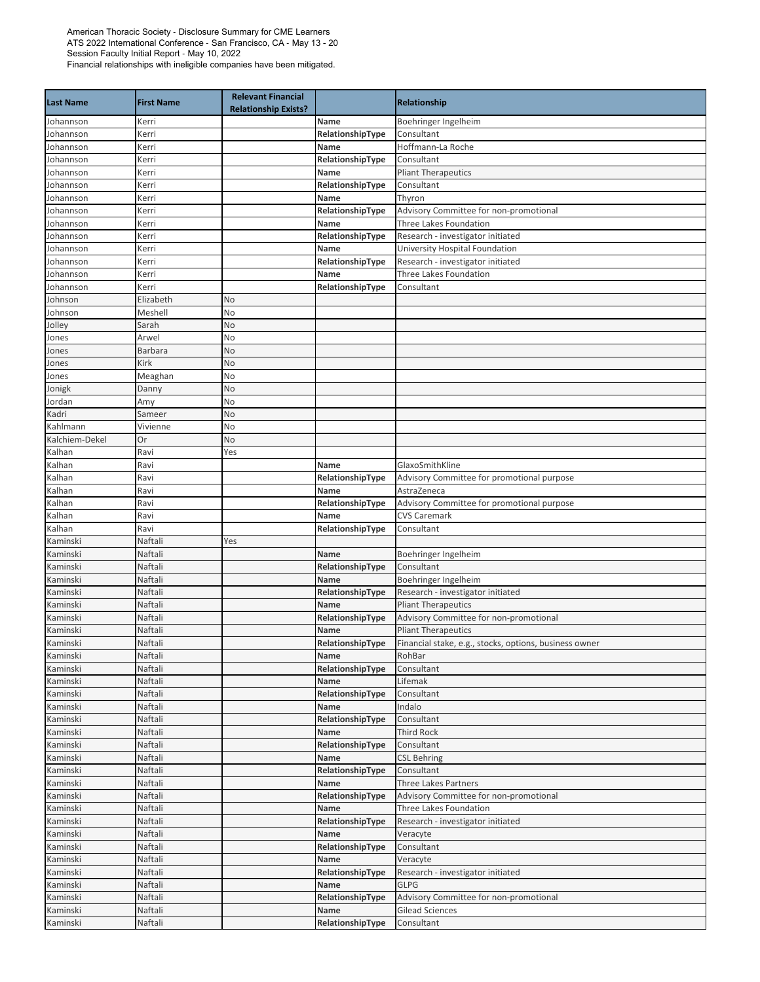| Boehringer Ingelheim<br>Johannson<br>Kerri<br>Name<br>Consultant<br>Johannson<br>Kerri<br>RelationshipType<br>Hoffmann-La Roche<br>Johannson<br>Kerri<br>Name<br>RelationshipType<br>Consultant<br>Johannson<br>Kerri<br>Johannson<br><b>Pliant Therapeutics</b><br>Kerri<br>Name<br>RelationshipType<br>Consultant<br>Johannson<br>Kerri<br>Johannson<br>Name<br>Kerri<br>Thyron<br>Johannson<br>RelationshipType<br>Advisory Committee for non-promotional<br>Kerri<br>Three Lakes Foundation<br>Johannson<br>Kerri<br>Name<br>Johannson<br>RelationshipType<br>Research - investigator initiated<br>Kerri<br>University Hospital Foundation<br>Johannson<br>Name<br>Kerri<br>Johannson<br>RelationshipType<br>Research - investigator initiated<br>Kerri<br>Three Lakes Foundation<br>Name<br>Johannson<br>Kerri<br>Johannson<br>RelationshipType<br>Kerri<br>Consultant<br>Johnson<br>Elizabeth<br>No<br>Meshell<br>Johnson<br>No<br>Jolley<br>Sarah<br>No<br>Arwel<br>No<br>Jones<br>No<br>Barbara<br>Jones<br>Kirk<br>No<br>Jones<br>No<br>Meaghan<br>Jones<br>Danny<br>No<br>Jonigk<br>No<br>Jordan<br>Amy<br>Kadri<br>No<br>Sameer<br>Kahlmann<br>Vivienne<br>No<br>Kalchiem-Dekel<br>Or<br>No<br>Kalhan<br>Ravi<br>Yes<br>Kalhan<br>Ravi<br>GlaxoSmithKline<br>Name<br>Ravi<br>RelationshipType<br>Advisory Committee for promotional purpose<br>Kalhan<br>Kalhan<br>Ravi<br>Name<br>AstraZeneca<br>Kalhan<br>Ravi<br>RelationshipType<br>Advisory Committee for promotional purpose<br><b>CVS Caremark</b><br>Kalhan<br>Ravi<br>Name<br>RelationshipType<br>Kalhan<br>Ravi<br>Consultant<br>Kaminski<br>Naftali<br>Yes<br>Kaminski<br>Naftali<br>Name<br>Boehringer Ingelheim<br>Kaminski<br>Naftali<br>RelationshipType<br>Consultant<br>Kaminski<br>Naftali<br>Name<br>Boehringer Ingelheim<br>Kaminski<br>Naftali<br>RelationshipType<br>Research - investigator initiated<br>Naftali<br><b>Pliant Therapeutics</b><br>Kaminski<br>Name<br>Naftali<br>RelationshipType<br>Advisory Committee for non-promotional<br>Kaminski<br>Naftali<br>Kaminski<br>Name<br><b>Pliant Therapeutics</b><br>Financial stake, e.g., stocks, options, business owner<br>Naftali<br>RelationshipType<br>Kaminski<br>Naftali<br>Name<br>RohBar<br>Kaminski<br>Naftali<br>RelationshipType<br>Consultant<br>Naftali<br>Kaminski<br>Lifemak<br>Name<br>Kaminski<br>Naftali<br>RelationshipType<br>Consultant<br>Naftali<br>Kaminski<br>Name<br>Indalo<br>Kaminski<br>Naftali<br>RelationshipType<br>Consultant<br>Kaminski<br>Naftali<br><b>Third Rock</b><br>Name<br>Kaminski<br>Naftali<br>RelationshipType<br>Consultant<br>Kaminski<br>Naftali<br><b>CSL Behring</b><br>Name<br>Kaminski<br>Naftali<br>Consultant<br>RelationshipType<br>Kaminski<br>Naftali<br><b>Three Lakes Partners</b><br>Name<br>Naftali<br>Kaminski<br>RelationshipType<br>Advisory Committee for non-promotional<br>Kaminski<br>Naftali<br>Name<br>Three Lakes Foundation<br>Kaminski<br>RelationshipType<br>Naftali<br>Research - investigator initiated<br>Naftali<br>Kaminski<br>Name<br>Veracyte<br>Naftali<br>Kaminski<br>RelationshipType<br>Consultant<br>Kaminski<br>Naftali<br>Name<br>Veracyte<br>Kaminski<br>Naftali<br>RelationshipType<br>Research - investigator initiated<br>Naftali<br>Kaminski<br>Name<br><b>GLPG</b><br>Kaminski<br>Naftali<br>Advisory Committee for non-promotional<br>RelationshipType<br>Kaminski<br>Naftali<br><b>Gilead Sciences</b><br>Name<br>Naftali<br>RelationshipType<br>Kaminski<br>Consultant | <b>Last Name</b> | <b>First Name</b> | <b>Relevant Financial</b><br><b>Relationship Exists?</b> | Relationship |
|-------------------------------------------------------------------------------------------------------------------------------------------------------------------------------------------------------------------------------------------------------------------------------------------------------------------------------------------------------------------------------------------------------------------------------------------------------------------------------------------------------------------------------------------------------------------------------------------------------------------------------------------------------------------------------------------------------------------------------------------------------------------------------------------------------------------------------------------------------------------------------------------------------------------------------------------------------------------------------------------------------------------------------------------------------------------------------------------------------------------------------------------------------------------------------------------------------------------------------------------------------------------------------------------------------------------------------------------------------------------------------------------------------------------------------------------------------------------------------------------------------------------------------------------------------------------------------------------------------------------------------------------------------------------------------------------------------------------------------------------------------------------------------------------------------------------------------------------------------------------------------------------------------------------------------------------------------------------------------------------------------------------------------------------------------------------------------------------------------------------------------------------------------------------------------------------------------------------------------------------------------------------------------------------------------------------------------------------------------------------------------------------------------------------------------------------------------------------------------------------------------------------------------------------------------------------------------------------------------------------------------------------------------------------------------------------------------------------------------------------------------------------------------------------------------------------------------------------------------------------------------------------------------------------------------------------------------------------------------------------------------------------------------------------------------------------------------------------------------------------------------------------------------------------------------------------------------------------------------------------------------------------------------------------------------------------------------------------------------------------------------------------------------------------------------------------------------------------------------------------------------------------|------------------|-------------------|----------------------------------------------------------|--------------|
|                                                                                                                                                                                                                                                                                                                                                                                                                                                                                                                                                                                                                                                                                                                                                                                                                                                                                                                                                                                                                                                                                                                                                                                                                                                                                                                                                                                                                                                                                                                                                                                                                                                                                                                                                                                                                                                                                                                                                                                                                                                                                                                                                                                                                                                                                                                                                                                                                                                                                                                                                                                                                                                                                                                                                                                                                                                                                                                                                                                                                                                                                                                                                                                                                                                                                                                                                                                                                                                                                                                   |                  |                   |                                                          |              |
|                                                                                                                                                                                                                                                                                                                                                                                                                                                                                                                                                                                                                                                                                                                                                                                                                                                                                                                                                                                                                                                                                                                                                                                                                                                                                                                                                                                                                                                                                                                                                                                                                                                                                                                                                                                                                                                                                                                                                                                                                                                                                                                                                                                                                                                                                                                                                                                                                                                                                                                                                                                                                                                                                                                                                                                                                                                                                                                                                                                                                                                                                                                                                                                                                                                                                                                                                                                                                                                                                                                   |                  |                   |                                                          |              |
|                                                                                                                                                                                                                                                                                                                                                                                                                                                                                                                                                                                                                                                                                                                                                                                                                                                                                                                                                                                                                                                                                                                                                                                                                                                                                                                                                                                                                                                                                                                                                                                                                                                                                                                                                                                                                                                                                                                                                                                                                                                                                                                                                                                                                                                                                                                                                                                                                                                                                                                                                                                                                                                                                                                                                                                                                                                                                                                                                                                                                                                                                                                                                                                                                                                                                                                                                                                                                                                                                                                   |                  |                   |                                                          |              |
|                                                                                                                                                                                                                                                                                                                                                                                                                                                                                                                                                                                                                                                                                                                                                                                                                                                                                                                                                                                                                                                                                                                                                                                                                                                                                                                                                                                                                                                                                                                                                                                                                                                                                                                                                                                                                                                                                                                                                                                                                                                                                                                                                                                                                                                                                                                                                                                                                                                                                                                                                                                                                                                                                                                                                                                                                                                                                                                                                                                                                                                                                                                                                                                                                                                                                                                                                                                                                                                                                                                   |                  |                   |                                                          |              |
|                                                                                                                                                                                                                                                                                                                                                                                                                                                                                                                                                                                                                                                                                                                                                                                                                                                                                                                                                                                                                                                                                                                                                                                                                                                                                                                                                                                                                                                                                                                                                                                                                                                                                                                                                                                                                                                                                                                                                                                                                                                                                                                                                                                                                                                                                                                                                                                                                                                                                                                                                                                                                                                                                                                                                                                                                                                                                                                                                                                                                                                                                                                                                                                                                                                                                                                                                                                                                                                                                                                   |                  |                   |                                                          |              |
|                                                                                                                                                                                                                                                                                                                                                                                                                                                                                                                                                                                                                                                                                                                                                                                                                                                                                                                                                                                                                                                                                                                                                                                                                                                                                                                                                                                                                                                                                                                                                                                                                                                                                                                                                                                                                                                                                                                                                                                                                                                                                                                                                                                                                                                                                                                                                                                                                                                                                                                                                                                                                                                                                                                                                                                                                                                                                                                                                                                                                                                                                                                                                                                                                                                                                                                                                                                                                                                                                                                   |                  |                   |                                                          |              |
|                                                                                                                                                                                                                                                                                                                                                                                                                                                                                                                                                                                                                                                                                                                                                                                                                                                                                                                                                                                                                                                                                                                                                                                                                                                                                                                                                                                                                                                                                                                                                                                                                                                                                                                                                                                                                                                                                                                                                                                                                                                                                                                                                                                                                                                                                                                                                                                                                                                                                                                                                                                                                                                                                                                                                                                                                                                                                                                                                                                                                                                                                                                                                                                                                                                                                                                                                                                                                                                                                                                   |                  |                   |                                                          |              |
|                                                                                                                                                                                                                                                                                                                                                                                                                                                                                                                                                                                                                                                                                                                                                                                                                                                                                                                                                                                                                                                                                                                                                                                                                                                                                                                                                                                                                                                                                                                                                                                                                                                                                                                                                                                                                                                                                                                                                                                                                                                                                                                                                                                                                                                                                                                                                                                                                                                                                                                                                                                                                                                                                                                                                                                                                                                                                                                                                                                                                                                                                                                                                                                                                                                                                                                                                                                                                                                                                                                   |                  |                   |                                                          |              |
|                                                                                                                                                                                                                                                                                                                                                                                                                                                                                                                                                                                                                                                                                                                                                                                                                                                                                                                                                                                                                                                                                                                                                                                                                                                                                                                                                                                                                                                                                                                                                                                                                                                                                                                                                                                                                                                                                                                                                                                                                                                                                                                                                                                                                                                                                                                                                                                                                                                                                                                                                                                                                                                                                                                                                                                                                                                                                                                                                                                                                                                                                                                                                                                                                                                                                                                                                                                                                                                                                                                   |                  |                   |                                                          |              |
|                                                                                                                                                                                                                                                                                                                                                                                                                                                                                                                                                                                                                                                                                                                                                                                                                                                                                                                                                                                                                                                                                                                                                                                                                                                                                                                                                                                                                                                                                                                                                                                                                                                                                                                                                                                                                                                                                                                                                                                                                                                                                                                                                                                                                                                                                                                                                                                                                                                                                                                                                                                                                                                                                                                                                                                                                                                                                                                                                                                                                                                                                                                                                                                                                                                                                                                                                                                                                                                                                                                   |                  |                   |                                                          |              |
|                                                                                                                                                                                                                                                                                                                                                                                                                                                                                                                                                                                                                                                                                                                                                                                                                                                                                                                                                                                                                                                                                                                                                                                                                                                                                                                                                                                                                                                                                                                                                                                                                                                                                                                                                                                                                                                                                                                                                                                                                                                                                                                                                                                                                                                                                                                                                                                                                                                                                                                                                                                                                                                                                                                                                                                                                                                                                                                                                                                                                                                                                                                                                                                                                                                                                                                                                                                                                                                                                                                   |                  |                   |                                                          |              |
|                                                                                                                                                                                                                                                                                                                                                                                                                                                                                                                                                                                                                                                                                                                                                                                                                                                                                                                                                                                                                                                                                                                                                                                                                                                                                                                                                                                                                                                                                                                                                                                                                                                                                                                                                                                                                                                                                                                                                                                                                                                                                                                                                                                                                                                                                                                                                                                                                                                                                                                                                                                                                                                                                                                                                                                                                                                                                                                                                                                                                                                                                                                                                                                                                                                                                                                                                                                                                                                                                                                   |                  |                   |                                                          |              |
|                                                                                                                                                                                                                                                                                                                                                                                                                                                                                                                                                                                                                                                                                                                                                                                                                                                                                                                                                                                                                                                                                                                                                                                                                                                                                                                                                                                                                                                                                                                                                                                                                                                                                                                                                                                                                                                                                                                                                                                                                                                                                                                                                                                                                                                                                                                                                                                                                                                                                                                                                                                                                                                                                                                                                                                                                                                                                                                                                                                                                                                                                                                                                                                                                                                                                                                                                                                                                                                                                                                   |                  |                   |                                                          |              |
|                                                                                                                                                                                                                                                                                                                                                                                                                                                                                                                                                                                                                                                                                                                                                                                                                                                                                                                                                                                                                                                                                                                                                                                                                                                                                                                                                                                                                                                                                                                                                                                                                                                                                                                                                                                                                                                                                                                                                                                                                                                                                                                                                                                                                                                                                                                                                                                                                                                                                                                                                                                                                                                                                                                                                                                                                                                                                                                                                                                                                                                                                                                                                                                                                                                                                                                                                                                                                                                                                                                   |                  |                   |                                                          |              |
|                                                                                                                                                                                                                                                                                                                                                                                                                                                                                                                                                                                                                                                                                                                                                                                                                                                                                                                                                                                                                                                                                                                                                                                                                                                                                                                                                                                                                                                                                                                                                                                                                                                                                                                                                                                                                                                                                                                                                                                                                                                                                                                                                                                                                                                                                                                                                                                                                                                                                                                                                                                                                                                                                                                                                                                                                                                                                                                                                                                                                                                                                                                                                                                                                                                                                                                                                                                                                                                                                                                   |                  |                   |                                                          |              |
|                                                                                                                                                                                                                                                                                                                                                                                                                                                                                                                                                                                                                                                                                                                                                                                                                                                                                                                                                                                                                                                                                                                                                                                                                                                                                                                                                                                                                                                                                                                                                                                                                                                                                                                                                                                                                                                                                                                                                                                                                                                                                                                                                                                                                                                                                                                                                                                                                                                                                                                                                                                                                                                                                                                                                                                                                                                                                                                                                                                                                                                                                                                                                                                                                                                                                                                                                                                                                                                                                                                   |                  |                   |                                                          |              |
|                                                                                                                                                                                                                                                                                                                                                                                                                                                                                                                                                                                                                                                                                                                                                                                                                                                                                                                                                                                                                                                                                                                                                                                                                                                                                                                                                                                                                                                                                                                                                                                                                                                                                                                                                                                                                                                                                                                                                                                                                                                                                                                                                                                                                                                                                                                                                                                                                                                                                                                                                                                                                                                                                                                                                                                                                                                                                                                                                                                                                                                                                                                                                                                                                                                                                                                                                                                                                                                                                                                   |                  |                   |                                                          |              |
|                                                                                                                                                                                                                                                                                                                                                                                                                                                                                                                                                                                                                                                                                                                                                                                                                                                                                                                                                                                                                                                                                                                                                                                                                                                                                                                                                                                                                                                                                                                                                                                                                                                                                                                                                                                                                                                                                                                                                                                                                                                                                                                                                                                                                                                                                                                                                                                                                                                                                                                                                                                                                                                                                                                                                                                                                                                                                                                                                                                                                                                                                                                                                                                                                                                                                                                                                                                                                                                                                                                   |                  |                   |                                                          |              |
|                                                                                                                                                                                                                                                                                                                                                                                                                                                                                                                                                                                                                                                                                                                                                                                                                                                                                                                                                                                                                                                                                                                                                                                                                                                                                                                                                                                                                                                                                                                                                                                                                                                                                                                                                                                                                                                                                                                                                                                                                                                                                                                                                                                                                                                                                                                                                                                                                                                                                                                                                                                                                                                                                                                                                                                                                                                                                                                                                                                                                                                                                                                                                                                                                                                                                                                                                                                                                                                                                                                   |                  |                   |                                                          |              |
|                                                                                                                                                                                                                                                                                                                                                                                                                                                                                                                                                                                                                                                                                                                                                                                                                                                                                                                                                                                                                                                                                                                                                                                                                                                                                                                                                                                                                                                                                                                                                                                                                                                                                                                                                                                                                                                                                                                                                                                                                                                                                                                                                                                                                                                                                                                                                                                                                                                                                                                                                                                                                                                                                                                                                                                                                                                                                                                                                                                                                                                                                                                                                                                                                                                                                                                                                                                                                                                                                                                   |                  |                   |                                                          |              |
|                                                                                                                                                                                                                                                                                                                                                                                                                                                                                                                                                                                                                                                                                                                                                                                                                                                                                                                                                                                                                                                                                                                                                                                                                                                                                                                                                                                                                                                                                                                                                                                                                                                                                                                                                                                                                                                                                                                                                                                                                                                                                                                                                                                                                                                                                                                                                                                                                                                                                                                                                                                                                                                                                                                                                                                                                                                                                                                                                                                                                                                                                                                                                                                                                                                                                                                                                                                                                                                                                                                   |                  |                   |                                                          |              |
|                                                                                                                                                                                                                                                                                                                                                                                                                                                                                                                                                                                                                                                                                                                                                                                                                                                                                                                                                                                                                                                                                                                                                                                                                                                                                                                                                                                                                                                                                                                                                                                                                                                                                                                                                                                                                                                                                                                                                                                                                                                                                                                                                                                                                                                                                                                                                                                                                                                                                                                                                                                                                                                                                                                                                                                                                                                                                                                                                                                                                                                                                                                                                                                                                                                                                                                                                                                                                                                                                                                   |                  |                   |                                                          |              |
|                                                                                                                                                                                                                                                                                                                                                                                                                                                                                                                                                                                                                                                                                                                                                                                                                                                                                                                                                                                                                                                                                                                                                                                                                                                                                                                                                                                                                                                                                                                                                                                                                                                                                                                                                                                                                                                                                                                                                                                                                                                                                                                                                                                                                                                                                                                                                                                                                                                                                                                                                                                                                                                                                                                                                                                                                                                                                                                                                                                                                                                                                                                                                                                                                                                                                                                                                                                                                                                                                                                   |                  |                   |                                                          |              |
|                                                                                                                                                                                                                                                                                                                                                                                                                                                                                                                                                                                                                                                                                                                                                                                                                                                                                                                                                                                                                                                                                                                                                                                                                                                                                                                                                                                                                                                                                                                                                                                                                                                                                                                                                                                                                                                                                                                                                                                                                                                                                                                                                                                                                                                                                                                                                                                                                                                                                                                                                                                                                                                                                                                                                                                                                                                                                                                                                                                                                                                                                                                                                                                                                                                                                                                                                                                                                                                                                                                   |                  |                   |                                                          |              |
|                                                                                                                                                                                                                                                                                                                                                                                                                                                                                                                                                                                                                                                                                                                                                                                                                                                                                                                                                                                                                                                                                                                                                                                                                                                                                                                                                                                                                                                                                                                                                                                                                                                                                                                                                                                                                                                                                                                                                                                                                                                                                                                                                                                                                                                                                                                                                                                                                                                                                                                                                                                                                                                                                                                                                                                                                                                                                                                                                                                                                                                                                                                                                                                                                                                                                                                                                                                                                                                                                                                   |                  |                   |                                                          |              |
|                                                                                                                                                                                                                                                                                                                                                                                                                                                                                                                                                                                                                                                                                                                                                                                                                                                                                                                                                                                                                                                                                                                                                                                                                                                                                                                                                                                                                                                                                                                                                                                                                                                                                                                                                                                                                                                                                                                                                                                                                                                                                                                                                                                                                                                                                                                                                                                                                                                                                                                                                                                                                                                                                                                                                                                                                                                                                                                                                                                                                                                                                                                                                                                                                                                                                                                                                                                                                                                                                                                   |                  |                   |                                                          |              |
|                                                                                                                                                                                                                                                                                                                                                                                                                                                                                                                                                                                                                                                                                                                                                                                                                                                                                                                                                                                                                                                                                                                                                                                                                                                                                                                                                                                                                                                                                                                                                                                                                                                                                                                                                                                                                                                                                                                                                                                                                                                                                                                                                                                                                                                                                                                                                                                                                                                                                                                                                                                                                                                                                                                                                                                                                                                                                                                                                                                                                                                                                                                                                                                                                                                                                                                                                                                                                                                                                                                   |                  |                   |                                                          |              |
|                                                                                                                                                                                                                                                                                                                                                                                                                                                                                                                                                                                                                                                                                                                                                                                                                                                                                                                                                                                                                                                                                                                                                                                                                                                                                                                                                                                                                                                                                                                                                                                                                                                                                                                                                                                                                                                                                                                                                                                                                                                                                                                                                                                                                                                                                                                                                                                                                                                                                                                                                                                                                                                                                                                                                                                                                                                                                                                                                                                                                                                                                                                                                                                                                                                                                                                                                                                                                                                                                                                   |                  |                   |                                                          |              |
|                                                                                                                                                                                                                                                                                                                                                                                                                                                                                                                                                                                                                                                                                                                                                                                                                                                                                                                                                                                                                                                                                                                                                                                                                                                                                                                                                                                                                                                                                                                                                                                                                                                                                                                                                                                                                                                                                                                                                                                                                                                                                                                                                                                                                                                                                                                                                                                                                                                                                                                                                                                                                                                                                                                                                                                                                                                                                                                                                                                                                                                                                                                                                                                                                                                                                                                                                                                                                                                                                                                   |                  |                   |                                                          |              |
|                                                                                                                                                                                                                                                                                                                                                                                                                                                                                                                                                                                                                                                                                                                                                                                                                                                                                                                                                                                                                                                                                                                                                                                                                                                                                                                                                                                                                                                                                                                                                                                                                                                                                                                                                                                                                                                                                                                                                                                                                                                                                                                                                                                                                                                                                                                                                                                                                                                                                                                                                                                                                                                                                                                                                                                                                                                                                                                                                                                                                                                                                                                                                                                                                                                                                                                                                                                                                                                                                                                   |                  |                   |                                                          |              |
|                                                                                                                                                                                                                                                                                                                                                                                                                                                                                                                                                                                                                                                                                                                                                                                                                                                                                                                                                                                                                                                                                                                                                                                                                                                                                                                                                                                                                                                                                                                                                                                                                                                                                                                                                                                                                                                                                                                                                                                                                                                                                                                                                                                                                                                                                                                                                                                                                                                                                                                                                                                                                                                                                                                                                                                                                                                                                                                                                                                                                                                                                                                                                                                                                                                                                                                                                                                                                                                                                                                   |                  |                   |                                                          |              |
|                                                                                                                                                                                                                                                                                                                                                                                                                                                                                                                                                                                                                                                                                                                                                                                                                                                                                                                                                                                                                                                                                                                                                                                                                                                                                                                                                                                                                                                                                                                                                                                                                                                                                                                                                                                                                                                                                                                                                                                                                                                                                                                                                                                                                                                                                                                                                                                                                                                                                                                                                                                                                                                                                                                                                                                                                                                                                                                                                                                                                                                                                                                                                                                                                                                                                                                                                                                                                                                                                                                   |                  |                   |                                                          |              |
|                                                                                                                                                                                                                                                                                                                                                                                                                                                                                                                                                                                                                                                                                                                                                                                                                                                                                                                                                                                                                                                                                                                                                                                                                                                                                                                                                                                                                                                                                                                                                                                                                                                                                                                                                                                                                                                                                                                                                                                                                                                                                                                                                                                                                                                                                                                                                                                                                                                                                                                                                                                                                                                                                                                                                                                                                                                                                                                                                                                                                                                                                                                                                                                                                                                                                                                                                                                                                                                                                                                   |                  |                   |                                                          |              |
|                                                                                                                                                                                                                                                                                                                                                                                                                                                                                                                                                                                                                                                                                                                                                                                                                                                                                                                                                                                                                                                                                                                                                                                                                                                                                                                                                                                                                                                                                                                                                                                                                                                                                                                                                                                                                                                                                                                                                                                                                                                                                                                                                                                                                                                                                                                                                                                                                                                                                                                                                                                                                                                                                                                                                                                                                                                                                                                                                                                                                                                                                                                                                                                                                                                                                                                                                                                                                                                                                                                   |                  |                   |                                                          |              |
|                                                                                                                                                                                                                                                                                                                                                                                                                                                                                                                                                                                                                                                                                                                                                                                                                                                                                                                                                                                                                                                                                                                                                                                                                                                                                                                                                                                                                                                                                                                                                                                                                                                                                                                                                                                                                                                                                                                                                                                                                                                                                                                                                                                                                                                                                                                                                                                                                                                                                                                                                                                                                                                                                                                                                                                                                                                                                                                                                                                                                                                                                                                                                                                                                                                                                                                                                                                                                                                                                                                   |                  |                   |                                                          |              |
|                                                                                                                                                                                                                                                                                                                                                                                                                                                                                                                                                                                                                                                                                                                                                                                                                                                                                                                                                                                                                                                                                                                                                                                                                                                                                                                                                                                                                                                                                                                                                                                                                                                                                                                                                                                                                                                                                                                                                                                                                                                                                                                                                                                                                                                                                                                                                                                                                                                                                                                                                                                                                                                                                                                                                                                                                                                                                                                                                                                                                                                                                                                                                                                                                                                                                                                                                                                                                                                                                                                   |                  |                   |                                                          |              |
|                                                                                                                                                                                                                                                                                                                                                                                                                                                                                                                                                                                                                                                                                                                                                                                                                                                                                                                                                                                                                                                                                                                                                                                                                                                                                                                                                                                                                                                                                                                                                                                                                                                                                                                                                                                                                                                                                                                                                                                                                                                                                                                                                                                                                                                                                                                                                                                                                                                                                                                                                                                                                                                                                                                                                                                                                                                                                                                                                                                                                                                                                                                                                                                                                                                                                                                                                                                                                                                                                                                   |                  |                   |                                                          |              |
|                                                                                                                                                                                                                                                                                                                                                                                                                                                                                                                                                                                                                                                                                                                                                                                                                                                                                                                                                                                                                                                                                                                                                                                                                                                                                                                                                                                                                                                                                                                                                                                                                                                                                                                                                                                                                                                                                                                                                                                                                                                                                                                                                                                                                                                                                                                                                                                                                                                                                                                                                                                                                                                                                                                                                                                                                                                                                                                                                                                                                                                                                                                                                                                                                                                                                                                                                                                                                                                                                                                   |                  |                   |                                                          |              |
|                                                                                                                                                                                                                                                                                                                                                                                                                                                                                                                                                                                                                                                                                                                                                                                                                                                                                                                                                                                                                                                                                                                                                                                                                                                                                                                                                                                                                                                                                                                                                                                                                                                                                                                                                                                                                                                                                                                                                                                                                                                                                                                                                                                                                                                                                                                                                                                                                                                                                                                                                                                                                                                                                                                                                                                                                                                                                                                                                                                                                                                                                                                                                                                                                                                                                                                                                                                                                                                                                                                   |                  |                   |                                                          |              |
|                                                                                                                                                                                                                                                                                                                                                                                                                                                                                                                                                                                                                                                                                                                                                                                                                                                                                                                                                                                                                                                                                                                                                                                                                                                                                                                                                                                                                                                                                                                                                                                                                                                                                                                                                                                                                                                                                                                                                                                                                                                                                                                                                                                                                                                                                                                                                                                                                                                                                                                                                                                                                                                                                                                                                                                                                                                                                                                                                                                                                                                                                                                                                                                                                                                                                                                                                                                                                                                                                                                   |                  |                   |                                                          |              |
|                                                                                                                                                                                                                                                                                                                                                                                                                                                                                                                                                                                                                                                                                                                                                                                                                                                                                                                                                                                                                                                                                                                                                                                                                                                                                                                                                                                                                                                                                                                                                                                                                                                                                                                                                                                                                                                                                                                                                                                                                                                                                                                                                                                                                                                                                                                                                                                                                                                                                                                                                                                                                                                                                                                                                                                                                                                                                                                                                                                                                                                                                                                                                                                                                                                                                                                                                                                                                                                                                                                   | Kaminski         |                   |                                                          |              |
|                                                                                                                                                                                                                                                                                                                                                                                                                                                                                                                                                                                                                                                                                                                                                                                                                                                                                                                                                                                                                                                                                                                                                                                                                                                                                                                                                                                                                                                                                                                                                                                                                                                                                                                                                                                                                                                                                                                                                                                                                                                                                                                                                                                                                                                                                                                                                                                                                                                                                                                                                                                                                                                                                                                                                                                                                                                                                                                                                                                                                                                                                                                                                                                                                                                                                                                                                                                                                                                                                                                   |                  |                   |                                                          |              |
|                                                                                                                                                                                                                                                                                                                                                                                                                                                                                                                                                                                                                                                                                                                                                                                                                                                                                                                                                                                                                                                                                                                                                                                                                                                                                                                                                                                                                                                                                                                                                                                                                                                                                                                                                                                                                                                                                                                                                                                                                                                                                                                                                                                                                                                                                                                                                                                                                                                                                                                                                                                                                                                                                                                                                                                                                                                                                                                                                                                                                                                                                                                                                                                                                                                                                                                                                                                                                                                                                                                   |                  |                   |                                                          |              |
|                                                                                                                                                                                                                                                                                                                                                                                                                                                                                                                                                                                                                                                                                                                                                                                                                                                                                                                                                                                                                                                                                                                                                                                                                                                                                                                                                                                                                                                                                                                                                                                                                                                                                                                                                                                                                                                                                                                                                                                                                                                                                                                                                                                                                                                                                                                                                                                                                                                                                                                                                                                                                                                                                                                                                                                                                                                                                                                                                                                                                                                                                                                                                                                                                                                                                                                                                                                                                                                                                                                   |                  |                   |                                                          |              |
|                                                                                                                                                                                                                                                                                                                                                                                                                                                                                                                                                                                                                                                                                                                                                                                                                                                                                                                                                                                                                                                                                                                                                                                                                                                                                                                                                                                                                                                                                                                                                                                                                                                                                                                                                                                                                                                                                                                                                                                                                                                                                                                                                                                                                                                                                                                                                                                                                                                                                                                                                                                                                                                                                                                                                                                                                                                                                                                                                                                                                                                                                                                                                                                                                                                                                                                                                                                                                                                                                                                   |                  |                   |                                                          |              |
|                                                                                                                                                                                                                                                                                                                                                                                                                                                                                                                                                                                                                                                                                                                                                                                                                                                                                                                                                                                                                                                                                                                                                                                                                                                                                                                                                                                                                                                                                                                                                                                                                                                                                                                                                                                                                                                                                                                                                                                                                                                                                                                                                                                                                                                                                                                                                                                                                                                                                                                                                                                                                                                                                                                                                                                                                                                                                                                                                                                                                                                                                                                                                                                                                                                                                                                                                                                                                                                                                                                   |                  |                   |                                                          |              |
|                                                                                                                                                                                                                                                                                                                                                                                                                                                                                                                                                                                                                                                                                                                                                                                                                                                                                                                                                                                                                                                                                                                                                                                                                                                                                                                                                                                                                                                                                                                                                                                                                                                                                                                                                                                                                                                                                                                                                                                                                                                                                                                                                                                                                                                                                                                                                                                                                                                                                                                                                                                                                                                                                                                                                                                                                                                                                                                                                                                                                                                                                                                                                                                                                                                                                                                                                                                                                                                                                                                   |                  |                   |                                                          |              |
|                                                                                                                                                                                                                                                                                                                                                                                                                                                                                                                                                                                                                                                                                                                                                                                                                                                                                                                                                                                                                                                                                                                                                                                                                                                                                                                                                                                                                                                                                                                                                                                                                                                                                                                                                                                                                                                                                                                                                                                                                                                                                                                                                                                                                                                                                                                                                                                                                                                                                                                                                                                                                                                                                                                                                                                                                                                                                                                                                                                                                                                                                                                                                                                                                                                                                                                                                                                                                                                                                                                   |                  |                   |                                                          |              |
|                                                                                                                                                                                                                                                                                                                                                                                                                                                                                                                                                                                                                                                                                                                                                                                                                                                                                                                                                                                                                                                                                                                                                                                                                                                                                                                                                                                                                                                                                                                                                                                                                                                                                                                                                                                                                                                                                                                                                                                                                                                                                                                                                                                                                                                                                                                                                                                                                                                                                                                                                                                                                                                                                                                                                                                                                                                                                                                                                                                                                                                                                                                                                                                                                                                                                                                                                                                                                                                                                                                   |                  |                   |                                                          |              |
|                                                                                                                                                                                                                                                                                                                                                                                                                                                                                                                                                                                                                                                                                                                                                                                                                                                                                                                                                                                                                                                                                                                                                                                                                                                                                                                                                                                                                                                                                                                                                                                                                                                                                                                                                                                                                                                                                                                                                                                                                                                                                                                                                                                                                                                                                                                                                                                                                                                                                                                                                                                                                                                                                                                                                                                                                                                                                                                                                                                                                                                                                                                                                                                                                                                                                                                                                                                                                                                                                                                   |                  |                   |                                                          |              |
|                                                                                                                                                                                                                                                                                                                                                                                                                                                                                                                                                                                                                                                                                                                                                                                                                                                                                                                                                                                                                                                                                                                                                                                                                                                                                                                                                                                                                                                                                                                                                                                                                                                                                                                                                                                                                                                                                                                                                                                                                                                                                                                                                                                                                                                                                                                                                                                                                                                                                                                                                                                                                                                                                                                                                                                                                                                                                                                                                                                                                                                                                                                                                                                                                                                                                                                                                                                                                                                                                                                   |                  |                   |                                                          |              |
|                                                                                                                                                                                                                                                                                                                                                                                                                                                                                                                                                                                                                                                                                                                                                                                                                                                                                                                                                                                                                                                                                                                                                                                                                                                                                                                                                                                                                                                                                                                                                                                                                                                                                                                                                                                                                                                                                                                                                                                                                                                                                                                                                                                                                                                                                                                                                                                                                                                                                                                                                                                                                                                                                                                                                                                                                                                                                                                                                                                                                                                                                                                                                                                                                                                                                                                                                                                                                                                                                                                   |                  |                   |                                                          |              |
|                                                                                                                                                                                                                                                                                                                                                                                                                                                                                                                                                                                                                                                                                                                                                                                                                                                                                                                                                                                                                                                                                                                                                                                                                                                                                                                                                                                                                                                                                                                                                                                                                                                                                                                                                                                                                                                                                                                                                                                                                                                                                                                                                                                                                                                                                                                                                                                                                                                                                                                                                                                                                                                                                                                                                                                                                                                                                                                                                                                                                                                                                                                                                                                                                                                                                                                                                                                                                                                                                                                   |                  |                   |                                                          |              |
|                                                                                                                                                                                                                                                                                                                                                                                                                                                                                                                                                                                                                                                                                                                                                                                                                                                                                                                                                                                                                                                                                                                                                                                                                                                                                                                                                                                                                                                                                                                                                                                                                                                                                                                                                                                                                                                                                                                                                                                                                                                                                                                                                                                                                                                                                                                                                                                                                                                                                                                                                                                                                                                                                                                                                                                                                                                                                                                                                                                                                                                                                                                                                                                                                                                                                                                                                                                                                                                                                                                   |                  |                   |                                                          |              |
|                                                                                                                                                                                                                                                                                                                                                                                                                                                                                                                                                                                                                                                                                                                                                                                                                                                                                                                                                                                                                                                                                                                                                                                                                                                                                                                                                                                                                                                                                                                                                                                                                                                                                                                                                                                                                                                                                                                                                                                                                                                                                                                                                                                                                                                                                                                                                                                                                                                                                                                                                                                                                                                                                                                                                                                                                                                                                                                                                                                                                                                                                                                                                                                                                                                                                                                                                                                                                                                                                                                   |                  |                   |                                                          |              |
|                                                                                                                                                                                                                                                                                                                                                                                                                                                                                                                                                                                                                                                                                                                                                                                                                                                                                                                                                                                                                                                                                                                                                                                                                                                                                                                                                                                                                                                                                                                                                                                                                                                                                                                                                                                                                                                                                                                                                                                                                                                                                                                                                                                                                                                                                                                                                                                                                                                                                                                                                                                                                                                                                                                                                                                                                                                                                                                                                                                                                                                                                                                                                                                                                                                                                                                                                                                                                                                                                                                   |                  |                   |                                                          |              |
|                                                                                                                                                                                                                                                                                                                                                                                                                                                                                                                                                                                                                                                                                                                                                                                                                                                                                                                                                                                                                                                                                                                                                                                                                                                                                                                                                                                                                                                                                                                                                                                                                                                                                                                                                                                                                                                                                                                                                                                                                                                                                                                                                                                                                                                                                                                                                                                                                                                                                                                                                                                                                                                                                                                                                                                                                                                                                                                                                                                                                                                                                                                                                                                                                                                                                                                                                                                                                                                                                                                   |                  |                   |                                                          |              |
|                                                                                                                                                                                                                                                                                                                                                                                                                                                                                                                                                                                                                                                                                                                                                                                                                                                                                                                                                                                                                                                                                                                                                                                                                                                                                                                                                                                                                                                                                                                                                                                                                                                                                                                                                                                                                                                                                                                                                                                                                                                                                                                                                                                                                                                                                                                                                                                                                                                                                                                                                                                                                                                                                                                                                                                                                                                                                                                                                                                                                                                                                                                                                                                                                                                                                                                                                                                                                                                                                                                   |                  |                   |                                                          |              |
|                                                                                                                                                                                                                                                                                                                                                                                                                                                                                                                                                                                                                                                                                                                                                                                                                                                                                                                                                                                                                                                                                                                                                                                                                                                                                                                                                                                                                                                                                                                                                                                                                                                                                                                                                                                                                                                                                                                                                                                                                                                                                                                                                                                                                                                                                                                                                                                                                                                                                                                                                                                                                                                                                                                                                                                                                                                                                                                                                                                                                                                                                                                                                                                                                                                                                                                                                                                                                                                                                                                   |                  |                   |                                                          |              |
|                                                                                                                                                                                                                                                                                                                                                                                                                                                                                                                                                                                                                                                                                                                                                                                                                                                                                                                                                                                                                                                                                                                                                                                                                                                                                                                                                                                                                                                                                                                                                                                                                                                                                                                                                                                                                                                                                                                                                                                                                                                                                                                                                                                                                                                                                                                                                                                                                                                                                                                                                                                                                                                                                                                                                                                                                                                                                                                                                                                                                                                                                                                                                                                                                                                                                                                                                                                                                                                                                                                   |                  |                   |                                                          |              |
|                                                                                                                                                                                                                                                                                                                                                                                                                                                                                                                                                                                                                                                                                                                                                                                                                                                                                                                                                                                                                                                                                                                                                                                                                                                                                                                                                                                                                                                                                                                                                                                                                                                                                                                                                                                                                                                                                                                                                                                                                                                                                                                                                                                                                                                                                                                                                                                                                                                                                                                                                                                                                                                                                                                                                                                                                                                                                                                                                                                                                                                                                                                                                                                                                                                                                                                                                                                                                                                                                                                   |                  |                   |                                                          |              |
|                                                                                                                                                                                                                                                                                                                                                                                                                                                                                                                                                                                                                                                                                                                                                                                                                                                                                                                                                                                                                                                                                                                                                                                                                                                                                                                                                                                                                                                                                                                                                                                                                                                                                                                                                                                                                                                                                                                                                                                                                                                                                                                                                                                                                                                                                                                                                                                                                                                                                                                                                                                                                                                                                                                                                                                                                                                                                                                                                                                                                                                                                                                                                                                                                                                                                                                                                                                                                                                                                                                   |                  |                   |                                                          |              |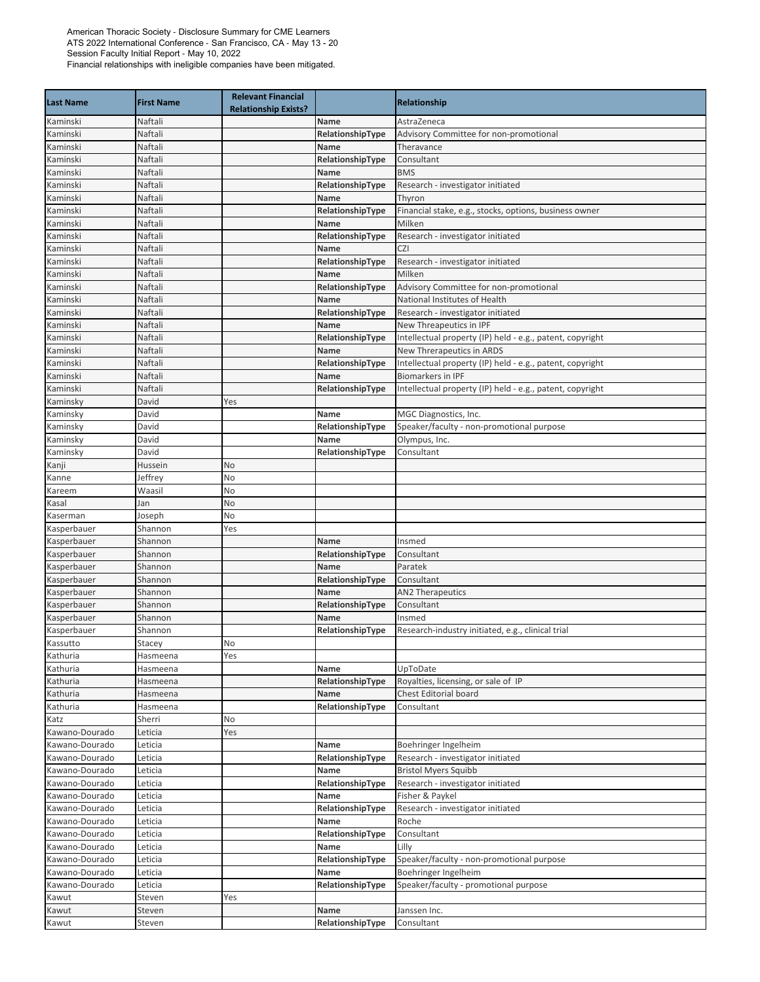| <b>Last Name</b>     | <b>First Name</b>    | <b>Relevant Financial</b><br><b>Relationship Exists?</b> |                  | <b>Relationship</b>                                       |
|----------------------|----------------------|----------------------------------------------------------|------------------|-----------------------------------------------------------|
| Kaminski             | Naftali              |                                                          | Name             | AstraZeneca                                               |
| Kaminski             | Naftali              |                                                          | RelationshipType | Advisory Committee for non-promotional                    |
| Kaminski             | Naftali              |                                                          | <b>Name</b>      | Theravance                                                |
| Kaminski             | Naftali              |                                                          | RelationshipType | Consultant                                                |
| Kaminski             | Naftali              |                                                          | Name             | <b>BMS</b>                                                |
| Kaminski             | Naftali              |                                                          | RelationshipType | Research - investigator initiated                         |
| Kaminski             | Naftali              |                                                          | Name             | Thyron                                                    |
| Kaminski             | Naftali              |                                                          | RelationshipType | Financial stake, e.g., stocks, options, business owner    |
| Kaminski             | Naftali              |                                                          | Name             | Milken                                                    |
| Kaminski             | Naftali              |                                                          | RelationshipType | Research - investigator initiated                         |
| Kaminski             | Naftali              |                                                          | Name             | <b>CZI</b>                                                |
| Kaminski             | Naftali              |                                                          | RelationshipType | Research - investigator initiated                         |
| Kaminski             | Naftali              |                                                          | Name             | Milken                                                    |
| Kaminski             | Naftali              |                                                          | RelationshipType | Advisory Committee for non-promotional                    |
| Kaminski             | Naftali              |                                                          | Name             | National Institutes of Health                             |
| Kaminski             | Naftali              |                                                          | RelationshipType | Research - investigator initiated                         |
| Kaminski             | Naftali              |                                                          | Name             | New Threapeutics in IPF                                   |
| Kaminski             | Naftali              |                                                          | RelationshipType | Intellectual property (IP) held - e.g., patent, copyright |
| Kaminski             | Naftali              |                                                          | Name             | New Threrapeutics in ARDS                                 |
| Kaminski             | Naftali              |                                                          | RelationshipType | Intellectual property (IP) held - e.g., patent, copyright |
| Kaminski             | Naftali              |                                                          | Name             | <b>Biomarkers in IPF</b>                                  |
| Kaminski             | Naftali              |                                                          | RelationshipType | Intellectual property (IP) held - e.g., patent, copyright |
| Kaminsky             | David                | Yes                                                      |                  |                                                           |
| Kaminsky             | David                |                                                          | Name             | MGC Diagnostics, Inc.                                     |
| Kaminsky             | David                |                                                          | RelationshipType | Speaker/faculty - non-promotional purpose                 |
| Kaminsky             | David                |                                                          | Name             | Olympus, Inc.                                             |
| Kaminsky             | David                |                                                          | RelationshipType | Consultant                                                |
| Kanji                | Hussein              | No                                                       |                  |                                                           |
| Kanne                | leffrey              | No                                                       |                  |                                                           |
| Kareem               | Waasil               | No                                                       |                  |                                                           |
| Kasal                | Jan                  | No                                                       |                  |                                                           |
| Kaserman             | Joseph               | No                                                       |                  |                                                           |
| Kasperbauer          | Shannon              | Yes                                                      |                  |                                                           |
| Kasperbauer          | Shannon              |                                                          | Name             | Insmed                                                    |
| Kasperbauer          | Shannon              |                                                          | RelationshipType | Consultant                                                |
| Kasperbauer          | Shannon              |                                                          | Name             | Paratek                                                   |
| Kasperbauer          | Shannon              |                                                          | RelationshipType | Consultant                                                |
| Kasperbauer          | Shannon              |                                                          | Name             | <b>AN2 Therapeutics</b>                                   |
| Kasperbauer          | Shannon              |                                                          | RelationshipType | Consultant                                                |
| Kasperbauer          | Shannon              |                                                          | Name             | Insmed                                                    |
| Kasperbauer          | Shannon              |                                                          | RelationshipType | Research-industry initiated, e.g., clinical trial         |
| Kassutto             | Stacey               | <b>No</b>                                                |                  |                                                           |
| Kathuria             | Hasmeena             | Yes                                                      |                  |                                                           |
| Kathuria             | Hasmeena<br>Hasmeena |                                                          | Name             | UpToDate<br>Royalties, licensing, or sale of IP           |
| Kathuria             |                      |                                                          | RelationshipType | Chest Editorial board                                     |
| Kathuria<br>Kathuria | Hasmeena             |                                                          | Name             | Consultant                                                |
| Katz                 | Hasmeena<br>Sherri   | No                                                       | RelationshipType |                                                           |
| Kawano-Dourado       | Leticia              | Yes                                                      |                  |                                                           |
| Kawano-Dourado       | Leticia              |                                                          | Name             | Boehringer Ingelheim                                      |
| Kawano-Dourado       | Leticia              |                                                          | RelationshipType | Research - investigator initiated                         |
| Kawano-Dourado       | Leticia              |                                                          | Name             | <b>Bristol Myers Squibb</b>                               |
| Kawano-Dourado       | Leticia              |                                                          | RelationshipType | Research - investigator initiated                         |
| Kawano-Dourado       | Leticia              |                                                          | Name             | Fisher & Paykel                                           |
| Kawano-Dourado       | Leticia              |                                                          | RelationshipType | Research - investigator initiated                         |
| Kawano-Dourado       | Leticia              |                                                          | Name             | Roche                                                     |
| Kawano-Dourado       | Leticia              |                                                          | RelationshipType | Consultant                                                |
| Kawano-Dourado       | Leticia              |                                                          | Name             | Lilly                                                     |
| Kawano-Dourado       | Leticia              |                                                          | RelationshipType | Speaker/faculty - non-promotional purpose                 |
| Kawano-Dourado       | Leticia              |                                                          | Name             | Boehringer Ingelheim                                      |
| Kawano-Dourado       | Leticia              |                                                          | RelationshipType | Speaker/faculty - promotional purpose                     |
| Kawut                | Steven               | Yes                                                      |                  |                                                           |
| Kawut                | Steven               |                                                          | Name             | Janssen Inc.                                              |
| Kawut                | Steven               |                                                          | RelationshipType | Consultant                                                |
|                      |                      |                                                          |                  |                                                           |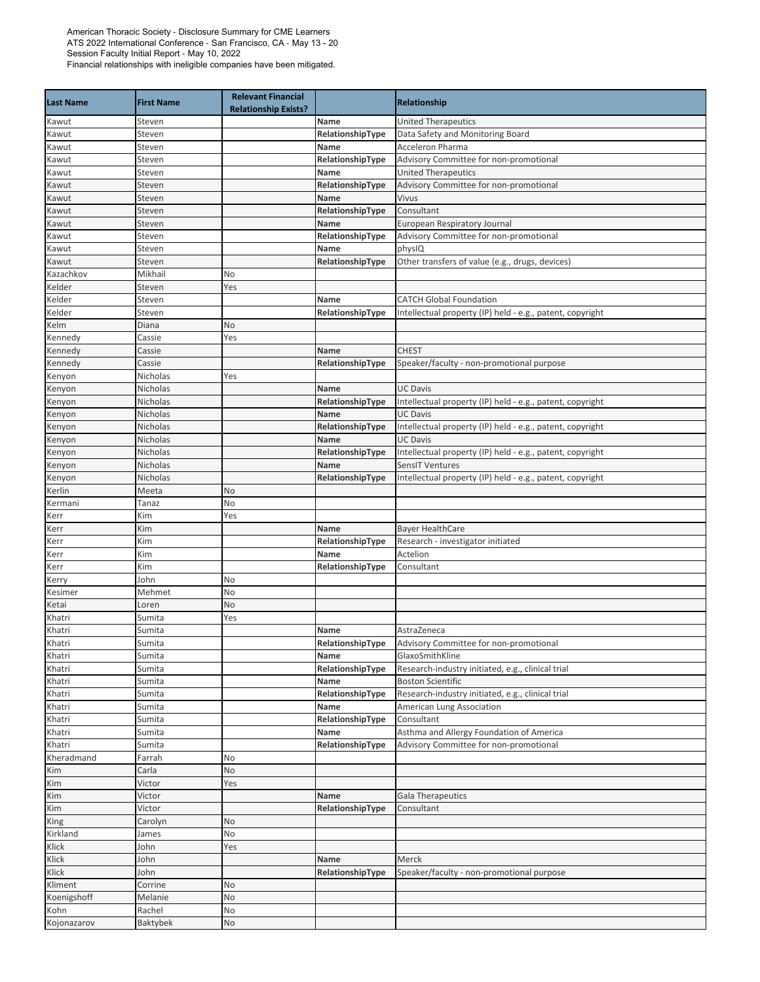| <b>Last Name</b> | <b>First Name</b>    | <b>Relevant Financial</b><br><b>Relationship Exists?</b> |                          | Relationship                                                                 |
|------------------|----------------------|----------------------------------------------------------|--------------------------|------------------------------------------------------------------------------|
| Kawut            | Steven               |                                                          | Name                     | <b>United Therapeutics</b>                                                   |
| Kawut            | Steven               |                                                          | RelationshipType         | Data Safety and Monitoring Board                                             |
| Kawut            | Steven               |                                                          | Name                     | Acceleron Pharma                                                             |
| Kawut            | Steven               |                                                          | RelationshipType         | Advisory Committee for non-promotional                                       |
| Kawut            | Steven               |                                                          | Name                     | <b>United Therapeutics</b>                                                   |
| Kawut            | Steven               |                                                          | RelationshipType         | Advisory Committee for non-promotional                                       |
| Kawut            | Steven               |                                                          | Name                     | Vivus                                                                        |
| Kawut            | Steven               |                                                          | RelationshipType         | Consultant                                                                   |
| Kawut            | Steven               |                                                          | Name                     | European Respiratory Journal                                                 |
| Kawut            | Steven               |                                                          | RelationshipType         | Advisory Committee for non-promotional                                       |
| Kawut            | Steven               |                                                          | Name                     | physIQ                                                                       |
| Kawut            | Steven               |                                                          | RelationshipType         | Other transfers of value (e.g., drugs, devices)                              |
| Kazachkov        | Mikhail              | No                                                       |                          |                                                                              |
| Kelder           | Steven               | Yes                                                      |                          |                                                                              |
| Kelder           | Steven               |                                                          | Name                     | <b>CATCH Global Foundation</b>                                               |
| Kelder           | Steven               |                                                          | RelationshipType         | Intellectual property (IP) held - e.g., patent, copyright                    |
| Kelm             | Diana                | No                                                       |                          |                                                                              |
| Kennedy          | Cassie               | Yes                                                      |                          |                                                                              |
| Kennedy          | Cassie               |                                                          | Name                     | <b>CHEST</b>                                                                 |
| Kennedy          | Cassie               |                                                          | RelationshipType         | Speaker/faculty - non-promotional purpose                                    |
| Kenyon           | Nicholas             | Yes                                                      |                          |                                                                              |
| Kenyon           | Nicholas             |                                                          | Name                     | <b>UC Davis</b>                                                              |
| Kenyon           | Nicholas             |                                                          | RelationshipType         | Intellectual property (IP) held - e.g., patent, copyright                    |
| Kenyon           | Nicholas             |                                                          | <b>Name</b>              | <b>UC Davis</b>                                                              |
| Kenyon           | Nicholas             |                                                          | RelationshipType         | Intellectual property (IP) held - e.g., patent, copyright<br><b>UC Davis</b> |
| Kenyon           | Nicholas<br>Nicholas |                                                          | Name                     |                                                                              |
| Kenyon           | Nicholas             |                                                          | RelationshipType<br>Name | Intellectual property (IP) held - e.g., patent, copyright<br>SensIT Ventures |
| Kenyon           | Nicholas             |                                                          | RelationshipType         | Intellectual property (IP) held - e.g., patent, copyright                    |
| Kenyon<br>Kerlin | Meeta                | <b>No</b>                                                |                          |                                                                              |
| Kermani          | Tanaz                | No                                                       |                          |                                                                              |
| Kerr             | Kim                  | Yes                                                      |                          |                                                                              |
| Kerr             | Kim                  |                                                          | Name                     | <b>Bayer HealthCare</b>                                                      |
| Kerr             | Kim                  |                                                          | RelationshipType         | Research - investigator initiated                                            |
| Kerr             | Kim                  |                                                          | Name                     | Actelion                                                                     |
| Kerr             | Kim                  |                                                          | RelationshipType         | Consultant                                                                   |
| Kerry            | John                 | No                                                       |                          |                                                                              |
| Kesimer          | Mehmet               | No                                                       |                          |                                                                              |
| Ketai            | Loren                | No                                                       |                          |                                                                              |
| Khatri           | Sumita               | Yes                                                      |                          |                                                                              |
| Khatri           | Sumita               |                                                          | Name                     | AstraZeneca                                                                  |
| Khatri           | Sumita               |                                                          | RelationshipType         | Advisory Committee for non-promotional                                       |
| Khatri           | Sumita               |                                                          | Name                     | GlaxoSmithKline                                                              |
| Khatri           | Sumita               |                                                          | RelationshipType         | Research-industry initiated, e.g., clinical trial                            |
| Khatri           | Sumita               |                                                          | Name                     | <b>Boston Scientific</b>                                                     |
| Khatri           | Sumita               |                                                          | RelationshipType         | Research-industry initiated, e.g., clinical trial                            |
| Khatri           | Sumita               |                                                          | Name                     | American Lung Association                                                    |
| Khatri           | Sumita               |                                                          | RelationshipType         | Consultant                                                                   |
| Khatri           | Sumita               |                                                          | Name                     | Asthma and Allergy Foundation of America                                     |
| Khatri           | Sumita               |                                                          | RelationshipType         | Advisory Committee for non-promotional                                       |
| Kheradmand       | Farrah               | No                                                       |                          |                                                                              |
| Kim              | Carla                | No                                                       |                          |                                                                              |
| Kim              | Victor               | Yes                                                      |                          |                                                                              |
| Kim              | Victor               |                                                          | Name                     | <b>Gala Therapeutics</b>                                                     |
| Kim              | Victor               |                                                          | RelationshipType         | Consultant                                                                   |
| King             | Carolyn              | No                                                       |                          |                                                                              |
| Kirkland         | James                | No                                                       |                          |                                                                              |
| Klick            | John                 | Yes                                                      |                          |                                                                              |
| Klick            | John                 |                                                          | Name                     | Merck                                                                        |
| Klick            | John                 |                                                          | RelationshipType         | Speaker/faculty - non-promotional purpose                                    |
| Kliment          | Corrine              | No                                                       |                          |                                                                              |
| Koenigshoff      | Melanie              | No                                                       |                          |                                                                              |
| Kohn             | Rachel               | No                                                       |                          |                                                                              |
| Kojonazarov      | Baktybek             | No                                                       |                          |                                                                              |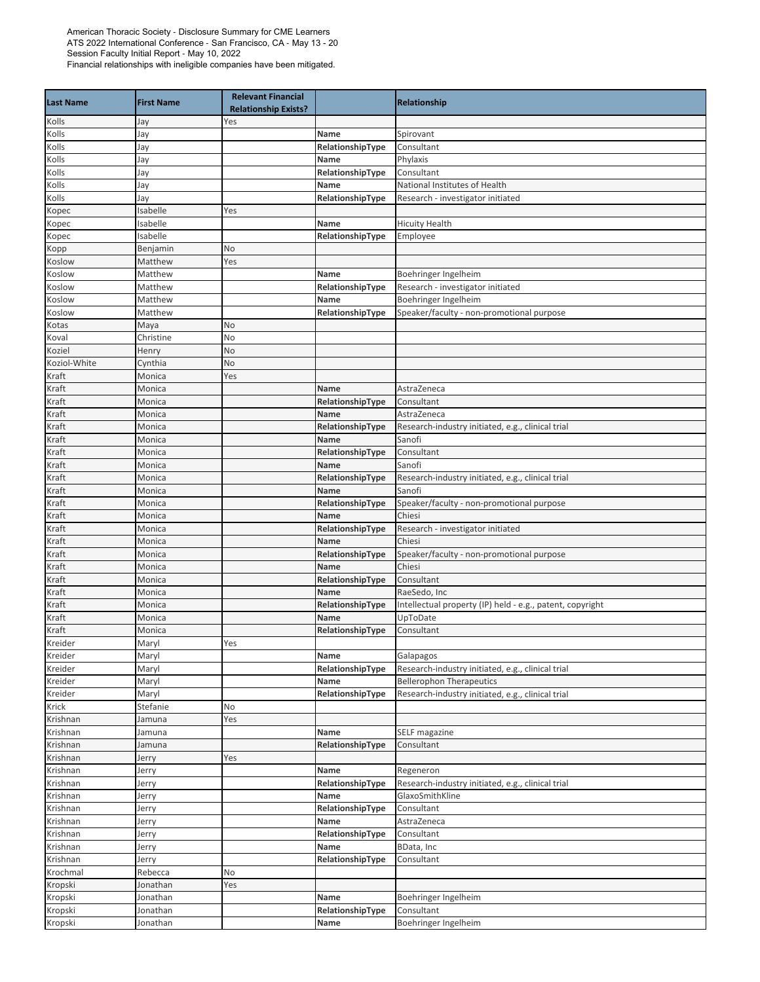| <b>Last Name</b>     | <b>First Name</b> | <b>Relevant Financial</b><br><b>Relationship Exists?</b> |                          | <b>Relationship</b>                                                  |
|----------------------|-------------------|----------------------------------------------------------|--------------------------|----------------------------------------------------------------------|
| Kolls                | Jay               | Yes                                                      |                          |                                                                      |
| Kolls                | Jay               |                                                          | Name                     | Spirovant                                                            |
| Kolls                | Jay               |                                                          | RelationshipType         | Consultant                                                           |
| Kolls                | Jay               |                                                          | Name                     | Phylaxis                                                             |
| Kolls                | Jay               |                                                          | RelationshipType         | Consultant                                                           |
| Kolls                | Jay               |                                                          | Name                     | National Institutes of Health                                        |
| Kolls                | Jay               |                                                          | RelationshipType         | Research - investigator initiated                                    |
| Kopec                | Isabelle          | Yes                                                      |                          |                                                                      |
| Kopec                | Isabelle          |                                                          | Name                     | <b>Hicuity Health</b>                                                |
| Kopec                | Isabelle          |                                                          | RelationshipType         | Employee                                                             |
| Kopp                 | Benjamin          | No                                                       |                          |                                                                      |
| Koslow               | Matthew           | Yes                                                      |                          |                                                                      |
| Koslow               | Matthew           |                                                          | Name                     | Boehringer Ingelheim                                                 |
| Koslow               | Matthew           |                                                          | RelationshipType         | Research - investigator initiated                                    |
| Koslow               | Matthew           |                                                          | Name                     | Boehringer Ingelheim                                                 |
| Koslow               | Matthew           |                                                          | RelationshipType         | Speaker/faculty - non-promotional purpose                            |
| Kotas                | Maya              | No                                                       |                          |                                                                      |
| Koval                | Christine         | No                                                       |                          |                                                                      |
| Koziel               | Henry             | No                                                       |                          |                                                                      |
| Koziol-White         | Cynthia           | No                                                       |                          |                                                                      |
| Kraft                | Monica            | Yes                                                      |                          |                                                                      |
| Kraft                | Monica            |                                                          | Name                     | AstraZeneca                                                          |
| Kraft                | Monica            |                                                          | RelationshipType         | Consultant<br>AstraZeneca                                            |
| Kraft                | Monica<br>Monica  |                                                          | Name<br>RelationshipType |                                                                      |
| Kraft<br>Kraft       | Monica            |                                                          | Name                     | Research-industry initiated, e.g., clinical trial<br>Sanofi          |
| Kraft                | Monica            |                                                          | RelationshipType         | Consultant                                                           |
| Kraft                | Monica            |                                                          | Name                     | Sanofi                                                               |
| Kraft                | Monica            |                                                          | RelationshipType         | Research-industry initiated, e.g., clinical trial                    |
| Kraft                | Monica            |                                                          | Name                     | Sanofi                                                               |
| Kraft                | Monica            |                                                          | RelationshipType         | Speaker/faculty - non-promotional purpose                            |
| Kraft                | Monica            |                                                          | Name                     | Chiesi                                                               |
| Kraft                | Monica            |                                                          | RelationshipType         | Research - investigator initiated                                    |
| Kraft                | Monica            |                                                          | Name                     | Chiesi                                                               |
| Kraft                | Monica            |                                                          | RelationshipType         | Speaker/faculty - non-promotional purpose                            |
| Kraft                | Monica            |                                                          | Name                     | Chiesi                                                               |
| Kraft                | Monica            |                                                          | RelationshipType         | Consultant                                                           |
| Kraft                | Monica            |                                                          | Name                     | RaeSedo, Inc                                                         |
| Kraft                | Monica            |                                                          | RelationshipType         | Intellectual property (IP) held - e.g., patent, copyright            |
| Kraft                | Monica            |                                                          | Name                     | UpToDate                                                             |
| Kraft                | Monica            |                                                          | RelationshipType         | Consultant                                                           |
| Kreider              | Maryl             | Yes                                                      |                          |                                                                      |
| Kreider              | Maryl             |                                                          | Name                     | Galapagos                                                            |
| Kreider              | Maryl             |                                                          | RelationshipType         | Research-industry initiated, e.g., clinical trial                    |
| Kreider              | Maryl             |                                                          | Name                     | <b>Bellerophon Therapeutics</b>                                      |
| Kreider              | Maryl             |                                                          | RelationshipType         | Research-industry initiated, e.g., clinical trial                    |
| Krick                | Stefanie          | No                                                       |                          |                                                                      |
| Krishnan             | Jamuna            | Yes                                                      |                          |                                                                      |
| Krishnan             | Jamuna            |                                                          | Name                     | SELF magazine                                                        |
| Krishnan             | Jamuna            |                                                          | RelationshipType         | Consultant                                                           |
| Krishnan             | Jerry             | Yes                                                      |                          |                                                                      |
| Krishnan             | Jerry             |                                                          | Name                     | Regeneron                                                            |
| Krishnan             | Jerry             |                                                          | RelationshipType         | Research-industry initiated, e.g., clinical trial<br>GlaxoSmithKline |
| Krishnan             | Jerry             |                                                          | Name                     |                                                                      |
| Krishnan<br>Krishnan | Jerry<br>Jerry    |                                                          | RelationshipType<br>Name | Consultant<br>AstraZeneca                                            |
| Krishnan             | Jerry             |                                                          | RelationshipType         | Consultant                                                           |
| Krishnan             | Jerry             |                                                          | Name                     | BData, Inc                                                           |
| Krishnan             | Jerry             |                                                          | RelationshipType         | Consultant                                                           |
| Krochmal             | Rebecca           | No                                                       |                          |                                                                      |
| Kropski              | Jonathan          | Yes                                                      |                          |                                                                      |
| Kropski              | Jonathan          |                                                          | Name                     | Boehringer Ingelheim                                                 |
| Kropski              | Jonathan          |                                                          | RelationshipType         | Consultant                                                           |
| Kropski              | Jonathan          |                                                          | Name                     | Boehringer Ingelheim                                                 |
|                      |                   |                                                          |                          |                                                                      |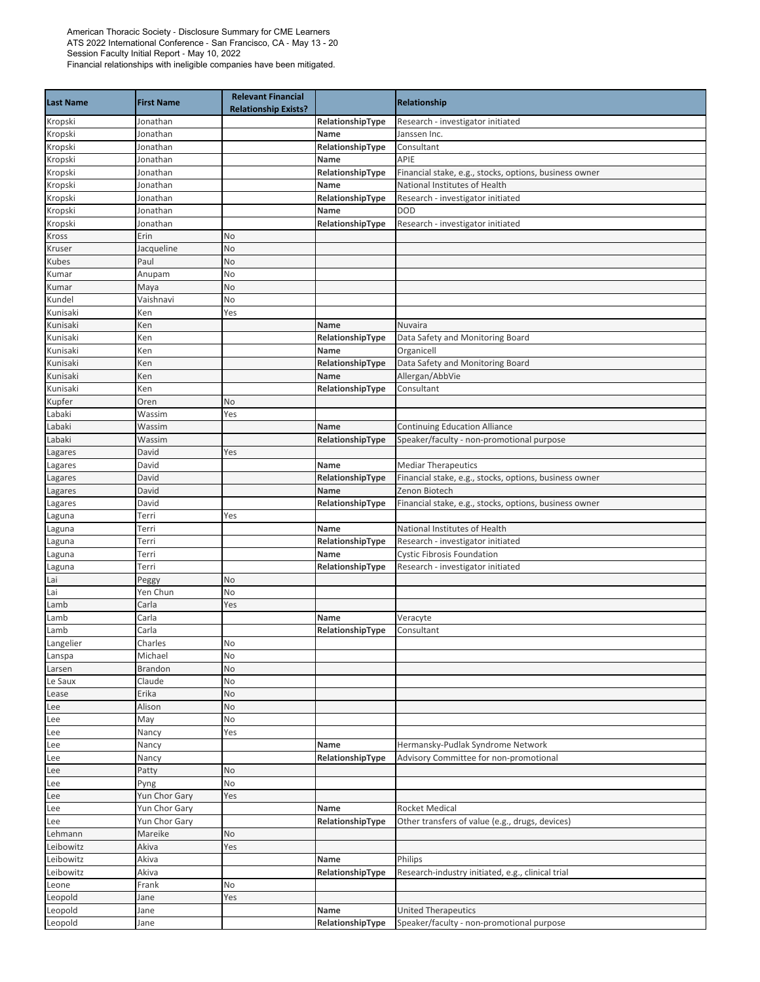| <b>Last Name</b> | <b>First Name</b>     | <b>Relevant Financial</b><br><b>Relationship Exists?</b> |                          | Relationship                                                                |
|------------------|-----------------------|----------------------------------------------------------|--------------------------|-----------------------------------------------------------------------------|
| Kropski          | Jonathan              |                                                          | RelationshipType         | Research - investigator initiated                                           |
| Kropski          | Jonathan              |                                                          | Name                     | Janssen Inc.                                                                |
| Kropski          | Jonathan              |                                                          | RelationshipType         | Consultant                                                                  |
| Kropski          | Jonathan              |                                                          | Name                     | APIE                                                                        |
| Kropski          | Jonathan              |                                                          | RelationshipType         | Financial stake, e.g., stocks, options, business owner                      |
| Kropski          | Jonathan              |                                                          | Name                     | National Institutes of Health                                               |
| Kropski          | Jonathan              |                                                          | RelationshipType         | Research - investigator initiated                                           |
| Kropski          | Jonathan              |                                                          | Name                     | <b>DOD</b>                                                                  |
| Kropski          | Jonathan              |                                                          | RelationshipType         | Research - investigator initiated                                           |
| Kross            | Erin                  | No                                                       |                          |                                                                             |
| Kruser           | Jacqueline            | No                                                       |                          |                                                                             |
| Kubes            | Paul                  | No                                                       |                          |                                                                             |
| Kumar<br>Kumar   | Anupam                | No<br>No                                                 |                          |                                                                             |
| Kundel           | Maya<br>Vaishnavi     | No                                                       |                          |                                                                             |
| Kunisaki         | Ken                   | Yes                                                      |                          |                                                                             |
| Kunisaki         | Ken                   |                                                          | Name                     | Nuvaira                                                                     |
| Kunisaki         | Ken                   |                                                          | RelationshipType         | Data Safety and Monitoring Board                                            |
| Kunisaki         | Ken                   |                                                          | Name                     | Organicell                                                                  |
| Kunisaki         | Ken                   |                                                          | RelationshipType         | Data Safety and Monitoring Board                                            |
| Kunisaki         | Ken                   |                                                          | Name                     | Allergan/AbbVie                                                             |
| Kunisaki         | Ken                   |                                                          | RelationshipType         | Consultant                                                                  |
| Kupfer           | Oren                  | No                                                       |                          |                                                                             |
| Labaki           | Wassim                | Yes                                                      |                          |                                                                             |
| Labaki           | Wassim                |                                                          | <b>Name</b>              | <b>Continuing Education Alliance</b>                                        |
| Labaki           | Wassim                |                                                          | RelationshipType         | Speaker/faculty - non-promotional purpose                                   |
| Lagares          | David                 | Yes                                                      |                          |                                                                             |
| Lagares          | David                 |                                                          | Name                     | <b>Mediar Therapeutics</b>                                                  |
| Lagares          | David                 |                                                          | RelationshipType         | Financial stake, e.g., stocks, options, business owner                      |
| Lagares          | David                 |                                                          | Name                     | Zenon Biotech                                                               |
| Lagares          | David                 |                                                          | RelationshipType         | Financial stake, e.g., stocks, options, business owner                      |
| Laguna           | Terri                 | Yes                                                      |                          |                                                                             |
| Laguna           | Terri<br>Terri        |                                                          | Name<br>RelationshipType | National Institutes of Health<br>Research - investigator initiated          |
| Laguna<br>Laguna | Terri                 |                                                          | Name                     | <b>Cystic Fibrosis Foundation</b>                                           |
| Laguna           | Terri                 |                                                          | RelationshipType         | Research - investigator initiated                                           |
| Lai              | Peggy                 | <b>No</b>                                                |                          |                                                                             |
| Lai              | Yen Chun              | No                                                       |                          |                                                                             |
| Lamb             | Carla                 | Yes                                                      |                          |                                                                             |
| Lamb             | Carla                 |                                                          | Name                     | Veracyte                                                                    |
| Lamb             | Carla                 |                                                          | RelationshipType         | Consultant                                                                  |
| Langelier        | Charles               | No                                                       |                          |                                                                             |
| Lanspa           | Michael               | No                                                       |                          |                                                                             |
| Larsen           | Brandon               | No                                                       |                          |                                                                             |
| Le Saux          | Claude                | No                                                       |                          |                                                                             |
| Lease            | Erika                 | No                                                       |                          |                                                                             |
| Lee              | Alison                | No                                                       |                          |                                                                             |
| Lee              | May                   | No                                                       |                          |                                                                             |
| Lee              | Nancy                 | Yes                                                      |                          |                                                                             |
| Lee              | Nancy                 |                                                          | Name                     | Hermansky-Pudlak Syndrome Network<br>Advisory Committee for non-promotional |
| Lee              | Nancy                 | No                                                       | RelationshipType         |                                                                             |
| Lee<br>Lee       | Patty                 | No                                                       |                          |                                                                             |
| Lee              | Pyng<br>Yun Chor Gary | Yes                                                      |                          |                                                                             |
| Lee              | Yun Chor Gary         |                                                          | Name                     | <b>Rocket Medical</b>                                                       |
| Lee              | Yun Chor Gary         |                                                          | RelationshipType         | Other transfers of value (e.g., drugs, devices)                             |
| Lehmann          | Mareike               | No                                                       |                          |                                                                             |
| Leibowitz        | Akiva                 | Yes                                                      |                          |                                                                             |
| Leibowitz        | Akiva                 |                                                          | Name                     | Philips                                                                     |
| Leibowitz        | Akiva                 |                                                          | RelationshipType         | Research-industry initiated, e.g., clinical trial                           |
| Leone            | Frank                 | No                                                       |                          |                                                                             |
| Leopold          | Jane                  | Yes                                                      |                          |                                                                             |
| Leopold          | Jane                  |                                                          | Name                     | <b>United Therapeutics</b>                                                  |
| Leopold          | Jane                  |                                                          | RelationshipType         | Speaker/faculty - non-promotional purpose                                   |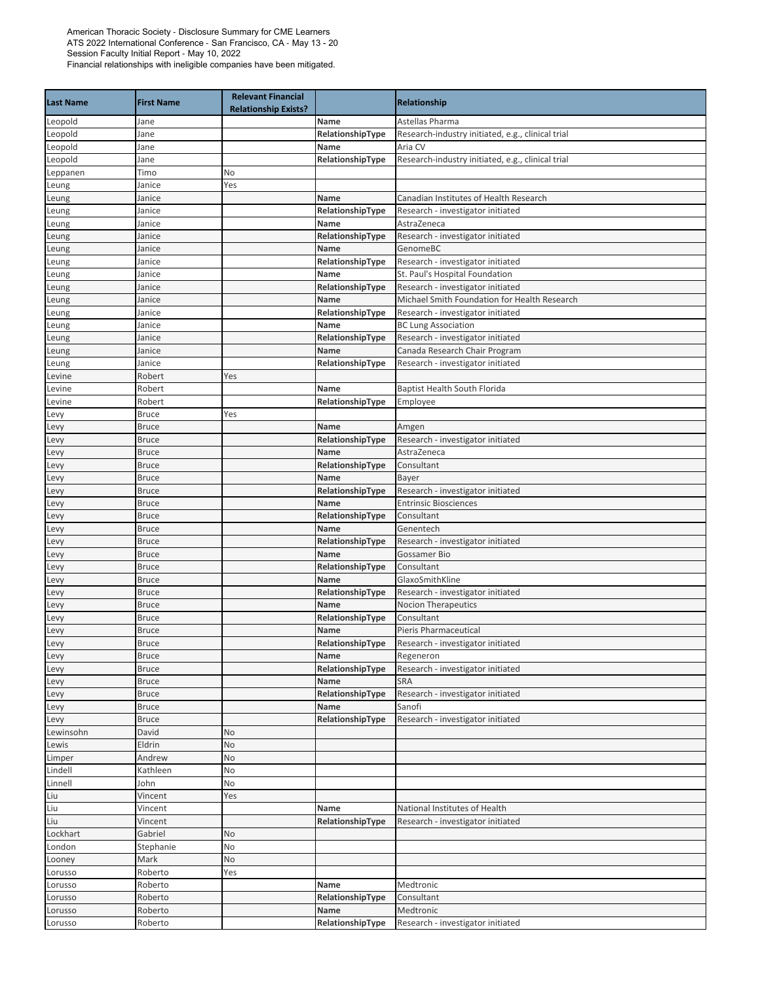| <b>Last Name</b> | <b>First Name</b>            | <b>Relevant Financial</b><br><b>Relationship Exists?</b> |                          | <b>Relationship</b>                                                               |
|------------------|------------------------------|----------------------------------------------------------|--------------------------|-----------------------------------------------------------------------------------|
| Leopold          | Jane                         |                                                          | Name                     | Astellas Pharma                                                                   |
| Leopold          | Jane                         |                                                          | RelationshipType         | Research-industry initiated, e.g., clinical trial                                 |
| Leopold          | Jane                         |                                                          | Name                     | Aria CV                                                                           |
| Leopold          | Jane                         |                                                          | RelationshipType         | Research-industry initiated, e.g., clinical trial                                 |
| Leppanen         | Timo                         | No                                                       |                          |                                                                                   |
| Leung            | Janice                       | Yes                                                      |                          |                                                                                   |
| Leung            | Janice                       |                                                          | Name                     | Canadian Institutes of Health Research                                            |
| Leung            | Janice                       |                                                          | RelationshipType         | Research - investigator initiated                                                 |
| Leung            | Janice                       |                                                          | Name                     | AstraZeneca                                                                       |
| Leung            | Janice                       |                                                          | RelationshipType         | Research - investigator initiated                                                 |
| Leung            | Janice                       |                                                          | Name                     | <b>GenomeBC</b>                                                                   |
| Leung            | Janice                       |                                                          | RelationshipType         | Research - investigator initiated                                                 |
| Leung            | Janice                       |                                                          | Name                     | St. Paul's Hospital Foundation                                                    |
| Leung            | Janice                       |                                                          | RelationshipType<br>Name | Research - investigator initiated<br>Michael Smith Foundation for Health Research |
| Leung            | Janice                       |                                                          |                          |                                                                                   |
| Leung<br>Leung   | Janice<br>Janice             |                                                          | RelationshipType<br>Name | Research - investigator initiated<br><b>BC Lung Association</b>                   |
| Leung            | Janice                       |                                                          | RelationshipType         | Research - investigator initiated                                                 |
| Leung            | Janice                       |                                                          | Name                     | Canada Research Chair Program                                                     |
| Leung            | Janice                       |                                                          | RelationshipType         | Research - investigator initiated                                                 |
| Levine           | Robert                       | Yes                                                      |                          |                                                                                   |
| Levine           | Robert                       |                                                          | Name                     | <b>Baptist Health South Florida</b>                                               |
| Levine           | Robert                       |                                                          | RelationshipType         | Employee                                                                          |
| Levy             | <b>Bruce</b>                 | Yes                                                      |                          |                                                                                   |
| Levy             | <b>Bruce</b>                 |                                                          | Name                     | Amgen                                                                             |
| Levy             | <b>Bruce</b>                 |                                                          | RelationshipType         | Research - investigator initiated                                                 |
| Levy             | <b>Bruce</b>                 |                                                          | Name                     | AstraZeneca                                                                       |
| Levy             | <b>Bruce</b>                 |                                                          | RelationshipType         | Consultant                                                                        |
| Levy             | <b>Bruce</b>                 |                                                          | Name                     | Bayer                                                                             |
| Levy             | <b>Bruce</b>                 |                                                          | RelationshipType         | Research - investigator initiated                                                 |
| Levy             | <b>Bruce</b>                 |                                                          | Name                     | <b>Entrinsic Biosciences</b>                                                      |
| Levy             | <b>Bruce</b>                 |                                                          | RelationshipType         | Consultant                                                                        |
| Levy             | <b>Bruce</b>                 |                                                          | Name                     | Genentech                                                                         |
| Levy             | <b>Bruce</b>                 |                                                          | RelationshipType         | Research - investigator initiated                                                 |
| Levy             | <b>Bruce</b>                 |                                                          | Name                     | <b>Gossamer Bio</b>                                                               |
| Levy             | <b>Bruce</b>                 |                                                          | RelationshipType         | Consultant                                                                        |
| Levy             | <b>Bruce</b>                 |                                                          | Name                     | GlaxoSmithKline                                                                   |
| Levy             | <b>Bruce</b>                 |                                                          | RelationshipType         | Research - investigator initiated                                                 |
| Levy             | <b>Bruce</b>                 |                                                          | Name                     | <b>Nocion Therapeutics</b>                                                        |
| Levy             | <b>Bruce</b>                 |                                                          | RelationshipType         | Consultant<br><b>Pieris Pharmaceutical</b>                                        |
| Levy<br>Levy     | <b>Bruce</b><br><b>Bruce</b> |                                                          | Name<br>RelationshipType | Research - investigator initiated                                                 |
| Levy             | <b>Bruce</b>                 |                                                          | Name                     | Regeneron                                                                         |
| Levy             | <b>Bruce</b>                 |                                                          | RelationshipType         | Research - investigator initiated                                                 |
| Levy             | <b>Bruce</b>                 |                                                          | Name                     | SRA                                                                               |
| Levy             | <b>Bruce</b>                 |                                                          | RelationshipType         | Research - investigator initiated                                                 |
| Levy             | <b>Bruce</b>                 |                                                          | Name                     | Sanofi                                                                            |
| Levy             | <b>Bruce</b>                 |                                                          | RelationshipType         | Research - investigator initiated                                                 |
| Lewinsohn        | David                        | No                                                       |                          |                                                                                   |
| Lewis            | Eldrin                       | No                                                       |                          |                                                                                   |
| Limper           | Andrew                       | No                                                       |                          |                                                                                   |
| Lindell          | Kathleen                     | No                                                       |                          |                                                                                   |
| Linnell          | John                         | No                                                       |                          |                                                                                   |
| Liu              | Vincent                      | Yes                                                      |                          |                                                                                   |
| Liu              | Vincent                      |                                                          | Name                     | National Institutes of Health                                                     |
| Liu              | Vincent                      |                                                          | RelationshipType         | Research - investigator initiated                                                 |
| Lockhart         | Gabriel                      | No                                                       |                          |                                                                                   |
| London           | Stephanie                    | No                                                       |                          |                                                                                   |
| Looney           | Mark                         | No                                                       |                          |                                                                                   |
| Lorusso          | Roberto                      | Yes                                                      |                          |                                                                                   |
| Lorusso          | Roberto                      |                                                          | Name                     | Medtronic                                                                         |
| Lorusso          | Roberto                      |                                                          | RelationshipType         | Consultant                                                                        |
| Lorusso          | Roberto                      |                                                          | Name                     | Medtronic                                                                         |
| Lorusso          | Roberto                      |                                                          | RelationshipType         | Research - investigator initiated                                                 |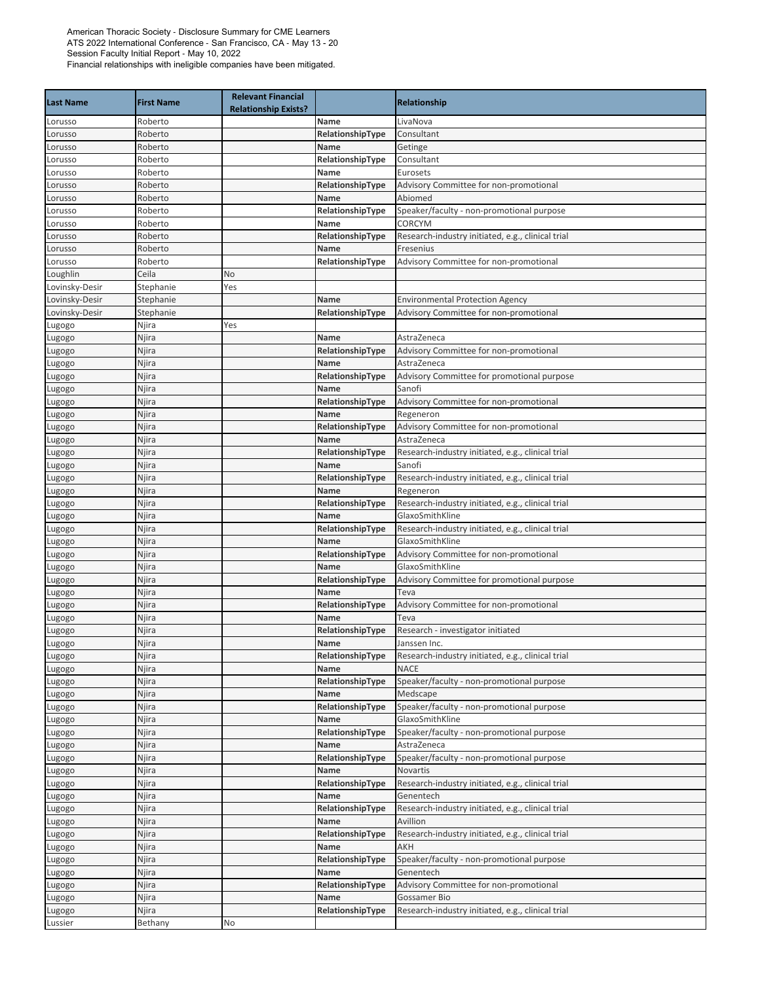| <b>Last Name</b> | <b>First Name</b> | <b>Relevant Financial</b><br><b>Relationship Exists?</b> |                          | Relationship                                              |
|------------------|-------------------|----------------------------------------------------------|--------------------------|-----------------------------------------------------------|
| Lorusso          | Roberto           |                                                          | Name                     | LivaNova                                                  |
| Lorusso          | Roberto           |                                                          | RelationshipType         | Consultant                                                |
| Lorusso          | Roberto           |                                                          | Name                     | Getinge                                                   |
| Lorusso          | Roberto           |                                                          | RelationshipType         | Consultant                                                |
| Lorusso          | Roberto           |                                                          | Name                     | Eurosets                                                  |
| Lorusso          | Roberto           |                                                          | RelationshipType         | Advisory Committee for non-promotional                    |
| Lorusso          | Roberto           |                                                          | Name                     | Abiomed                                                   |
| Lorusso          | Roberto           |                                                          | RelationshipType         | Speaker/faculty - non-promotional purpose                 |
| Lorusso          | Roberto           |                                                          | Name                     | <b>CORCYM</b>                                             |
| Lorusso          | Roberto           |                                                          | RelationshipType         | Research-industry initiated, e.g., clinical trial         |
| Lorusso          | Roberto           |                                                          | Name                     | Fresenius                                                 |
| Lorusso          | Roberto           |                                                          | RelationshipType         | Advisory Committee for non-promotional                    |
| Loughlin         | Ceila             | No                                                       |                          |                                                           |
| Lovinsky-Desir   | Stephanie         | Yes                                                      |                          |                                                           |
| Lovinsky-Desir   | Stephanie         |                                                          | Name                     | <b>Environmental Protection Agency</b>                    |
| Lovinsky-Desir   | Stephanie         |                                                          | RelationshipType         | Advisory Committee for non-promotional                    |
| Lugogo           | Njira             | Yes                                                      |                          |                                                           |
| Lugogo           | Njira             |                                                          | Name                     | AstraZeneca                                               |
| Lugogo           | Njira             |                                                          | RelationshipType         | Advisory Committee for non-promotional                    |
| Lugogo           | Njira             |                                                          | Name                     | AstraZeneca                                               |
| Lugogo           | Njira             |                                                          | RelationshipType         | Advisory Committee for promotional purpose                |
| Lugogo           | Njira             |                                                          | Name                     | Sanofi                                                    |
| Lugogo           | Njira             |                                                          | RelationshipType         | Advisory Committee for non-promotional                    |
| Lugogo           | Njira             |                                                          | Name                     | Regeneron                                                 |
| Lugogo           | Njira             |                                                          | RelationshipType         | Advisory Committee for non-promotional                    |
| Lugogo           | Njira             |                                                          | Name                     | AstraZeneca                                               |
| Lugogo           | Njira             |                                                          | RelationshipType         | Research-industry initiated, e.g., clinical trial         |
| Lugogo           | Njira             |                                                          | Name                     | Sanofi                                                    |
| Lugogo           | Njira             |                                                          | RelationshipType         | Research-industry initiated, e.g., clinical trial         |
| Lugogo           | Njira             |                                                          | Name                     | Regeneron                                                 |
| Lugogo           | Njira             |                                                          | RelationshipType         | Research-industry initiated, e.g., clinical trial         |
| Lugogo           | Njira             |                                                          | Name                     | GlaxoSmithKline                                           |
| Lugogo           | Njira             |                                                          | RelationshipType         | Research-industry initiated, e.g., clinical trial         |
| Lugogo           | Njira             |                                                          | Name                     | GlaxoSmithKline<br>Advisory Committee for non-promotional |
| Lugogo           | Njira             |                                                          | RelationshipType<br>Name | GlaxoSmithKline                                           |
| Lugogo           | Njira<br>Njira    |                                                          | RelationshipType         | Advisory Committee for promotional purpose                |
| Lugogo           | Njira             |                                                          | Name                     | Teva                                                      |
| Lugogo<br>Lugogo | Njira             |                                                          | RelationshipType         | Advisory Committee for non-promotional                    |
|                  | Njira             |                                                          | Name                     | Teva                                                      |
| Lugogo<br>Lugogo | Njira             |                                                          | RelationshipType         | Research - investigator initiated                         |
| Lugogo           | Njira             |                                                          | Name                     | Janssen Inc.                                              |
| Lugogo           | Njira             |                                                          | RelationshipType         | Research-industry initiated, e.g., clinical trial         |
| Lugogo           | Njira             |                                                          | Name                     | <b>NACE</b>                                               |
| Lugogo           | Njira             |                                                          | RelationshipType         | Speaker/faculty - non-promotional purpose                 |
| Lugogo           | Njira             |                                                          | Name                     | Medscape                                                  |
| Lugogo           | Njira             |                                                          | RelationshipType         | Speaker/faculty - non-promotional purpose                 |
| Lugogo           | Njira             |                                                          | Name                     | GlaxoSmithKline                                           |
| Lugogo           | Njira             |                                                          | RelationshipType         | Speaker/faculty - non-promotional purpose                 |
| Lugogo           | Njira             |                                                          | Name                     | AstraZeneca                                               |
| Lugogo           | Njira             |                                                          | RelationshipType         | Speaker/faculty - non-promotional purpose                 |
| Lugogo           | Njira             |                                                          | Name                     | <b>Novartis</b>                                           |
| Lugogo           | Njira             |                                                          | RelationshipType         | Research-industry initiated, e.g., clinical trial         |
| Lugogo           | Njira             |                                                          | Name                     | Genentech                                                 |
| Lugogo           | Njira             |                                                          | RelationshipType         | Research-industry initiated, e.g., clinical trial         |
| Lugogo           | Njira             |                                                          | Name                     | Avillion                                                  |
| Lugogo           | Njira             |                                                          | RelationshipType         | Research-industry initiated, e.g., clinical trial         |
| Lugogo           | Njira             |                                                          | Name                     | AKH                                                       |
| Lugogo           | Njira             |                                                          | RelationshipType         | Speaker/faculty - non-promotional purpose                 |
| Lugogo           | Njira             |                                                          | Name                     | Genentech                                                 |
| Lugogo           | Njira             |                                                          | RelationshipType         | Advisory Committee for non-promotional                    |
| Lugogo           | Njira             |                                                          | Name                     | Gossamer Bio                                              |
| Lugogo           | Njira             |                                                          | RelationshipType         | Research-industry initiated, e.g., clinical trial         |
| Lussier          | Bethany           | No                                                       |                          |                                                           |
|                  |                   |                                                          |                          |                                                           |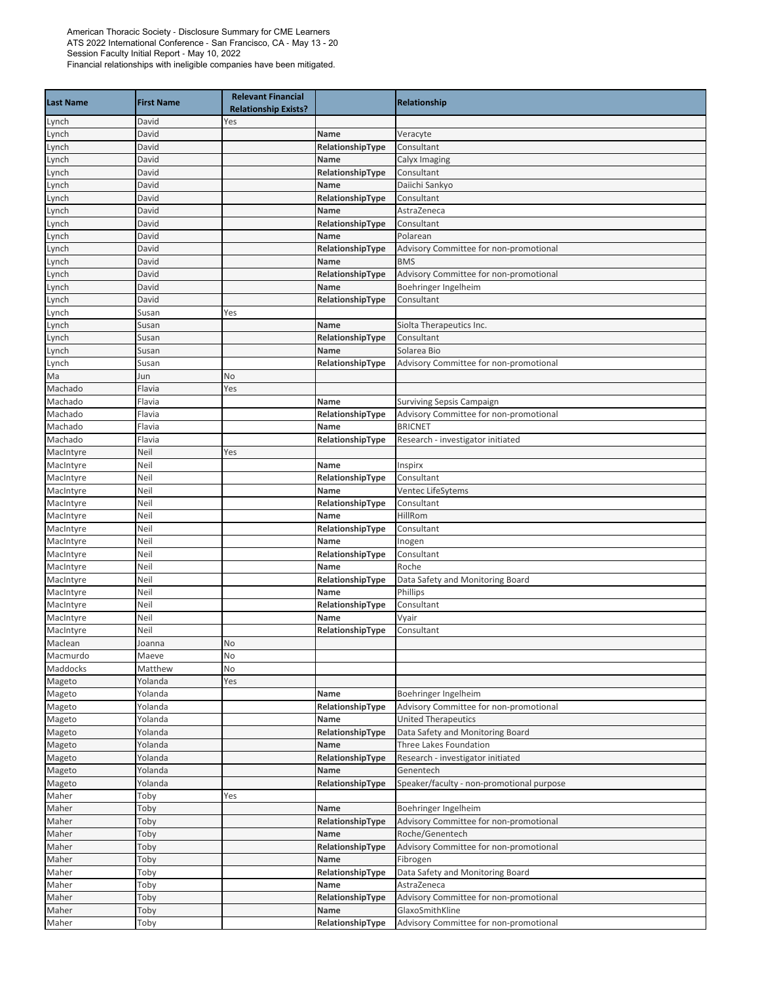| <b>Last Name</b> | <b>First Name</b> | <b>Relevant Financial</b>   |                  |                                           |
|------------------|-------------------|-----------------------------|------------------|-------------------------------------------|
|                  |                   | <b>Relationship Exists?</b> |                  | <b>Relationship</b>                       |
| Lynch            | David             | Yes                         |                  |                                           |
| Lynch            | David             |                             | Name             | Veracyte                                  |
| Lynch            | David             |                             | RelationshipType | Consultant                                |
| Lynch            | David             |                             | Name             | Calyx Imaging                             |
| Lynch            | David             |                             | RelationshipType | Consultant                                |
| Lynch            | David             |                             | Name             | Daiichi Sankyo                            |
| Lynch            | David             |                             | RelationshipType | Consultant                                |
| Lynch            | David             |                             | Name             | AstraZeneca                               |
| Lynch            | David             |                             | RelationshipType | Consultant                                |
| Lynch            | David             |                             | Name             | Polarean                                  |
| Lynch            | David             |                             | RelationshipType | Advisory Committee for non-promotional    |
| Lynch            | David             |                             | Name             | <b>BMS</b>                                |
| Lynch            | David             |                             | RelationshipType | Advisory Committee for non-promotional    |
| Lynch            | David             |                             | Name             | Boehringer Ingelheim                      |
| Lynch            | David             |                             | RelationshipType | Consultant                                |
| Lynch            | Susan             | Yes                         |                  |                                           |
| Lynch            | Susan             |                             | Name             | Siolta Therapeutics Inc.                  |
| Lynch            | Susan             |                             | RelationshipType | Consultant                                |
| Lynch            | Susan             |                             | Name             | Solarea Bio                               |
| Lynch            | Susan             |                             | RelationshipType | Advisory Committee for non-promotional    |
| Ma               | Jun               | No                          |                  |                                           |
| Machado          | Flavia            | Yes                         |                  |                                           |
| Machado          | Flavia            |                             | Name             | Surviving Sepsis Campaign                 |
| Machado          | Flavia            |                             | RelationshipType | Advisory Committee for non-promotional    |
| Machado          | Flavia            |                             | Name             | <b>BRICNET</b>                            |
| Machado          | Flavia            |                             | RelationshipType | Research - investigator initiated         |
| MacIntyre        | Neil              | Yes                         |                  |                                           |
| MacIntyre        | Neil              |                             | Name             | Inspirx                                   |
| MacIntyre        | Neil              |                             | RelationshipType | Consultant                                |
| MacIntyre        | Neil              |                             | Name             | Ventec LifeSytems                         |
| MacIntyre        | Neil              |                             | RelationshipType | Consultant                                |
| MacIntyre        | Neil              |                             | Name             | HillRom                                   |
| MacIntyre        | Neil              |                             | RelationshipType | Consultant                                |
| MacIntyre        | Neil              |                             | Name             | Inogen                                    |
| MacIntyre        | Neil              |                             | RelationshipType | Consultant                                |
| MacIntyre        | Neil              |                             | Name             | Roche                                     |
| MacIntyre        | Neil              |                             | RelationshipType | Data Safety and Monitoring Board          |
| MacIntyre        | Neil              |                             | Name             | Phillips                                  |
| MacIntyre        | Neil              |                             | RelationshipType | Consultant                                |
| MacIntyre        | Neil              |                             | Name             | Vyair                                     |
| MacIntyre        | Neil              |                             | RelationshipType | Consultant                                |
| Maclean          | Joanna            | No                          |                  |                                           |
| Macmurdo         | Maeve             | No                          |                  |                                           |
| Maddocks         | Matthew           | No                          |                  |                                           |
| Mageto           | Yolanda           | Yes                         |                  |                                           |
| Mageto           | Yolanda           |                             | Name             | Boehringer Ingelheim                      |
| Mageto           | Yolanda           |                             | RelationshipType | Advisory Committee for non-promotional    |
| Mageto           | Yolanda           |                             | Name             | <b>United Therapeutics</b>                |
| Mageto           | Yolanda           |                             | RelationshipType | Data Safety and Monitoring Board          |
| Mageto           | Yolanda           |                             | Name             | Three Lakes Foundation                    |
| Mageto           | Yolanda           |                             | RelationshipType | Research - investigator initiated         |
| Mageto           | Yolanda           |                             | Name             | Genentech                                 |
| Mageto           | Yolanda           |                             | RelationshipType | Speaker/faculty - non-promotional purpose |
| Maher            | Toby              | Yes                         |                  |                                           |
| Maher            | Toby              |                             | Name             | Boehringer Ingelheim                      |
| Maher            | Toby              |                             | RelationshipType | Advisory Committee for non-promotional    |
| Maher            | Toby              |                             | Name             | Roche/Genentech                           |
| Maher            | Toby              |                             | RelationshipType | Advisory Committee for non-promotional    |
| Maher            | Toby              |                             | Name             | Fibrogen                                  |
| Maher            | Toby              |                             | RelationshipType | Data Safety and Monitoring Board          |
| Maher            | Toby              |                             | Name             | AstraZeneca                               |
| Maher            | Toby              |                             | RelationshipType | Advisory Committee for non-promotional    |
| Maher            | Toby              |                             | Name             | GlaxoSmithKline                           |
| Maher            | Toby              |                             | RelationshipType | Advisory Committee for non-promotional    |
|                  |                   |                             |                  |                                           |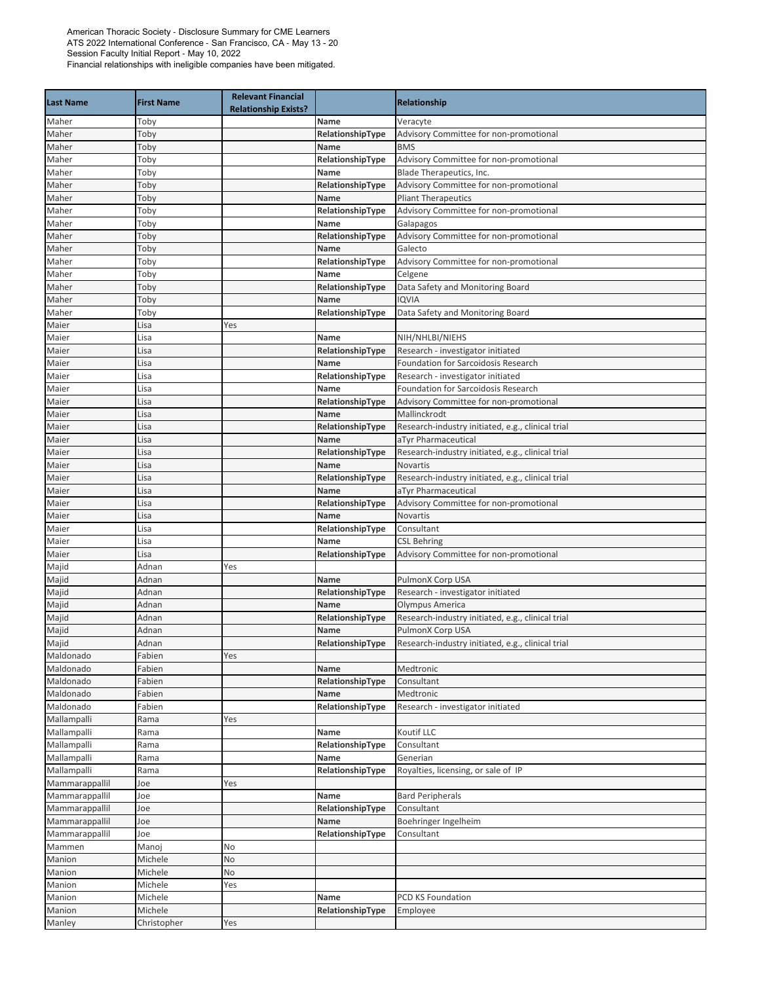| <b>Last Name</b> | <b>First Name</b> | <b>Relevant Financial</b><br><b>Relationship Exists?</b> |                  | Relationship                                      |
|------------------|-------------------|----------------------------------------------------------|------------------|---------------------------------------------------|
| Maher            | Toby              |                                                          | Name             | Veracyte                                          |
| Maher            | Toby              |                                                          | RelationshipType | Advisory Committee for non-promotional            |
| Maher            | Toby              |                                                          | <b>Name</b>      | <b>BMS</b>                                        |
| Maher            | Toby              |                                                          | RelationshipType | Advisory Committee for non-promotional            |
| Maher            | Toby              |                                                          | Name             | Blade Therapeutics, Inc.                          |
| Maher            | Toby              |                                                          | RelationshipType | Advisory Committee for non-promotional            |
| Maher            | Toby              |                                                          | Name             | <b>Pliant Therapeutics</b>                        |
| Maher            | Toby              |                                                          | RelationshipType | Advisory Committee for non-promotional            |
| Maher            | Toby              |                                                          | Name             | Galapagos                                         |
| Maher            | Toby              |                                                          | RelationshipType | Advisory Committee for non-promotional            |
| Maher            | Toby              |                                                          | Name             | Galecto                                           |
| Maher            | Toby              |                                                          | RelationshipType | Advisory Committee for non-promotional            |
| Maher            | Toby              |                                                          | Name             | Celgene                                           |
| Maher            | Toby              |                                                          | RelationshipType | Data Safety and Monitoring Board                  |
| Maher            | Toby              |                                                          | Name             | <b>IQVIA</b>                                      |
| Maher            | Toby              |                                                          | RelationshipType | Data Safety and Monitoring Board                  |
| Maier            | Lisa              | Yes                                                      |                  |                                                   |
| Maier            | Lisa              |                                                          | Name             | NIH/NHLBI/NIEHS                                   |
| Maier            | Lisa              |                                                          | RelationshipType | Research - investigator initiated                 |
| Maier            | Lisa              |                                                          | Name             | Foundation for Sarcoidosis Research               |
| Maier            | Lisa              |                                                          | RelationshipType | Research - investigator initiated                 |
| Maier            | Lisa              |                                                          | Name             | <b>Foundation for Sarcoidosis Research</b>        |
| Maier            | Lisa              |                                                          | RelationshipType | Advisory Committee for non-promotional            |
| Maier            | Lisa              |                                                          | Name             | Mallinckrodt                                      |
| Maier            | Lisa              |                                                          | RelationshipType | Research-industry initiated, e.g., clinical trial |
| Maier            | Lisa              |                                                          | Name             | aTyr Pharmaceutical                               |
| Maier            | Lisa              |                                                          | RelationshipType | Research-industry initiated, e.g., clinical trial |
| Maier            | Lisa              |                                                          | Name             | Novartis                                          |
| Maier            | Lisa              |                                                          | RelationshipType | Research-industry initiated, e.g., clinical trial |
| Maier            | Lisa              |                                                          | Name             | aTyr Pharmaceutical                               |
| Maier            | Lisa              |                                                          | RelationshipType | Advisory Committee for non-promotional            |
| Maier            | Lisa              |                                                          | Name             | Novartis                                          |
| Maier            | Lisa              |                                                          | RelationshipType | Consultant                                        |
| Maier            | Lisa              |                                                          | Name             | <b>CSL Behring</b>                                |
| Maier            | Lisa              |                                                          | RelationshipType | Advisory Committee for non-promotional            |
| Majid            | Adnan             | Yes                                                      |                  |                                                   |
| Majid            | Adnan             |                                                          | Name             | PulmonX Corp USA                                  |
| Majid            | Adnan             |                                                          | RelationshipType | Research - investigator initiated                 |
| Majid            | Adnan             |                                                          | Name             | Olympus America                                   |
| Majid            | Adnan             |                                                          | RelationshipType | Research-industry initiated, e.g., clinical trial |
| Majid            | Adnan             |                                                          | Name             | PulmonX Corp USA                                  |
| Majid            | Adnan             |                                                          | RelationshipType | Research-industry initiated, e.g., clinical trial |
| Maldonado        | Fabien            | Yes                                                      |                  |                                                   |
| Maldonado        | Fabien            |                                                          | Name             | Medtronic                                         |
| Maldonado        | Fabien            |                                                          | RelationshipType | Consultant                                        |
| Maldonado        | Fabien            |                                                          | Name             | Medtronic                                         |
| Maldonado        | Fabien            |                                                          | RelationshipType | Research - investigator initiated                 |
| Mallampalli      | Rama              | Yes                                                      |                  |                                                   |
| Mallampalli      | Rama              |                                                          | Name             | Koutif LLC                                        |
| Mallampalli      | Rama              |                                                          | RelationshipType | Consultant                                        |
| Mallampalli      | Rama              |                                                          | Name             | Generian                                          |
| Mallampalli      | Rama              |                                                          | RelationshipType | Royalties, licensing, or sale of IP               |
| Mammarappallil   | Joe               | Yes                                                      |                  |                                                   |
| Mammarappallil   | Joe               |                                                          | Name             | <b>Bard Peripherals</b>                           |
| Mammarappallil   | Joe               |                                                          | RelationshipType | Consultant                                        |
| Mammarappallil   | Joe               |                                                          | Name             | Boehringer Ingelheim                              |
| Mammarappallil   | Joe               |                                                          | RelationshipType | Consultant                                        |
| Mammen           | Manoj             | No                                                       |                  |                                                   |
| Manion           | Michele           | No                                                       |                  |                                                   |
| Manion           | Michele           | No                                                       |                  |                                                   |
| Manion           | Michele           | Yes                                                      |                  |                                                   |
| Manion           | Michele           |                                                          | Name             | PCD KS Foundation                                 |
| Manion           | Michele           |                                                          | RelationshipType | Employee                                          |
| Manley           | Christopher       | Yes                                                      |                  |                                                   |
|                  |                   |                                                          |                  |                                                   |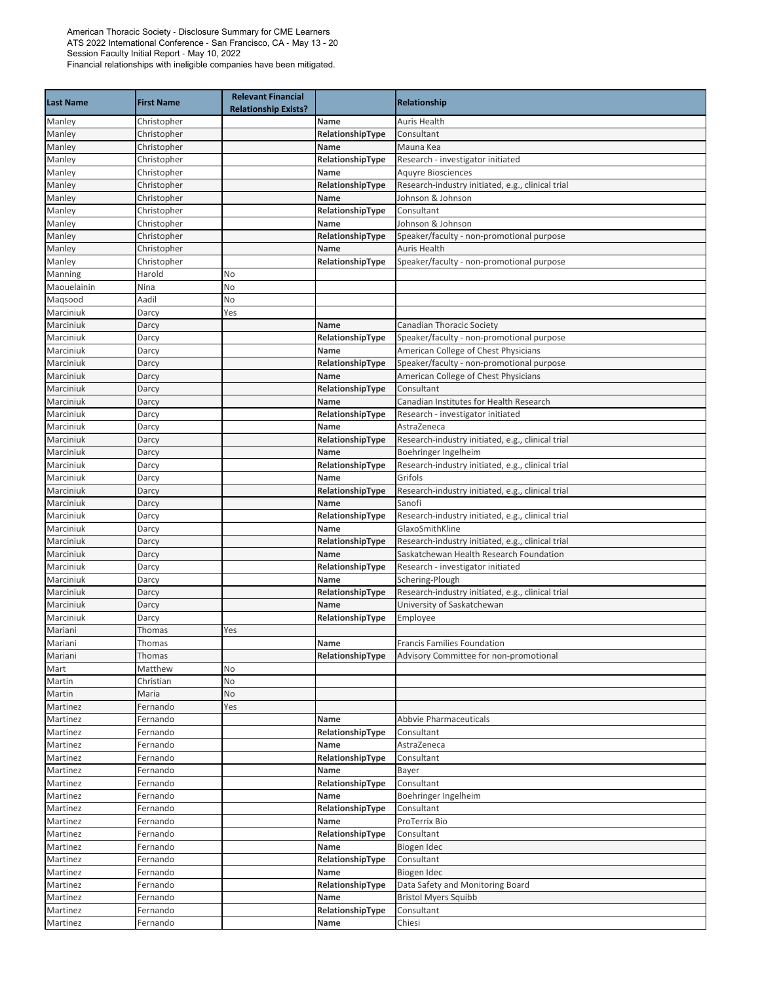| <b>Last Name</b>       | <b>First Name</b> | <b>Relevant Financial</b><br><b>Relationship Exists?</b> |                          | Relationship                                                 |
|------------------------|-------------------|----------------------------------------------------------|--------------------------|--------------------------------------------------------------|
| Manley                 | Christopher       |                                                          | Name                     | <b>Auris Health</b>                                          |
| Manley                 | Christopher       |                                                          | RelationshipType         | Consultant                                                   |
| Manley                 | Christopher       |                                                          | <b>Name</b>              | Mauna Kea                                                    |
| Manley                 | Christopher       |                                                          | RelationshipType         | Research - investigator initiated                            |
| Manley                 | Christopher       |                                                          | Name                     | <b>Aquyre Biosciences</b>                                    |
| Manley                 | Christopher       |                                                          | RelationshipType         | Research-industry initiated, e.g., clinical trial            |
| Manley                 | Christopher       |                                                          | Name                     | Johnson & Johnson                                            |
| Manley                 | Christopher       |                                                          | RelationshipType         | Consultant                                                   |
| Manley                 | Christopher       |                                                          | Name                     | Johnson & Johnson                                            |
| Manley                 | Christopher       |                                                          | RelationshipType         | Speaker/faculty - non-promotional purpose                    |
| Manley                 | Christopher       |                                                          | Name                     | <b>Auris Health</b>                                          |
| Manley                 | Christopher       |                                                          | RelationshipType         | Speaker/faculty - non-promotional purpose                    |
| Manning                | Harold            | No                                                       |                          |                                                              |
| Maouelainin            | Nina              | No                                                       |                          |                                                              |
| Maqsood                | Aadil             | No                                                       |                          |                                                              |
| Marciniuk              | Darcy             | Yes                                                      |                          |                                                              |
| Marciniuk              | Darcy             |                                                          | Name                     | <b>Canadian Thoracic Society</b>                             |
| Marciniuk              | Darcy             |                                                          | RelationshipType         | Speaker/faculty - non-promotional purpose                    |
| Marciniuk              | Darcy             |                                                          | Name                     | American College of Chest Physicians                         |
| Marciniuk              | Darcy             |                                                          | RelationshipType         | Speaker/faculty - non-promotional purpose                    |
| Marciniuk              | Darcy             |                                                          | Name                     | American College of Chest Physicians                         |
| Marciniuk              | Darcy             |                                                          | RelationshipType         | Consultant                                                   |
| Marciniuk              | Darcy             |                                                          | Name                     | Canadian Institutes for Health Research                      |
| Marciniuk              | Darcy             |                                                          | RelationshipType         | Research - investigator initiated                            |
| Marciniuk              | Darcy             |                                                          | Name                     | AstraZeneca                                                  |
| Marciniuk              | Darcy             |                                                          | RelationshipType         | Research-industry initiated, e.g., clinical trial            |
| Marciniuk              | Darcy             |                                                          | Name                     | Boehringer Ingelheim                                         |
| Marciniuk              | Darcy             |                                                          | RelationshipType<br>Name | Research-industry initiated, e.g., clinical trial<br>Grifols |
| Marciniuk<br>Marciniuk | Darcy             |                                                          | RelationshipType         |                                                              |
| Marciniuk              | Darcy<br>Darcy    |                                                          | Name                     | Research-industry initiated, e.g., clinical trial<br>Sanofi  |
| Marciniuk              | Darcy             |                                                          | RelationshipType         | Research-industry initiated, e.g., clinical trial            |
| Marciniuk              | Darcy             |                                                          | Name                     | GlaxoSmithKline                                              |
| Marciniuk              | Darcy             |                                                          | RelationshipType         | Research-industry initiated, e.g., clinical trial            |
| Marciniuk              | Darcy             |                                                          | Name                     | Saskatchewan Health Research Foundation                      |
| Marciniuk              | Darcy             |                                                          | RelationshipType         | Research - investigator initiated                            |
| Marciniuk              | Darcy             |                                                          | Name                     | Schering-Plough                                              |
| Marciniuk              | Darcy             |                                                          | RelationshipType         | Research-industry initiated, e.g., clinical trial            |
| Marciniuk              | Darcy             |                                                          | Name                     | University of Saskatchewan                                   |
| Marciniuk              | Darcy             |                                                          | RelationshipType         | Employee                                                     |
| Mariani                | Thomas            | Yes                                                      |                          |                                                              |
| Mariani                | Thomas            |                                                          | Name                     | Francis Families Foundation                                  |
| Mariani                | Thomas            |                                                          | RelationshipType         | Advisory Committee for non-promotional                       |
| Mart                   | Matthew           | No                                                       |                          |                                                              |
| Martin                 | Christian         | No                                                       |                          |                                                              |
| Martin                 | Maria             | No                                                       |                          |                                                              |
| Martinez               | Fernando          | Yes                                                      |                          |                                                              |
| Martinez               | Fernando          |                                                          | Name                     | Abbvie Pharmaceuticals                                       |
| Martinez               | Fernando          |                                                          | RelationshipType         | Consultant                                                   |
| Martinez               | Fernando          |                                                          | Name                     | AstraZeneca                                                  |
| Martinez               | Fernando          |                                                          | RelationshipType         | Consultant                                                   |
| Martinez               | Fernando          |                                                          | Name                     | Bayer                                                        |
| Martinez               | Fernando          |                                                          | RelationshipType         | Consultant                                                   |
| Martinez               | Fernando          |                                                          | Name                     | Boehringer Ingelheim                                         |
| Martinez               | Fernando          |                                                          | RelationshipType         | Consultant                                                   |
| Martinez               | Fernando          |                                                          | Name                     | ProTerrix Bio                                                |
| Martinez               | Fernando          |                                                          | RelationshipType         | Consultant                                                   |
| Martinez               | Fernando          |                                                          | Name                     | Biogen Idec                                                  |
| Martinez               | Fernando          |                                                          | RelationshipType         | Consultant                                                   |
| Martinez               | Fernando          |                                                          | Name                     | Biogen Idec                                                  |
| Martinez               | Fernando          |                                                          | RelationshipType         | Data Safety and Monitoring Board                             |
| Martinez               | Fernando          |                                                          | Name                     | <b>Bristol Myers Squibb</b>                                  |
| Martinez               | Fernando          |                                                          | RelationshipType         | Consultant                                                   |
| Martinez               | Fernando          |                                                          | Name                     | Chiesi                                                       |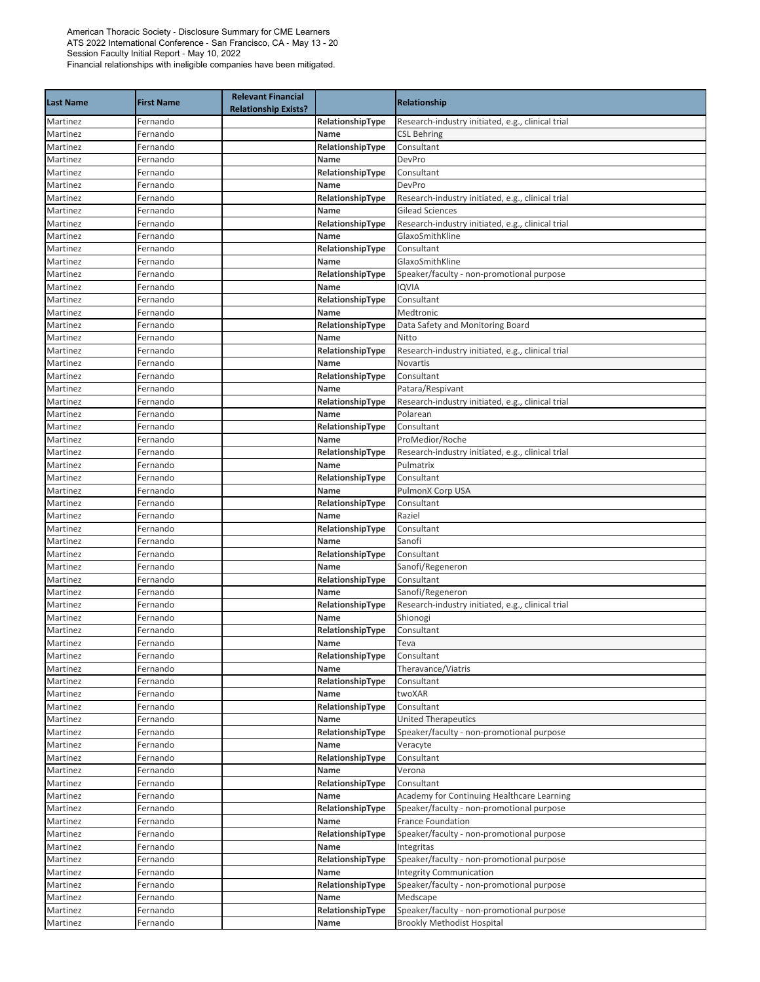| <b>Last Name</b>     | <b>First Name</b>    | <b>Relevant Financial</b><br><b>Relationship Exists?</b> |                          | <b>Relationship</b>                               |
|----------------------|----------------------|----------------------------------------------------------|--------------------------|---------------------------------------------------|
| Martinez             | Fernando             |                                                          | RelationshipType         | Research-industry initiated, e.g., clinical trial |
| Martinez             | Fernando             |                                                          | Name                     | <b>CSL Behring</b>                                |
| Martinez             | Fernando             |                                                          | RelationshipType         | Consultant                                        |
| Martinez             | Fernando             |                                                          | Name                     | DevPro                                            |
| Martinez             | Fernando             |                                                          | RelationshipType         | Consultant                                        |
| Martinez             | Fernando             |                                                          | Name                     | DevPro                                            |
| Martinez             | Fernando             |                                                          | RelationshipType         | Research-industry initiated, e.g., clinical trial |
| Martinez             | Fernando             |                                                          | Name                     | <b>Gilead Sciences</b>                            |
| Martinez             | Fernando             |                                                          | RelationshipType         | Research-industry initiated, e.g., clinical trial |
| Martinez             | Fernando             |                                                          | Name                     | GlaxoSmithKline                                   |
| Martinez             | Fernando             |                                                          | RelationshipType         | Consultant                                        |
| Martinez             | Fernando             |                                                          | Name                     | GlaxoSmithKline                                   |
| Martinez             | Fernando             |                                                          | RelationshipType         | Speaker/faculty - non-promotional purpose         |
| Martinez             | Fernando             |                                                          | Name                     | <b>IQVIA</b>                                      |
| Martinez             | Fernando             |                                                          | RelationshipType         | Consultant                                        |
| Martinez             | Fernando             |                                                          | Name                     | Medtronic                                         |
| Martinez             | Fernando             |                                                          | RelationshipType         | Data Safety and Monitoring Board                  |
| Martinez             | Fernando             |                                                          | Name                     | Nitto                                             |
| Martinez             | Fernando             |                                                          | RelationshipType         | Research-industry initiated, e.g., clinical trial |
| Martinez             | Fernando             |                                                          | Name                     | Novartis                                          |
| Martinez             | Fernando             |                                                          | RelationshipType         | Consultant                                        |
| Martinez             | Fernando             |                                                          | Name                     | Patara/Respivant                                  |
| Martinez             | Fernando             |                                                          | RelationshipType         | Research-industry initiated, e.g., clinical trial |
| Martinez             | Fernando             |                                                          | Name                     | Polarean                                          |
| Martinez             | Fernando             |                                                          | RelationshipType         | Consultant                                        |
| Martinez             | Fernando             |                                                          | Name                     | ProMedior/Roche                                   |
| Martinez             | Fernando             |                                                          | RelationshipType         | Research-industry initiated, e.g., clinical trial |
| Martinez             | Fernando             |                                                          | Name                     | Pulmatrix                                         |
| Martinez             | Fernando             |                                                          | RelationshipType         | Consultant                                        |
| Martinez             | Fernando             |                                                          | Name                     | PulmonX Corp USA                                  |
| Martinez             | Fernando             |                                                          | RelationshipType         | Consultant                                        |
| Martinez             | Fernando             |                                                          | Name                     | Raziel                                            |
| Martinez             | Fernando             |                                                          | RelationshipType         | Consultant                                        |
| Martinez             | Fernando             |                                                          | Name                     | Sanofi                                            |
| Martinez             | Fernando             |                                                          | RelationshipType         | Consultant                                        |
| Martinez<br>Martinez | Fernando<br>Fernando |                                                          | Name                     | Sanofi/Regeneron<br>Consultant                    |
|                      | Fernando             |                                                          | RelationshipType<br>Name | Sanofi/Regeneron                                  |
| Martinez<br>Martinez | Fernando             |                                                          | RelationshipType         | Research-industry initiated, e.g., clinical trial |
| Martinez             | Fernando             |                                                          | Name                     | Shionogi                                          |
| Martinez             | Fernando             |                                                          | RelationshipType         | Consultant                                        |
| Martinez             | Fernando             |                                                          | Name                     | Teva                                              |
| Martinez             | Fernando             |                                                          | RelationshipType         | Consultant                                        |
| Martinez             | Fernando             |                                                          | Name                     | Theravance/Viatris                                |
| Martinez             | Fernando             |                                                          | RelationshipType         | Consultant                                        |
| Martinez             | Fernando             |                                                          | Name                     | twoXAR                                            |
| Martinez             | Fernando             |                                                          | RelationshipType         | Consultant                                        |
| Martinez             | Fernando             |                                                          | Name                     | <b>United Therapeutics</b>                        |
| Martinez             | Fernando             |                                                          | RelationshipType         | Speaker/faculty - non-promotional purpose         |
| Martinez             | Fernando             |                                                          | Name                     | Veracyte                                          |
| Martinez             | Fernando             |                                                          | RelationshipType         | Consultant                                        |
| Martinez             | Fernando             |                                                          | Name                     | Verona                                            |
| Martinez             | Fernando             |                                                          | RelationshipType         | Consultant                                        |
| Martinez             | Fernando             |                                                          | Name                     | Academy for Continuing Healthcare Learning        |
| Martinez             | Fernando             |                                                          | RelationshipType         | Speaker/faculty - non-promotional purpose         |
| Martinez             | Fernando             |                                                          | Name                     | <b>France Foundation</b>                          |
| Martinez             | Fernando             |                                                          | RelationshipType         | Speaker/faculty - non-promotional purpose         |
| Martinez             | Fernando             |                                                          | Name                     | Integritas                                        |
| Martinez             | Fernando             |                                                          | RelationshipType         | Speaker/faculty - non-promotional purpose         |
| Martinez             | Fernando             |                                                          | Name                     | <b>Integrity Communication</b>                    |
| Martinez             | Fernando             |                                                          | RelationshipType         | Speaker/faculty - non-promotional purpose         |
| Martinez             | Fernando             |                                                          | Name                     | Medscape                                          |
| Martinez             | Fernando             |                                                          | RelationshipType         | Speaker/faculty - non-promotional purpose         |
| Martinez             | Fernando             |                                                          | Name                     | <b>Brookly Methodist Hospital</b>                 |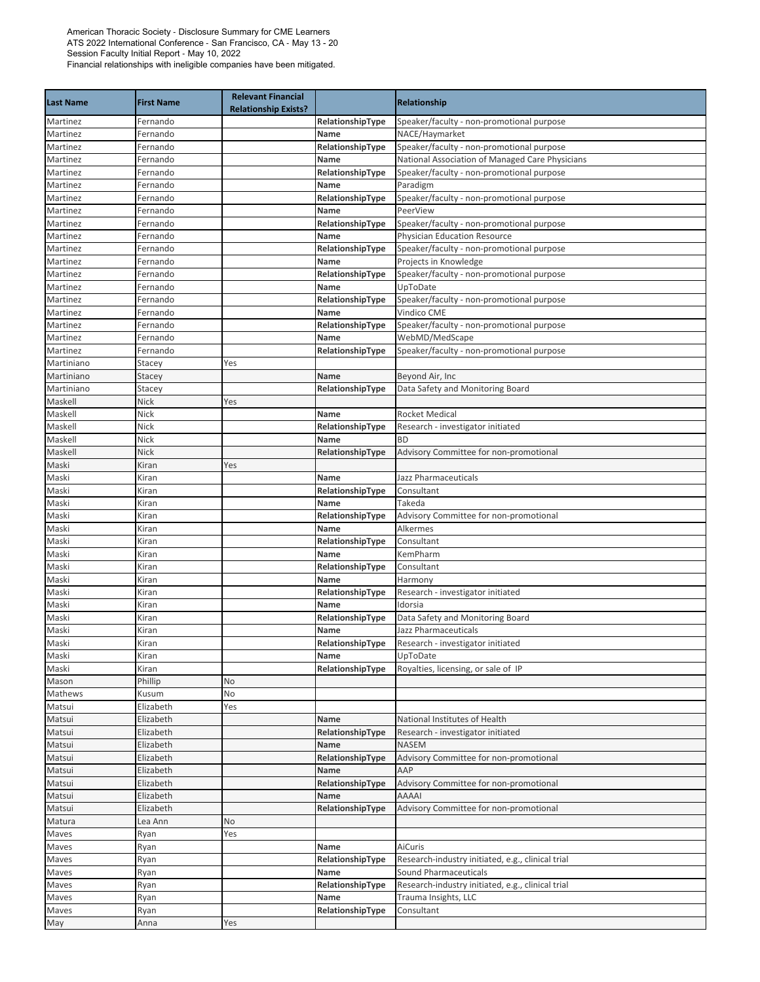| <b>Last Name</b>     | <b>First Name</b>    | <b>Relevant Financial</b><br><b>Relationship Exists?</b> |                          | Relationship                                                              |
|----------------------|----------------------|----------------------------------------------------------|--------------------------|---------------------------------------------------------------------------|
| Martinez             | Fernando             |                                                          | RelationshipType         | Speaker/faculty - non-promotional purpose                                 |
| Martinez             | Fernando             |                                                          | Name                     | NACE/Haymarket                                                            |
| Martinez             | Fernando             |                                                          | RelationshipType         | Speaker/faculty - non-promotional purpose                                 |
| Martinez             | Fernando             |                                                          | Name                     | National Association of Managed Care Physicians                           |
| Martinez             | Fernando             |                                                          | RelationshipType         | Speaker/faculty - non-promotional purpose                                 |
| Martinez             | Fernando             |                                                          | Name                     | Paradigm                                                                  |
| Martinez             | Fernando             |                                                          | RelationshipType         | Speaker/faculty - non-promotional purpose                                 |
| Martinez             | Fernando             |                                                          | Name<br>RelationshipType | PeerView                                                                  |
| Martinez<br>Martinez | Fernando<br>Fernando |                                                          | Name                     | Speaker/faculty - non-promotional purpose<br>Physician Education Resource |
| Martinez             | Fernando             |                                                          | RelationshipType         | Speaker/faculty - non-promotional purpose                                 |
| Martinez             | Fernando             |                                                          | Name                     | Projects in Knowledge                                                     |
| Martinez             | Fernando             |                                                          | RelationshipType         | Speaker/faculty - non-promotional purpose                                 |
| Martinez             | Fernando             |                                                          | Name                     | UpToDate                                                                  |
| Martinez             | Fernando             |                                                          | RelationshipType         | Speaker/faculty - non-promotional purpose                                 |
| Martinez             | Fernando             |                                                          | Name                     | Vindico CME                                                               |
| Martinez             | Fernando             |                                                          | RelationshipType         | Speaker/faculty - non-promotional purpose                                 |
| Martinez             | Fernando             |                                                          | Name                     | WebMD/MedScape                                                            |
| Martinez             | Fernando             |                                                          | RelationshipType         | Speaker/faculty - non-promotional purpose                                 |
| Martiniano           | Stacey               | Yes                                                      |                          |                                                                           |
| Martiniano           | Stacey               |                                                          | Name                     | Beyond Air, Inc                                                           |
| Martiniano           | Stacey               |                                                          | RelationshipType         | Data Safety and Monitoring Board                                          |
| Maskell              | Nick                 | Yes                                                      |                          |                                                                           |
| Maskell              | Nick                 |                                                          | Name                     | <b>Rocket Medical</b>                                                     |
| Maskell              | Nick                 |                                                          | RelationshipType         | Research - investigator initiated                                         |
| Maskell              | Nick                 |                                                          | Name                     | <b>BD</b>                                                                 |
| Maskell              | Nick                 |                                                          | RelationshipType         | Advisory Committee for non-promotional                                    |
| Maski                | Kiran                | Yes                                                      |                          |                                                                           |
| Maski                | Kiran                |                                                          | Name                     | Jazz Pharmaceuticals                                                      |
| Maski                | Kiran                |                                                          | RelationshipType         | Consultant                                                                |
| Maski                | Kiran                |                                                          | Name                     | Takeda                                                                    |
| Maski                | Kiran                |                                                          | RelationshipType         | Advisory Committee for non-promotional                                    |
| Maski                | Kiran                |                                                          | Name                     | <b>Alkermes</b>                                                           |
| Maski<br>Maski       | Kiran<br>Kiran       |                                                          | RelationshipType<br>Name | Consultant<br>KemPharm                                                    |
| Maski                | Kiran                |                                                          | RelationshipType         | Consultant                                                                |
| Maski                | Kiran                |                                                          | Name                     | Harmony                                                                   |
| Maski                | Kiran                |                                                          | RelationshipType         | Research - investigator initiated                                         |
| Maski                | Kiran                |                                                          | Name                     | Idorsia                                                                   |
| Maski                | Kiran                |                                                          | RelationshipType         | Data Safety and Monitoring Board                                          |
| Maski                | Kiran                |                                                          | Name                     | Jazz Pharmaceuticals                                                      |
| Maski                | Kiran                |                                                          | RelationshipType         | Research - investigator initiated                                         |
| Maski                | Kiran                |                                                          | Name                     | UpToDate                                                                  |
| Maski                | Kiran                |                                                          | RelationshipType         | Royalties, licensing, or sale of IP                                       |
| Mason                | Phillip              | No                                                       |                          |                                                                           |
| Mathews              | Kusum                | No                                                       |                          |                                                                           |
| Matsui               | Elizabeth            | Yes                                                      |                          |                                                                           |
| Matsui               | Elizabeth            |                                                          | Name                     | National Institutes of Health                                             |
| Matsui               | Elizabeth            |                                                          | RelationshipType         | Research - investigator initiated                                         |
| Matsui               | Elizabeth            |                                                          | Name                     | <b>NASEM</b>                                                              |
| Matsui               | Elizabeth            |                                                          | RelationshipType         | Advisory Committee for non-promotional                                    |
| Matsui               | Elizabeth            |                                                          | Name                     | AAP                                                                       |
| Matsui               | Elizabeth            |                                                          | RelationshipType         | Advisory Committee for non-promotional                                    |
| Matsui               | Elizabeth            |                                                          | Name                     | AAAAI                                                                     |
| Matsui               | Elizabeth            |                                                          | RelationshipType         | Advisory Committee for non-promotional                                    |
| Matura               | Lea Ann              | No                                                       |                          |                                                                           |
| Maves                | Ryan                 | Yes                                                      |                          |                                                                           |
| Maves                | Ryan                 |                                                          | Name                     | AiCuris                                                                   |
| Maves                | Ryan                 |                                                          | RelationshipType         | Research-industry initiated, e.g., clinical trial                         |
| Maves                | Ryan                 |                                                          | Name                     | Sound Pharmaceuticals                                                     |
| Maves                | Ryan                 |                                                          | RelationshipType         | Research-industry initiated, e.g., clinical trial                         |
| Maves                | Ryan                 |                                                          | Name                     | Trauma Insights, LLC                                                      |
| Maves                | Ryan                 |                                                          | RelationshipType         | Consultant                                                                |
| May                  | Anna                 | Yes                                                      |                          |                                                                           |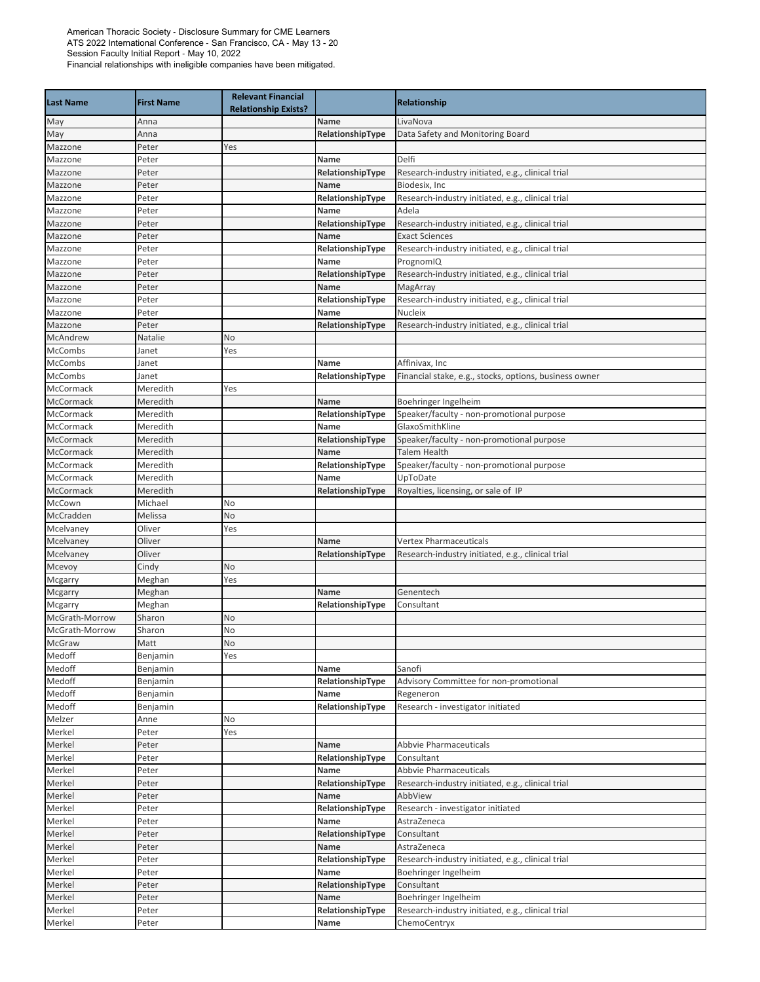| <b>Last Name</b>                 | <b>First Name</b> | <b>Relevant Financial</b><br><b>Relationship Exists?</b> |                          | Relationship                                                  |
|----------------------------------|-------------------|----------------------------------------------------------|--------------------------|---------------------------------------------------------------|
| May                              | Anna              |                                                          | Name                     | LivaNova                                                      |
| May                              | Anna              |                                                          | RelationshipType         | Data Safety and Monitoring Board                              |
| Mazzone                          | Peter             | Yes                                                      |                          |                                                               |
| Mazzone                          | Peter             |                                                          | Name                     | Delfi                                                         |
| Mazzone                          | Peter             |                                                          | RelationshipType         | Research-industry initiated, e.g., clinical trial             |
| Mazzone                          | Peter             |                                                          | Name                     | Biodesix, Inc                                                 |
| Mazzone                          | Peter             |                                                          | RelationshipType         | Research-industry initiated, e.g., clinical trial             |
| Mazzone                          | Peter             |                                                          | Name                     | Adela                                                         |
| Mazzone                          | Peter             |                                                          | RelationshipType         | Research-industry initiated, e.g., clinical trial             |
| Mazzone                          | Peter             |                                                          | Name                     | <b>Exact Sciences</b>                                         |
| Mazzone                          | Peter             |                                                          | RelationshipType         | Research-industry initiated, e.g., clinical trial             |
| Mazzone                          | Peter             |                                                          | Name                     | PrognomIQ                                                     |
| Mazzone                          | Peter             |                                                          | RelationshipType         | Research-industry initiated, e.g., clinical trial             |
| Mazzone<br>Mazzone               | Peter             |                                                          | Name                     | MagArray<br>Research-industry initiated, e.g., clinical trial |
| Mazzone                          | Peter<br>Peter    |                                                          | RelationshipType<br>Name | Nucleix                                                       |
| Mazzone                          | Peter             |                                                          | RelationshipType         | Research-industry initiated, e.g., clinical trial             |
| McAndrew                         | Natalie           | No                                                       |                          |                                                               |
| McCombs                          | Janet             | Yes                                                      |                          |                                                               |
| McCombs                          | Janet             |                                                          | Name                     | Affinivax, Inc                                                |
| <b>McCombs</b>                   | Janet             |                                                          | RelationshipType         | Financial stake, e.g., stocks, options, business owner        |
| McCormack                        | Meredith          | Yes                                                      |                          |                                                               |
| McCormack                        | Meredith          |                                                          | Name                     | Boehringer Ingelheim                                          |
| McCormack                        | Meredith          |                                                          | RelationshipType         | Speaker/faculty - non-promotional purpose                     |
| McCormack                        | Meredith          |                                                          | Name                     | GlaxoSmithKline                                               |
| McCormack                        | Meredith          |                                                          | RelationshipType         | Speaker/faculty - non-promotional purpose                     |
| McCormack                        | Meredith          |                                                          | Name                     | <b>Talem Health</b>                                           |
| McCormack                        | Meredith          |                                                          | RelationshipType         | Speaker/faculty - non-promotional purpose                     |
| McCormack                        | Meredith          |                                                          | Name                     | UpToDate                                                      |
| McCormack                        | Meredith          |                                                          | RelationshipType         | Royalties, licensing, or sale of IP                           |
| McCown                           | Michael           | No                                                       |                          |                                                               |
| McCradden                        | Melissa           | No                                                       |                          |                                                               |
| Mcelvaney                        | Oliver            | Yes                                                      |                          |                                                               |
| Mcelvaney                        | Oliver            |                                                          | <b>Name</b>              | <b>Vertex Pharmaceuticals</b>                                 |
| Mcelvaney                        | Oliver            |                                                          | RelationshipType         | Research-industry initiated, e.g., clinical trial             |
| Mcevoy                           | Cindy             | No                                                       |                          |                                                               |
| Mcgarry                          | Meghan            | Yes                                                      |                          |                                                               |
| Mcgarry                          | Meghan            |                                                          | Name                     | Genentech                                                     |
| Mcgarry                          | Meghan            |                                                          | RelationshipType         | Consultant                                                    |
| McGrath-Morrow<br>McGrath-Morrow | Sharon            | No                                                       |                          |                                                               |
| McGraw                           | Sharon<br>Matt    | No<br><b>No</b>                                          |                          |                                                               |
| Medoff                           | Benjamin          | Yes                                                      |                          |                                                               |
| Medoff                           | Benjamin          |                                                          | Name                     | Sanofi                                                        |
| Medoff                           | Benjamin          |                                                          | RelationshipType         | Advisory Committee for non-promotional                        |
| Medoff                           | Benjamin          |                                                          | Name                     | Regeneron                                                     |
| Medoff                           | Benjamin          |                                                          | RelationshipType         | Research - investigator initiated                             |
| Melzer                           | Anne              | No                                                       |                          |                                                               |
| Merkel                           | Peter             | Yes                                                      |                          |                                                               |
| Merkel                           | Peter             |                                                          | Name                     | <b>Abbyie Pharmaceuticals</b>                                 |
| Merkel                           | Peter             |                                                          | RelationshipType         | Consultant                                                    |
| Merkel                           | Peter             |                                                          | Name                     | Abbvie Pharmaceuticals                                        |
| Merkel                           | Peter             |                                                          | RelationshipType         | Research-industry initiated, e.g., clinical trial             |
| Merkel                           | Peter             |                                                          | Name                     | AbbView                                                       |
| Merkel                           | Peter             |                                                          | RelationshipType         | Research - investigator initiated                             |
| Merkel                           | Peter             |                                                          | Name                     | AstraZeneca                                                   |
| Merkel                           | Peter             |                                                          | RelationshipType         | Consultant                                                    |
| Merkel                           | Peter             |                                                          | Name                     | AstraZeneca                                                   |
| Merkel                           | Peter             |                                                          | RelationshipType         | Research-industry initiated, e.g., clinical trial             |
| Merkel                           | Peter             |                                                          | Name                     | Boehringer Ingelheim                                          |
| Merkel                           | Peter             |                                                          | RelationshipType         | Consultant                                                    |
| Merkel                           | Peter             |                                                          | Name                     | Boehringer Ingelheim                                          |
| Merkel                           | Peter             |                                                          | RelationshipType         | Research-industry initiated, e.g., clinical trial             |
| Merkel                           | Peter             |                                                          | Name                     | ChemoCentryx                                                  |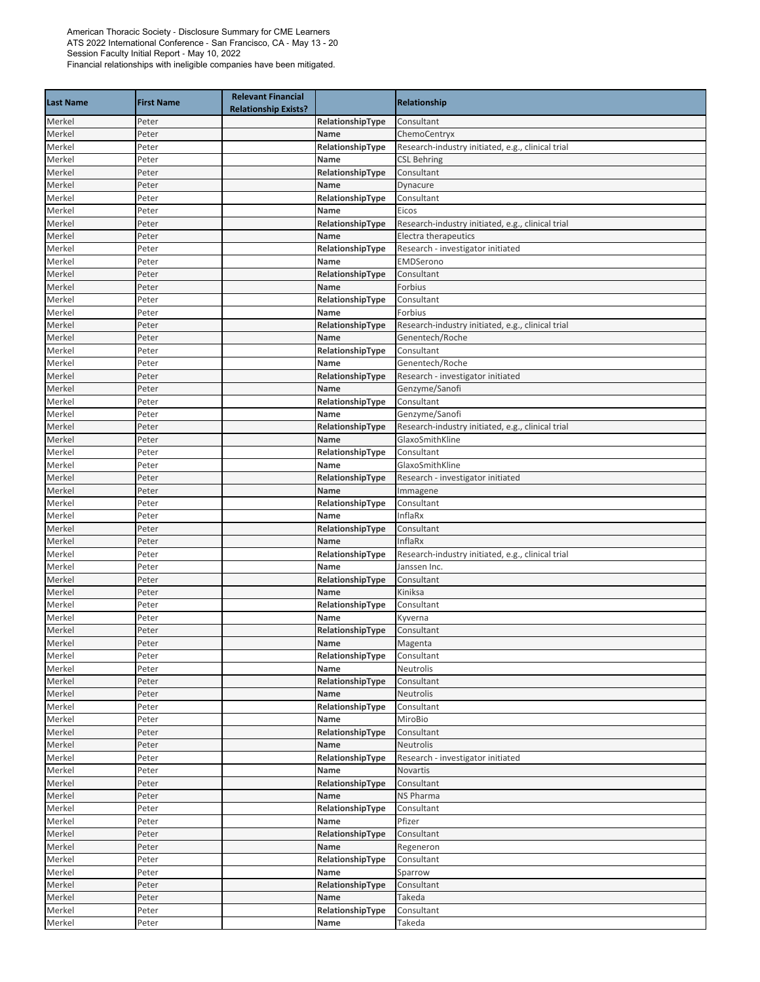| <b>Last Name</b> | <b>First Name</b> | <b>Relevant Financial</b><br><b>Relationship Exists?</b> |                  | Relationship                                      |
|------------------|-------------------|----------------------------------------------------------|------------------|---------------------------------------------------|
| Merkel           | Peter             |                                                          | RelationshipType | Consultant                                        |
| Merkel           | Peter             |                                                          | Name             | ChemoCentryx                                      |
| Merkel           | Peter             |                                                          | RelationshipType | Research-industry initiated, e.g., clinical trial |
| Merkel           | Peter             |                                                          | Name             | <b>CSL Behring</b>                                |
| Merkel           | Peter             |                                                          | RelationshipType | Consultant                                        |
| Merkel           | Peter             |                                                          | Name             | Dynacure                                          |
| Merkel           | Peter             |                                                          | RelationshipType | Consultant                                        |
| Merkel           | Peter             |                                                          | Name             | Eicos                                             |
| Merkel           | Peter             |                                                          | RelationshipType | Research-industry initiated, e.g., clinical trial |
| Merkel           | Peter             |                                                          | Name             | Electra therapeutics                              |
| Merkel           | Peter             |                                                          | RelationshipType | Research - investigator initiated                 |
| Merkel           | Peter             |                                                          | Name             | EMDSerono                                         |
| Merkel           | Peter             |                                                          | RelationshipType | Consultant                                        |
| Merkel           | Peter             |                                                          | Name             | Forbius                                           |
| Merkel           | Peter             |                                                          | RelationshipType | Consultant                                        |
| Merkel           | Peter             |                                                          | Name             | Forbius                                           |
| Merkel           | Peter             |                                                          | RelationshipType | Research-industry initiated, e.g., clinical trial |
| Merkel           | Peter             |                                                          | Name             | Genentech/Roche                                   |
| Merkel           | Peter             |                                                          | RelationshipType | Consultant                                        |
| Merkel           | Peter             |                                                          | Name             | Genentech/Roche                                   |
| Merkel           | Peter             |                                                          | RelationshipType | Research - investigator initiated                 |
| Merkel           | Peter             |                                                          | Name             | Genzyme/Sanofi                                    |
| Merkel           | Peter             |                                                          | RelationshipType | Consultant                                        |
| Merkel           | Peter             |                                                          | Name             | Genzyme/Sanofi                                    |
| Merkel           | Peter             |                                                          | RelationshipType | Research-industry initiated, e.g., clinical trial |
| Merkel           | Peter             |                                                          | Name             | GlaxoSmithKline                                   |
| Merkel           | Peter             |                                                          | RelationshipType | Consultant                                        |
| Merkel           | Peter             |                                                          | Name             | GlaxoSmithKline                                   |
| Merkel           | Peter             |                                                          | RelationshipType | Research - investigator initiated                 |
| Merkel           | Peter             |                                                          | Name             | Immagene                                          |
| Merkel           | Peter             |                                                          | RelationshipType | Consultant                                        |
| Merkel           | Peter             |                                                          | Name             | InflaRx                                           |
| Merkel           | Peter             |                                                          | RelationshipType | Consultant                                        |
| Merkel           | Peter             |                                                          | Name             | InflaRx                                           |
| Merkel           | Peter             |                                                          | RelationshipType | Research-industry initiated, e.g., clinical trial |
| Merkel           | Peter             |                                                          | Name             | Janssen Inc.                                      |
| Merkel           | Peter             |                                                          | RelationshipType | Consultant                                        |
| Merkel           | Peter             |                                                          | Name             | Kiniksa                                           |
| Merkel           | Peter             |                                                          | RelationshipType | Consultant                                        |
| Merkel           | Peter             |                                                          | Name             | Kyverna                                           |
| Merkel           | Peter             |                                                          | RelationshipType | Consultant                                        |
| Merkel           | Peter             |                                                          | Name             | Magenta                                           |
| Merkel           | Peter             |                                                          | RelationshipType | Consultant                                        |
| Merkel           | Peter             |                                                          | Name             | Neutrolis                                         |
| Merkel           | Peter             |                                                          | RelationshipType | Consultant                                        |
| Merkel           | Peter             |                                                          | Name             | Neutrolis                                         |
| Merkel           | Peter             |                                                          | RelationshipType | Consultant                                        |
| Merkel           | Peter             |                                                          | Name             | MiroBio                                           |
| Merkel           | Peter             |                                                          | RelationshipType | Consultant                                        |
| Merkel           | Peter             |                                                          | Name             | Neutrolis                                         |
| Merkel           | Peter             |                                                          | RelationshipType | Research - investigator initiated                 |
| Merkel           | Peter             |                                                          | Name             | Novartis                                          |
| Merkel           | Peter             |                                                          | RelationshipType | Consultant                                        |
| Merkel           | Peter             |                                                          | Name             | NS Pharma                                         |
| Merkel           | Peter             |                                                          | RelationshipType | Consultant                                        |
| Merkel           | Peter             |                                                          | Name             | Pfizer                                            |
| Merkel           | Peter             |                                                          | RelationshipType | Consultant                                        |
| Merkel           | Peter             |                                                          | Name             | Regeneron                                         |
| Merkel           | Peter             |                                                          | RelationshipType | Consultant                                        |
| Merkel           | Peter             |                                                          | Name             | Sparrow                                           |
| Merkel           | Peter             |                                                          | RelationshipType | Consultant                                        |
| Merkel           | Peter             |                                                          | Name             | Takeda                                            |
| Merkel           | Peter             |                                                          | RelationshipType | Consultant                                        |
| Merkel           | Peter             |                                                          | Name             | Takeda                                            |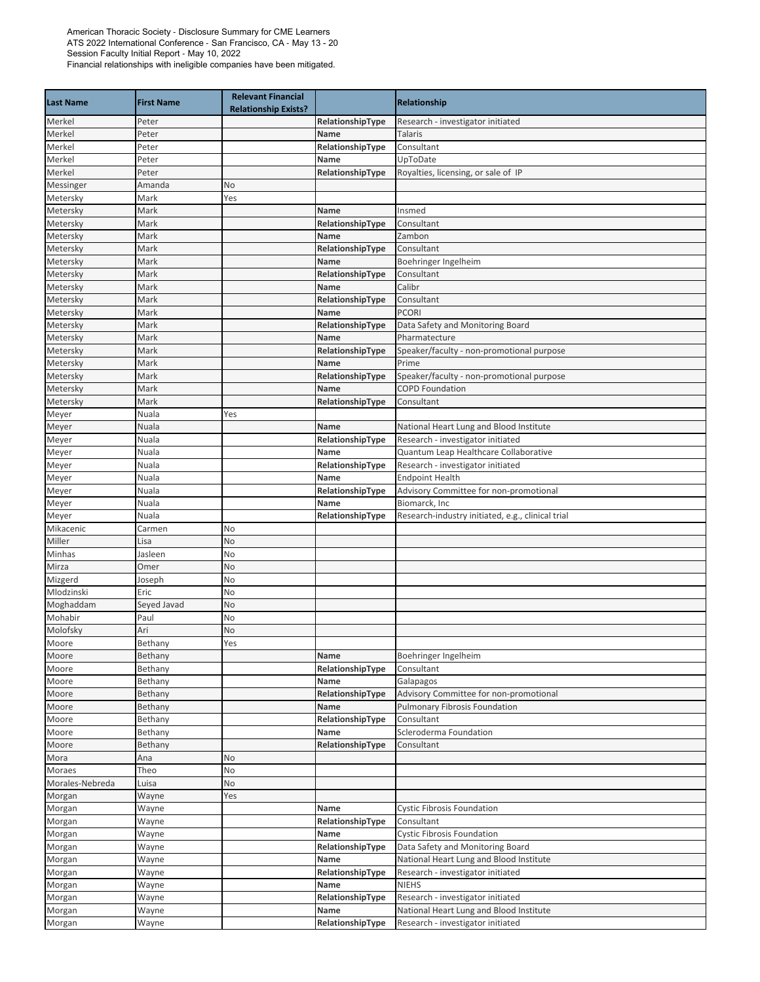| <b>Last Name</b> | <b>First Name</b> | <b>Relevant Financial</b><br><b>Relationship Exists?</b> |                          | <b>Relationship</b>                               |
|------------------|-------------------|----------------------------------------------------------|--------------------------|---------------------------------------------------|
| Merkel           | Peter             |                                                          | RelationshipType         | Research - investigator initiated                 |
| Merkel           | Peter             |                                                          | Name                     | <b>Talaris</b>                                    |
| Merkel           | Peter             |                                                          | RelationshipType         | Consultant                                        |
| Merkel           | Peter             |                                                          | Name                     | UpToDate                                          |
| Merkel           | Peter             |                                                          | RelationshipType         | Royalties, licensing, or sale of IP               |
| Messinger        | Amanda            | No                                                       |                          |                                                   |
| Metersky         | Mark              | Yes                                                      |                          |                                                   |
| Metersky         | Mark              |                                                          | Name                     | Insmed                                            |
| Metersky         | Mark              |                                                          | RelationshipType         | Consultant                                        |
| Metersky         | Mark              |                                                          | <b>Name</b>              | Zambon                                            |
| Metersky         | Mark              |                                                          | RelationshipType         | Consultant                                        |
| Metersky         | Mark              |                                                          | Name                     | Boehringer Ingelheim                              |
| Metersky         | Mark              |                                                          | RelationshipType         | Consultant                                        |
| Metersky         | Mark              |                                                          | Name                     | Calibr                                            |
| Metersky         | Mark              |                                                          | RelationshipType         | Consultant                                        |
| Metersky         | Mark              |                                                          | Name                     | <b>PCORI</b>                                      |
| Metersky         | Mark              |                                                          | RelationshipType         | Data Safety and Monitoring Board                  |
| Metersky         | Mark              |                                                          | Name                     | Pharmatecture                                     |
| Metersky         | Mark              |                                                          | RelationshipType         | Speaker/faculty - non-promotional purpose         |
| Metersky         | Mark              |                                                          | Name                     | Prime                                             |
| Metersky         | Mark              |                                                          | RelationshipType         | Speaker/faculty - non-promotional purpose         |
| Metersky         | Mark              |                                                          | Name                     | <b>COPD Foundation</b>                            |
| Metersky         | Mark              |                                                          | RelationshipType         | Consultant                                        |
| Meyer            | Nuala             | Yes                                                      |                          |                                                   |
| Meyer            | Nuala             |                                                          | Name                     | National Heart Lung and Blood Institute           |
| Meyer            | Nuala             |                                                          | RelationshipType         | Research - investigator initiated                 |
| Meyer            | Nuala             |                                                          | Name                     | Quantum Leap Healthcare Collaborative             |
| Meyer            | Nuala             |                                                          | RelationshipType         | Research - investigator initiated                 |
| Meyer            | Nuala             |                                                          | Name                     | <b>Endpoint Health</b>                            |
| Meyer            | Nuala             |                                                          | RelationshipType         | Advisory Committee for non-promotional            |
| Meyer            | Nuala             |                                                          | Name                     | Biomarck, Inc                                     |
| Meyer            | Nuala             |                                                          | RelationshipType         | Research-industry initiated, e.g., clinical trial |
| Mikacenic        | Carmen            | No                                                       |                          |                                                   |
| Miller           | Lisa              | No                                                       |                          |                                                   |
| Minhas           | Jasleen           | No                                                       |                          |                                                   |
| Mirza            | Omer              | No                                                       |                          |                                                   |
| Mizgerd          | Joseph            | No                                                       |                          |                                                   |
| Mlodzinski       | Eric              | No                                                       |                          |                                                   |
| Moghaddam        | Seyed Javad       | No                                                       |                          |                                                   |
| Mohabir          | Paul              | No                                                       |                          |                                                   |
| Molofsky         | Ari               | No                                                       |                          |                                                   |
| Moore            | Bethany           | Yes                                                      |                          |                                                   |
| Moore            | Bethany           |                                                          | Name                     | Boehringer Ingelheim                              |
| Moore            | Bethany           |                                                          | RelationshipType         | Consultant                                        |
| Moore            | Bethany           |                                                          | Name                     | Galapagos                                         |
|                  |                   |                                                          |                          | Advisory Committee for non-promotional            |
| Moore            | Bethany           |                                                          | RelationshipType         | Pulmonary Fibrosis Foundation                     |
| Moore<br>Moore   | Bethany           |                                                          | Name                     | Consultant                                        |
|                  | Bethany           |                                                          | RelationshipType<br>Name | Scleroderma Foundation                            |
| Moore<br>Moore   | Bethany           |                                                          |                          | Consultant                                        |
| Mora             | Bethany<br>Ana    |                                                          | RelationshipType         |                                                   |
|                  |                   | No                                                       |                          |                                                   |
| Moraes           | Theo              | No                                                       |                          |                                                   |
| Morales-Nebreda  | Luisa             | No                                                       |                          |                                                   |
| Morgan           | Wayne             | Yes                                                      |                          |                                                   |
| Morgan           | Wayne             |                                                          | Name                     | <b>Cystic Fibrosis Foundation</b>                 |
| Morgan           | Wayne             |                                                          | RelationshipType         | Consultant                                        |
| Morgan           | Wayne             |                                                          | Name                     | <b>Cystic Fibrosis Foundation</b>                 |
| Morgan           | Wayne             |                                                          | RelationshipType         | Data Safety and Monitoring Board                  |
| Morgan           | Wayne             |                                                          | Name                     | National Heart Lung and Blood Institute           |
| Morgan           | Wayne             |                                                          | RelationshipType         | Research - investigator initiated                 |
| Morgan           | Wayne             |                                                          | Name                     | <b>NIEHS</b>                                      |
| Morgan           | Wayne             |                                                          | RelationshipType         | Research - investigator initiated                 |
| Morgan           | Wayne             |                                                          | Name                     | National Heart Lung and Blood Institute           |
| Morgan           | Wayne             |                                                          | RelationshipType         | Research - investigator initiated                 |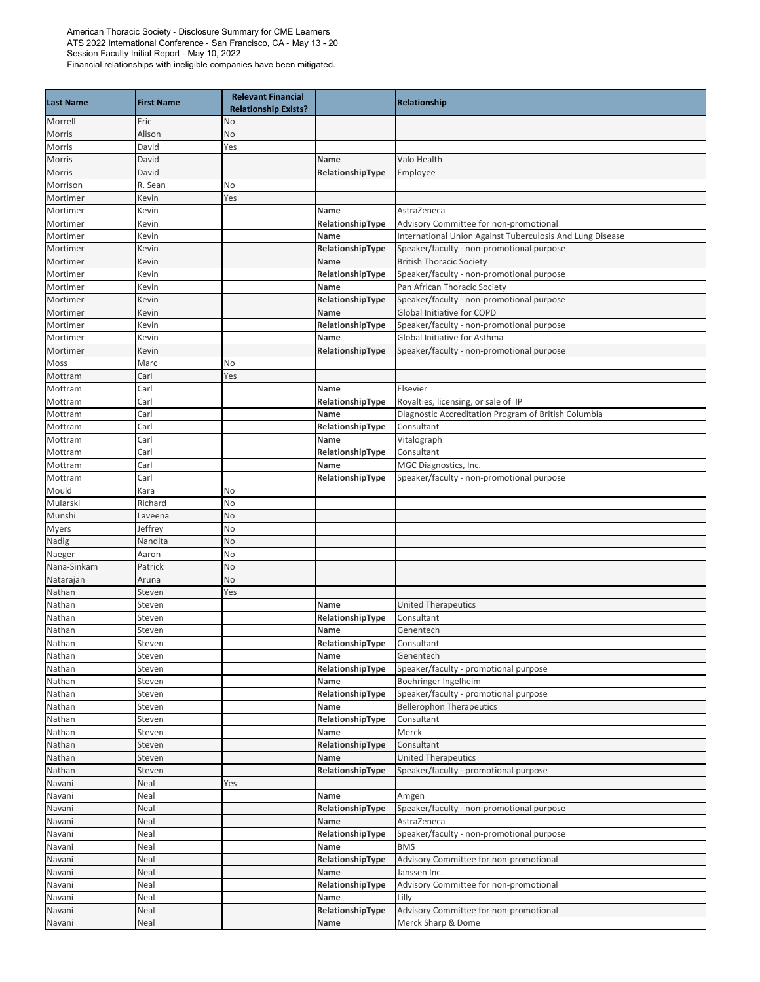| <b>Last Name</b>      | <b>First Name</b>  | <b>Relevant Financial</b><br><b>Relationship Exists?</b> |                  | Relationship                                              |
|-----------------------|--------------------|----------------------------------------------------------|------------------|-----------------------------------------------------------|
| Morrell               | Eric               | No                                                       |                  |                                                           |
| Morris                | Alison             | No                                                       |                  |                                                           |
| Morris                | David              | Yes                                                      |                  |                                                           |
| Morris                | David              |                                                          | Name             | Valo Health                                               |
| Morris                | David              |                                                          | RelationshipType | Employee                                                  |
| Morrison              | R. Sean            | No                                                       |                  |                                                           |
| Mortimer              | Kevin              | Yes                                                      |                  |                                                           |
| Mortimer              | Kevin              |                                                          | Name             | AstraZeneca                                               |
| Mortimer              | Kevin              |                                                          | RelationshipType | Advisory Committee for non-promotional                    |
| Mortimer              | Kevin              |                                                          | Name             | International Union Against Tuberculosis And Lung Disease |
| Mortimer              | Kevin              |                                                          | RelationshipType | Speaker/faculty - non-promotional purpose                 |
| Mortimer              | Kevin              |                                                          | Name             | <b>British Thoracic Society</b>                           |
| Mortimer              | Kevin              |                                                          | RelationshipType | Speaker/faculty - non-promotional purpose                 |
| Mortimer              | Kevin              |                                                          | Name             | Pan African Thoracic Society                              |
| Mortimer              | Kevin              |                                                          | RelationshipType | Speaker/faculty - non-promotional purpose                 |
| Mortimer              | Kevin              |                                                          | Name             | Global Initiative for COPD                                |
| Mortimer              | Kevin              |                                                          | RelationshipType | Speaker/faculty - non-promotional purpose                 |
| Mortimer              | Kevin              |                                                          | Name             | Global Initiative for Asthma                              |
| Mortimer              | Kevin              |                                                          | RelationshipType | Speaker/faculty - non-promotional purpose                 |
| Moss                  | Marc               | No                                                       |                  |                                                           |
| Mottram               | Carl               | Yes                                                      |                  |                                                           |
| Mottram               | Carl               |                                                          | Name             | Elsevier                                                  |
| Mottram               | Carl               |                                                          | RelationshipType | Royalties, licensing, or sale of IP                       |
| Mottram               | Carl               |                                                          | Name             | Diagnostic Accreditation Program of British Columbia      |
| Mottram               | Carl               |                                                          | RelationshipType | Consultant                                                |
| Mottram               | Carl               |                                                          | Name             | Vitalograph                                               |
| Mottram               | Carl               |                                                          | RelationshipType | Consultant                                                |
| Mottram               | Carl               |                                                          | Name             | MGC Diagnostics, Inc.                                     |
| Mottram               | Carl               |                                                          | RelationshipType | Speaker/faculty - non-promotional purpose                 |
| Mould<br>Mularski     | Kara               | No                                                       |                  |                                                           |
| Munshi                | Richard            | No<br>No                                                 |                  |                                                           |
|                       | Laveena            |                                                          |                  |                                                           |
| <b>Myers</b><br>Nadig | Jeffrey<br>Nandita | No<br>No                                                 |                  |                                                           |
| Naeger                | Aaron              | No                                                       |                  |                                                           |
| Nana-Sinkam           | Patrick            | No                                                       |                  |                                                           |
| Natarajan             | Aruna              | No                                                       |                  |                                                           |
| Nathan                | Steven             | Yes                                                      |                  |                                                           |
| Nathan                | Steven             |                                                          | Name             | <b>United Therapeutics</b>                                |
| Nathan                | Steven             |                                                          | RelationshipType | Consultant                                                |
| Nathan                | Steven             |                                                          | Name             | Genentech                                                 |
| Nathan                | Steven             |                                                          | RelationshipType | Consultant                                                |
| Nathan                | Steven             |                                                          | Name             | Genentech                                                 |
| Nathan                | Steven             |                                                          | RelationshipType | Speaker/faculty - promotional purpose                     |
| Nathan                | Steven             |                                                          | Name             | Boehringer Ingelheim                                      |
| Nathan                | Steven             |                                                          | RelationshipType | Speaker/faculty - promotional purpose                     |
| Nathan                | Steven             |                                                          | Name             | <b>Bellerophon Therapeutics</b>                           |
| Nathan                | Steven             |                                                          | RelationshipType | Consultant                                                |
| Nathan                | Steven             |                                                          | Name             | Merck                                                     |
| Nathan                | Steven             |                                                          | RelationshipType | Consultant                                                |
| Nathan                | Steven             |                                                          | Name             | <b>United Therapeutics</b>                                |
| Nathan                | Steven             |                                                          | RelationshipType | Speaker/faculty - promotional purpose                     |
| Navani                | Neal               | Yes                                                      |                  |                                                           |
| Navani                | Neal               |                                                          | Name             | Amgen                                                     |
| Navani                | Neal               |                                                          | RelationshipType | Speaker/faculty - non-promotional purpose                 |
| Navani                | Neal               |                                                          | Name             | AstraZeneca                                               |
| Navani                | Neal               |                                                          | RelationshipType | Speaker/faculty - non-promotional purpose                 |
| Navani                | Neal               |                                                          | Name             | <b>BMS</b>                                                |
| Navani                | Neal               |                                                          | RelationshipType | Advisory Committee for non-promotional                    |
| Navani                | Neal               |                                                          | Name             | Janssen Inc.                                              |
| Navani                | Neal               |                                                          | RelationshipType | Advisory Committee for non-promotional                    |
| Navani                | Neal               |                                                          | Name             | Lilly                                                     |
| Navani                | Neal               |                                                          | RelationshipType | Advisory Committee for non-promotional                    |
| Navani                | Neal               |                                                          | Name             | Merck Sharp & Dome                                        |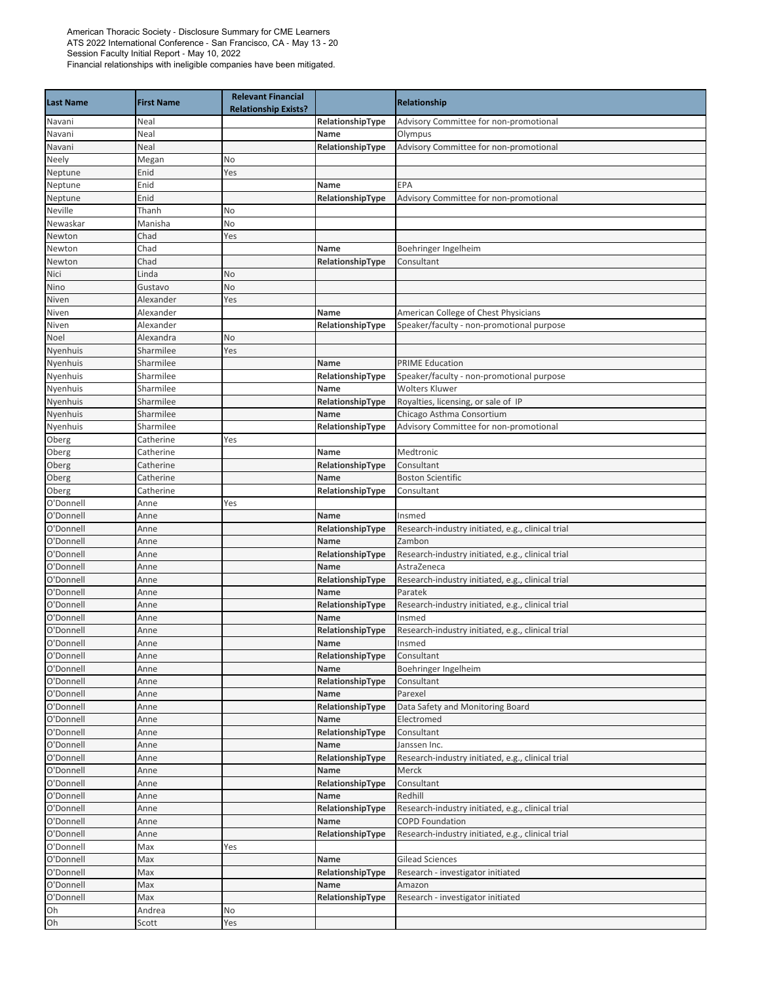| <b>Last Name</b>       | <b>First Name</b>    | <b>Relevant Financial</b><br><b>Relationship Exists?</b> |                          | <b>Relationship</b>                                         |
|------------------------|----------------------|----------------------------------------------------------|--------------------------|-------------------------------------------------------------|
| Navani                 | Neal                 |                                                          | RelationshipType         | Advisory Committee for non-promotional                      |
| Navani                 | Neal                 |                                                          | Name                     | Olympus                                                     |
| Navani                 | Neal                 |                                                          | RelationshipType         | Advisory Committee for non-promotional                      |
| Neely                  | Megan                | No                                                       |                          |                                                             |
| Neptune                | Enid                 | Yes                                                      |                          |                                                             |
| Neptune                | Enid                 |                                                          | Name                     | EPA                                                         |
| Neptune                | Enid                 |                                                          | RelationshipType         | Advisory Committee for non-promotional                      |
| Neville                | Thanh                | No                                                       |                          |                                                             |
| Newaskar               | Manisha              | No                                                       |                          |                                                             |
| Newton                 | Chad                 | Yes                                                      |                          |                                                             |
| Newton                 | Chad                 |                                                          | Name                     | Boehringer Ingelheim                                        |
| Newton                 | Chad                 |                                                          | RelationshipType         | Consultant                                                  |
| Nici                   | Linda                | No<br>No                                                 |                          |                                                             |
| Nino<br>Niven          | Gustavo<br>Alexander | Yes                                                      |                          |                                                             |
| Niven                  | Alexander            |                                                          | Name                     | American College of Chest Physicians                        |
| Niven                  | Alexander            |                                                          | RelationshipType         | Speaker/faculty - non-promotional purpose                   |
| Noel                   | Alexandra            | No                                                       |                          |                                                             |
| Nyenhuis               | Sharmilee            | Yes                                                      |                          |                                                             |
| Nyenhuis               | Sharmilee            |                                                          | Name                     | <b>PRIME Education</b>                                      |
| Nyenhuis               | Sharmilee            |                                                          | RelationshipType         | Speaker/faculty - non-promotional purpose                   |
| Nyenhuis               | Sharmilee            |                                                          | Name                     | <b>Wolters Kluwer</b>                                       |
| Nyenhuis               | Sharmilee            |                                                          | RelationshipType         | Royalties, licensing, or sale of IP                         |
| Nyenhuis               | Sharmilee            |                                                          | Name                     | Chicago Asthma Consortium                                   |
| Nyenhuis               | Sharmilee            |                                                          | RelationshipType         | Advisory Committee for non-promotional                      |
| Oberg                  | Catherine            | Yes                                                      |                          |                                                             |
| Oberg                  | Catherine            |                                                          | Name                     | Medtronic                                                   |
| Oberg                  | Catherine            |                                                          | RelationshipType         | Consultant                                                  |
| Oberg                  | Catherine            |                                                          | Name                     | <b>Boston Scientific</b>                                    |
| Oberg                  | Catherine            |                                                          | RelationshipType         | Consultant                                                  |
| O'Donnell              | Anne                 | Yes                                                      |                          |                                                             |
| O'Donnell              | Anne                 |                                                          | Name                     | Insmed                                                      |
| O'Donnell              | Anne                 |                                                          | RelationshipType         | Research-industry initiated, e.g., clinical trial           |
| O'Donnell              | Anne                 |                                                          | Name                     | Zambon                                                      |
| O'Donnell              | Anne                 |                                                          | RelationshipType         | Research-industry initiated, e.g., clinical trial           |
| O'Donnell              | Anne                 |                                                          | Name                     | AstraZeneca                                                 |
| O'Donnell              | Anne                 |                                                          | RelationshipType         | Research-industry initiated, e.g., clinical trial           |
| O'Donnell              | Anne                 |                                                          | Name                     | Paratek                                                     |
| O'Donnell<br>O'Donnell | Anne<br>Anne         |                                                          | RelationshipType<br>Name | Research-industry initiated, e.g., clinical trial<br>Insmed |
| O'Donnell              | Anne                 |                                                          | RelationshipType         | Research-industry initiated, e.g., clinical trial           |
| O'Donnell              | Anne                 |                                                          | Name                     | Insmed                                                      |
| O'Donnell              | Anne                 |                                                          | RelationshipType         | Consultant                                                  |
| O'Donnell              | Anne                 |                                                          | Name                     | Boehringer Ingelheim                                        |
| O'Donnell              | Anne                 |                                                          | RelationshipType         | Consultant                                                  |
| O'Donnell              | Anne                 |                                                          | Name                     | Parexel                                                     |
| O'Donnell              | Anne                 |                                                          | RelationshipType         | Data Safety and Monitoring Board                            |
| O'Donnell              | Anne                 |                                                          | Name                     | Electromed                                                  |
| O'Donnell              | Anne                 |                                                          | RelationshipType         | Consultant                                                  |
| O'Donnell              | Anne                 |                                                          | Name                     | Janssen Inc.                                                |
| O'Donnell              | Anne                 |                                                          | RelationshipType         | Research-industry initiated, e.g., clinical trial           |
| O'Donnell              | Anne                 |                                                          | Name                     | Merck                                                       |
| O'Donnell              | Anne                 |                                                          | RelationshipType         | Consultant                                                  |
| O'Donnell              | Anne                 |                                                          | Name                     | Redhill                                                     |
| O'Donnell              | Anne                 |                                                          | RelationshipType         | Research-industry initiated, e.g., clinical trial           |
| O'Donnell              | Anne                 |                                                          | Name                     | <b>COPD Foundation</b>                                      |
| O'Donnell              | Anne                 |                                                          | RelationshipType         | Research-industry initiated, e.g., clinical trial           |
| O'Donnell              | Max                  | Yes                                                      |                          |                                                             |
| O'Donnell              | Max                  |                                                          | Name                     | <b>Gilead Sciences</b>                                      |
| O'Donnell              | Max                  |                                                          | RelationshipType         | Research - investigator initiated                           |
| O'Donnell              | Max                  |                                                          | Name                     | Amazon                                                      |
| O'Donnell              | Max                  |                                                          | RelationshipType         | Research - investigator initiated                           |
| Oh                     | Andrea               | No                                                       |                          |                                                             |
| Oh                     | Scott                | Yes                                                      |                          |                                                             |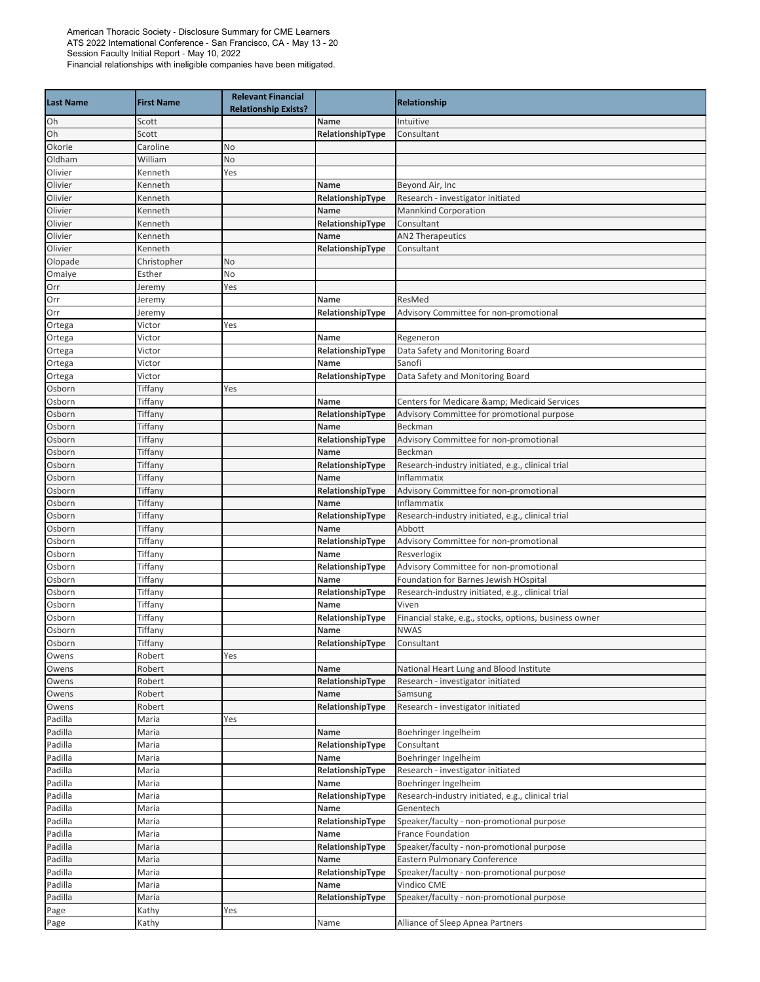| <b>Last Name</b>   | <b>First Name</b> | <b>Relevant Financial</b>   |                  |                                                                |
|--------------------|-------------------|-----------------------------|------------------|----------------------------------------------------------------|
|                    |                   | <b>Relationship Exists?</b> |                  | Relationship                                                   |
| Oh                 | Scott             |                             | <b>Name</b>      | Intuitive                                                      |
| Oh                 | Scott             |                             | RelationshipType | Consultant                                                     |
| Okorie             | Caroline          | No                          |                  |                                                                |
| Oldham             | William           | No                          |                  |                                                                |
| Olivier            | Kenneth           | Yes                         |                  |                                                                |
| Olivier            | Kenneth           |                             | Name             | Beyond Air, Inc                                                |
| Olivier            | Kenneth           |                             | RelationshipType | Research - investigator initiated                              |
| Olivier            | Kenneth           |                             | Name             | <b>Mannkind Corporation</b>                                    |
| Olivier            | Kenneth           |                             | RelationshipType | Consultant                                                     |
| Olivier            | Kenneth           |                             | Name             | <b>AN2 Therapeutics</b>                                        |
| Olivier            | Kenneth           |                             | RelationshipType | Consultant                                                     |
| Olopade            | Christopher       | No                          |                  |                                                                |
| Omaiye             | Esther            | No                          |                  |                                                                |
| Orr                | leremy            | Yes                         |                  |                                                                |
| Orr                | Jeremy            |                             | Name             | ResMed                                                         |
| Orr                | leremy            |                             | RelationshipType | Advisory Committee for non-promotional                         |
| Ortega             | Victor            | Yes                         |                  |                                                                |
| Ortega             | Victor            |                             | Name             | Regeneron                                                      |
| Ortega             | Victor            |                             | RelationshipType | Data Safety and Monitoring Board                               |
| Ortega             | Victor            |                             | Name             | Sanofi                                                         |
| Ortega             | Victor            |                             | RelationshipType | Data Safety and Monitoring Board                               |
| Osborn             | Tiffany           | Yes                         |                  |                                                                |
| Osborn             | Tiffany           |                             | Name             | Centers for Medicare & Medicaid Services                       |
| Osborn             | Tiffany           |                             | RelationshipType | Advisory Committee for promotional purpose                     |
| Osborn             | Tiffany           |                             | Name             | Beckman                                                        |
| Osborn             | Tiffany           |                             | RelationshipType | Advisory Committee for non-promotional                         |
| Osborn             | Tiffany           |                             | Name             | Beckman                                                        |
| Osborn             | Tiffany           |                             | RelationshipType | Research-industry initiated, e.g., clinical trial              |
| Osborn             | Tiffany           |                             | Name             | Inflammatix                                                    |
| Osborn             | Tiffany           |                             | RelationshipType | Advisory Committee for non-promotional                         |
| Osborn             | Tiffany           |                             | Name             | Inflammatix                                                    |
| Osborn             | Tiffany           |                             | RelationshipType | Research-industry initiated, e.g., clinical trial              |
| Osborn             | Tiffany           |                             | Name             | Abbott                                                         |
| Osborn             | Tiffany           |                             | RelationshipType | Advisory Committee for non-promotional                         |
| Osborn             | Tiffany           |                             | Name             | Resverlogix                                                    |
| Osborn             | Tiffany           |                             | RelationshipType | Advisory Committee for non-promotional                         |
| Osborn             | Tiffany           |                             | Name             | Foundation for Barnes Jewish HOspital                          |
| Osborn             | Tiffany           |                             | RelationshipType | Research-industry initiated, e.g., clinical trial              |
| Osborn             | Tiffany           |                             | Name             | Viven                                                          |
| Osborn             | Tiffany           |                             | RelationshipType | Financial stake, e.g., stocks, options, business owner         |
| Osborn             | Tiffany           |                             | Name             | <b>NWAS</b>                                                    |
| Osborn             | Tiffany           |                             | RelationshipType | Consultant                                                     |
| Owens              | Robert            | Yes                         |                  |                                                                |
| Owens              | Robert            |                             | Name             | National Heart Lung and Blood Institute                        |
| Owens              | Robert            |                             | RelationshipType | Research - investigator initiated                              |
| Owens              | Robert            |                             | Name             | Samsung                                                        |
| Owens              | Robert            |                             | RelationshipType | Research - investigator initiated                              |
| Padilla            | Maria             | Yes                         |                  |                                                                |
| Padilla            | Maria             |                             | Name             | Boehringer Ingelheim                                           |
| Padilla            | Maria             |                             | RelationshipType | Consultant                                                     |
| Padilla            | Maria             |                             | Name             | Boehringer Ingelheim                                           |
| Padilla            | Maria             |                             | RelationshipType | Research - investigator initiated                              |
| Padilla            | Maria             |                             | Name             | Boehringer Ingelheim                                           |
|                    |                   |                             | RelationshipType |                                                                |
| Padilla<br>Padilla | Maria             |                             | Name             | Research-industry initiated, e.g., clinical trial<br>Genentech |
| Padilla            | Maria<br>Maria    |                             | RelationshipType | Speaker/faculty - non-promotional purpose                      |
|                    |                   |                             |                  |                                                                |
| Padilla            | Maria             |                             | Name             | France Foundation                                              |
| Padilla            | Maria             |                             | RelationshipType | Speaker/faculty - non-promotional purpose                      |
| Padilla            | Maria             |                             | Name             | Eastern Pulmonary Conference                                   |
| Padilla            | Maria             |                             | RelationshipType | Speaker/faculty - non-promotional purpose                      |
| Padilla            | Maria             |                             | Name             | Vindico CME                                                    |
| Padilla            | Maria             |                             | RelationshipType | Speaker/faculty - non-promotional purpose                      |
| Page               | Kathy             | Yes                         |                  |                                                                |
| Page               | Kathy             |                             | Name             | Alliance of Sleep Apnea Partners                               |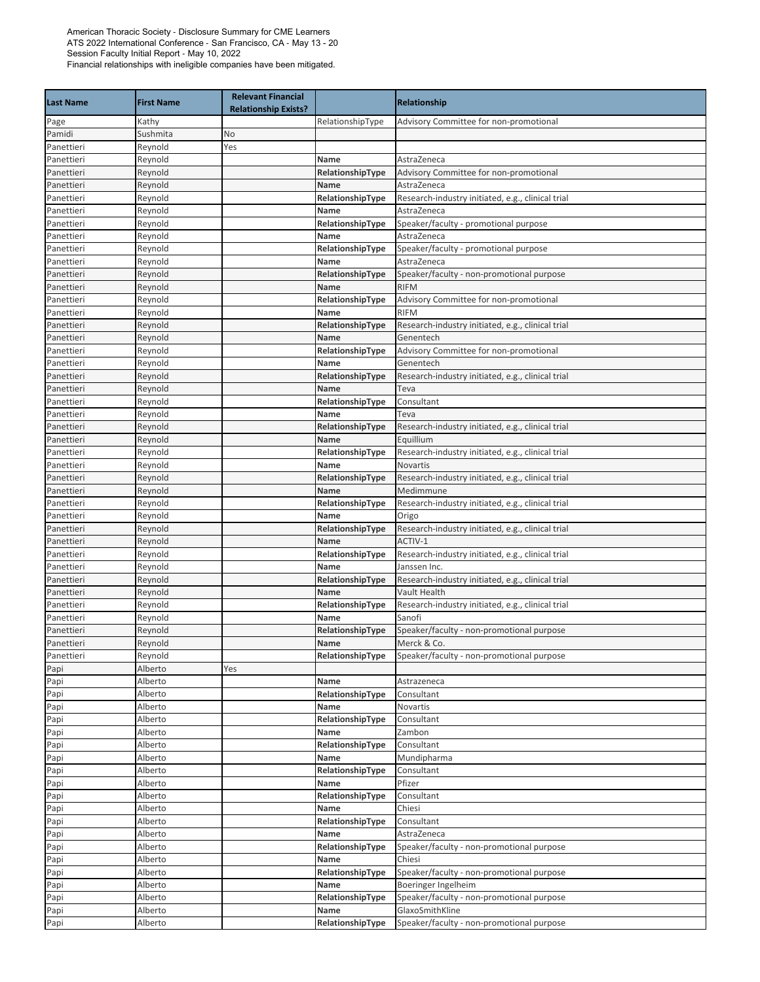| <b>Last Name</b>         | <b>First Name</b>  | <b>Relevant Financial</b><br><b>Relationship Exists?</b> |                          | Relationship                                             |
|--------------------------|--------------------|----------------------------------------------------------|--------------------------|----------------------------------------------------------|
| Page                     | Kathy              |                                                          | RelationshipType         | Advisory Committee for non-promotional                   |
| Pamidi                   | Sushmita           | No                                                       |                          |                                                          |
| Panettieri               | Reynold            | Yes                                                      |                          |                                                          |
| Panettieri               | Reynold            |                                                          | Name                     | AstraZeneca                                              |
| Panettieri               | Reynold            |                                                          | RelationshipType         | Advisory Committee for non-promotional                   |
| Panettieri               | Reynold            |                                                          | Name                     | AstraZeneca                                              |
| Panettieri               | Reynold            |                                                          | RelationshipType         | Research-industry initiated, e.g., clinical trial        |
| Panettieri               | Reynold            |                                                          | Name                     | AstraZeneca                                              |
| Panettieri               | Reynold            |                                                          | RelationshipType         | Speaker/faculty - promotional purpose                    |
| Panettieri               | Reynold            |                                                          | Name                     | AstraZeneca                                              |
| Panettieri               | Reynold            |                                                          | RelationshipType         | Speaker/faculty - promotional purpose                    |
| Panettieri               | Reynold            |                                                          | Name                     | AstraZeneca                                              |
| Panettieri<br>Panettieri | Reynold<br>Reynold |                                                          | RelationshipType<br>Name | Speaker/faculty - non-promotional purpose<br><b>RIFM</b> |
| Panettieri               | Reynold            |                                                          | RelationshipType         | Advisory Committee for non-promotional                   |
| Panettieri               | Reynold            |                                                          | Name                     | <b>RIFM</b>                                              |
| Panettieri               | Reynold            |                                                          | RelationshipType         | Research-industry initiated, e.g., clinical trial        |
| Panettieri               | Reynold            |                                                          | Name                     | Genentech                                                |
| Panettieri               | Reynold            |                                                          | RelationshipType         | Advisory Committee for non-promotional                   |
| Panettieri               | Reynold            |                                                          | Name                     | Genentech                                                |
| Panettieri               | Reynold            |                                                          | RelationshipType         | Research-industry initiated, e.g., clinical trial        |
| Panettieri               | Reynold            |                                                          | Name                     | Teva                                                     |
| Panettieri               | Reynold            |                                                          | RelationshipType         | Consultant                                               |
| Panettieri               | Reynold            |                                                          | Name                     | Teva                                                     |
| Panettieri               | Reynold            |                                                          | RelationshipType         | Research-industry initiated, e.g., clinical trial        |
| Panettieri               | Reynold            |                                                          | Name                     | Equillium                                                |
| Panettieri               | Reynold            |                                                          | RelationshipType         | Research-industry initiated, e.g., clinical trial        |
| Panettieri               | Reynold            |                                                          | Name                     | Novartis                                                 |
| Panettieri               | Reynold            |                                                          | RelationshipType         | Research-industry initiated, e.g., clinical trial        |
| Panettieri               | Reynold            |                                                          | Name                     | Medimmune                                                |
| Panettieri               | Reynold            |                                                          | RelationshipType         | Research-industry initiated, e.g., clinical trial        |
| Panettieri               | Reynold            |                                                          | Name                     | Origo                                                    |
| Panettieri               | Reynold            |                                                          | RelationshipType         | Research-industry initiated, e.g., clinical trial        |
| Panettieri               | Reynold            |                                                          | Name                     | ACTIV-1                                                  |
| Panettieri               | Reynold            |                                                          | RelationshipType         | Research-industry initiated, e.g., clinical trial        |
| Panettieri               | Reynold            |                                                          | Name                     | Janssen Inc.                                             |
| Panettieri               | Reynold            |                                                          | RelationshipType         | Research-industry initiated, e.g., clinical trial        |
| Panettieri               | Reynold            |                                                          | Name                     | Vault Health                                             |
| Panettieri               | Reynold            |                                                          | RelationshipType         | Research-industry initiated, e.g., clinical trial        |
| Panettieri               | Reynold            |                                                          | Name                     | Sanofi                                                   |
| Panettieri<br>Panettieri | Reynold<br>Reynold |                                                          | RelationshipType<br>Name | Speaker/faculty - non-promotional purpose<br>Merck & Co. |
| Panettieri               | Reynold            |                                                          | RelationshipType         | Speaker/faculty - non-promotional purpose                |
| Papi                     | Alberto            | Yes                                                      |                          |                                                          |
| Papi                     | Alberto            |                                                          | Name                     | Astrazeneca                                              |
| Papi                     | Alberto            |                                                          | RelationshipType         | Consultant                                               |
| Papi                     | Alberto            |                                                          | Name                     | Novartis                                                 |
| Papi                     | Alberto            |                                                          | RelationshipType         | Consultant                                               |
| Papi                     | Alberto            |                                                          | Name                     | Zambon                                                   |
| Papi                     | Alberto            |                                                          | RelationshipType         | Consultant                                               |
| Papi                     | Alberto            |                                                          | Name                     | Mundipharma                                              |
| Papi                     | Alberto            |                                                          | RelationshipType         | Consultant                                               |
| Papi                     | Alberto            |                                                          | Name                     | Pfizer                                                   |
| Papi                     | Alberto            |                                                          | RelationshipType         | Consultant                                               |
| Papi                     | Alberto            |                                                          | Name                     | Chiesi                                                   |
| Papi                     | Alberto            |                                                          | RelationshipType         | Consultant                                               |
| Papi                     | Alberto            |                                                          | Name                     | AstraZeneca                                              |
| Papi                     | Alberto            |                                                          | RelationshipType         | Speaker/faculty - non-promotional purpose                |
| Papi                     | Alberto            |                                                          | Name                     | Chiesi                                                   |
| Papi                     | Alberto            |                                                          | RelationshipType         | Speaker/faculty - non-promotional purpose                |
| Papi                     | Alberto            |                                                          | Name                     | Boeringer Ingelheim                                      |
| Papi                     | Alberto            |                                                          | RelationshipType         | Speaker/faculty - non-promotional purpose                |
| Papi                     | Alberto            |                                                          | Name                     | GlaxoSmithKline                                          |
| Papi                     | Alberto            |                                                          | RelationshipType         | Speaker/faculty - non-promotional purpose                |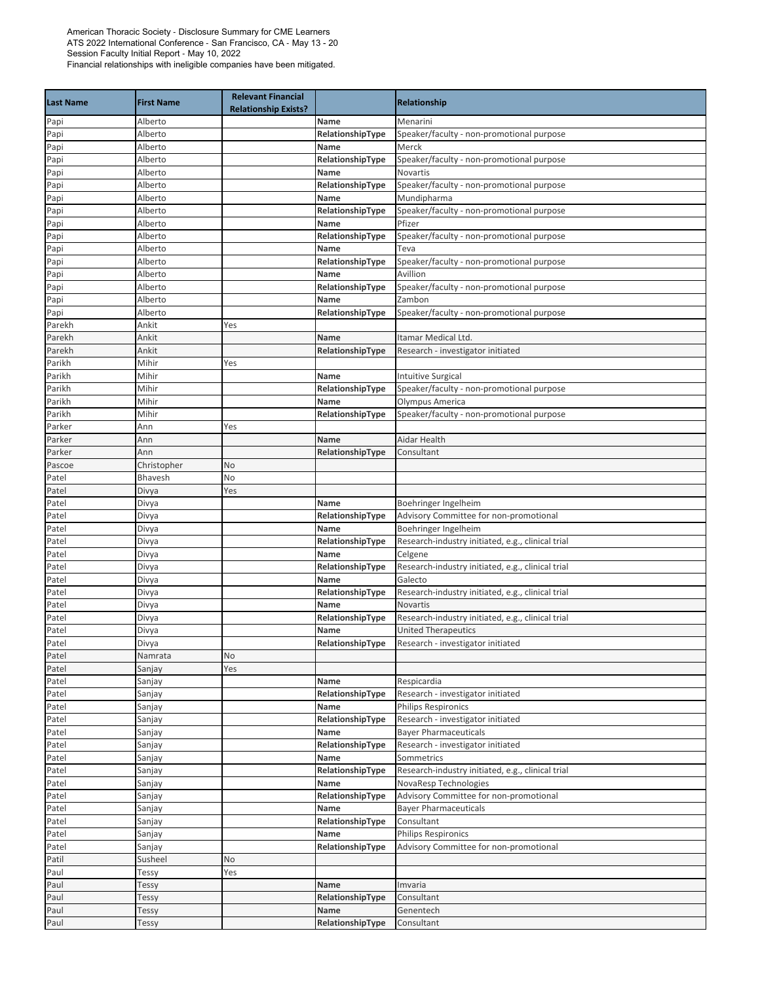| Alberto<br>Menarini<br>Papi<br>Name<br>Speaker/faculty - non-promotional purpose<br>Alberto<br>RelationshipType<br>Papi<br>Papi<br>Alberto<br>Name<br>Merck<br>RelationshipType<br>Papi<br>Alberto<br>Speaker/faculty - non-promotional purpose<br><b>Novartis</b><br>Papi<br>Alberto<br>Name<br>Papi<br>Speaker/faculty - non-promotional purpose<br>Alberto<br>RelationshipType<br>Mundipharma<br>Papi<br>Alberto<br>Name<br>Papi<br>Alberto<br>RelationshipType<br>Speaker/faculty - non-promotional purpose<br>Pfizer<br>Papi<br>Alberto<br>Name<br>Papi<br>Alberto<br>RelationshipType<br>Speaker/faculty - non-promotional purpose<br>Papi<br>Alberto<br>Name<br>Teva<br>Alberto<br>RelationshipType<br>Speaker/faculty - non-promotional purpose<br>Papi<br>Avillion<br>Alberto<br>Name<br>Papi<br>Papi<br>Alberto<br>RelationshipType<br>Speaker/faculty - non-promotional purpose<br>Alberto<br>Name<br>Zambon<br>Papi<br>Papi<br>Alberto<br>RelationshipType<br>Speaker/faculty - non-promotional purpose<br>Parekh<br>Ankit<br>Yes<br>Parekh<br>Ankit<br>Name<br>Itamar Medical Ltd.<br>Ankit<br>RelationshipType<br>Research - investigator initiated<br>Parekh<br>Parikh<br>Mihir<br>Yes<br>Mihir<br>Parikh<br><b>Intuitive Surgical</b><br>Name<br>Speaker/faculty - non-promotional purpose<br>Mihir<br>RelationshipType<br>Parikh<br>Parikh<br>Olympus America<br>Mihir<br>Name<br>Parikh<br>Mihir<br>Speaker/faculty - non-promotional purpose<br>RelationshipType<br>Parker<br>Ann<br>Yes<br>Aidar Health<br>Parker<br>Ann<br>Name<br>Parker<br>Ann<br>RelationshipType<br>Consultant<br>Christopher<br>No<br>Pascoe<br>Bhavesh<br>No<br>Patel<br>Patel<br>Yes<br>Divya<br>Patel<br>Divya<br>Boehringer Ingelheim<br>Name<br>Patel<br>RelationshipType<br>Advisory Committee for non-promotional<br>Divya<br>Boehringer Ingelheim<br>Patel<br>Name<br>Divya<br>Research-industry initiated, e.g., clinical trial<br>Patel<br>Divya<br>RelationshipType<br>Patel<br>Divya<br>Name<br>Celgene<br>Patel<br>RelationshipType<br>Research-industry initiated, e.g., clinical trial<br>Divya<br>Patel<br>Divya<br>Name<br>Galecto<br>Patel<br>Divya<br>RelationshipType<br>Research-industry initiated, e.g., clinical trial<br>Patel<br>Divya<br>Name<br><b>Novartis</b><br>Research-industry initiated, e.g., clinical trial<br>RelationshipType<br>Patel<br>Divya<br>Patel<br><b>United Therapeutics</b><br>Divya<br>Name<br>Research - investigator initiated<br>Divya<br>RelationshipType<br>Patel<br>No<br>Namrata<br>Patel<br>Sanjay<br>Yes<br>Patel<br>Respicardia<br>Sanjay<br>Name<br>Patel<br>RelationshipType<br>Research - investigator initiated<br>Sanjay<br>Patel<br>Philips Respironics<br>Sanjay<br>Name<br>Patel<br>RelationshipType<br>Research - investigator initiated<br>Sanjay<br><b>Bayer Pharmaceuticals</b><br>Patel<br>Sanjay<br>Name<br>Patel<br>RelationshipType<br>Research - investigator initiated<br>Sanjay<br>Patel<br>Sanjay<br>Name<br>Sommetrics<br>Research-industry initiated, e.g., clinical trial<br>Patel<br>Sanjay<br>RelationshipType<br>NovaResp Technologies<br>Patel<br>Sanjay<br>Name<br>Advisory Committee for non-promotional<br>Patel<br>RelationshipType<br>Sanjay<br>Patel<br><b>Bayer Pharmaceuticals</b><br>Sanjay<br>Name<br>Patel<br>RelationshipType<br>Consultant<br>Sanjay<br><b>Philips Respironics</b><br>Patel<br>Name<br>Sanjay<br>Patel<br>RelationshipType<br>Advisory Committee for non-promotional<br>Sanjay<br>Susheel<br>No<br>Patil<br>Paul<br>Yes<br>Tessy<br>Paul<br>Imvaria<br>Tessy<br>Name<br>Paul<br>Tessy<br>RelationshipType<br>Consultant<br>Genentech<br>Paul<br>Name<br>Tessy<br>RelationshipType<br>Consultant<br>Paul<br>Tessy | <b>Last Name</b> | <b>First Name</b> | <b>Relevant Financial</b><br><b>Relationship Exists?</b> | <b>Relationship</b> |
|---------------------------------------------------------------------------------------------------------------------------------------------------------------------------------------------------------------------------------------------------------------------------------------------------------------------------------------------------------------------------------------------------------------------------------------------------------------------------------------------------------------------------------------------------------------------------------------------------------------------------------------------------------------------------------------------------------------------------------------------------------------------------------------------------------------------------------------------------------------------------------------------------------------------------------------------------------------------------------------------------------------------------------------------------------------------------------------------------------------------------------------------------------------------------------------------------------------------------------------------------------------------------------------------------------------------------------------------------------------------------------------------------------------------------------------------------------------------------------------------------------------------------------------------------------------------------------------------------------------------------------------------------------------------------------------------------------------------------------------------------------------------------------------------------------------------------------------------------------------------------------------------------------------------------------------------------------------------------------------------------------------------------------------------------------------------------------------------------------------------------------------------------------------------------------------------------------------------------------------------------------------------------------------------------------------------------------------------------------------------------------------------------------------------------------------------------------------------------------------------------------------------------------------------------------------------------------------------------------------------------------------------------------------------------------------------------------------------------------------------------------------------------------------------------------------------------------------------------------------------------------------------------------------------------------------------------------------------------------------------------------------------------------------------------------------------------------------------------------------------------------------------------------------------------------------------------------------------------------------------------------------------------------------------------------------------------------------------------------------------------------------------------------------------------------------------------------------------------------------------------------------------------------------------------------------------------------------------------------------------------------------------------------------------------------------------------------------------------------|------------------|-------------------|----------------------------------------------------------|---------------------|
|                                                                                                                                                                                                                                                                                                                                                                                                                                                                                                                                                                                                                                                                                                                                                                                                                                                                                                                                                                                                                                                                                                                                                                                                                                                                                                                                                                                                                                                                                                                                                                                                                                                                                                                                                                                                                                                                                                                                                                                                                                                                                                                                                                                                                                                                                                                                                                                                                                                                                                                                                                                                                                                                                                                                                                                                                                                                                                                                                                                                                                                                                                                                                                                                                                                                                                                                                                                                                                                                                                                                                                                                                                                                                                                                 |                  |                   |                                                          |                     |
|                                                                                                                                                                                                                                                                                                                                                                                                                                                                                                                                                                                                                                                                                                                                                                                                                                                                                                                                                                                                                                                                                                                                                                                                                                                                                                                                                                                                                                                                                                                                                                                                                                                                                                                                                                                                                                                                                                                                                                                                                                                                                                                                                                                                                                                                                                                                                                                                                                                                                                                                                                                                                                                                                                                                                                                                                                                                                                                                                                                                                                                                                                                                                                                                                                                                                                                                                                                                                                                                                                                                                                                                                                                                                                                                 |                  |                   |                                                          |                     |
|                                                                                                                                                                                                                                                                                                                                                                                                                                                                                                                                                                                                                                                                                                                                                                                                                                                                                                                                                                                                                                                                                                                                                                                                                                                                                                                                                                                                                                                                                                                                                                                                                                                                                                                                                                                                                                                                                                                                                                                                                                                                                                                                                                                                                                                                                                                                                                                                                                                                                                                                                                                                                                                                                                                                                                                                                                                                                                                                                                                                                                                                                                                                                                                                                                                                                                                                                                                                                                                                                                                                                                                                                                                                                                                                 |                  |                   |                                                          |                     |
|                                                                                                                                                                                                                                                                                                                                                                                                                                                                                                                                                                                                                                                                                                                                                                                                                                                                                                                                                                                                                                                                                                                                                                                                                                                                                                                                                                                                                                                                                                                                                                                                                                                                                                                                                                                                                                                                                                                                                                                                                                                                                                                                                                                                                                                                                                                                                                                                                                                                                                                                                                                                                                                                                                                                                                                                                                                                                                                                                                                                                                                                                                                                                                                                                                                                                                                                                                                                                                                                                                                                                                                                                                                                                                                                 |                  |                   |                                                          |                     |
|                                                                                                                                                                                                                                                                                                                                                                                                                                                                                                                                                                                                                                                                                                                                                                                                                                                                                                                                                                                                                                                                                                                                                                                                                                                                                                                                                                                                                                                                                                                                                                                                                                                                                                                                                                                                                                                                                                                                                                                                                                                                                                                                                                                                                                                                                                                                                                                                                                                                                                                                                                                                                                                                                                                                                                                                                                                                                                                                                                                                                                                                                                                                                                                                                                                                                                                                                                                                                                                                                                                                                                                                                                                                                                                                 |                  |                   |                                                          |                     |
|                                                                                                                                                                                                                                                                                                                                                                                                                                                                                                                                                                                                                                                                                                                                                                                                                                                                                                                                                                                                                                                                                                                                                                                                                                                                                                                                                                                                                                                                                                                                                                                                                                                                                                                                                                                                                                                                                                                                                                                                                                                                                                                                                                                                                                                                                                                                                                                                                                                                                                                                                                                                                                                                                                                                                                                                                                                                                                                                                                                                                                                                                                                                                                                                                                                                                                                                                                                                                                                                                                                                                                                                                                                                                                                                 |                  |                   |                                                          |                     |
|                                                                                                                                                                                                                                                                                                                                                                                                                                                                                                                                                                                                                                                                                                                                                                                                                                                                                                                                                                                                                                                                                                                                                                                                                                                                                                                                                                                                                                                                                                                                                                                                                                                                                                                                                                                                                                                                                                                                                                                                                                                                                                                                                                                                                                                                                                                                                                                                                                                                                                                                                                                                                                                                                                                                                                                                                                                                                                                                                                                                                                                                                                                                                                                                                                                                                                                                                                                                                                                                                                                                                                                                                                                                                                                                 |                  |                   |                                                          |                     |
|                                                                                                                                                                                                                                                                                                                                                                                                                                                                                                                                                                                                                                                                                                                                                                                                                                                                                                                                                                                                                                                                                                                                                                                                                                                                                                                                                                                                                                                                                                                                                                                                                                                                                                                                                                                                                                                                                                                                                                                                                                                                                                                                                                                                                                                                                                                                                                                                                                                                                                                                                                                                                                                                                                                                                                                                                                                                                                                                                                                                                                                                                                                                                                                                                                                                                                                                                                                                                                                                                                                                                                                                                                                                                                                                 |                  |                   |                                                          |                     |
|                                                                                                                                                                                                                                                                                                                                                                                                                                                                                                                                                                                                                                                                                                                                                                                                                                                                                                                                                                                                                                                                                                                                                                                                                                                                                                                                                                                                                                                                                                                                                                                                                                                                                                                                                                                                                                                                                                                                                                                                                                                                                                                                                                                                                                                                                                                                                                                                                                                                                                                                                                                                                                                                                                                                                                                                                                                                                                                                                                                                                                                                                                                                                                                                                                                                                                                                                                                                                                                                                                                                                                                                                                                                                                                                 |                  |                   |                                                          |                     |
|                                                                                                                                                                                                                                                                                                                                                                                                                                                                                                                                                                                                                                                                                                                                                                                                                                                                                                                                                                                                                                                                                                                                                                                                                                                                                                                                                                                                                                                                                                                                                                                                                                                                                                                                                                                                                                                                                                                                                                                                                                                                                                                                                                                                                                                                                                                                                                                                                                                                                                                                                                                                                                                                                                                                                                                                                                                                                                                                                                                                                                                                                                                                                                                                                                                                                                                                                                                                                                                                                                                                                                                                                                                                                                                                 |                  |                   |                                                          |                     |
|                                                                                                                                                                                                                                                                                                                                                                                                                                                                                                                                                                                                                                                                                                                                                                                                                                                                                                                                                                                                                                                                                                                                                                                                                                                                                                                                                                                                                                                                                                                                                                                                                                                                                                                                                                                                                                                                                                                                                                                                                                                                                                                                                                                                                                                                                                                                                                                                                                                                                                                                                                                                                                                                                                                                                                                                                                                                                                                                                                                                                                                                                                                                                                                                                                                                                                                                                                                                                                                                                                                                                                                                                                                                                                                                 |                  |                   |                                                          |                     |
|                                                                                                                                                                                                                                                                                                                                                                                                                                                                                                                                                                                                                                                                                                                                                                                                                                                                                                                                                                                                                                                                                                                                                                                                                                                                                                                                                                                                                                                                                                                                                                                                                                                                                                                                                                                                                                                                                                                                                                                                                                                                                                                                                                                                                                                                                                                                                                                                                                                                                                                                                                                                                                                                                                                                                                                                                                                                                                                                                                                                                                                                                                                                                                                                                                                                                                                                                                                                                                                                                                                                                                                                                                                                                                                                 |                  |                   |                                                          |                     |
|                                                                                                                                                                                                                                                                                                                                                                                                                                                                                                                                                                                                                                                                                                                                                                                                                                                                                                                                                                                                                                                                                                                                                                                                                                                                                                                                                                                                                                                                                                                                                                                                                                                                                                                                                                                                                                                                                                                                                                                                                                                                                                                                                                                                                                                                                                                                                                                                                                                                                                                                                                                                                                                                                                                                                                                                                                                                                                                                                                                                                                                                                                                                                                                                                                                                                                                                                                                                                                                                                                                                                                                                                                                                                                                                 |                  |                   |                                                          |                     |
|                                                                                                                                                                                                                                                                                                                                                                                                                                                                                                                                                                                                                                                                                                                                                                                                                                                                                                                                                                                                                                                                                                                                                                                                                                                                                                                                                                                                                                                                                                                                                                                                                                                                                                                                                                                                                                                                                                                                                                                                                                                                                                                                                                                                                                                                                                                                                                                                                                                                                                                                                                                                                                                                                                                                                                                                                                                                                                                                                                                                                                                                                                                                                                                                                                                                                                                                                                                                                                                                                                                                                                                                                                                                                                                                 |                  |                   |                                                          |                     |
|                                                                                                                                                                                                                                                                                                                                                                                                                                                                                                                                                                                                                                                                                                                                                                                                                                                                                                                                                                                                                                                                                                                                                                                                                                                                                                                                                                                                                                                                                                                                                                                                                                                                                                                                                                                                                                                                                                                                                                                                                                                                                                                                                                                                                                                                                                                                                                                                                                                                                                                                                                                                                                                                                                                                                                                                                                                                                                                                                                                                                                                                                                                                                                                                                                                                                                                                                                                                                                                                                                                                                                                                                                                                                                                                 |                  |                   |                                                          |                     |
|                                                                                                                                                                                                                                                                                                                                                                                                                                                                                                                                                                                                                                                                                                                                                                                                                                                                                                                                                                                                                                                                                                                                                                                                                                                                                                                                                                                                                                                                                                                                                                                                                                                                                                                                                                                                                                                                                                                                                                                                                                                                                                                                                                                                                                                                                                                                                                                                                                                                                                                                                                                                                                                                                                                                                                                                                                                                                                                                                                                                                                                                                                                                                                                                                                                                                                                                                                                                                                                                                                                                                                                                                                                                                                                                 |                  |                   |                                                          |                     |
|                                                                                                                                                                                                                                                                                                                                                                                                                                                                                                                                                                                                                                                                                                                                                                                                                                                                                                                                                                                                                                                                                                                                                                                                                                                                                                                                                                                                                                                                                                                                                                                                                                                                                                                                                                                                                                                                                                                                                                                                                                                                                                                                                                                                                                                                                                                                                                                                                                                                                                                                                                                                                                                                                                                                                                                                                                                                                                                                                                                                                                                                                                                                                                                                                                                                                                                                                                                                                                                                                                                                                                                                                                                                                                                                 |                  |                   |                                                          |                     |
|                                                                                                                                                                                                                                                                                                                                                                                                                                                                                                                                                                                                                                                                                                                                                                                                                                                                                                                                                                                                                                                                                                                                                                                                                                                                                                                                                                                                                                                                                                                                                                                                                                                                                                                                                                                                                                                                                                                                                                                                                                                                                                                                                                                                                                                                                                                                                                                                                                                                                                                                                                                                                                                                                                                                                                                                                                                                                                                                                                                                                                                                                                                                                                                                                                                                                                                                                                                                                                                                                                                                                                                                                                                                                                                                 |                  |                   |                                                          |                     |
|                                                                                                                                                                                                                                                                                                                                                                                                                                                                                                                                                                                                                                                                                                                                                                                                                                                                                                                                                                                                                                                                                                                                                                                                                                                                                                                                                                                                                                                                                                                                                                                                                                                                                                                                                                                                                                                                                                                                                                                                                                                                                                                                                                                                                                                                                                                                                                                                                                                                                                                                                                                                                                                                                                                                                                                                                                                                                                                                                                                                                                                                                                                                                                                                                                                                                                                                                                                                                                                                                                                                                                                                                                                                                                                                 |                  |                   |                                                          |                     |
|                                                                                                                                                                                                                                                                                                                                                                                                                                                                                                                                                                                                                                                                                                                                                                                                                                                                                                                                                                                                                                                                                                                                                                                                                                                                                                                                                                                                                                                                                                                                                                                                                                                                                                                                                                                                                                                                                                                                                                                                                                                                                                                                                                                                                                                                                                                                                                                                                                                                                                                                                                                                                                                                                                                                                                                                                                                                                                                                                                                                                                                                                                                                                                                                                                                                                                                                                                                                                                                                                                                                                                                                                                                                                                                                 |                  |                   |                                                          |                     |
|                                                                                                                                                                                                                                                                                                                                                                                                                                                                                                                                                                                                                                                                                                                                                                                                                                                                                                                                                                                                                                                                                                                                                                                                                                                                                                                                                                                                                                                                                                                                                                                                                                                                                                                                                                                                                                                                                                                                                                                                                                                                                                                                                                                                                                                                                                                                                                                                                                                                                                                                                                                                                                                                                                                                                                                                                                                                                                                                                                                                                                                                                                                                                                                                                                                                                                                                                                                                                                                                                                                                                                                                                                                                                                                                 |                  |                   |                                                          |                     |
|                                                                                                                                                                                                                                                                                                                                                                                                                                                                                                                                                                                                                                                                                                                                                                                                                                                                                                                                                                                                                                                                                                                                                                                                                                                                                                                                                                                                                                                                                                                                                                                                                                                                                                                                                                                                                                                                                                                                                                                                                                                                                                                                                                                                                                                                                                                                                                                                                                                                                                                                                                                                                                                                                                                                                                                                                                                                                                                                                                                                                                                                                                                                                                                                                                                                                                                                                                                                                                                                                                                                                                                                                                                                                                                                 |                  |                   |                                                          |                     |
|                                                                                                                                                                                                                                                                                                                                                                                                                                                                                                                                                                                                                                                                                                                                                                                                                                                                                                                                                                                                                                                                                                                                                                                                                                                                                                                                                                                                                                                                                                                                                                                                                                                                                                                                                                                                                                                                                                                                                                                                                                                                                                                                                                                                                                                                                                                                                                                                                                                                                                                                                                                                                                                                                                                                                                                                                                                                                                                                                                                                                                                                                                                                                                                                                                                                                                                                                                                                                                                                                                                                                                                                                                                                                                                                 |                  |                   |                                                          |                     |
|                                                                                                                                                                                                                                                                                                                                                                                                                                                                                                                                                                                                                                                                                                                                                                                                                                                                                                                                                                                                                                                                                                                                                                                                                                                                                                                                                                                                                                                                                                                                                                                                                                                                                                                                                                                                                                                                                                                                                                                                                                                                                                                                                                                                                                                                                                                                                                                                                                                                                                                                                                                                                                                                                                                                                                                                                                                                                                                                                                                                                                                                                                                                                                                                                                                                                                                                                                                                                                                                                                                                                                                                                                                                                                                                 |                  |                   |                                                          |                     |
|                                                                                                                                                                                                                                                                                                                                                                                                                                                                                                                                                                                                                                                                                                                                                                                                                                                                                                                                                                                                                                                                                                                                                                                                                                                                                                                                                                                                                                                                                                                                                                                                                                                                                                                                                                                                                                                                                                                                                                                                                                                                                                                                                                                                                                                                                                                                                                                                                                                                                                                                                                                                                                                                                                                                                                                                                                                                                                                                                                                                                                                                                                                                                                                                                                                                                                                                                                                                                                                                                                                                                                                                                                                                                                                                 |                  |                   |                                                          |                     |
|                                                                                                                                                                                                                                                                                                                                                                                                                                                                                                                                                                                                                                                                                                                                                                                                                                                                                                                                                                                                                                                                                                                                                                                                                                                                                                                                                                                                                                                                                                                                                                                                                                                                                                                                                                                                                                                                                                                                                                                                                                                                                                                                                                                                                                                                                                                                                                                                                                                                                                                                                                                                                                                                                                                                                                                                                                                                                                                                                                                                                                                                                                                                                                                                                                                                                                                                                                                                                                                                                                                                                                                                                                                                                                                                 |                  |                   |                                                          |                     |
|                                                                                                                                                                                                                                                                                                                                                                                                                                                                                                                                                                                                                                                                                                                                                                                                                                                                                                                                                                                                                                                                                                                                                                                                                                                                                                                                                                                                                                                                                                                                                                                                                                                                                                                                                                                                                                                                                                                                                                                                                                                                                                                                                                                                                                                                                                                                                                                                                                                                                                                                                                                                                                                                                                                                                                                                                                                                                                                                                                                                                                                                                                                                                                                                                                                                                                                                                                                                                                                                                                                                                                                                                                                                                                                                 |                  |                   |                                                          |                     |
|                                                                                                                                                                                                                                                                                                                                                                                                                                                                                                                                                                                                                                                                                                                                                                                                                                                                                                                                                                                                                                                                                                                                                                                                                                                                                                                                                                                                                                                                                                                                                                                                                                                                                                                                                                                                                                                                                                                                                                                                                                                                                                                                                                                                                                                                                                                                                                                                                                                                                                                                                                                                                                                                                                                                                                                                                                                                                                                                                                                                                                                                                                                                                                                                                                                                                                                                                                                                                                                                                                                                                                                                                                                                                                                                 |                  |                   |                                                          |                     |
|                                                                                                                                                                                                                                                                                                                                                                                                                                                                                                                                                                                                                                                                                                                                                                                                                                                                                                                                                                                                                                                                                                                                                                                                                                                                                                                                                                                                                                                                                                                                                                                                                                                                                                                                                                                                                                                                                                                                                                                                                                                                                                                                                                                                                                                                                                                                                                                                                                                                                                                                                                                                                                                                                                                                                                                                                                                                                                                                                                                                                                                                                                                                                                                                                                                                                                                                                                                                                                                                                                                                                                                                                                                                                                                                 |                  |                   |                                                          |                     |
|                                                                                                                                                                                                                                                                                                                                                                                                                                                                                                                                                                                                                                                                                                                                                                                                                                                                                                                                                                                                                                                                                                                                                                                                                                                                                                                                                                                                                                                                                                                                                                                                                                                                                                                                                                                                                                                                                                                                                                                                                                                                                                                                                                                                                                                                                                                                                                                                                                                                                                                                                                                                                                                                                                                                                                                                                                                                                                                                                                                                                                                                                                                                                                                                                                                                                                                                                                                                                                                                                                                                                                                                                                                                                                                                 |                  |                   |                                                          |                     |
|                                                                                                                                                                                                                                                                                                                                                                                                                                                                                                                                                                                                                                                                                                                                                                                                                                                                                                                                                                                                                                                                                                                                                                                                                                                                                                                                                                                                                                                                                                                                                                                                                                                                                                                                                                                                                                                                                                                                                                                                                                                                                                                                                                                                                                                                                                                                                                                                                                                                                                                                                                                                                                                                                                                                                                                                                                                                                                                                                                                                                                                                                                                                                                                                                                                                                                                                                                                                                                                                                                                                                                                                                                                                                                                                 |                  |                   |                                                          |                     |
|                                                                                                                                                                                                                                                                                                                                                                                                                                                                                                                                                                                                                                                                                                                                                                                                                                                                                                                                                                                                                                                                                                                                                                                                                                                                                                                                                                                                                                                                                                                                                                                                                                                                                                                                                                                                                                                                                                                                                                                                                                                                                                                                                                                                                                                                                                                                                                                                                                                                                                                                                                                                                                                                                                                                                                                                                                                                                                                                                                                                                                                                                                                                                                                                                                                                                                                                                                                                                                                                                                                                                                                                                                                                                                                                 |                  |                   |                                                          |                     |
|                                                                                                                                                                                                                                                                                                                                                                                                                                                                                                                                                                                                                                                                                                                                                                                                                                                                                                                                                                                                                                                                                                                                                                                                                                                                                                                                                                                                                                                                                                                                                                                                                                                                                                                                                                                                                                                                                                                                                                                                                                                                                                                                                                                                                                                                                                                                                                                                                                                                                                                                                                                                                                                                                                                                                                                                                                                                                                                                                                                                                                                                                                                                                                                                                                                                                                                                                                                                                                                                                                                                                                                                                                                                                                                                 |                  |                   |                                                          |                     |
|                                                                                                                                                                                                                                                                                                                                                                                                                                                                                                                                                                                                                                                                                                                                                                                                                                                                                                                                                                                                                                                                                                                                                                                                                                                                                                                                                                                                                                                                                                                                                                                                                                                                                                                                                                                                                                                                                                                                                                                                                                                                                                                                                                                                                                                                                                                                                                                                                                                                                                                                                                                                                                                                                                                                                                                                                                                                                                                                                                                                                                                                                                                                                                                                                                                                                                                                                                                                                                                                                                                                                                                                                                                                                                                                 |                  |                   |                                                          |                     |
|                                                                                                                                                                                                                                                                                                                                                                                                                                                                                                                                                                                                                                                                                                                                                                                                                                                                                                                                                                                                                                                                                                                                                                                                                                                                                                                                                                                                                                                                                                                                                                                                                                                                                                                                                                                                                                                                                                                                                                                                                                                                                                                                                                                                                                                                                                                                                                                                                                                                                                                                                                                                                                                                                                                                                                                                                                                                                                                                                                                                                                                                                                                                                                                                                                                                                                                                                                                                                                                                                                                                                                                                                                                                                                                                 |                  |                   |                                                          |                     |
|                                                                                                                                                                                                                                                                                                                                                                                                                                                                                                                                                                                                                                                                                                                                                                                                                                                                                                                                                                                                                                                                                                                                                                                                                                                                                                                                                                                                                                                                                                                                                                                                                                                                                                                                                                                                                                                                                                                                                                                                                                                                                                                                                                                                                                                                                                                                                                                                                                                                                                                                                                                                                                                                                                                                                                                                                                                                                                                                                                                                                                                                                                                                                                                                                                                                                                                                                                                                                                                                                                                                                                                                                                                                                                                                 |                  |                   |                                                          |                     |
|                                                                                                                                                                                                                                                                                                                                                                                                                                                                                                                                                                                                                                                                                                                                                                                                                                                                                                                                                                                                                                                                                                                                                                                                                                                                                                                                                                                                                                                                                                                                                                                                                                                                                                                                                                                                                                                                                                                                                                                                                                                                                                                                                                                                                                                                                                                                                                                                                                                                                                                                                                                                                                                                                                                                                                                                                                                                                                                                                                                                                                                                                                                                                                                                                                                                                                                                                                                                                                                                                                                                                                                                                                                                                                                                 |                  |                   |                                                          |                     |
|                                                                                                                                                                                                                                                                                                                                                                                                                                                                                                                                                                                                                                                                                                                                                                                                                                                                                                                                                                                                                                                                                                                                                                                                                                                                                                                                                                                                                                                                                                                                                                                                                                                                                                                                                                                                                                                                                                                                                                                                                                                                                                                                                                                                                                                                                                                                                                                                                                                                                                                                                                                                                                                                                                                                                                                                                                                                                                                                                                                                                                                                                                                                                                                                                                                                                                                                                                                                                                                                                                                                                                                                                                                                                                                                 |                  |                   |                                                          |                     |
|                                                                                                                                                                                                                                                                                                                                                                                                                                                                                                                                                                                                                                                                                                                                                                                                                                                                                                                                                                                                                                                                                                                                                                                                                                                                                                                                                                                                                                                                                                                                                                                                                                                                                                                                                                                                                                                                                                                                                                                                                                                                                                                                                                                                                                                                                                                                                                                                                                                                                                                                                                                                                                                                                                                                                                                                                                                                                                                                                                                                                                                                                                                                                                                                                                                                                                                                                                                                                                                                                                                                                                                                                                                                                                                                 |                  |                   |                                                          |                     |
|                                                                                                                                                                                                                                                                                                                                                                                                                                                                                                                                                                                                                                                                                                                                                                                                                                                                                                                                                                                                                                                                                                                                                                                                                                                                                                                                                                                                                                                                                                                                                                                                                                                                                                                                                                                                                                                                                                                                                                                                                                                                                                                                                                                                                                                                                                                                                                                                                                                                                                                                                                                                                                                                                                                                                                                                                                                                                                                                                                                                                                                                                                                                                                                                                                                                                                                                                                                                                                                                                                                                                                                                                                                                                                                                 |                  |                   |                                                          |                     |
|                                                                                                                                                                                                                                                                                                                                                                                                                                                                                                                                                                                                                                                                                                                                                                                                                                                                                                                                                                                                                                                                                                                                                                                                                                                                                                                                                                                                                                                                                                                                                                                                                                                                                                                                                                                                                                                                                                                                                                                                                                                                                                                                                                                                                                                                                                                                                                                                                                                                                                                                                                                                                                                                                                                                                                                                                                                                                                                                                                                                                                                                                                                                                                                                                                                                                                                                                                                                                                                                                                                                                                                                                                                                                                                                 | Patel            |                   |                                                          |                     |
|                                                                                                                                                                                                                                                                                                                                                                                                                                                                                                                                                                                                                                                                                                                                                                                                                                                                                                                                                                                                                                                                                                                                                                                                                                                                                                                                                                                                                                                                                                                                                                                                                                                                                                                                                                                                                                                                                                                                                                                                                                                                                                                                                                                                                                                                                                                                                                                                                                                                                                                                                                                                                                                                                                                                                                                                                                                                                                                                                                                                                                                                                                                                                                                                                                                                                                                                                                                                                                                                                                                                                                                                                                                                                                                                 |                  |                   |                                                          |                     |
|                                                                                                                                                                                                                                                                                                                                                                                                                                                                                                                                                                                                                                                                                                                                                                                                                                                                                                                                                                                                                                                                                                                                                                                                                                                                                                                                                                                                                                                                                                                                                                                                                                                                                                                                                                                                                                                                                                                                                                                                                                                                                                                                                                                                                                                                                                                                                                                                                                                                                                                                                                                                                                                                                                                                                                                                                                                                                                                                                                                                                                                                                                                                                                                                                                                                                                                                                                                                                                                                                                                                                                                                                                                                                                                                 |                  |                   |                                                          |                     |
|                                                                                                                                                                                                                                                                                                                                                                                                                                                                                                                                                                                                                                                                                                                                                                                                                                                                                                                                                                                                                                                                                                                                                                                                                                                                                                                                                                                                                                                                                                                                                                                                                                                                                                                                                                                                                                                                                                                                                                                                                                                                                                                                                                                                                                                                                                                                                                                                                                                                                                                                                                                                                                                                                                                                                                                                                                                                                                                                                                                                                                                                                                                                                                                                                                                                                                                                                                                                                                                                                                                                                                                                                                                                                                                                 |                  |                   |                                                          |                     |
|                                                                                                                                                                                                                                                                                                                                                                                                                                                                                                                                                                                                                                                                                                                                                                                                                                                                                                                                                                                                                                                                                                                                                                                                                                                                                                                                                                                                                                                                                                                                                                                                                                                                                                                                                                                                                                                                                                                                                                                                                                                                                                                                                                                                                                                                                                                                                                                                                                                                                                                                                                                                                                                                                                                                                                                                                                                                                                                                                                                                                                                                                                                                                                                                                                                                                                                                                                                                                                                                                                                                                                                                                                                                                                                                 |                  |                   |                                                          |                     |
|                                                                                                                                                                                                                                                                                                                                                                                                                                                                                                                                                                                                                                                                                                                                                                                                                                                                                                                                                                                                                                                                                                                                                                                                                                                                                                                                                                                                                                                                                                                                                                                                                                                                                                                                                                                                                                                                                                                                                                                                                                                                                                                                                                                                                                                                                                                                                                                                                                                                                                                                                                                                                                                                                                                                                                                                                                                                                                                                                                                                                                                                                                                                                                                                                                                                                                                                                                                                                                                                                                                                                                                                                                                                                                                                 |                  |                   |                                                          |                     |
|                                                                                                                                                                                                                                                                                                                                                                                                                                                                                                                                                                                                                                                                                                                                                                                                                                                                                                                                                                                                                                                                                                                                                                                                                                                                                                                                                                                                                                                                                                                                                                                                                                                                                                                                                                                                                                                                                                                                                                                                                                                                                                                                                                                                                                                                                                                                                                                                                                                                                                                                                                                                                                                                                                                                                                                                                                                                                                                                                                                                                                                                                                                                                                                                                                                                                                                                                                                                                                                                                                                                                                                                                                                                                                                                 |                  |                   |                                                          |                     |
|                                                                                                                                                                                                                                                                                                                                                                                                                                                                                                                                                                                                                                                                                                                                                                                                                                                                                                                                                                                                                                                                                                                                                                                                                                                                                                                                                                                                                                                                                                                                                                                                                                                                                                                                                                                                                                                                                                                                                                                                                                                                                                                                                                                                                                                                                                                                                                                                                                                                                                                                                                                                                                                                                                                                                                                                                                                                                                                                                                                                                                                                                                                                                                                                                                                                                                                                                                                                                                                                                                                                                                                                                                                                                                                                 |                  |                   |                                                          |                     |
|                                                                                                                                                                                                                                                                                                                                                                                                                                                                                                                                                                                                                                                                                                                                                                                                                                                                                                                                                                                                                                                                                                                                                                                                                                                                                                                                                                                                                                                                                                                                                                                                                                                                                                                                                                                                                                                                                                                                                                                                                                                                                                                                                                                                                                                                                                                                                                                                                                                                                                                                                                                                                                                                                                                                                                                                                                                                                                                                                                                                                                                                                                                                                                                                                                                                                                                                                                                                                                                                                                                                                                                                                                                                                                                                 |                  |                   |                                                          |                     |
|                                                                                                                                                                                                                                                                                                                                                                                                                                                                                                                                                                                                                                                                                                                                                                                                                                                                                                                                                                                                                                                                                                                                                                                                                                                                                                                                                                                                                                                                                                                                                                                                                                                                                                                                                                                                                                                                                                                                                                                                                                                                                                                                                                                                                                                                                                                                                                                                                                                                                                                                                                                                                                                                                                                                                                                                                                                                                                                                                                                                                                                                                                                                                                                                                                                                                                                                                                                                                                                                                                                                                                                                                                                                                                                                 |                  |                   |                                                          |                     |
|                                                                                                                                                                                                                                                                                                                                                                                                                                                                                                                                                                                                                                                                                                                                                                                                                                                                                                                                                                                                                                                                                                                                                                                                                                                                                                                                                                                                                                                                                                                                                                                                                                                                                                                                                                                                                                                                                                                                                                                                                                                                                                                                                                                                                                                                                                                                                                                                                                                                                                                                                                                                                                                                                                                                                                                                                                                                                                                                                                                                                                                                                                                                                                                                                                                                                                                                                                                                                                                                                                                                                                                                                                                                                                                                 |                  |                   |                                                          |                     |
|                                                                                                                                                                                                                                                                                                                                                                                                                                                                                                                                                                                                                                                                                                                                                                                                                                                                                                                                                                                                                                                                                                                                                                                                                                                                                                                                                                                                                                                                                                                                                                                                                                                                                                                                                                                                                                                                                                                                                                                                                                                                                                                                                                                                                                                                                                                                                                                                                                                                                                                                                                                                                                                                                                                                                                                                                                                                                                                                                                                                                                                                                                                                                                                                                                                                                                                                                                                                                                                                                                                                                                                                                                                                                                                                 |                  |                   |                                                          |                     |
|                                                                                                                                                                                                                                                                                                                                                                                                                                                                                                                                                                                                                                                                                                                                                                                                                                                                                                                                                                                                                                                                                                                                                                                                                                                                                                                                                                                                                                                                                                                                                                                                                                                                                                                                                                                                                                                                                                                                                                                                                                                                                                                                                                                                                                                                                                                                                                                                                                                                                                                                                                                                                                                                                                                                                                                                                                                                                                                                                                                                                                                                                                                                                                                                                                                                                                                                                                                                                                                                                                                                                                                                                                                                                                                                 |                  |                   |                                                          |                     |
|                                                                                                                                                                                                                                                                                                                                                                                                                                                                                                                                                                                                                                                                                                                                                                                                                                                                                                                                                                                                                                                                                                                                                                                                                                                                                                                                                                                                                                                                                                                                                                                                                                                                                                                                                                                                                                                                                                                                                                                                                                                                                                                                                                                                                                                                                                                                                                                                                                                                                                                                                                                                                                                                                                                                                                                                                                                                                                                                                                                                                                                                                                                                                                                                                                                                                                                                                                                                                                                                                                                                                                                                                                                                                                                                 |                  |                   |                                                          |                     |
|                                                                                                                                                                                                                                                                                                                                                                                                                                                                                                                                                                                                                                                                                                                                                                                                                                                                                                                                                                                                                                                                                                                                                                                                                                                                                                                                                                                                                                                                                                                                                                                                                                                                                                                                                                                                                                                                                                                                                                                                                                                                                                                                                                                                                                                                                                                                                                                                                                                                                                                                                                                                                                                                                                                                                                                                                                                                                                                                                                                                                                                                                                                                                                                                                                                                                                                                                                                                                                                                                                                                                                                                                                                                                                                                 |                  |                   |                                                          |                     |
|                                                                                                                                                                                                                                                                                                                                                                                                                                                                                                                                                                                                                                                                                                                                                                                                                                                                                                                                                                                                                                                                                                                                                                                                                                                                                                                                                                                                                                                                                                                                                                                                                                                                                                                                                                                                                                                                                                                                                                                                                                                                                                                                                                                                                                                                                                                                                                                                                                                                                                                                                                                                                                                                                                                                                                                                                                                                                                                                                                                                                                                                                                                                                                                                                                                                                                                                                                                                                                                                                                                                                                                                                                                                                                                                 |                  |                   |                                                          |                     |
|                                                                                                                                                                                                                                                                                                                                                                                                                                                                                                                                                                                                                                                                                                                                                                                                                                                                                                                                                                                                                                                                                                                                                                                                                                                                                                                                                                                                                                                                                                                                                                                                                                                                                                                                                                                                                                                                                                                                                                                                                                                                                                                                                                                                                                                                                                                                                                                                                                                                                                                                                                                                                                                                                                                                                                                                                                                                                                                                                                                                                                                                                                                                                                                                                                                                                                                                                                                                                                                                                                                                                                                                                                                                                                                                 |                  |                   |                                                          |                     |
|                                                                                                                                                                                                                                                                                                                                                                                                                                                                                                                                                                                                                                                                                                                                                                                                                                                                                                                                                                                                                                                                                                                                                                                                                                                                                                                                                                                                                                                                                                                                                                                                                                                                                                                                                                                                                                                                                                                                                                                                                                                                                                                                                                                                                                                                                                                                                                                                                                                                                                                                                                                                                                                                                                                                                                                                                                                                                                                                                                                                                                                                                                                                                                                                                                                                                                                                                                                                                                                                                                                                                                                                                                                                                                                                 |                  |                   |                                                          |                     |
|                                                                                                                                                                                                                                                                                                                                                                                                                                                                                                                                                                                                                                                                                                                                                                                                                                                                                                                                                                                                                                                                                                                                                                                                                                                                                                                                                                                                                                                                                                                                                                                                                                                                                                                                                                                                                                                                                                                                                                                                                                                                                                                                                                                                                                                                                                                                                                                                                                                                                                                                                                                                                                                                                                                                                                                                                                                                                                                                                                                                                                                                                                                                                                                                                                                                                                                                                                                                                                                                                                                                                                                                                                                                                                                                 |                  |                   |                                                          |                     |
|                                                                                                                                                                                                                                                                                                                                                                                                                                                                                                                                                                                                                                                                                                                                                                                                                                                                                                                                                                                                                                                                                                                                                                                                                                                                                                                                                                                                                                                                                                                                                                                                                                                                                                                                                                                                                                                                                                                                                                                                                                                                                                                                                                                                                                                                                                                                                                                                                                                                                                                                                                                                                                                                                                                                                                                                                                                                                                                                                                                                                                                                                                                                                                                                                                                                                                                                                                                                                                                                                                                                                                                                                                                                                                                                 |                  |                   |                                                          |                     |
|                                                                                                                                                                                                                                                                                                                                                                                                                                                                                                                                                                                                                                                                                                                                                                                                                                                                                                                                                                                                                                                                                                                                                                                                                                                                                                                                                                                                                                                                                                                                                                                                                                                                                                                                                                                                                                                                                                                                                                                                                                                                                                                                                                                                                                                                                                                                                                                                                                                                                                                                                                                                                                                                                                                                                                                                                                                                                                                                                                                                                                                                                                                                                                                                                                                                                                                                                                                                                                                                                                                                                                                                                                                                                                                                 |                  |                   |                                                          |                     |
|                                                                                                                                                                                                                                                                                                                                                                                                                                                                                                                                                                                                                                                                                                                                                                                                                                                                                                                                                                                                                                                                                                                                                                                                                                                                                                                                                                                                                                                                                                                                                                                                                                                                                                                                                                                                                                                                                                                                                                                                                                                                                                                                                                                                                                                                                                                                                                                                                                                                                                                                                                                                                                                                                                                                                                                                                                                                                                                                                                                                                                                                                                                                                                                                                                                                                                                                                                                                                                                                                                                                                                                                                                                                                                                                 |                  |                   |                                                          |                     |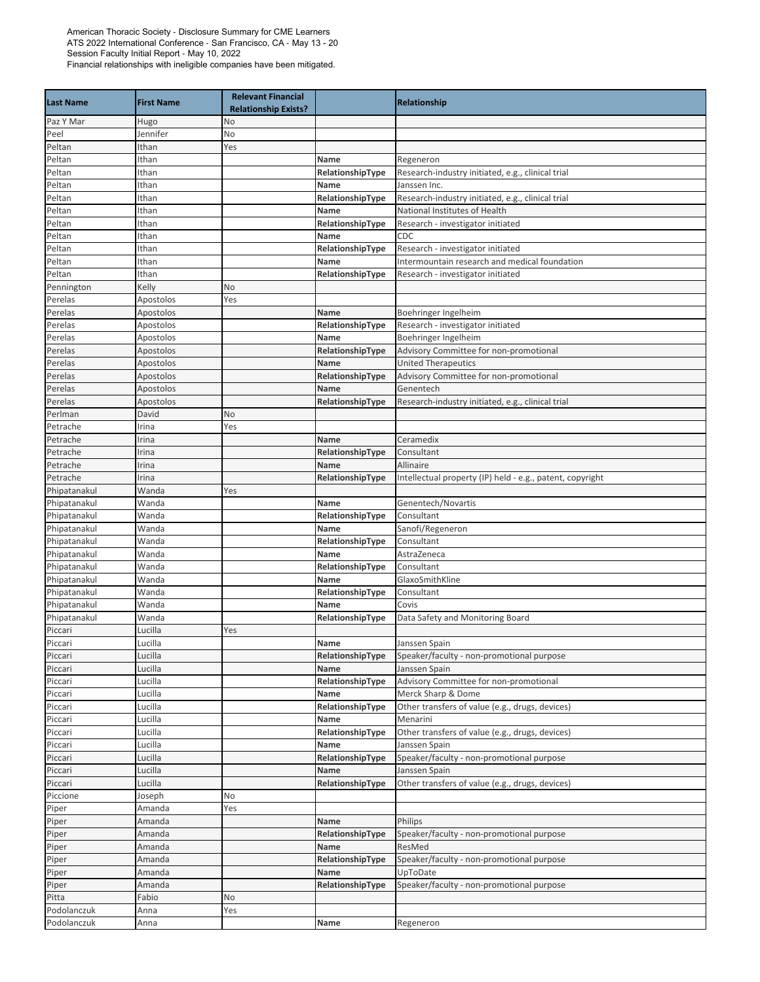| <b>Last Name</b> | <b>First Name</b> | <b>Relevant Financial</b><br><b>Relationship Exists?</b> |                  | <b>Relationship</b>                                       |
|------------------|-------------------|----------------------------------------------------------|------------------|-----------------------------------------------------------|
| Paz Y Mar        | Hugo              | No                                                       |                  |                                                           |
| Peel             | Jennifer          | No                                                       |                  |                                                           |
| Peltan           | Ithan             | Yes                                                      |                  |                                                           |
| Peltan           | Ithan             |                                                          | Name             | Regeneron                                                 |
| Peltan           | Ithan             |                                                          | RelationshipType | Research-industry initiated, e.g., clinical trial         |
| Peltan           | Ithan             |                                                          | Name             | Janssen Inc.                                              |
| Peltan           | Ithan             |                                                          | RelationshipType | Research-industry initiated, e.g., clinical trial         |
| Peltan           | Ithan             |                                                          | Name             | National Institutes of Health                             |
| Peltan           | Ithan             |                                                          | RelationshipType | Research - investigator initiated                         |
| Peltan           | Ithan             |                                                          | Name             | CDC                                                       |
| Peltan           | Ithan             |                                                          | RelationshipType | Research - investigator initiated                         |
| Peltan           | Ithan             |                                                          | Name             | Intermountain research and medical foundation             |
| Peltan           | Ithan             |                                                          | RelationshipType | Research - investigator initiated                         |
| Pennington       | Kelly             | No                                                       |                  |                                                           |
| Perelas          | Apostolos         | Yes                                                      |                  |                                                           |
| Perelas          | Apostolos         |                                                          | Name             | Boehringer Ingelheim                                      |
| Perelas          | Apostolos         |                                                          | RelationshipType | Research - investigator initiated                         |
| Perelas          | Apostolos         |                                                          | Name             | Boehringer Ingelheim                                      |
| Perelas          | Apostolos         |                                                          | RelationshipType | Advisory Committee for non-promotional                    |
| Perelas          | Apostolos         |                                                          | Name             | <b>United Therapeutics</b>                                |
| Perelas          | Apostolos         |                                                          | RelationshipType | Advisory Committee for non-promotional                    |
| Perelas          | Apostolos         |                                                          | Name             | Genentech                                                 |
| Perelas          | Apostolos         |                                                          | RelationshipType | Research-industry initiated, e.g., clinical trial         |
| Perlman          | David             | No                                                       |                  |                                                           |
| Petrache         | Irina             | Yes                                                      |                  |                                                           |
| Petrache         | Irina             |                                                          | Name             | Ceramedix                                                 |
| Petrache         | Irina             |                                                          | RelationshipType | Consultant                                                |
| Petrache         | Irina             |                                                          | Name             | Allinaire                                                 |
| Petrache         | Irina             |                                                          | RelationshipType | Intellectual property (IP) held - e.g., patent, copyright |
| Phipatanakul     | Wanda             | Yes                                                      |                  |                                                           |
| Phipatanakul     | Wanda             |                                                          | Name             | Genentech/Novartis                                        |
| Phipatanakul     | Wanda             |                                                          | RelationshipType | Consultant                                                |
| Phipatanakul     | Wanda             |                                                          | Name             | Sanofi/Regeneron                                          |
| Phipatanakul     | Wanda             |                                                          | RelationshipType | Consultant                                                |
| Phipatanakul     | Wanda             |                                                          | Name             | AstraZeneca                                               |
| Phipatanakul     | Wanda             |                                                          | RelationshipType | Consultant                                                |
| Phipatanakul     | Wanda             |                                                          | Name             | GlaxoSmithKline                                           |
| Phipatanakul     | Wanda             |                                                          | RelationshipType | Consultant                                                |
| Phipatanakul     | Wanda             |                                                          | Name             | Covis                                                     |
| Phipatanakul     | Wanda             |                                                          | RelationshipType | Data Safety and Monitoring Board                          |
| Piccari          | Lucilla           | Yes                                                      |                  |                                                           |
| Piccari          | Lucilla           |                                                          | Name             | Janssen Spain                                             |
| Piccari          | Lucilla           |                                                          | RelationshipType | Speaker/faculty - non-promotional purpose                 |
| Piccari          | Lucilla           |                                                          | Name             | Janssen Spain                                             |
| Piccari          | Lucilla           |                                                          | RelationshipType | Advisory Committee for non-promotional                    |
| Piccari          | Lucilla           |                                                          | Name             | Merck Sharp & Dome                                        |
| Piccari          | Lucilla           |                                                          | RelationshipType | Other transfers of value (e.g., drugs, devices)           |
| Piccari          | Lucilla           |                                                          | Name             | Menarini                                                  |
| Piccari          | Lucilla           |                                                          | RelationshipType | Other transfers of value (e.g., drugs, devices)           |
| Piccari          | Lucilla           |                                                          | Name             | Janssen Spain                                             |
| Piccari          | Lucilla           |                                                          | RelationshipType | Speaker/faculty - non-promotional purpose                 |
| Piccari          | Lucilla           |                                                          | Name             | Janssen Spain                                             |
| Piccari          | Lucilla           |                                                          | RelationshipType | Other transfers of value (e.g., drugs, devices)           |
| Piccione         | Joseph            | No                                                       |                  |                                                           |
| Piper            | Amanda            | Yes                                                      |                  |                                                           |
| Piper            | Amanda            |                                                          | Name             | Philips                                                   |
| Piper            | Amanda            |                                                          | RelationshipType | Speaker/faculty - non-promotional purpose                 |
| Piper            | Amanda            |                                                          | Name             | ResMed                                                    |
| Piper            | Amanda            |                                                          | RelationshipType | Speaker/faculty - non-promotional purpose                 |
| Piper            | Amanda            |                                                          | Name             | UpToDate                                                  |
| Piper            | Amanda            |                                                          | RelationshipType | Speaker/faculty - non-promotional purpose                 |
| Pitta            | Fabio             | No                                                       |                  |                                                           |
| Podolanczuk      | Anna              | Yes                                                      |                  |                                                           |
| Podolanczuk      | Anna              |                                                          | Name             | Regeneron                                                 |
|                  |                   |                                                          |                  |                                                           |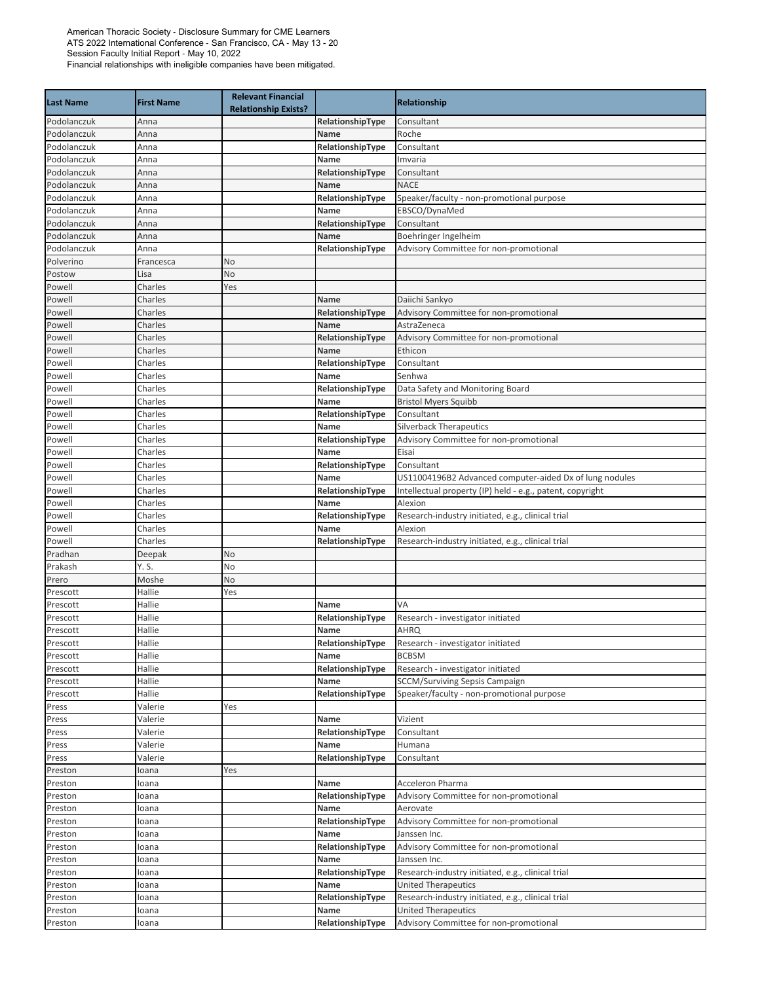| <b>Last Name</b> | <b>First Name</b> | <b>Relevant Financial</b><br><b>Relationship Exists?</b> |                  | Relationship                                              |
|------------------|-------------------|----------------------------------------------------------|------------------|-----------------------------------------------------------|
| Podolanczuk      | Anna              |                                                          | RelationshipType | Consultant                                                |
| Podolanczuk      | Anna              |                                                          | Name             | Roche                                                     |
| Podolanczuk      | Anna              |                                                          | RelationshipType | Consultant                                                |
| Podolanczuk      | Anna              |                                                          | Name             | Imvaria                                                   |
| Podolanczuk      | Anna              |                                                          | RelationshipType | Consultant                                                |
| Podolanczuk      | Anna              |                                                          | Name             | <b>NACE</b>                                               |
| Podolanczuk      | Anna              |                                                          | RelationshipType | Speaker/faculty - non-promotional purpose                 |
| Podolanczuk      | Anna              |                                                          | Name             | EBSCO/DynaMed                                             |
| Podolanczuk      | Anna              |                                                          | RelationshipType | Consultant                                                |
| Podolanczuk      | Anna              |                                                          | Name             | Boehringer Ingelheim                                      |
| Podolanczuk      | Anna              |                                                          | RelationshipType | Advisory Committee for non-promotional                    |
| Polverino        | Francesca         | No                                                       |                  |                                                           |
| Postow           | Lisa              | No                                                       |                  |                                                           |
| Powell           | Charles           | Yes                                                      |                  |                                                           |
| Powell           | Charles           |                                                          | Name             | Daiichi Sankyo                                            |
| Powell           | Charles           |                                                          | RelationshipType | Advisory Committee for non-promotional                    |
| Powell           | Charles           |                                                          | <b>Name</b>      | AstraZeneca                                               |
| Powell           | Charles           |                                                          | RelationshipType | Advisory Committee for non-promotional                    |
| Powell           | Charles           |                                                          | Name             | Ethicon                                                   |
| Powell           | Charles           |                                                          | RelationshipType | Consultant                                                |
| Powell           | Charles           |                                                          | Name             | Senhwa                                                    |
| Powell           | Charles           |                                                          | RelationshipType | Data Safety and Monitoring Board                          |
| Powell           | Charles           |                                                          | Name             | <b>Bristol Myers Squibb</b>                               |
| Powell           | Charles           |                                                          | RelationshipType | Consultant                                                |
| Powell           | Charles           |                                                          | Name             | <b>Silverback Therapeutics</b>                            |
| Powell           | Charles           |                                                          | RelationshipType | Advisory Committee for non-promotional                    |
| Powell           | Charles           |                                                          | Name             | Eisai                                                     |
| Powell           | Charles           |                                                          | RelationshipType | Consultant                                                |
| Powell           | Charles           |                                                          | Name             | US11004196B2 Advanced computer-aided Dx of lung nodules   |
| Powell           | Charles           |                                                          | RelationshipType | Intellectual property (IP) held - e.g., patent, copyright |
| Powell           | Charles           |                                                          | Name             | Alexion                                                   |
| Powell           | Charles           |                                                          | RelationshipType | Research-industry initiated, e.g., clinical trial         |
| Powell<br>Powell | Charles           |                                                          | Name             | Alexion                                                   |
| Pradhan          | Charles           | No                                                       | RelationshipType | Research-industry initiated, e.g., clinical trial         |
| Prakash          | Deepak<br>Y. S.   | No                                                       |                  |                                                           |
| Prero            | Moshe             | No                                                       |                  |                                                           |
| Prescott         | Hallie            | Yes                                                      |                  |                                                           |
| Prescott         | Hallie            |                                                          | Name             | VA                                                        |
| Prescott         | Hallie            |                                                          | RelationshipType | Research - investigator initiated                         |
| Prescott         | Hallie            |                                                          | Name             | <b>AHRQ</b>                                               |
| Prescott         | Hallie            |                                                          | RelationshipType | Research - investigator initiated                         |
| Prescott         | Hallie            |                                                          | Name             | <b>BCBSM</b>                                              |
| Prescott         | Hallie            |                                                          | RelationshipType | Research - investigator initiated                         |
| Prescott         | Hallie            |                                                          | Name             | <b>SCCM/Surviving Sepsis Campaign</b>                     |
| Prescott         | Hallie            |                                                          | RelationshipType | Speaker/faculty - non-promotional purpose                 |
| Press            | Valerie           | Yes                                                      |                  |                                                           |
| Press            | Valerie           |                                                          | Name             | Vizient                                                   |
| Press            | Valerie           |                                                          | RelationshipType | Consultant                                                |
| Press            | Valerie           |                                                          | Name             | Humana                                                    |
| Press            | Valerie           |                                                          | RelationshipType | Consultant                                                |
| Preston          | loana             | Yes                                                      |                  |                                                           |
| Preston          | loana             |                                                          | Name             | Acceleron Pharma                                          |
| Preston          | loana             |                                                          | RelationshipType | Advisory Committee for non-promotional                    |
| Preston          | loana             |                                                          | Name             | Aerovate                                                  |
| Preston          | loana             |                                                          | RelationshipType | Advisory Committee for non-promotional                    |
| Preston          | loana             |                                                          | Name             | Janssen Inc.                                              |
| Preston          | loana             |                                                          | RelationshipType | Advisory Committee for non-promotional                    |
| Preston          | loana             |                                                          | Name             | Janssen Inc.                                              |
| Preston          | loana             |                                                          | RelationshipType | Research-industry initiated, e.g., clinical trial         |
| Preston          | loana             |                                                          | Name             | <b>United Therapeutics</b>                                |
| Preston          | loana             |                                                          | RelationshipType | Research-industry initiated, e.g., clinical trial         |
| Preston          | loana             |                                                          | Name             | <b>United Therapeutics</b>                                |
| Preston          | loana             |                                                          | RelationshipType | Advisory Committee for non-promotional                    |
|                  |                   |                                                          |                  |                                                           |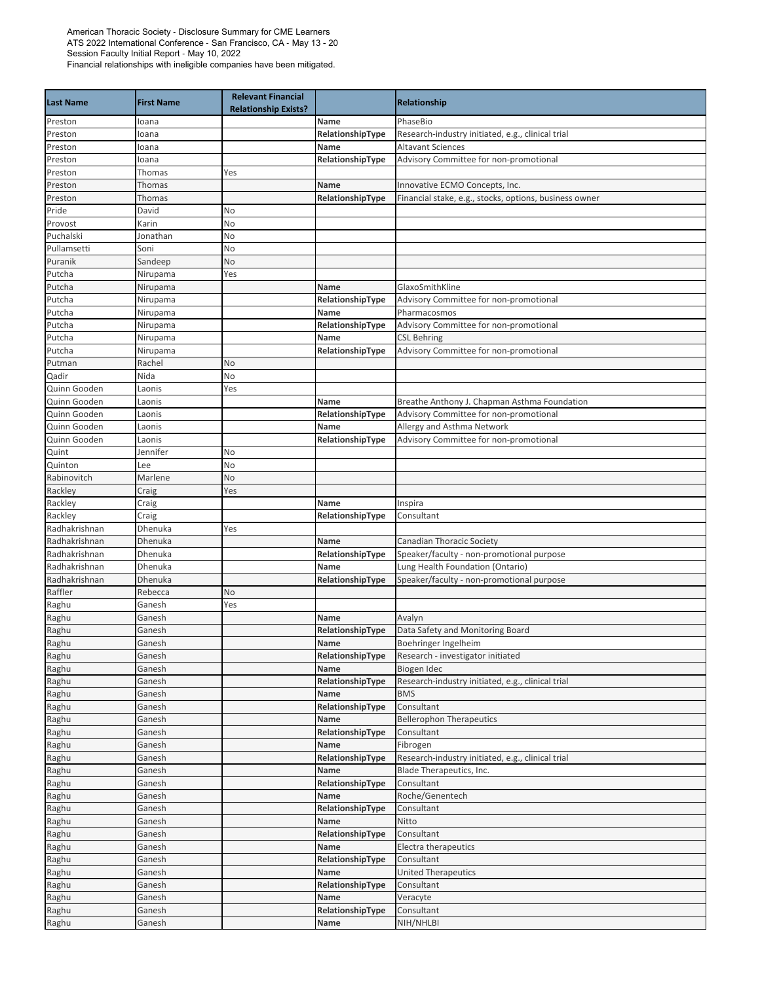| <b>Last Name</b>      | <b>First Name</b> | <b>Relevant Financial</b><br><b>Relationship Exists?</b> |                          | <b>Relationship</b>                                    |
|-----------------------|-------------------|----------------------------------------------------------|--------------------------|--------------------------------------------------------|
| Preston               | loana             |                                                          | Name                     | PhaseBio                                               |
| Preston               | loana             |                                                          | RelationshipType         | Research-industry initiated, e.g., clinical trial      |
| Preston               | loana             |                                                          | Name                     | <b>Altavant Sciences</b>                               |
| Preston               | loana             |                                                          | RelationshipType         | Advisory Committee for non-promotional                 |
| Preston               | Thomas            | Yes                                                      |                          |                                                        |
| Preston               | Thomas            |                                                          | Name                     | Innovative ECMO Concepts, Inc.                         |
| Preston               | Thomas            |                                                          | RelationshipType         | Financial stake, e.g., stocks, options, business owner |
| Pride                 | David             | No                                                       |                          |                                                        |
| Provost               | Karin             | No                                                       |                          |                                                        |
| Puchalski             | Jonathan          | No                                                       |                          |                                                        |
| Pullamsetti           | Soni              | No                                                       |                          |                                                        |
| Puranik               | Sandeep           | No                                                       |                          |                                                        |
| Putcha                | Nirupama          | Yes                                                      |                          |                                                        |
| Putcha                | Nirupama          |                                                          | Name                     | GlaxoSmithKline                                        |
| Putcha                | Nirupama          |                                                          | RelationshipType         | Advisory Committee for non-promotional                 |
| Putcha                | Nirupama          |                                                          | Name                     | Pharmacosmos                                           |
| Putcha                | Nirupama          |                                                          | RelationshipType         | Advisory Committee for non-promotional                 |
| Putcha                | Nirupama          |                                                          | Name                     | <b>CSL Behring</b>                                     |
| Putcha                | Nirupama          |                                                          | RelationshipType         | Advisory Committee for non-promotional                 |
| Putman                | Rachel<br>Nida    | No<br>No                                                 |                          |                                                        |
| Qadir<br>Quinn Gooden | Laonis            | Yes                                                      |                          |                                                        |
| Quinn Gooden          | Laonis            |                                                          | Name                     | Breathe Anthony J. Chapman Asthma Foundation           |
| Quinn Gooden          | Laonis            |                                                          | RelationshipType         | Advisory Committee for non-promotional                 |
| Quinn Gooden          | Laonis            |                                                          | Name                     | Allergy and Asthma Network                             |
| Quinn Gooden          | Laonis            |                                                          | RelationshipType         | Advisory Committee for non-promotional                 |
| Quint                 | Jennifer          | No                                                       |                          |                                                        |
| Quinton               | Lee               | No                                                       |                          |                                                        |
| Rabinovitch           | Marlene           | No                                                       |                          |                                                        |
| Rackley               | Craig             | Yes                                                      |                          |                                                        |
| Rackley               | Craig             |                                                          | Name                     | Inspira                                                |
| Rackley               | Craig             |                                                          | RelationshipType         | Consultant                                             |
| Radhakrishnan         | Dhenuka           | Yes                                                      |                          |                                                        |
| Radhakrishnan         | Dhenuka           |                                                          | <b>Name</b>              | Canadian Thoracic Society                              |
| Radhakrishnan         | Dhenuka           |                                                          | RelationshipType         | Speaker/faculty - non-promotional purpose              |
| Radhakrishnan         | Dhenuka           |                                                          | Name                     | Lung Health Foundation (Ontario)                       |
| Radhakrishnan         | Dhenuka           |                                                          | RelationshipType         | Speaker/faculty - non-promotional purpose              |
| Raffler               | Rebecca           | No                                                       |                          |                                                        |
| Raghu                 | Ganesh            | Yes                                                      |                          |                                                        |
| Raghu                 | Ganesh            |                                                          | Name                     | Avalyn                                                 |
| Raghu                 | Ganesh            |                                                          | RelationshipType         | Data Safety and Monitoring Board                       |
| Raghu                 | Ganesh            |                                                          | Name                     | Boehringer Ingelheim                                   |
| Raghu                 | Ganesh            |                                                          | RelationshipType         | Research - investigator initiated                      |
| Raghu                 | Ganesh            |                                                          | Name                     | Biogen Idec                                            |
| Raghu                 | Ganesh            |                                                          | RelationshipType         | Research-industry initiated, e.g., clinical trial      |
| Raghu                 | Ganesh            |                                                          | Name                     | <b>BMS</b>                                             |
| Raghu                 | Ganesh            |                                                          | RelationshipType<br>Name | Consultant<br><b>Bellerophon Therapeutics</b>          |
| Raghu                 | Ganesh            |                                                          | RelationshipType         |                                                        |
| Raghu<br>Raghu        | Ganesh<br>Ganesh  |                                                          | Name                     | Consultant<br>Fibrogen                                 |
| Raghu                 | Ganesh            |                                                          | RelationshipType         | Research-industry initiated, e.g., clinical trial      |
| Raghu                 | Ganesh            |                                                          | Name                     | Blade Therapeutics, Inc.                               |
| Raghu                 | Ganesh            |                                                          | RelationshipType         | Consultant                                             |
| Raghu                 | Ganesh            |                                                          | Name                     | Roche/Genentech                                        |
| Raghu                 | Ganesh            |                                                          | RelationshipType         | Consultant                                             |
| Raghu                 | Ganesh            |                                                          | Name                     | Nitto                                                  |
| Raghu                 | Ganesh            |                                                          | RelationshipType         | Consultant                                             |
| Raghu                 | Ganesh            |                                                          | Name                     | Electra therapeutics                                   |
| Raghu                 | Ganesh            |                                                          | RelationshipType         | Consultant                                             |
| Raghu                 | Ganesh            |                                                          | Name                     | <b>United Therapeutics</b>                             |
| Raghu                 | Ganesh            |                                                          | RelationshipType         | Consultant                                             |
| Raghu                 | Ganesh            |                                                          | Name                     | Veracyte                                               |
| Raghu                 | Ganesh            |                                                          | RelationshipType         | Consultant                                             |
| Raghu                 | Ganesh            |                                                          | Name                     | NIH/NHLBI                                              |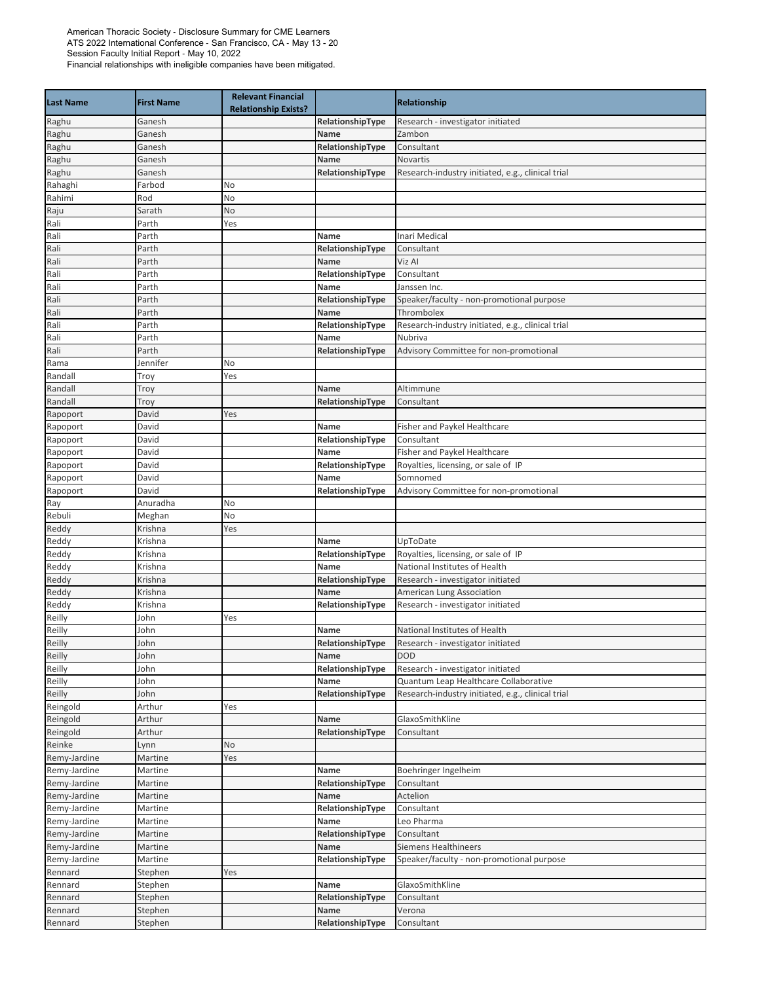| <b>Last Name</b>     | <b>First Name</b> | <b>Relevant Financial</b><br><b>Relationship Exists?</b> |                  | <b>Relationship</b>                               |
|----------------------|-------------------|----------------------------------------------------------|------------------|---------------------------------------------------|
| Raghu                | Ganesh            |                                                          | RelationshipType | Research - investigator initiated                 |
| Raghu                | Ganesh            |                                                          | Name             | Zambon                                            |
| Raghu                | Ganesh            |                                                          | RelationshipType | Consultant                                        |
| Raghu                | Ganesh            |                                                          | Name             | Novartis                                          |
| Raghu                | Ganesh            |                                                          | RelationshipType | Research-industry initiated, e.g., clinical trial |
| Rahaghi              | Farbod            | No                                                       |                  |                                                   |
| Rahimi               | Rod               | No                                                       |                  |                                                   |
| Raju                 | Sarath            | No                                                       |                  |                                                   |
| Rali                 | Parth             | Yes                                                      |                  |                                                   |
| Rali                 | Parth             |                                                          | Name             | Inari Medical                                     |
| Rali                 | Parth             |                                                          | RelationshipType | Consultant                                        |
| Rali                 | Parth             |                                                          | Name             | Viz Al                                            |
| Rali                 | Parth             |                                                          | RelationshipType | Consultant                                        |
| Rali                 | Parth             |                                                          | Name             | Janssen Inc.                                      |
| Rali                 | Parth             |                                                          | RelationshipType | Speaker/faculty - non-promotional purpose         |
| Rali                 | Parth             |                                                          | Name             | Thrombolex                                        |
| Rali                 | Parth             |                                                          | RelationshipType | Research-industry initiated, e.g., clinical trial |
| Rali                 | Parth             |                                                          | Name             | Nubriva                                           |
| Rali                 | Parth             |                                                          | RelationshipType | Advisory Committee for non-promotional            |
| Rama                 | Jennifer          | No                                                       |                  |                                                   |
| Randall              | Troy              | Yes                                                      |                  |                                                   |
| Randall              | Troy              |                                                          | Name             | Altimmune                                         |
| Randall              | Troy              |                                                          | RelationshipType | Consultant                                        |
| Rapoport             | David             | Yes                                                      |                  |                                                   |
| Rapoport             | David             |                                                          | Name             | Fisher and Paykel Healthcare                      |
| Rapoport             | David             |                                                          | RelationshipType | Consultant                                        |
| Rapoport             | David             |                                                          | Name             | Fisher and Paykel Healthcare                      |
| Rapoport             | David             |                                                          | RelationshipType | Royalties, licensing, or sale of IP               |
| Rapoport             | David             |                                                          | Name             | Somnomed                                          |
| Rapoport             | David             |                                                          | RelationshipType | Advisory Committee for non-promotional            |
| Ray                  | Anuradha          | No                                                       |                  |                                                   |
| Rebuli               | Meghan            | No                                                       |                  |                                                   |
| Reddy                | Krishna           | Yes                                                      |                  |                                                   |
| Reddy                | Krishna           |                                                          | <b>Name</b>      | UpToDate                                          |
| Reddy                | Krishna           |                                                          | RelationshipType | Royalties, licensing, or sale of IP               |
| Reddy                | Krishna           |                                                          | Name             | National Institutes of Health                     |
| Reddy                | Krishna           |                                                          | RelationshipType | Research - investigator initiated                 |
| Reddy                | Krishna           |                                                          | Name             | American Lung Association                         |
| Reddy                | Krishna           |                                                          | RelationshipType | Research - investigator initiated                 |
| Reilly               | John              | Yes                                                      |                  |                                                   |
| Reilly               | John              |                                                          | Name             | National Institutes of Health                     |
| Reilly               | John              |                                                          | RelationshipType | Research - investigator initiated                 |
| Reilly               | John              |                                                          | Name             | <b>DOD</b>                                        |
| Reilly               | John              |                                                          | RelationshipType | Research - investigator initiated                 |
| Reilly               | John              |                                                          | Name             | Quantum Leap Healthcare Collaborative             |
| Reilly               | John              |                                                          | RelationshipType | Research-industry initiated, e.g., clinical trial |
| Reingold<br>Reingold | Arthur<br>Arthur  | Yes                                                      | Name             | GlaxoSmithKline                                   |
|                      | Arthur            |                                                          | RelationshipType |                                                   |
| Reingold<br>Reinke   |                   | No                                                       |                  | Consultant                                        |
| Remy-Jardine         | Lynn<br>Martine   | Yes                                                      |                  |                                                   |
| Remy-Jardine         | Martine           |                                                          | Name             | Boehringer Ingelheim                              |
| Remy-Jardine         | Martine           |                                                          | RelationshipType | Consultant                                        |
| Remy-Jardine         | Martine           |                                                          | Name             | Actelion                                          |
| Remy-Jardine         | Martine           |                                                          | RelationshipType | Consultant                                        |
| Remy-Jardine         | Martine           |                                                          | Name             | Leo Pharma                                        |
| Remy-Jardine         | Martine           |                                                          | RelationshipType | Consultant                                        |
| Remy-Jardine         | Martine           |                                                          | Name             | Siemens Healthineers                              |
| Remy-Jardine         | Martine           |                                                          | RelationshipType | Speaker/faculty - non-promotional purpose         |
| Rennard              | Stephen           | Yes                                                      |                  |                                                   |
| Rennard              | Stephen           |                                                          | Name             | GlaxoSmithKline                                   |
| Rennard              | Stephen           |                                                          | RelationshipType | Consultant                                        |
| Rennard              | Stephen           |                                                          | Name             | Verona                                            |
| Rennard              | Stephen           |                                                          | RelationshipType | Consultant                                        |
|                      |                   |                                                          |                  |                                                   |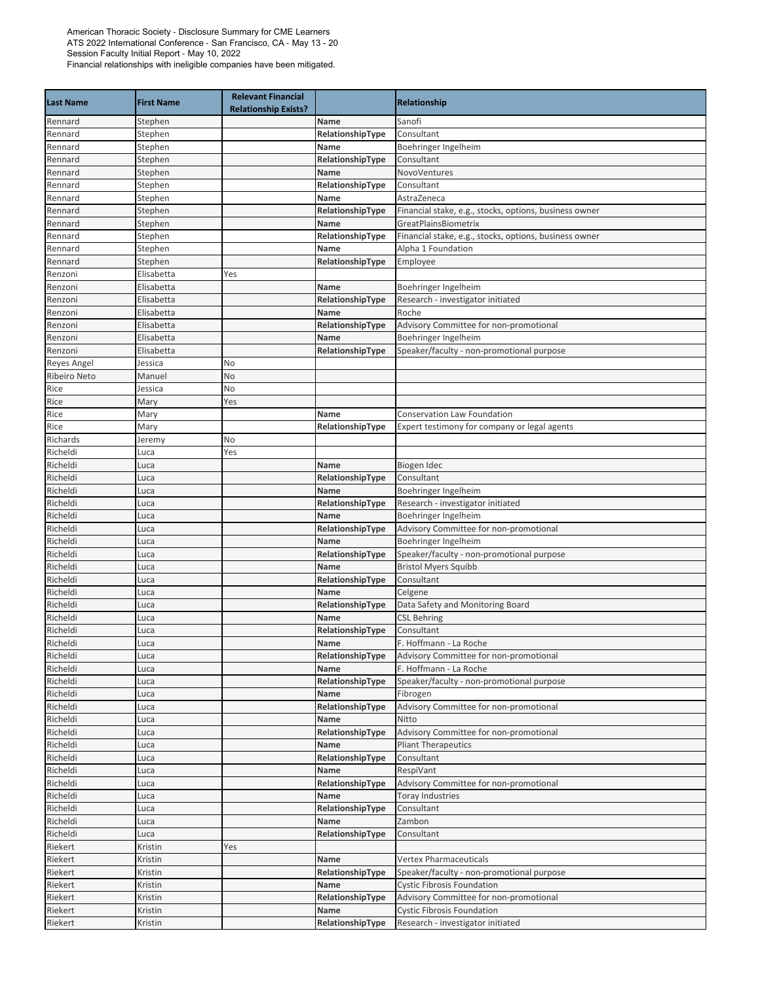| <b>Last Name</b>     | <b>First Name</b>  | <b>Relevant Financial</b><br><b>Relationship Exists?</b> |                          | Relationship                                                                 |
|----------------------|--------------------|----------------------------------------------------------|--------------------------|------------------------------------------------------------------------------|
| Rennard              | Stephen            |                                                          | Name                     | Sanofi                                                                       |
| Rennard              | Stephen            |                                                          | RelationshipType         | Consultant                                                                   |
| Rennard              | Stephen            |                                                          | Name                     | Boehringer Ingelheim                                                         |
| Rennard              | Stephen            |                                                          | RelationshipType         | Consultant                                                                   |
| Rennard              | Stephen            |                                                          | Name                     | NovoVentures                                                                 |
| Rennard              | Stephen            |                                                          | RelationshipType         | Consultant                                                                   |
| Rennard              | Stephen            |                                                          | Name                     | AstraZeneca                                                                  |
| Rennard              | Stephen            |                                                          | RelationshipType         | Financial stake, e.g., stocks, options, business owner                       |
| Rennard              | Stephen            |                                                          | Name                     | GreatPlainsBiometrix                                                         |
| Rennard<br>Rennard   | Stephen<br>Stephen |                                                          | RelationshipType<br>Name | Financial stake, e.g., stocks, options, business owner<br>Alpha 1 Foundation |
| Rennard              | Stephen            |                                                          | RelationshipType         | Employee                                                                     |
| Renzoni              | Elisabetta         | Yes                                                      |                          |                                                                              |
| Renzoni              | Elisabetta         |                                                          | Name                     | Boehringer Ingelheim                                                         |
| Renzoni              | Elisabetta         |                                                          | RelationshipType         | Research - investigator initiated                                            |
| Renzoni              | Elisabetta         |                                                          | Name                     | Roche                                                                        |
| Renzoni              | Elisabetta         |                                                          | RelationshipType         | Advisory Committee for non-promotional                                       |
| Renzoni              | Elisabetta         |                                                          | Name                     | Boehringer Ingelheim                                                         |
| Renzoni              | Elisabetta         |                                                          | RelationshipType         | Speaker/faculty - non-promotional purpose                                    |
| <b>Reyes Angel</b>   | Jessica            | No                                                       |                          |                                                                              |
| Ribeiro Neto         | Manuel             | No                                                       |                          |                                                                              |
| Rice                 | Jessica            | No                                                       |                          |                                                                              |
| Rice                 | Mary               | Yes                                                      |                          |                                                                              |
| Rice                 | Mary               |                                                          | Name                     | <b>Conservation Law Foundation</b>                                           |
| Rice                 | Mary               |                                                          | RelationshipType         | Expert testimony for company or legal agents                                 |
| Richards             | Jeremy             | No                                                       |                          |                                                                              |
| Richeldi             | Luca               | Yes                                                      |                          |                                                                              |
| Richeldi             | Luca               |                                                          | Name                     | Biogen Idec                                                                  |
| Richeldi             | Luca               |                                                          | RelationshipType         | Consultant                                                                   |
| Richeldi             | Luca               |                                                          | Name                     | Boehringer Ingelheim                                                         |
| Richeldi             | Luca               |                                                          | RelationshipType         | Research - investigator initiated                                            |
| Richeldi             | Luca               |                                                          | Name                     | Boehringer Ingelheim                                                         |
| Richeldi             | Luca               |                                                          | RelationshipType         | Advisory Committee for non-promotional                                       |
| Richeldi             | Luca               |                                                          | Name                     | Boehringer Ingelheim<br>Speaker/faculty - non-promotional purpose            |
| Richeldi<br>Richeldi | Luca<br>Luca       |                                                          | RelationshipType<br>Name | <b>Bristol Myers Squibb</b>                                                  |
| Richeldi             | Luca               |                                                          | RelationshipType         | Consultant                                                                   |
| Richeldi             | Luca               |                                                          | Name                     | Celgene                                                                      |
| Richeldi             | Luca               |                                                          | RelationshipType         | Data Safety and Monitoring Board                                             |
| Richeldi             | Luca               |                                                          | Name                     | <b>CSL Behring</b>                                                           |
| Richeldi             | Luca               |                                                          | RelationshipType         | Consultant                                                                   |
| Richeldi             | Luca               |                                                          | Name                     | F. Hoffmann - La Roche                                                       |
| Richeldi             | Luca               |                                                          | RelationshipType         | Advisory Committee for non-promotional                                       |
| Richeldi             | Luca               |                                                          | Name                     | F. Hoffmann - La Roche                                                       |
| Richeldi             | Luca               |                                                          | RelationshipType         | Speaker/faculty - non-promotional purpose                                    |
| Richeldi             | Luca               |                                                          | Name                     | Fibrogen                                                                     |
| Richeldi             | Luca               |                                                          | RelationshipType         | Advisory Committee for non-promotional                                       |
| Richeldi             | Luca               |                                                          | Name                     | Nitto                                                                        |
| Richeldi             | Luca               |                                                          | RelationshipType         | Advisory Committee for non-promotional                                       |
| Richeldi             | Luca               |                                                          | Name                     | <b>Pliant Therapeutics</b>                                                   |
| Richeldi             | Luca               |                                                          | RelationshipType         | Consultant                                                                   |
| Richeldi             | Luca               |                                                          | Name                     | RespiVant                                                                    |
| Richeldi             | Luca               |                                                          | RelationshipType         | Advisory Committee for non-promotional                                       |
| Richeldi             | Luca               |                                                          | Name                     | <b>Toray Industries</b>                                                      |
| Richeldi             | Luca               |                                                          | RelationshipType         | Consultant                                                                   |
| Richeldi             | Luca               |                                                          | Name                     | Zambon                                                                       |
| Richeldi             | Luca               |                                                          | RelationshipType         | Consultant                                                                   |
| Riekert              | Kristin            | Yes                                                      |                          |                                                                              |
| Riekert              | Kristin            |                                                          | Name                     | <b>Vertex Pharmaceuticals</b>                                                |
| Riekert              | Kristin            |                                                          | RelationshipType         | Speaker/faculty - non-promotional purpose                                    |
| Riekert              | Kristin            |                                                          | Name                     | <b>Cystic Fibrosis Foundation</b>                                            |
| Riekert              | Kristin            |                                                          | RelationshipType         | Advisory Committee for non-promotional                                       |
| Riekert              | Kristin            |                                                          | Name<br>RelationshipType | <b>Cystic Fibrosis Foundation</b>                                            |
| Riekert              | Kristin            |                                                          |                          | Research - investigator initiated                                            |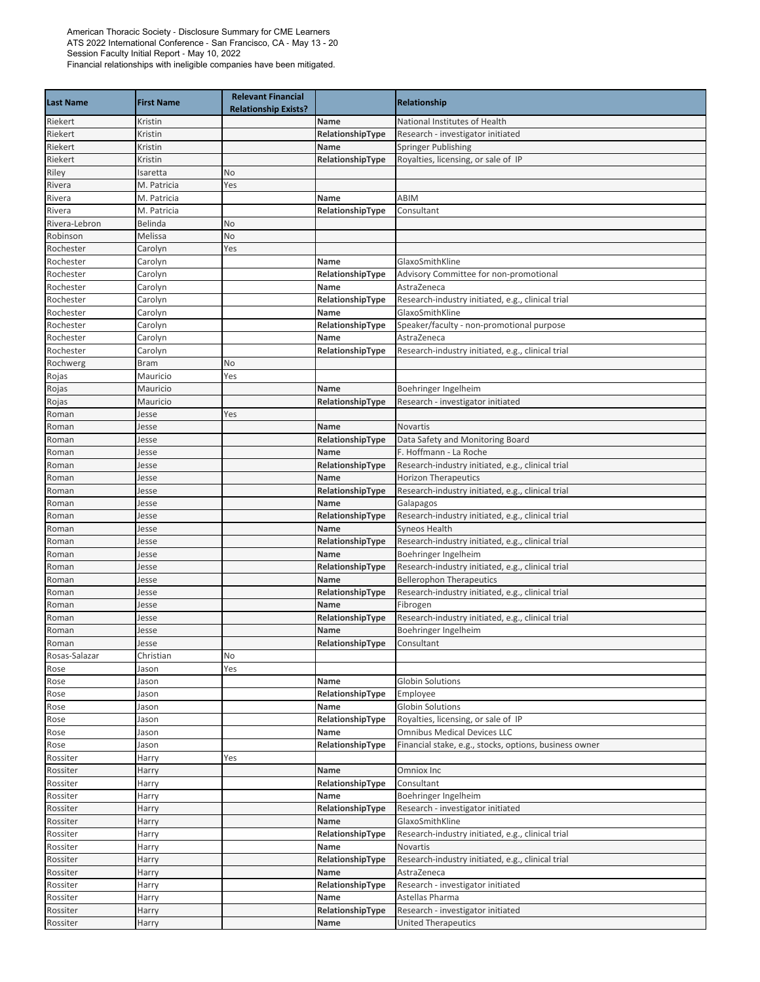| <b>Last Name</b> | <b>First Name</b> | <b>Relevant Financial</b><br><b>Relationship Exists?</b> |                          | <b>Relationship</b>                                    |
|------------------|-------------------|----------------------------------------------------------|--------------------------|--------------------------------------------------------|
| Riekert          | Kristin           |                                                          | Name                     | National Institutes of Health                          |
| Riekert          | Kristin           |                                                          | RelationshipType         | Research - investigator initiated                      |
| Riekert          | Kristin           |                                                          | Name                     | Springer Publishing                                    |
| Riekert          | Kristin           |                                                          | RelationshipType         | Royalties, licensing, or sale of IP                    |
| Riley            | Isaretta          | No                                                       |                          |                                                        |
| Rivera           | M. Patricia       | Yes                                                      |                          |                                                        |
| Rivera           | M. Patricia       |                                                          | Name                     | ABIM                                                   |
| Rivera           | M. Patricia       |                                                          | RelationshipType         | Consultant                                             |
| Rivera-Lebron    | Belinda           | No                                                       |                          |                                                        |
| Robinson         | Melissa           | No                                                       |                          |                                                        |
| Rochester        | Carolyn           | Yes                                                      |                          |                                                        |
| Rochester        | Carolyn           |                                                          | Name                     | GlaxoSmithKline                                        |
| Rochester        | Carolyn           |                                                          | RelationshipType         | Advisory Committee for non-promotional                 |
| Rochester        | Carolyn           |                                                          | Name                     | AstraZeneca                                            |
| Rochester        | Carolyn           |                                                          | RelationshipType         | Research-industry initiated, e.g., clinical trial      |
| Rochester        | Carolyn           |                                                          | Name                     | GlaxoSmithKline                                        |
| Rochester        | Carolyn           |                                                          | RelationshipType         | Speaker/faculty - non-promotional purpose              |
| Rochester        | Carolyn           |                                                          | Name                     | AstraZeneca                                            |
| Rochester        | Carolyn           |                                                          | RelationshipType         | Research-industry initiated, e.g., clinical trial      |
| Rochwerg         | <b>Bram</b>       | No                                                       |                          |                                                        |
| Rojas            | Mauricio          | Yes                                                      |                          |                                                        |
| Rojas            | Mauricio          |                                                          | Name<br>RelationshipType | Boehringer Ingelheim                                   |
| Rojas            | Mauricio          |                                                          |                          | Research - investigator initiated                      |
| Roman            | Jesse             | Yes                                                      | Name                     | <b>Novartis</b>                                        |
| Roman<br>Roman   | Jesse<br>Jesse    |                                                          | RelationshipType         | Data Safety and Monitoring Board                       |
| Roman            | Jesse             |                                                          | Name                     | F. Hoffmann - La Roche                                 |
| Roman            | Jesse             |                                                          | RelationshipType         | Research-industry initiated, e.g., clinical trial      |
| Roman            | Jesse             |                                                          | Name                     | <b>Horizon Therapeutics</b>                            |
| Roman            | Jesse             |                                                          | RelationshipType         | Research-industry initiated, e.g., clinical trial      |
| Roman            | Jesse             |                                                          | Name                     | Galapagos                                              |
| Roman            | Jesse             |                                                          | RelationshipType         | Research-industry initiated, e.g., clinical trial      |
| Roman            | Jesse             |                                                          | Name                     | Syneos Health                                          |
| Roman            | Jesse             |                                                          | RelationshipType         | Research-industry initiated, e.g., clinical trial      |
| Roman            | Jesse             |                                                          | Name                     | Boehringer Ingelheim                                   |
| Roman            | Jesse             |                                                          | RelationshipType         | Research-industry initiated, e.g., clinical trial      |
| Roman            | Jesse             |                                                          | Name                     | <b>Bellerophon Therapeutics</b>                        |
| Roman            | Jesse             |                                                          | RelationshipType         | Research-industry initiated, e.g., clinical trial      |
| Roman            | Jesse             |                                                          | Name                     | Fibrogen                                               |
| Roman            | Jesse             |                                                          | RelationshipType         | Research-industry initiated, e.g., clinical trial      |
| Roman            | Jesse             |                                                          | Name                     | Boehringer Ingelheim                                   |
| Roman            | Jesse             |                                                          | RelationshipType         | Consultant                                             |
| Rosas-Salazar    | Christian         | No                                                       |                          |                                                        |
| Rose             | lason             | Yes                                                      |                          |                                                        |
| Rose             | Jason             |                                                          | Name                     | <b>Globin Solutions</b>                                |
| Rose             | Jason             |                                                          | RelationshipType         | Employee                                               |
| Rose             | Jason             |                                                          | Name                     | <b>Globin Solutions</b>                                |
| Rose             | Jason             |                                                          | RelationshipType         | Royalties, licensing, or sale of IP                    |
| Rose             | Jason             |                                                          | Name                     | <b>Omnibus Medical Devices LLC</b>                     |
| Rose             | Jason             |                                                          | RelationshipType         | Financial stake, e.g., stocks, options, business owner |
| Rossiter         | Harry             | Yes                                                      |                          |                                                        |
| Rossiter         | Harry             |                                                          | Name                     | Omniox Inc                                             |
| Rossiter         | Harry             |                                                          | RelationshipType         | Consultant                                             |
| Rossiter         | Harry             |                                                          | Name                     | Boehringer Ingelheim                                   |
| Rossiter         | Harry             |                                                          | RelationshipType         | Research - investigator initiated                      |
| Rossiter         | Harry             |                                                          | Name                     | GlaxoSmithKline                                        |
| Rossiter         | Harry             |                                                          | RelationshipType         | Research-industry initiated, e.g., clinical trial      |
| Rossiter         | Harry             |                                                          | Name                     | Novartis                                               |
| Rossiter         | Harry             |                                                          | RelationshipType         | Research-industry initiated, e.g., clinical trial      |
| Rossiter         | Harry             |                                                          | Name                     | AstraZeneca                                            |
| Rossiter         | Harry             |                                                          | RelationshipType         | Research - investigator initiated                      |
| Rossiter         | Harry             |                                                          | Name                     | Astellas Pharma                                        |
| Rossiter         | Harry             |                                                          | RelationshipType         | Research - investigator initiated                      |
| Rossiter         | Harry             |                                                          | Name                     | <b>United Therapeutics</b>                             |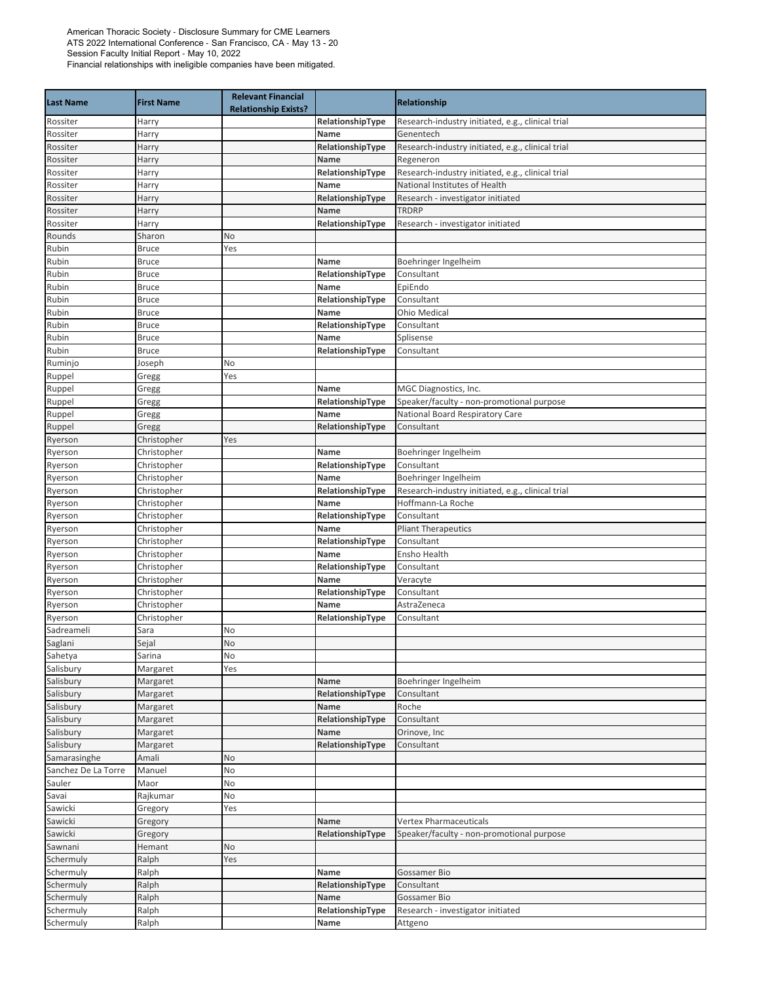| <b>Last Name</b>      | <b>First Name</b>            | <b>Relevant Financial</b><br><b>Relationship Exists?</b> |                          | Relationship                                      |
|-----------------------|------------------------------|----------------------------------------------------------|--------------------------|---------------------------------------------------|
| Rossiter              | Harry                        |                                                          | RelationshipType         | Research-industry initiated, e.g., clinical trial |
| Rossiter              | Harry                        |                                                          | Name                     | Genentech                                         |
| Rossiter              | Harry                        |                                                          | RelationshipType         | Research-industry initiated, e.g., clinical trial |
| Rossiter              | Harry                        |                                                          | Name                     | Regeneron                                         |
| Rossiter              | Harry                        |                                                          | RelationshipType         | Research-industry initiated, e.g., clinical trial |
| Rossiter              | Harry                        |                                                          | Name                     | National Institutes of Health                     |
| Rossiter              | Harry                        |                                                          | RelationshipType         | Research - investigator initiated                 |
| Rossiter              | Harry                        |                                                          | Name                     | <b>TRDRP</b>                                      |
| Rossiter              | Harry                        |                                                          | RelationshipType         | Research - investigator initiated                 |
| Rounds                | Sharon                       | No                                                       |                          |                                                   |
| Rubin                 | <b>Bruce</b>                 | Yes                                                      |                          |                                                   |
| Rubin                 | <b>Bruce</b>                 |                                                          | Name                     | Boehringer Ingelheim                              |
| Rubin<br>Rubin        | <b>Bruce</b><br><b>Bruce</b> |                                                          | RelationshipType<br>Name | Consultant<br>EpiEndo                             |
| Rubin                 | <b>Bruce</b>                 |                                                          | RelationshipType         | Consultant                                        |
| Rubin                 | <b>Bruce</b>                 |                                                          | Name                     | <b>Ohio Medical</b>                               |
| Rubin                 | <b>Bruce</b>                 |                                                          | RelationshipType         | Consultant                                        |
| Rubin                 | <b>Bruce</b>                 |                                                          | Name                     | Splisense                                         |
| Rubin                 | Bruce                        |                                                          | RelationshipType         | Consultant                                        |
| Ruminjo               | Joseph                       | No                                                       |                          |                                                   |
| Ruppel                | Gregg                        | Yes                                                      |                          |                                                   |
| Ruppel                | Gregg                        |                                                          | Name                     | MGC Diagnostics, Inc.                             |
| Ruppel                | Gregg                        |                                                          | RelationshipType         | Speaker/faculty - non-promotional purpose         |
| Ruppel                | Gregg                        |                                                          | Name                     | National Board Respiratory Care                   |
| Ruppel                | Gregg                        |                                                          | RelationshipType         | Consultant                                        |
| Ryerson               | Christopher                  | Yes                                                      |                          |                                                   |
| Ryerson               | Christopher                  |                                                          | Name                     | Boehringer Ingelheim                              |
| Ryerson               | Christopher                  |                                                          | RelationshipType         | Consultant                                        |
| Ryerson               | Christopher                  |                                                          | Name                     | Boehringer Ingelheim                              |
| Ryerson               | Christopher                  |                                                          | RelationshipType         | Research-industry initiated, e.g., clinical trial |
| Ryerson               | Christopher                  |                                                          | Name                     | Hoffmann-La Roche                                 |
| Ryerson               | Christopher                  |                                                          | RelationshipType         | Consultant                                        |
| Ryerson               | Christopher                  |                                                          | Name                     | <b>Pliant Therapeutics</b>                        |
| Ryerson               | Christopher                  |                                                          | RelationshipType         | Consultant                                        |
| Ryerson               | Christopher                  |                                                          | Name                     | Ensho Health                                      |
| Ryerson               | Christopher                  |                                                          | RelationshipType         | Consultant                                        |
| Ryerson               | Christopher                  |                                                          | Name                     | Veracyte                                          |
| Ryerson               | Christopher                  |                                                          | RelationshipType         | Consultant                                        |
| Ryerson               | Christopher                  |                                                          | Name                     | AstraZeneca                                       |
| Ryerson               | Christopher                  |                                                          | RelationshipType         | Consultant                                        |
| Sadreameli<br>Saglani | Sara<br>Sejal                | No<br><b>No</b>                                          |                          |                                                   |
| Sahetya               | Sarina                       | No                                                       |                          |                                                   |
| Salisbury             | Margaret                     | Yes                                                      |                          |                                                   |
| Salisbury             | Margaret                     |                                                          | Name                     | Boehringer Ingelheim                              |
| Salisbury             | Margaret                     |                                                          | RelationshipType         | Consultant                                        |
| Salisbury             | Margaret                     |                                                          | Name                     | Roche                                             |
| Salisbury             | Margaret                     |                                                          | RelationshipType         | Consultant                                        |
| Salisbury             | Margaret                     |                                                          | Name                     | Orinove, Inc                                      |
| Salisbury             | Margaret                     |                                                          | RelationshipType         | Consultant                                        |
| Samarasinghe          | Amali                        | No                                                       |                          |                                                   |
| Sanchez De La Torre   | Manuel                       | No                                                       |                          |                                                   |
| Sauler                | Maor                         | No                                                       |                          |                                                   |
| Savai                 | Rajkumar                     | No                                                       |                          |                                                   |
| Sawicki               | Gregory                      | Yes                                                      |                          |                                                   |
| Sawicki               | Gregory                      |                                                          | Name                     | <b>Vertex Pharmaceuticals</b>                     |
| Sawicki               | Gregory                      |                                                          | RelationshipType         | Speaker/faculty - non-promotional purpose         |
| Sawnani               | Hemant                       | No                                                       |                          |                                                   |
| Schermuly             | Ralph                        | Yes                                                      |                          |                                                   |
| Schermuly             | Ralph                        |                                                          | Name                     | Gossamer Bio                                      |
| Schermuly             | Ralph                        |                                                          | RelationshipType         | Consultant                                        |
| Schermuly             | Ralph                        |                                                          | Name                     | Gossamer Bio                                      |
| Schermuly             | Ralph                        |                                                          | RelationshipType         | Research - investigator initiated                 |
| Schermuly             | Ralph                        |                                                          | Name                     | Attgeno                                           |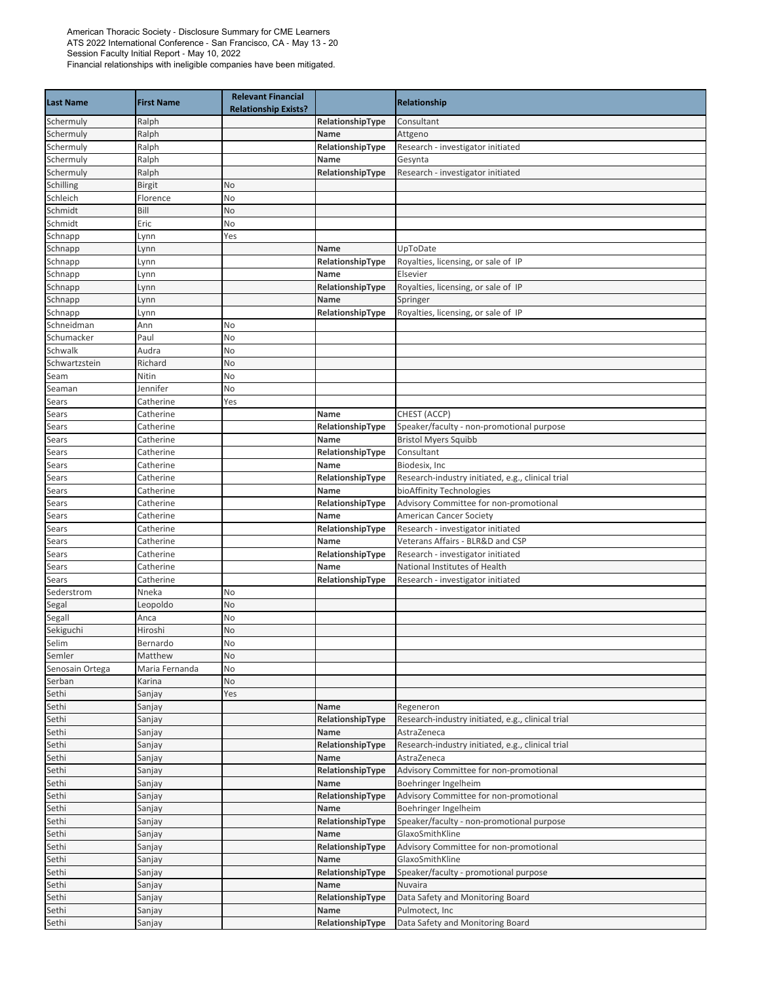|                    |                     | <b>Relevant Financial</b>   |                  |                                                   |
|--------------------|---------------------|-----------------------------|------------------|---------------------------------------------------|
| <b>Last Name</b>   | <b>First Name</b>   | <b>Relationship Exists?</b> |                  | <b>Relationship</b>                               |
| Schermuly          | Ralph               |                             | RelationshipType | Consultant                                        |
| Schermuly          | Ralph               |                             | Name             | Attgeno                                           |
| Schermuly          | Ralph               |                             | RelationshipType | Research - investigator initiated                 |
| Schermuly          | Ralph               |                             | Name             | Gesynta                                           |
| Schermuly          | Ralph               |                             | RelationshipType | Research - investigator initiated                 |
| Schilling          | Birgit              | No                          |                  |                                                   |
| Schleich           | Florence            | No                          |                  |                                                   |
| Schmidt            | Bill                | No                          |                  |                                                   |
| Schmidt            | Eric                | No                          |                  |                                                   |
| Schnapp            | Lynn                | Yes                         |                  |                                                   |
| Schnapp            | Lynn                |                             | Name             | UpToDate                                          |
| Schnapp            | Lynn                |                             | RelationshipType | Royalties, licensing, or sale of IP               |
| Schnapp            | Lynn                |                             | Name             | Elsevier                                          |
| Schnapp            | Lynn                |                             | RelationshipType | Royalties, licensing, or sale of IP               |
| Schnapp            | Lynn                |                             | Name             | Springer                                          |
| Schnapp            | Lynn                |                             | RelationshipType | Royalties, licensing, or sale of IP               |
| Schneidman         | Ann                 | No                          |                  |                                                   |
| Schumacker         | Paul                | No                          |                  |                                                   |
| Schwalk            | Audra               | No                          |                  |                                                   |
| Schwartzstein      | Richard             | No                          |                  |                                                   |
| Seam               | Nitin               | No                          |                  |                                                   |
| Seaman             | Jennifer            | No                          |                  |                                                   |
| Sears              | Catherine           | Yes                         |                  |                                                   |
| Sears              | Catherine           |                             | Name             | CHEST (ACCP)                                      |
| Sears              | Catherine           |                             | RelationshipType | Speaker/faculty - non-promotional purpose         |
| Sears              | Catherine           |                             | Name             | <b>Bristol Myers Squibb</b>                       |
| Sears              | Catherine           |                             | RelationshipType | Consultant                                        |
| Sears              | Catherine           |                             | Name             | Biodesix, Inc                                     |
| Sears              | Catherine           |                             | RelationshipType | Research-industry initiated, e.g., clinical trial |
| Sears              | Catherine           |                             | Name             | bioAffinity Technologies                          |
| Sears              | Catherine           |                             | RelationshipType | Advisory Committee for non-promotional            |
| Sears              | Catherine           |                             | Name             | American Cancer Society                           |
| Sears              | Catherine           |                             | RelationshipType | Research - investigator initiated                 |
| Sears              | Catherine           |                             | Name             | Veterans Affairs - BLR&D and CSP                  |
| Sears              | Catherine           |                             | RelationshipType | Research - investigator initiated                 |
| Sears              | Catherine           |                             | Name             | National Institutes of Health                     |
| Sears              | Catherine           |                             | RelationshipType | Research - investigator initiated                 |
| Sederstrom         | Nneka               | No                          |                  |                                                   |
| Segal              | Leopoldo            | No                          |                  |                                                   |
| Segall             | Anca                | No                          |                  |                                                   |
| Sekiguchi<br>Selim | Hiroshi<br>Bernardo | No<br>No                    |                  |                                                   |
| Semler             | Matthew             | No                          |                  |                                                   |
| Senosain Ortega    | Maria Fernanda      | No                          |                  |                                                   |
| Serban             | Karina              | No                          |                  |                                                   |
| Sethi              | Sanjay              | Yes                         |                  |                                                   |
| Sethi              | Sanjay              |                             | Name             | Regeneron                                         |
| Sethi              | Sanjay              |                             | RelationshipType | Research-industry initiated, e.g., clinical trial |
| Sethi              | Sanjay              |                             | Name             | AstraZeneca                                       |
| Sethi              | Sanjay              |                             | RelationshipType | Research-industry initiated, e.g., clinical trial |
| Sethi              | Sanjay              |                             | Name             | AstraZeneca                                       |
| Sethi              | Sanjay              |                             | RelationshipType | Advisory Committee for non-promotional            |
| Sethi              | Sanjay              |                             | Name             | Boehringer Ingelheim                              |
| Sethi              | Sanjay              |                             | RelationshipType | Advisory Committee for non-promotional            |
| Sethi              | Sanjay              |                             | Name             | Boehringer Ingelheim                              |
| Sethi              | Sanjay              |                             | RelationshipType | Speaker/faculty - non-promotional purpose         |
| Sethi              | Sanjay              |                             | Name             | GlaxoSmithKline                                   |
| Sethi              | Sanjay              |                             | RelationshipType | Advisory Committee for non-promotional            |
| Sethi              | Sanjay              |                             | Name             | GlaxoSmithKline                                   |
| Sethi              | Sanjay              |                             | RelationshipType | Speaker/faculty - promotional purpose             |
| Sethi              | Sanjay              |                             | Name             | Nuvaira                                           |
| Sethi              | Sanjay              |                             | RelationshipType | Data Safety and Monitoring Board                  |
| Sethi              | Sanjay              |                             | Name             | Pulmotect, Inc                                    |
| Sethi              | Sanjay              |                             | RelationshipType | Data Safety and Monitoring Board                  |
|                    |                     |                             |                  |                                                   |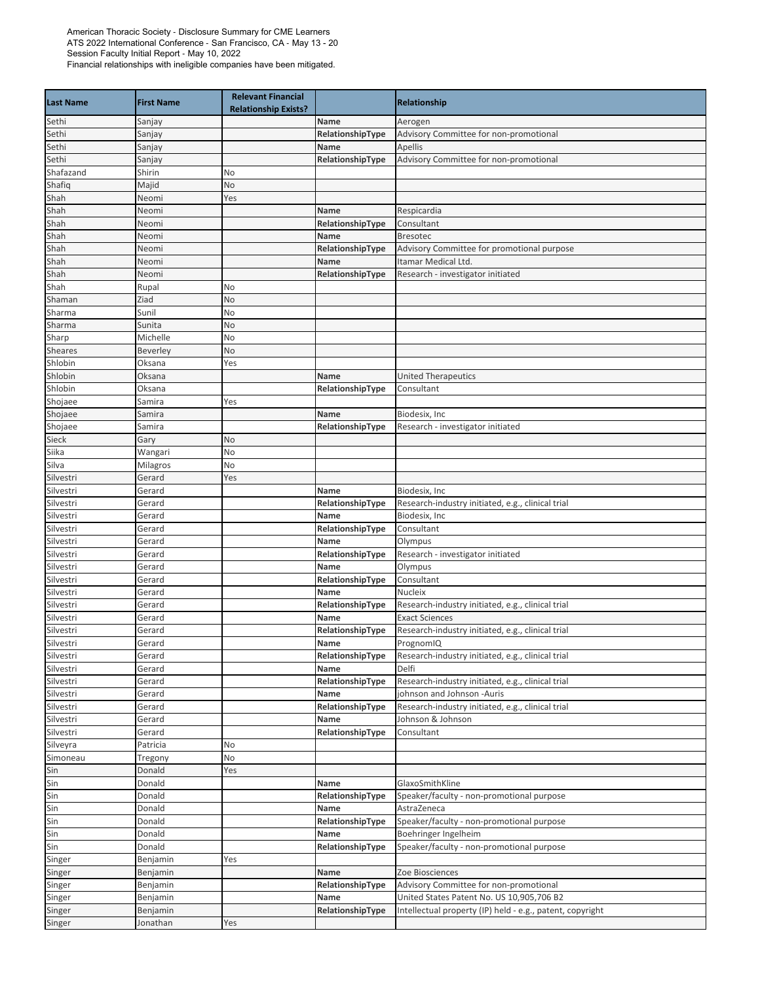| <b>Last Name</b> | <b>First Name</b> | <b>Relevant Financial</b><br><b>Relationship Exists?</b> |                  | <b>Relationship</b>                                       |
|------------------|-------------------|----------------------------------------------------------|------------------|-----------------------------------------------------------|
| Sethi            | Sanjay            |                                                          | Name             | Aerogen                                                   |
| Sethi            | Sanjay            |                                                          | RelationshipType | Advisory Committee for non-promotional                    |
| Sethi            | Sanjay            |                                                          | Name             | <b>Apellis</b>                                            |
| Sethi            | Sanjay            |                                                          | RelationshipType | Advisory Committee for non-promotional                    |
| Shafazand        | Shirin            | No                                                       |                  |                                                           |
| Shafiq           | Majid             | No                                                       |                  |                                                           |
| Shah             | Neomi             | Yes                                                      |                  |                                                           |
| Shah             | Neomi             |                                                          | Name             | Respicardia                                               |
| Shah             | Neomi             |                                                          | RelationshipType | Consultant                                                |
| Shah             | Neomi             |                                                          | Name             | <b>Bresotec</b>                                           |
| Shah             | Neomi             |                                                          | RelationshipType | Advisory Committee for promotional purpose                |
| Shah             | Neomi             |                                                          | Name             | Itamar Medical Ltd.                                       |
| Shah             | Neomi             |                                                          | RelationshipType | Research - investigator initiated                         |
| Shah             | Rupal             | No                                                       |                  |                                                           |
| Shaman           | Ziad              | No                                                       |                  |                                                           |
| Sharma           | Sunil             | No                                                       |                  |                                                           |
| Sharma           | Sunita            | No                                                       |                  |                                                           |
| Sharp            | Michelle          | No                                                       |                  |                                                           |
| Sheares          | Beverley          | No                                                       |                  |                                                           |
| Shlobin          | Oksana            | Yes                                                      |                  |                                                           |
| Shlobin          | Oksana            |                                                          | Name             | <b>United Therapeutics</b>                                |
| Shlobin          | Oksana            |                                                          | RelationshipType | Consultant                                                |
| Shojaee          | Samira            | Yes                                                      |                  |                                                           |
| Shojaee          | Samira            |                                                          | Name             | Biodesix, Inc.                                            |
| Shojaee          | Samira            |                                                          | RelationshipType | Research - investigator initiated                         |
| Sieck            | Gary              | No                                                       |                  |                                                           |
| Siika            | Wangari           | No                                                       |                  |                                                           |
| Silva            | Milagros          | No                                                       |                  |                                                           |
| Silvestri        | Gerard            | Yes                                                      |                  |                                                           |
| Silvestri        | Gerard            |                                                          | <b>Name</b>      | Biodesix, Inc.                                            |
| Silvestri        | Gerard            |                                                          | RelationshipType | Research-industry initiated, e.g., clinical trial         |
| Silvestri        | Gerard            |                                                          | Name             | Biodesix, Inc                                             |
| Silvestri        | Gerard            |                                                          | RelationshipType | Consultant                                                |
| Silvestri        | Gerard            |                                                          | Name             | Olympus                                                   |
| Silvestri        | Gerard            |                                                          | RelationshipType | Research - investigator initiated                         |
| Silvestri        | Gerard            |                                                          | Name             | Olympus                                                   |
| Silvestri        | Gerard            |                                                          | RelationshipType | Consultant                                                |
| Silvestri        | Gerard            |                                                          | Name             | <b>Nucleix</b>                                            |
| Silvestri        | Gerard            |                                                          | RelationshipType | Research-industry initiated, e.g., clinical trial         |
| Silvestri        | Gerard            |                                                          | Name             | <b>Exact Sciences</b>                                     |
| Silvestri        | Gerard            |                                                          | RelationshipType | Research-industry initiated, e.g., clinical trial         |
| Silvestri        | Gerard            |                                                          | Name             | PrognomIQ                                                 |
| Silvestri        | Gerard            |                                                          | RelationshipType | Research-industry initiated, e.g., clinical trial         |
| Silvestri        | Gerard            |                                                          | Name             | Delfi                                                     |
| Silvestri        | Gerard            |                                                          | RelationshipType | Research-industry initiated, e.g., clinical trial         |
| Silvestri        | Gerard            |                                                          | Name             | johnson and Johnson -Auris                                |
| Silvestri        | Gerard            |                                                          | RelationshipType | Research-industry initiated, e.g., clinical trial         |
| Silvestri        | Gerard            |                                                          | Name             | Johnson & Johnson                                         |
| Silvestri        | Gerard            |                                                          | RelationshipType | Consultant                                                |
| Silveyra         | Patricia          | No                                                       |                  |                                                           |
| Simoneau         | Tregony           | No                                                       |                  |                                                           |
| Sin              | Donald            | Yes                                                      |                  |                                                           |
| Sin              | Donald            |                                                          | Name             | GlaxoSmithKline                                           |
| Sin              | Donald            |                                                          | RelationshipType | Speaker/faculty - non-promotional purpose                 |
| Sin              | Donald            |                                                          | Name             | AstraZeneca                                               |
| Sin              | Donald            |                                                          | RelationshipType | Speaker/faculty - non-promotional purpose                 |
| Sin              | Donald            |                                                          | Name             | Boehringer Ingelheim                                      |
| Sin              | Donald            |                                                          | RelationshipType | Speaker/faculty - non-promotional purpose                 |
| Singer           | Benjamin          | Yes                                                      |                  |                                                           |
| Singer           | Benjamin          |                                                          | Name             | Zoe Biosciences                                           |
| Singer           | Benjamin          |                                                          | RelationshipType | Advisory Committee for non-promotional                    |
| Singer           | Benjamin          |                                                          | Name             | United States Patent No. US 10,905,706 B2                 |
| Singer           | Benjamin          |                                                          | RelationshipType | Intellectual property (IP) held - e.g., patent, copyright |
| Singer           | Jonathan          | Yes                                                      |                  |                                                           |
|                  |                   |                                                          |                  |                                                           |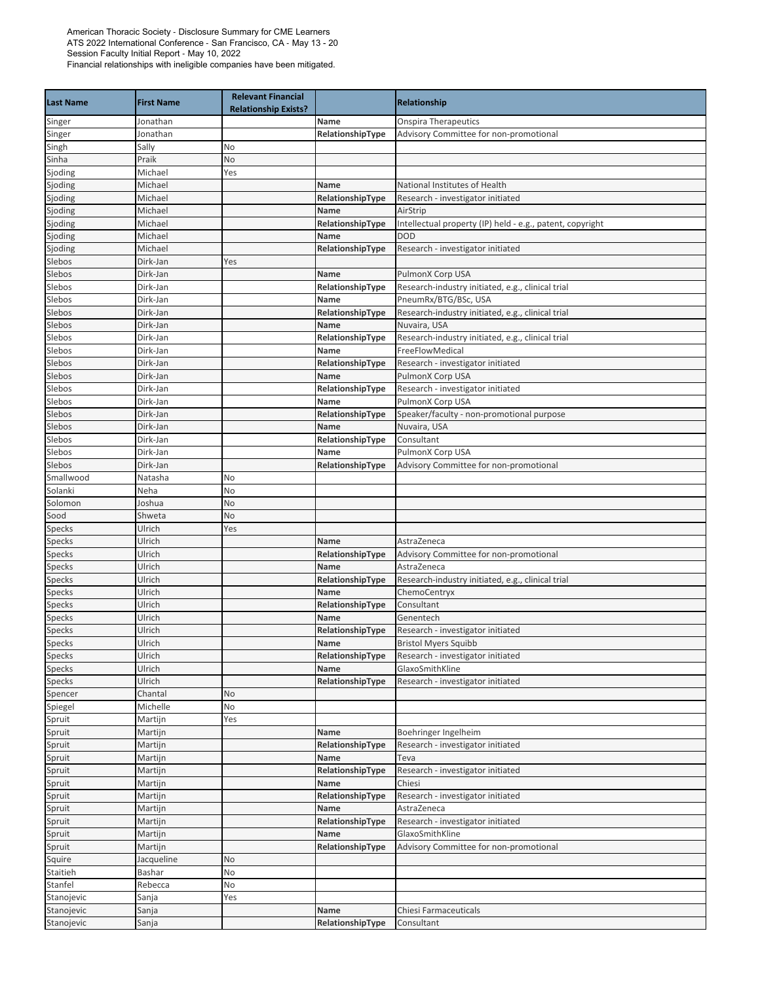| <b>Last Name</b> | <b>First Name</b>    | <b>Relevant Financial</b><br><b>Relationship Exists?</b> |                          | <b>Relationship</b>                                       |
|------------------|----------------------|----------------------------------------------------------|--------------------------|-----------------------------------------------------------|
| Singer           | Jonathan             |                                                          | Name                     | <b>Onspira Therapeutics</b>                               |
| Singer           | Jonathan             |                                                          | RelationshipType         | Advisory Committee for non-promotional                    |
| Singh            | Sally                | No                                                       |                          |                                                           |
| Sinha            | Praik                | No                                                       |                          |                                                           |
| Sjoding          | Michael              | Yes                                                      |                          |                                                           |
| Sjoding          | Michael              |                                                          | Name                     | National Institutes of Health                             |
| Sjoding          | Michael              |                                                          | RelationshipType         | Research - investigator initiated                         |
| Sjoding          | Michael              |                                                          | Name                     | AirStrip                                                  |
| Sjoding          | Michael              |                                                          | RelationshipType         | Intellectual property (IP) held - e.g., patent, copyright |
| Sjoding          | Michael              |                                                          | <b>Name</b>              | <b>DOD</b>                                                |
| Sjoding          | Michael              |                                                          | RelationshipType         | Research - investigator initiated                         |
| Slebos           | Dirk-Jan             | Yes                                                      |                          |                                                           |
| Slebos           | Dirk-Jan             |                                                          | Name                     | PulmonX Corp USA                                          |
| Slebos           | Dirk-Jan             |                                                          | RelationshipType         | Research-industry initiated, e.g., clinical trial         |
| Slebos           | Dirk-Jan             |                                                          | Name                     | PneumRx/BTG/BSc, USA                                      |
| Slebos           | Dirk-Jan             |                                                          | RelationshipType         | Research-industry initiated, e.g., clinical trial         |
| Slebos           | Dirk-Jan             |                                                          | <b>Name</b>              | Nuvaira, USA                                              |
| Slebos           | Dirk-Jan             |                                                          | RelationshipType         | Research-industry initiated, e.g., clinical trial         |
| Slebos           | Dirk-Jan             |                                                          | Name                     | FreeFlowMedical                                           |
| Slebos           | Dirk-Jan             |                                                          | RelationshipType         | Research - investigator initiated                         |
| Slebos           | Dirk-Jan             |                                                          | Name                     | PulmonX Corp USA                                          |
| Slebos<br>Slebos | Dirk-Jan             |                                                          | RelationshipType<br>Name | Research - investigator initiated<br>PulmonX Corp USA     |
|                  | Dirk-Jan             |                                                          |                          |                                                           |
| Slebos<br>Slebos | Dirk-Jan<br>Dirk-Jan |                                                          | RelationshipType<br>Name | Speaker/faculty - non-promotional purpose<br>Nuvaira, USA |
| Slebos           | Dirk-Jan             |                                                          | RelationshipType         | Consultant                                                |
| Slebos           | Dirk-Jan             |                                                          | Name                     | PulmonX Corp USA                                          |
| Slebos           | Dirk-Jan             |                                                          | RelationshipType         | Advisory Committee for non-promotional                    |
| Smallwood        | Natasha              | No                                                       |                          |                                                           |
| Solanki          | Neha                 | No                                                       |                          |                                                           |
| Solomon          | Joshua               | No                                                       |                          |                                                           |
| Sood             | Shweta               | No                                                       |                          |                                                           |
| Specks           | Ulrich               | Yes                                                      |                          |                                                           |
| Specks           | Ulrich               |                                                          | Name                     | AstraZeneca                                               |
| <b>Specks</b>    | Ulrich               |                                                          | RelationshipType         | Advisory Committee for non-promotional                    |
| Specks           | Ulrich               |                                                          | Name                     | AstraZeneca                                               |
| Specks           | Ulrich               |                                                          | RelationshipType         | Research-industry initiated, e.g., clinical trial         |
| <b>Specks</b>    | Ulrich               |                                                          | Name                     | ChemoCentryx                                              |
| <b>Specks</b>    | Ulrich               |                                                          | RelationshipType         | Consultant                                                |
| Specks           | Ulrich               |                                                          | Name                     | Genentech                                                 |
| Specks           | Ulrich               |                                                          | RelationshipType         | Research - investigator initiated                         |
| Specks           | Ulrich               |                                                          | Name                     | <b>Bristol Myers Squibb</b>                               |
| Specks           | Ulrich               |                                                          | RelationshipType         | Research - investigator initiated                         |
| Specks           | Ulrich               |                                                          | Name                     | GlaxoSmithKline                                           |
| Specks           | Ulrich               |                                                          | RelationshipType         | Research - investigator initiated                         |
| Spencer          | Chantal              | No                                                       |                          |                                                           |
| Spiegel          | Michelle             | No                                                       |                          |                                                           |
| Spruit           | Martijn              | Yes                                                      |                          |                                                           |
| Spruit           | Martijn              |                                                          | Name                     | Boehringer Ingelheim                                      |
| Spruit           | Martijn              |                                                          | RelationshipType         | Research - investigator initiated                         |
| Spruit           | Martijn              |                                                          | Name                     | Teva                                                      |
| Spruit           | Martijn              |                                                          | RelationshipType         | Research - investigator initiated                         |
| Spruit           | Martijn              |                                                          | Name<br>RelationshipType | Chiesi<br>Research - investigator initiated               |
| Spruit           | Martijn              |                                                          |                          |                                                           |
| Spruit<br>Spruit | Martijn<br>Martijn   |                                                          | Name<br>RelationshipType | AstraZeneca<br>Research - investigator initiated          |
|                  |                      |                                                          |                          |                                                           |
| Spruit<br>Spruit | Martijn<br>Martijn   |                                                          | Name<br>RelationshipType | GlaxoSmithKline<br>Advisory Committee for non-promotional |
| Squire           | Jacqueline           | No                                                       |                          |                                                           |
| Staitieh         | Bashar               | No                                                       |                          |                                                           |
| Stanfel          | Rebecca              | No                                                       |                          |                                                           |
| Stanojevic       | Sanja                | Yes                                                      |                          |                                                           |
| Stanojevic       | Sanja                |                                                          | Name                     | Chiesi Farmaceuticals                                     |
| Stanojevic       | Sanja                |                                                          | RelationshipType         | Consultant                                                |
|                  |                      |                                                          |                          |                                                           |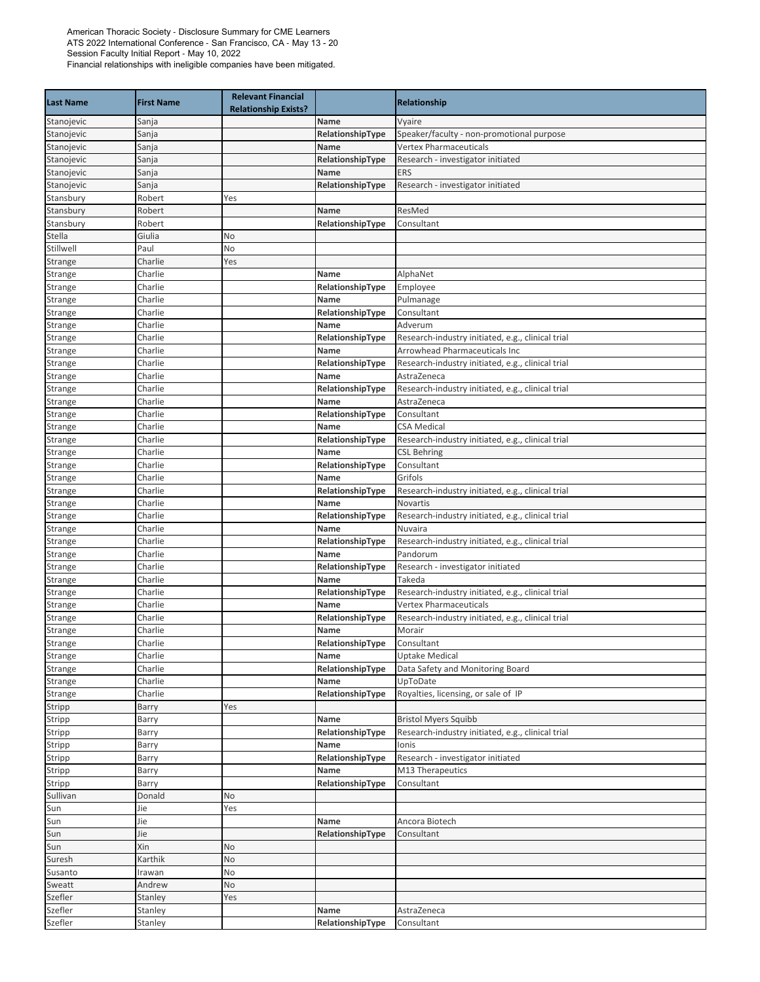| <b>Last Name</b> | <b>First Name</b> | <b>Relevant Financial</b><br><b>Relationship Exists?</b> |                  | <b>Relationship</b>                               |
|------------------|-------------------|----------------------------------------------------------|------------------|---------------------------------------------------|
| Stanojevic       | Sanja             |                                                          | Name             | Vyaire                                            |
| Stanojevic       | Sanja             |                                                          | RelationshipType | Speaker/faculty - non-promotional purpose         |
| Stanojevic       | Sanja             |                                                          | Name             | <b>Vertex Pharmaceuticals</b>                     |
| Stanojevic       | Sanja             |                                                          | RelationshipType | Research - investigator initiated                 |
| Stanojevic       | Sanja             |                                                          | Name             | ERS                                               |
| Stanojevic       | Sanja             |                                                          | RelationshipType | Research - investigator initiated                 |
| Stansbury        | Robert            | Yes                                                      |                  |                                                   |
| Stansbury        | Robert            |                                                          | Name             | ResMed                                            |
| Stansbury        | Robert            |                                                          | RelationshipType | Consultant                                        |
| Stella           | Giulia            | No                                                       |                  |                                                   |
| Stillwell        | Paul              | No                                                       |                  |                                                   |
| Strange          | Charlie           | Yes                                                      |                  |                                                   |
| Strange          | Charlie           |                                                          | Name             | AlphaNet                                          |
| Strange          | Charlie           |                                                          | RelationshipType | Employee                                          |
| Strange          | Charlie           |                                                          | Name             | Pulmanage                                         |
| Strange          | Charlie           |                                                          | RelationshipType | Consultant                                        |
| Strange          | Charlie           |                                                          | Name             | Adverum                                           |
| Strange          | Charlie           |                                                          | RelationshipType | Research-industry initiated, e.g., clinical trial |
| Strange          | Charlie           |                                                          | Name             | Arrowhead Pharmaceuticals Inc                     |
| Strange          | Charlie           |                                                          | RelationshipType | Research-industry initiated, e.g., clinical trial |
| Strange          | Charlie           |                                                          | Name             | AstraZeneca                                       |
| Strange          | Charlie           |                                                          | RelationshipType | Research-industry initiated, e.g., clinical trial |
| Strange          | Charlie           |                                                          | Name             | AstraZeneca                                       |
| Strange          | Charlie           |                                                          | RelationshipType | Consultant                                        |
| Strange          | Charlie           |                                                          | Name             | <b>CSA Medical</b>                                |
| Strange          | Charlie           |                                                          | RelationshipType | Research-industry initiated, e.g., clinical trial |
| Strange          | Charlie           |                                                          | Name             | <b>CSL Behring</b>                                |
| Strange          | Charlie           |                                                          | RelationshipType | Consultant                                        |
| Strange          | Charlie           |                                                          | Name             | Grifols                                           |
| Strange          | Charlie           |                                                          | RelationshipType | Research-industry initiated, e.g., clinical trial |
| Strange          | Charlie           |                                                          | Name             | Novartis                                          |
| Strange          | Charlie           |                                                          | RelationshipType | Research-industry initiated, e.g., clinical trial |
| Strange          | Charlie           |                                                          | Name             | Nuvaira                                           |
| Strange          | Charlie           |                                                          | RelationshipType | Research-industry initiated, e.g., clinical trial |
| Strange          | Charlie           |                                                          | Name             | Pandorum                                          |
| Strange          | Charlie           |                                                          | RelationshipType | Research - investigator initiated                 |
| Strange          | Charlie           |                                                          | Name             | Takeda                                            |
| Strange          | Charlie           |                                                          | RelationshipType | Research-industry initiated, e.g., clinical trial |
| Strange          | Charlie           |                                                          | Name             | <b>Vertex Pharmaceuticals</b>                     |
| Strange          | Charlie           |                                                          | RelationshipType | Research-industry initiated, e.g., clinical trial |
| Strange          | Charlie           |                                                          | Name             | Morair                                            |
| Strange          | Charlie           |                                                          | RelationshipType | Consultant                                        |
| Strange          | Charlie           |                                                          | Name             | <b>Uptake Medical</b>                             |
| Strange          | Charlie           |                                                          | RelationshipType | Data Safety and Monitoring Board                  |
| Strange          | Charlie           |                                                          | Name             | UpToDate                                          |
| Strange          | Charlie           |                                                          | RelationshipType | Royalties, licensing, or sale of IP               |
| Stripp           | Barry             | Yes                                                      |                  |                                                   |
| Stripp           | Barry             |                                                          | Name             | <b>Bristol Myers Squibb</b>                       |
| Stripp           | Barry             |                                                          | RelationshipType | Research-industry initiated, e.g., clinical trial |
| Stripp           | Barry             |                                                          | Name             | Ionis                                             |
| Stripp           | Barry             |                                                          | RelationshipType | Research - investigator initiated                 |
| Stripp           | Barry             |                                                          | Name             | M13 Therapeutics                                  |
| Stripp           | Barry             |                                                          | RelationshipType | Consultant                                        |
| Sullivan         | Donald            | No                                                       |                  |                                                   |
| Sun              | Jie               | Yes                                                      |                  |                                                   |
| Sun              | Jie               |                                                          | Name             | Ancora Biotech                                    |
| Sun              | Jie               |                                                          | RelationshipType | Consultant                                        |
| Sun              | Xin               | No                                                       |                  |                                                   |
| Suresh           | Karthik           | No                                                       |                  |                                                   |
| Susanto          | Irawan            | No                                                       |                  |                                                   |
| Sweatt           | Andrew            | No                                                       |                  |                                                   |
| Szefler          | Stanley           | Yes                                                      |                  |                                                   |
| Szefler          | Stanley           |                                                          | Name             | AstraZeneca                                       |
| Szefler          | Stanley           |                                                          | RelationshipType | Consultant                                        |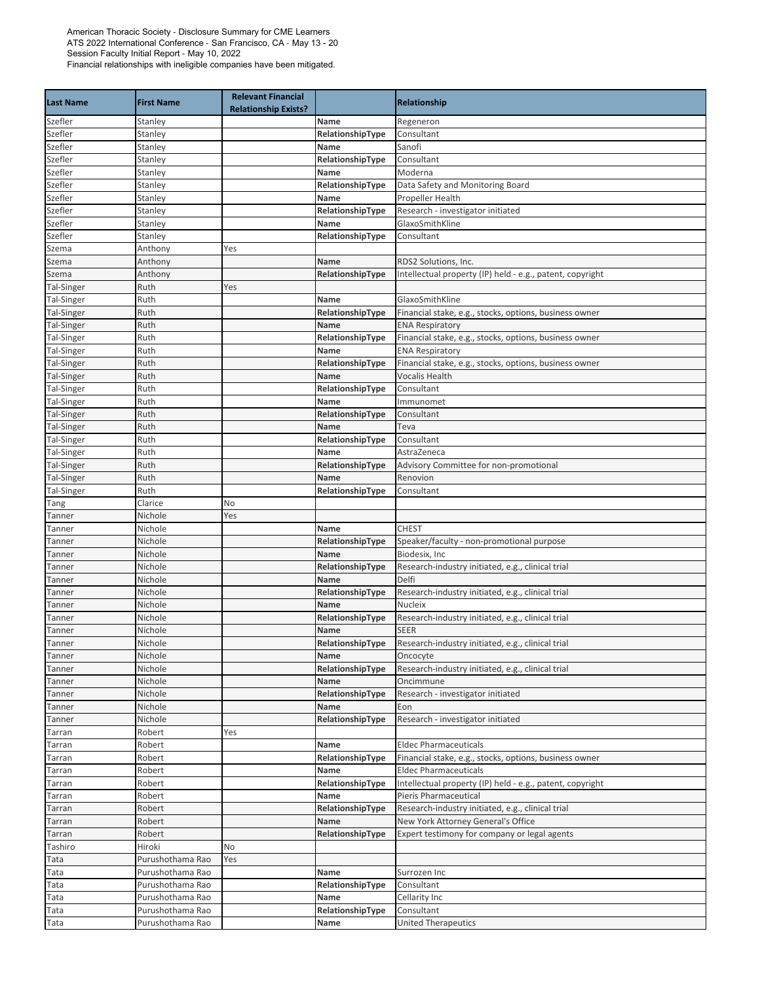| <b>Last Name</b>   | <b>First Name</b>  | <b>Relevant Financial</b><br><b>Relationship Exists?</b> |                          | <b>Relationship</b>                                              |
|--------------------|--------------------|----------------------------------------------------------|--------------------------|------------------------------------------------------------------|
| Szefler            | Stanley            |                                                          | Name                     | Regeneron                                                        |
| Szefler            | Stanley            |                                                          | RelationshipType         | Consultant                                                       |
| Szefler            | Stanley            |                                                          | Name                     | Sanofi                                                           |
| Szefler            | Stanley            |                                                          | RelationshipType         | Consultant                                                       |
| Szefler            | Stanley            |                                                          | Name                     | Moderna                                                          |
| Szefler            | Stanley            |                                                          | RelationshipType         | Data Safety and Monitoring Board                                 |
| Szefler            | Stanley            |                                                          | Name                     | Propeller Health                                                 |
| Szefler            | Stanley            |                                                          | RelationshipType         | Research - investigator initiated<br>GlaxoSmithKline             |
| Szefler<br>Szefler | Stanley            |                                                          | Name                     |                                                                  |
| Szema              | Stanley<br>Anthony | Yes                                                      | RelationshipType         | Consultant                                                       |
| Szema              | Anthony            |                                                          | Name                     | RDS2 Solutions, Inc.                                             |
| Szema              | Anthony            |                                                          | RelationshipType         | Intellectual property (IP) held - e.g., patent, copyright        |
| Tal-Singer         | Ruth               | Yes                                                      |                          |                                                                  |
| Tal-Singer         | Ruth               |                                                          | Name                     | GlaxoSmithKline                                                  |
| Tal-Singer         | Ruth               |                                                          | RelationshipType         | Financial stake, e.g., stocks, options, business owner           |
| Tal-Singer         | Ruth               |                                                          | <b>Name</b>              | <b>ENA Respiratory</b>                                           |
| Tal-Singer         | Ruth               |                                                          | RelationshipType         | Financial stake, e.g., stocks, options, business owner           |
| Tal-Singer         | Ruth               |                                                          | Name                     | <b>ENA Respiratory</b>                                           |
| Tal-Singer         | Ruth               |                                                          | RelationshipType         | Financial stake, e.g., stocks, options, business owner           |
| Tal-Singer         | Ruth               |                                                          | Name                     | Vocalis Health                                                   |
| Tal-Singer         | Ruth               |                                                          | RelationshipType         | Consultant                                                       |
| Tal-Singer         | Ruth               |                                                          | Name                     | Immunomet                                                        |
| Tal-Singer         | Ruth               |                                                          | RelationshipType         | Consultant                                                       |
| Tal-Singer         | Ruth               |                                                          | Name                     | Teva                                                             |
| Tal-Singer         | Ruth               |                                                          | RelationshipType         | Consultant                                                       |
| Tal-Singer         | Ruth               |                                                          | Name                     | AstraZeneca                                                      |
| Tal-Singer         | Ruth               |                                                          | RelationshipType         | Advisory Committee for non-promotional                           |
| Tal-Singer         | Ruth               |                                                          | Name                     | Renovion                                                         |
| Tal-Singer         | Ruth               |                                                          | RelationshipType         | Consultant                                                       |
| Tang               | Clarice            | No                                                       |                          |                                                                  |
| Tanner             | Nichole            | Yes                                                      |                          |                                                                  |
| Tanner             | Nichole            |                                                          | Name                     | <b>CHEST</b>                                                     |
| Tanner             | Nichole            |                                                          | RelationshipType         | Speaker/faculty - non-promotional purpose                        |
| Tanner             | Nichole            |                                                          | Name                     | Biodesix, Inc                                                    |
| Tanner             | Nichole            |                                                          | RelationshipType         | Research-industry initiated, e.g., clinical trial                |
| Tanner             | Nichole            |                                                          | Name                     | Delfi                                                            |
| Tanner             | Nichole            |                                                          | RelationshipType         | Research-industry initiated, e.g., clinical trial                |
| Tanner             | Nichole            |                                                          | Name                     | <b>Nucleix</b>                                                   |
| Tanner             | Nichole            |                                                          | RelationshipType         | Research-industry initiated, e.g., clinical trial                |
| Tanner             | Nichole            |                                                          | Name                     | <b>SEER</b><br>Research-industry initiated, e.g., clinical trial |
| Tanner             | Nichole            |                                                          | RelationshipType<br>Name |                                                                  |
| Tanner             | Nichole<br>Nichole |                                                          | RelationshipType         | Oncocyte<br>Research-industry initiated, e.g., clinical trial    |
| Tanner<br>Tanner   | Nichole            |                                                          | Name                     | Oncimmune                                                        |
| Tanner             | Nichole            |                                                          | RelationshipType         | Research - investigator initiated                                |
| Tanner             | Nichole            |                                                          | Name                     | Eon                                                              |
| Tanner             | Nichole            |                                                          | RelationshipType         | Research - investigator initiated                                |
| Tarran             | Robert             | Yes                                                      |                          |                                                                  |
| Tarran             | Robert             |                                                          | Name                     | <b>Eldec Pharmaceuticals</b>                                     |
| Tarran             | Robert             |                                                          | RelationshipType         | Financial stake, e.g., stocks, options, business owner           |
| Tarran             | Robert             |                                                          | Name                     | <b>Eldec Pharmaceuticals</b>                                     |
| Tarran             | Robert             |                                                          | RelationshipType         | Intellectual property (IP) held - e.g., patent, copyright        |
| Tarran             | Robert             |                                                          | Name                     | Pieris Pharmaceutical                                            |
| Tarran             | Robert             |                                                          | RelationshipType         | Research-industry initiated, e.g., clinical trial                |
| Tarran             | Robert             |                                                          | Name                     | New York Attorney General's Office                               |
| Tarran             | Robert             |                                                          | RelationshipType         | Expert testimony for company or legal agents                     |
| Tashiro            | Hiroki             | No                                                       |                          |                                                                  |
| Tata               | Purushothama Rao   | Yes                                                      |                          |                                                                  |
| Tata               | Purushothama Rao   |                                                          | Name                     | Surrozen Inc                                                     |
| Tata               | Purushothama Rao   |                                                          | RelationshipType         | Consultant                                                       |
| Tata               | Purushothama Rao   |                                                          | Name                     | Cellarity Inc                                                    |
| Tata               | Purushothama Rao   |                                                          | RelationshipType         | Consultant                                                       |
| Tata               | Purushothama Rao   |                                                          | Name                     | <b>United Therapeutics</b>                                       |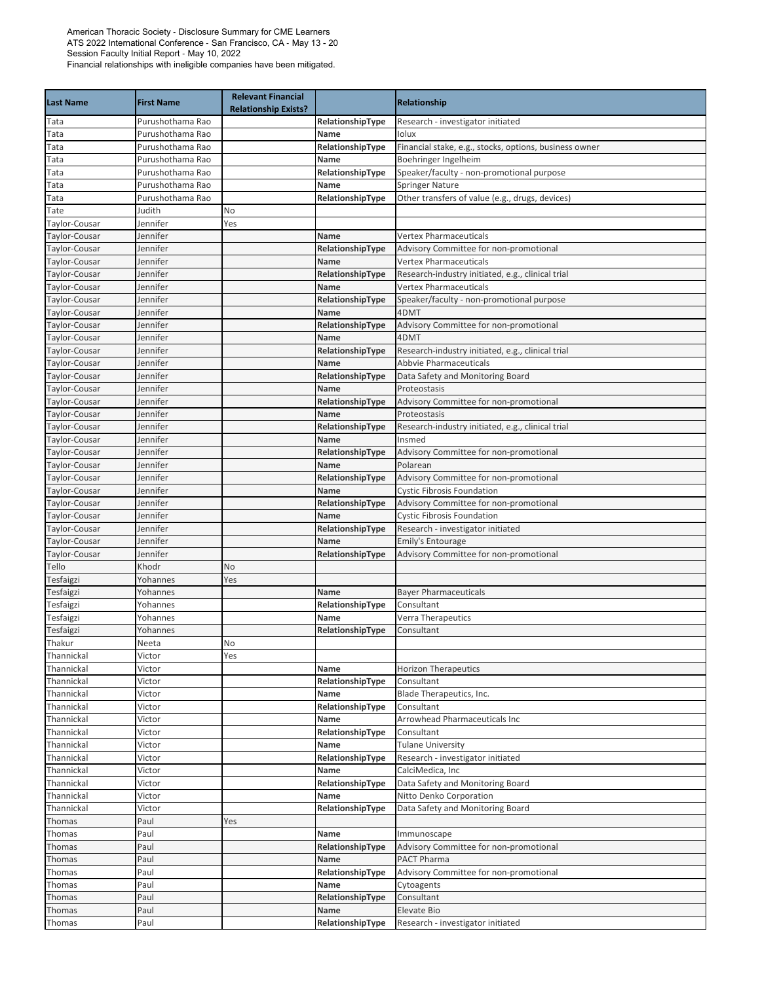| <b>Last Name</b> | <b>First Name</b> | <b>Relevant Financial</b><br><b>Relationship Exists?</b> |                  | <b>Relationship</b>                                    |
|------------------|-------------------|----------------------------------------------------------|------------------|--------------------------------------------------------|
| Tata             | Purushothama Rao  |                                                          | RelationshipType | Research - investigator initiated                      |
| Tata             | Purushothama Rao  |                                                          | Name             | Iolux                                                  |
| Tata             | Purushothama Rao  |                                                          | RelationshipType | Financial stake, e.g., stocks, options, business owner |
| Tata             | Purushothama Rao  |                                                          | Name             | Boehringer Ingelheim                                   |
| Tata             | Purushothama Rao  |                                                          | RelationshipType | Speaker/faculty - non-promotional purpose              |
| Tata             | Purushothama Rao  |                                                          | Name             | <b>Springer Nature</b>                                 |
| Tata             | Purushothama Rao  |                                                          | RelationshipType | Other transfers of value (e.g., drugs, devices)        |
| Tate             | Judith            | No                                                       |                  |                                                        |
| Taylor-Cousar    | Jennifer          | Yes                                                      |                  |                                                        |
| Taylor-Cousar    | Jennifer          |                                                          | Name             | <b>Vertex Pharmaceuticals</b>                          |
| Taylor-Cousar    | Jennifer          |                                                          | RelationshipType | Advisory Committee for non-promotional                 |
| Taylor-Cousar    | Jennifer          |                                                          | Name             | <b>Vertex Pharmaceuticals</b>                          |
| Taylor-Cousar    | Jennifer          |                                                          | RelationshipType | Research-industry initiated, e.g., clinical trial      |
| Taylor-Cousar    | Jennifer          |                                                          | Name             | <b>Vertex Pharmaceuticals</b>                          |
| Taylor-Cousar    | Jennifer          |                                                          | RelationshipType | Speaker/faculty - non-promotional purpose              |
| Taylor-Cousar    | Jennifer          |                                                          | Name             | 4DMT                                                   |
| Taylor-Cousar    | Jennifer          |                                                          | RelationshipType | Advisory Committee for non-promotional                 |
| Taylor-Cousar    | Jennifer          |                                                          | Name             | 4DMT                                                   |
| Taylor-Cousar    | Jennifer          |                                                          | RelationshipType | Research-industry initiated, e.g., clinical trial      |
| Taylor-Cousar    | Jennifer          |                                                          | Name             | <b>Abbyie Pharmaceuticals</b>                          |
| Taylor-Cousar    | Jennifer          |                                                          | RelationshipType | Data Safety and Monitoring Board                       |
| Taylor-Cousar    | Jennifer          |                                                          | Name             | Proteostasis                                           |
| Taylor-Cousar    | Jennifer          |                                                          | RelationshipType | Advisory Committee for non-promotional                 |
| Taylor-Cousar    | Jennifer          |                                                          | Name             | Proteostasis                                           |
| Taylor-Cousar    | Jennifer          |                                                          | RelationshipType | Research-industry initiated, e.g., clinical trial      |
| Taylor-Cousar    | Jennifer          |                                                          | Name             | Insmed                                                 |
| Taylor-Cousar    | Jennifer          |                                                          | RelationshipType | Advisory Committee for non-promotional                 |
| Taylor-Cousar    | Jennifer          |                                                          | Name             | Polarean                                               |
| Taylor-Cousar    | Jennifer          |                                                          | RelationshipType | Advisory Committee for non-promotional                 |
| Taylor-Cousar    | Jennifer          |                                                          | Name             | <b>Cystic Fibrosis Foundation</b>                      |
| Taylor-Cousar    | Jennifer          |                                                          | RelationshipType | Advisory Committee for non-promotional                 |
| Taylor-Cousar    | Jennifer          |                                                          | Name             | <b>Cystic Fibrosis Foundation</b>                      |
| Taylor-Cousar    | Jennifer          |                                                          | RelationshipType | Research - investigator initiated                      |
| Taylor-Cousar    | Jennifer          |                                                          | <b>Name</b>      | Emily's Entourage                                      |
| Taylor-Cousar    | Jennifer          |                                                          | RelationshipType | Advisory Committee for non-promotional                 |
| Tello            | Khodr             | No                                                       |                  |                                                        |
| Tesfaigzi        | Yohannes          | Yes                                                      |                  |                                                        |
| Tesfaigzi        | Yohannes          |                                                          | Name             | <b>Bayer Pharmaceuticals</b>                           |
| Tesfaigzi        | Yohannes          |                                                          | RelationshipType | Consultant                                             |
| Tesfaigzi        | Yohannes          |                                                          | Name             | <b>Verra Therapeutics</b>                              |
| Tesfaigzi        | Yohannes          |                                                          | RelationshipType | Consultant                                             |
| Thakur           | Neeta             | No                                                       |                  |                                                        |
| Thannickal       | Victor            | Yes                                                      |                  |                                                        |
| Thannickal       | Victor            |                                                          | Name             | <b>Horizon Therapeutics</b>                            |
| Thannickal       | Victor            |                                                          | RelationshipType | Consultant                                             |
| Thannickal       | Victor            |                                                          | Name             | Blade Therapeutics, Inc.                               |
| Thannickal       | Victor            |                                                          | RelationshipType | Consultant                                             |
| Thannickal       | Victor            |                                                          | Name             | Arrowhead Pharmaceuticals Inc                          |
| Thannickal       | Victor            |                                                          | RelationshipType | Consultant                                             |
| Thannickal       | Victor            |                                                          | Name             | <b>Tulane University</b>                               |
| Thannickal       | Victor            |                                                          | RelationshipType | Research - investigator initiated                      |
| Thannickal       | Victor            |                                                          | Name             | CalciMedica, Inc                                       |
| Thannickal       | Victor            |                                                          | RelationshipType | Data Safety and Monitoring Board                       |
| Thannickal       | Victor            |                                                          | Name             | Nitto Denko Corporation                                |
| Thannickal       | Victor            |                                                          | RelationshipType | Data Safety and Monitoring Board                       |
| Thomas           | Paul              | Yes                                                      |                  |                                                        |
| Thomas           | Paul              |                                                          | Name             | Immunoscape                                            |
| Thomas           | Paul              |                                                          | RelationshipType | Advisory Committee for non-promotional                 |
| Thomas           | Paul              |                                                          | Name             | PACT Pharma                                            |
| Thomas           | Paul              |                                                          | RelationshipType | Advisory Committee for non-promotional                 |
| Thomas           | Paul              |                                                          | Name             | Cytoagents                                             |
| Thomas           | Paul              |                                                          | RelationshipType | Consultant                                             |
| Thomas           | Paul              |                                                          | Name             | Elevate Bio                                            |
| Thomas           | Paul              |                                                          | RelationshipType | Research - investigator initiated                      |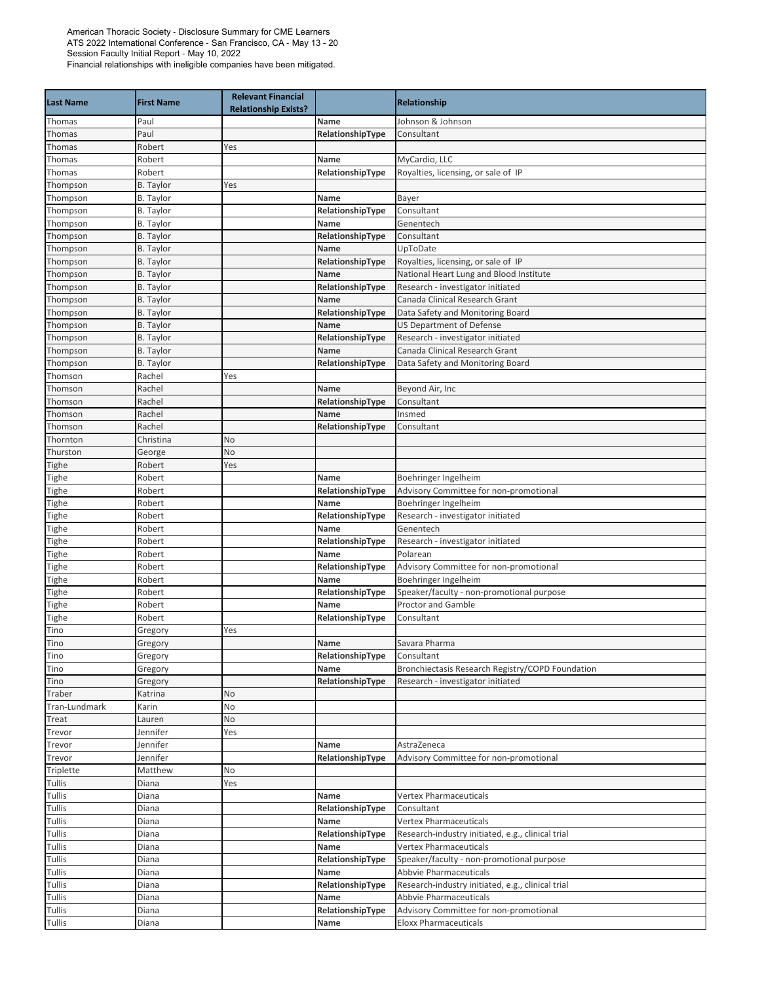| <b>Last Name</b> | <b>First Name</b>  | <b>Relevant Financial</b><br><b>Relationship Exists?</b> |                          | <b>Relationship</b>                               |
|------------------|--------------------|----------------------------------------------------------|--------------------------|---------------------------------------------------|
| Thomas           | Paul               |                                                          | Name                     | Johnson & Johnson                                 |
| Thomas           | Paul               |                                                          | RelationshipType         | Consultant                                        |
| Thomas           | Robert             | Yes                                                      |                          |                                                   |
| Thomas           | Robert             |                                                          | Name                     | MyCardio, LLC                                     |
| Thomas           | Robert             |                                                          | RelationshipType         | Royalties, licensing, or sale of IP               |
| Thompson         | <b>B.</b> Taylor   | Yes                                                      |                          |                                                   |
| Thompson         | <b>B.</b> Taylor   |                                                          | Name                     | Bayer                                             |
| Thompson         | <b>B.</b> Taylor   |                                                          | RelationshipType         | Consultant                                        |
| Thompson         | <b>B.</b> Taylor   |                                                          | Name                     | Genentech                                         |
| Thompson         | <b>B.</b> Taylor   |                                                          | RelationshipType         | Consultant                                        |
| Thompson         | <b>B.</b> Taylor   |                                                          | Name                     | UpToDate                                          |
| Thompson         | <b>B.</b> Taylor   |                                                          | RelationshipType         | Royalties, licensing, or sale of IP               |
| Thompson         | <b>B.</b> Taylor   |                                                          | Name                     | National Heart Lung and Blood Institute           |
| Thompson         | <b>B.</b> Taylor   |                                                          | RelationshipType         | Research - investigator initiated                 |
| Thompson         | <b>B.</b> Taylor   |                                                          | Name                     | Canada Clinical Research Grant                    |
| Thompson         | <b>B.</b> Taylor   |                                                          | RelationshipType         | Data Safety and Monitoring Board                  |
| Thompson         | <b>B.</b> Taylor   |                                                          | <b>Name</b>              | <b>US Department of Defense</b>                   |
| Thompson         | <b>B.</b> Taylor   |                                                          | RelationshipType         | Research - investigator initiated                 |
| Thompson         | <b>B.</b> Taylor   |                                                          | Name                     | Canada Clinical Research Grant                    |
| Thompson         | <b>B.</b> Taylor   |                                                          | RelationshipType         | Data Safety and Monitoring Board                  |
| Thomson          | Rachel             | Yes                                                      |                          |                                                   |
| Thomson          | Rachel             |                                                          | Name                     | Beyond Air, Inc                                   |
| Thomson          | Rachel             |                                                          | RelationshipType         | Consultant                                        |
| Thomson          | Rachel             |                                                          | <b>Name</b>              | Insmed                                            |
| Thomson          | Rachel             |                                                          | RelationshipType         | Consultant                                        |
| Thornton         | Christina          | No                                                       |                          |                                                   |
| Thurston         | George             | No                                                       |                          |                                                   |
| Tighe            | Robert             | Yes                                                      |                          |                                                   |
| Tighe            | Robert             |                                                          | Name                     | Boehringer Ingelheim                              |
| Tighe            | Robert             |                                                          | RelationshipType         | Advisory Committee for non-promotional            |
| Tighe            | Robert             |                                                          | <b>Name</b>              | Boehringer Ingelheim                              |
| Tighe            | Robert             |                                                          | RelationshipType         | Research - investigator initiated                 |
| Tighe            | Robert             |                                                          | Name                     | Genentech                                         |
| Tighe            | Robert             |                                                          | RelationshipType         | Research - investigator initiated                 |
| Tighe            | Robert             |                                                          | Name                     | Polarean                                          |
| Tighe            | Robert             |                                                          | RelationshipType         | Advisory Committee for non-promotional            |
| Tighe            | Robert             |                                                          | Name                     | Boehringer Ingelheim                              |
| Tighe            | Robert             |                                                          | RelationshipType         | Speaker/faculty - non-promotional purpose         |
| Tighe            | Robert             |                                                          | Name                     | <b>Proctor and Gamble</b>                         |
| Tighe            | Robert             |                                                          | RelationshipType         | Consultant                                        |
| Tino             | Gregory            | Yes                                                      |                          |                                                   |
| Tino             | Gregory            |                                                          | Name                     | Savara Pharma                                     |
| Tino             | Gregory            |                                                          | RelationshipType         | Consultant                                        |
| Tino             | Gregory            |                                                          | Name<br>RelationshipType | Bronchiectasis Research Registry/COPD Foundation  |
| Tino             | Gregory            |                                                          |                          | Research - investigator initiated                 |
| Traber           | Katrina            | No                                                       |                          |                                                   |
| Tran-Lundmark    | Karin              | No<br>No                                                 |                          |                                                   |
| Treat            | Lauren<br>Jennifer |                                                          |                          |                                                   |
| Trevor           | Jennifer           | Yes                                                      | Name                     | AstraZeneca                                       |
| Trevor<br>Trevor | Jennifer           |                                                          | RelationshipType         | Advisory Committee for non-promotional            |
| Triplette        | Matthew            | No                                                       |                          |                                                   |
| Tullis           | Diana              | Yes                                                      |                          |                                                   |
| Tullis           | Diana              |                                                          | Name                     | <b>Vertex Pharmaceuticals</b>                     |
| Tullis           | Diana              |                                                          | RelationshipType         | Consultant                                        |
| Tullis           | Diana              |                                                          | Name                     | <b>Vertex Pharmaceuticals</b>                     |
| Tullis           | Diana              |                                                          | RelationshipType         | Research-industry initiated, e.g., clinical trial |
| Tullis           | Diana              |                                                          | Name                     | <b>Vertex Pharmaceuticals</b>                     |
| Tullis           | Diana              |                                                          | RelationshipType         | Speaker/faculty - non-promotional purpose         |
| Tullis           | Diana              |                                                          | Name                     | <b>Abbvie Pharmaceuticals</b>                     |
| Tullis           | Diana              |                                                          | RelationshipType         | Research-industry initiated, e.g., clinical trial |
| Tullis           | Diana              |                                                          | Name                     | Abbvie Pharmaceuticals                            |
| Tullis           | Diana              |                                                          | RelationshipType         | Advisory Committee for non-promotional            |
| Tullis           | Diana              |                                                          | Name                     | <b>Eloxx Pharmaceuticals</b>                      |
|                  |                    |                                                          |                          |                                                   |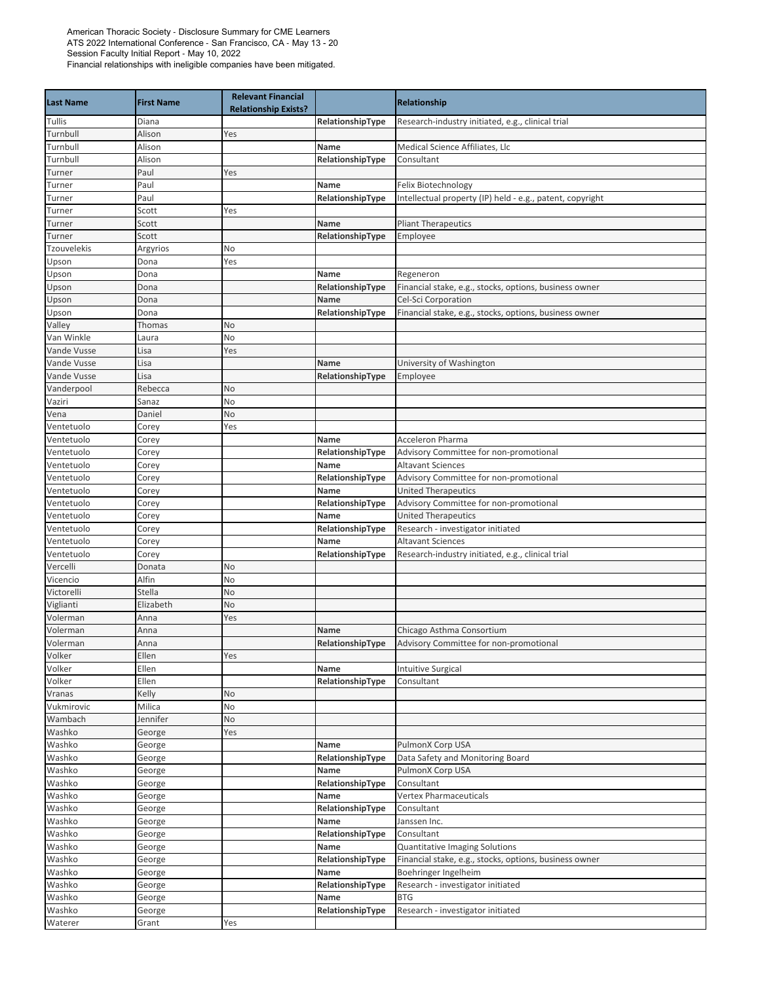| <b>Last Name</b>         | <b>First Name</b> | <b>Relevant Financial</b><br><b>Relationship Exists?</b> |                          | Relationship                                                         |
|--------------------------|-------------------|----------------------------------------------------------|--------------------------|----------------------------------------------------------------------|
| Tullis                   | Diana             |                                                          | RelationshipType         | Research-industry initiated, e.g., clinical trial                    |
| Turnbull                 | Alison            | Yes                                                      |                          |                                                                      |
| Turnbull                 | Alison            |                                                          | Name                     | Medical Science Affiliates, Llc                                      |
| Turnbull                 | Alison            |                                                          | RelationshipType         | Consultant                                                           |
| Turner                   | Paul              | Yes                                                      |                          |                                                                      |
| Turner                   | Paul              |                                                          | Name                     | Felix Biotechnology                                                  |
| Turner                   | Paul              |                                                          | RelationshipType         | Intellectual property (IP) held - e.g., patent, copyright            |
| Turner                   | Scott             | Yes                                                      |                          |                                                                      |
| Turner                   | Scott             |                                                          | Name                     | <b>Pliant Therapeutics</b>                                           |
| Turner                   | Scott             |                                                          | RelationshipType         | Employee                                                             |
| Tzouvelekis              | Argyrios          | No                                                       |                          |                                                                      |
| Upson                    | Dona              | Yes                                                      |                          |                                                                      |
| Upson                    | Dona              |                                                          | Name                     | Regeneron                                                            |
| Upson                    | Dona              |                                                          | RelationshipType         | Financial stake, e.g., stocks, options, business owner               |
| Upson                    | Dona              |                                                          | Name                     | Cel-Sci Corporation                                                  |
| Upson                    | Dona              |                                                          | RelationshipType         | Financial stake, e.g., stocks, options, business owner               |
| Valley                   | Thomas            | No                                                       |                          |                                                                      |
| Van Winkle               | Laura             | No                                                       |                          |                                                                      |
| Vande Vusse              | Lisa              | Yes                                                      |                          |                                                                      |
| Vande Vusse              | Lisa              |                                                          | Name                     | University of Washington                                             |
| Vande Vusse              | Lisa              |                                                          | RelationshipType         | Employee                                                             |
| Vanderpool               | Rebecca           | No                                                       |                          |                                                                      |
| Vaziri                   | Sanaz             | No                                                       |                          |                                                                      |
| Vena                     | Daniel            | No                                                       |                          |                                                                      |
| Ventetuolo               | Corey             | Yes                                                      |                          |                                                                      |
| Ventetuolo               | Corey             |                                                          | Name                     | Acceleron Pharma                                                     |
| Ventetuolo               | Corey             |                                                          | RelationshipType         | Advisory Committee for non-promotional                               |
| Ventetuolo               | Corey             |                                                          | Name                     | <b>Altavant Sciences</b>                                             |
| Ventetuolo               | Corey             |                                                          | RelationshipType         | Advisory Committee for non-promotional                               |
| Ventetuolo<br>Ventetuolo | Corey<br>Corey    |                                                          | Name                     | <b>United Therapeutics</b><br>Advisory Committee for non-promotional |
| Ventetuolo               | Corey             |                                                          | RelationshipType<br>Name | <b>United Therapeutics</b>                                           |
| Ventetuolo               | Corey             |                                                          | RelationshipType         | Research - investigator initiated                                    |
| Ventetuolo               | Corey             |                                                          | Name                     | <b>Altavant Sciences</b>                                             |
| Ventetuolo               | Corey             |                                                          | RelationshipType         | Research-industry initiated, e.g., clinical trial                    |
| Vercelli                 | Donata            | No                                                       |                          |                                                                      |
| Vicencio                 | Alfin             | No                                                       |                          |                                                                      |
| Victorelli               | Stella            | No                                                       |                          |                                                                      |
| Viglianti                | Elizabeth         | No                                                       |                          |                                                                      |
| Volerman                 | Anna              | Yes                                                      |                          |                                                                      |
| Volerman                 | Anna              |                                                          | Name                     | Chicago Asthma Consortium                                            |
| Volerman                 | Anna              |                                                          | RelationshipType         | Advisory Committee for non-promotional                               |
| Volker                   | Ellen             | Yes                                                      |                          |                                                                      |
| Volker                   | Ellen             |                                                          | Name                     | <b>Intuitive Surgical</b>                                            |
| Volker                   | Ellen             |                                                          | RelationshipType         | Consultant                                                           |
| Vranas                   | Kelly             | No                                                       |                          |                                                                      |
| Vukmirovic               | Milica            | No                                                       |                          |                                                                      |
| Wambach                  | Jennifer          | No                                                       |                          |                                                                      |
| Washko                   | George            | Yes                                                      |                          |                                                                      |
| Washko                   | George            |                                                          | Name                     | PulmonX Corp USA                                                     |
| Washko                   | George            |                                                          | RelationshipType         | Data Safety and Monitoring Board                                     |
| Washko                   | George            |                                                          | Name                     | PulmonX Corp USA                                                     |
| Washko                   | George            |                                                          | RelationshipType         | Consultant                                                           |
| Washko                   | George            |                                                          | Name                     | <b>Vertex Pharmaceuticals</b>                                        |
| Washko                   | George            |                                                          | RelationshipType         | Consultant                                                           |
| Washko                   | George            |                                                          | Name                     | Janssen Inc.                                                         |
| Washko                   | George            |                                                          | RelationshipType         | Consultant                                                           |
| Washko                   | George            |                                                          | Name                     | Quantitative Imaging Solutions                                       |
| Washko                   | George            |                                                          | RelationshipType         | Financial stake, e.g., stocks, options, business owner               |
| Washko                   | George            |                                                          | Name                     | Boehringer Ingelheim                                                 |
| Washko                   | George            |                                                          | RelationshipType         | Research - investigator initiated                                    |
| Washko                   | George            |                                                          | Name                     | <b>BTG</b>                                                           |
| Washko                   | George            |                                                          | RelationshipType         | Research - investigator initiated                                    |
| Waterer                  | Grant             | Yes                                                      |                          |                                                                      |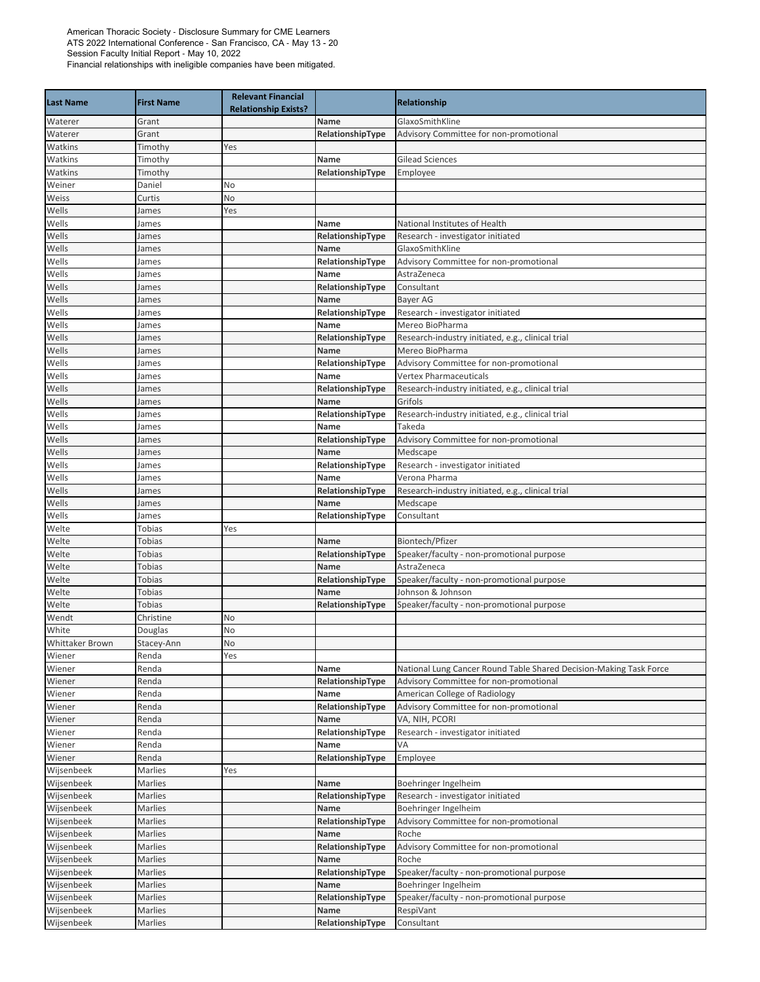| GlaxoSmithKline<br>Waterer<br>Grant<br>Name<br>RelationshipType<br>Advisory Committee for non-promotional<br>Waterer<br>Grant<br>Watkins<br>Timothy<br>Yes<br><b>Gilead Sciences</b><br>Watkins<br>Timothy<br>Name<br>Watkins<br>Timothy<br>RelationshipType<br>Employee<br>Weiner<br>Daniel<br>No<br>Weiss<br>No<br>Curtis<br>Wells<br>James<br>Yes<br>Wells<br>National Institutes of Health<br>James<br>Name<br>Wells<br>RelationshipType<br>Research - investigator initiated<br>James<br>GlaxoSmithKline<br>Wells<br>James<br>Name<br>Wells<br>RelationshipType<br>Advisory Committee for non-promotional<br>James<br>Wells<br>Name<br>AstraZeneca<br>James<br>Wells<br>RelationshipType<br>Consultant<br>James<br>Wells<br>Name<br>Bayer AG<br>James<br>Wells<br>RelationshipType<br>Research - investigator initiated<br>James<br>Wells<br>Mereo BioPharma<br>Name<br>James<br>Wells<br>RelationshipType<br>Research-industry initiated, e.g., clinical trial<br>James<br>Name<br>Mereo BioPharma<br>Wells<br>James<br>Wells<br>RelationshipType<br>Advisory Committee for non-promotional<br>James<br><b>Vertex Pharmaceuticals</b><br>Wells<br>Name<br>James<br>Wells<br>RelationshipType<br>Research-industry initiated, e.g., clinical trial<br>James<br>Grifols<br>Wells<br>Name<br>James<br>Wells<br>RelationshipType<br>Research-industry initiated, e.g., clinical trial<br>James<br>Wells<br>Takeda<br>James<br>Name<br>Advisory Committee for non-promotional<br>Wells<br>RelationshipType<br>James<br>Wells<br>Name<br>Medscape<br>James<br>Wells<br>Research - investigator initiated<br>RelationshipType<br>James<br>Wells<br>Verona Pharma<br>Name<br>James<br>Wells<br>RelationshipType<br>Research-industry initiated, e.g., clinical trial<br>James<br>Wells<br>Name<br>Medscape<br>James<br>RelationshipType<br>Consultant<br>Wells<br>James<br>Welte<br>Tobias<br>Yes<br>Biontech/Pfizer<br>Welte<br>Tobias<br>Name<br>Welte<br>Tobias<br>RelationshipType<br>Speaker/faculty - non-promotional purpose<br>Tobias<br>AstraZeneca<br>Welte<br>Name<br>Welte<br>Tobias<br>RelationshipType<br>Speaker/faculty - non-promotional purpose<br>Johnson & Johnson<br>Welte<br>Tobias<br>Name<br>RelationshipType<br>Speaker/faculty - non-promotional purpose<br>Welte<br>Tobias<br>Wendt<br>Christine<br>No<br>White<br>Douglas<br>No<br>Whittaker Brown<br><b>No</b><br>Stacey-Ann<br>Wiener<br>Renda<br>Yes<br>National Lung Cancer Round Table Shared Decision-Making Task Force<br>Wiener<br>Renda<br>Name<br>Wiener<br>Renda<br>Advisory Committee for non-promotional<br>RelationshipType<br>American College of Radiology<br>Wiener<br>Renda<br>Name<br>Renda<br>RelationshipType<br>Advisory Committee for non-promotional<br>Wiener<br>Renda<br>Wiener<br>Name<br>VA, NIH, PCORI<br>Wiener<br>Renda<br>RelationshipType<br>Research - investigator initiated<br>VA<br>Wiener<br>Renda<br>Name<br>Renda<br>Wiener<br>RelationshipType<br>Employee<br>Wijsenbeek<br>Marlies<br>Yes<br>Wijsenbeek<br>Boehringer Ingelheim<br>Marlies<br>Name<br>Wijsenbeek<br>Marlies<br>RelationshipType<br>Research - investigator initiated<br>Wijsenbeek<br>Marlies<br>Boehringer Ingelheim<br>Name<br>Wijsenbeek<br>Marlies<br>RelationshipType<br>Advisory Committee for non-promotional<br>Roche<br>Wijsenbeek<br>Marlies<br>Name<br>Wijsenbeek<br>Marlies<br>Advisory Committee for non-promotional<br>RelationshipType<br>Wijsenbeek<br>Roche<br>Marlies<br>Name<br>Speaker/faculty - non-promotional purpose<br>Wijsenbeek<br>Marlies<br>RelationshipType<br>Wijsenbeek<br>Marlies<br>Boehringer Ingelheim<br>Name<br>Wijsenbeek<br>Marlies<br>Speaker/faculty - non-promotional purpose<br>RelationshipType<br>Wijsenbeek<br>RespiVant<br>Marlies<br>Name<br>Wijsenbeek<br>Marlies<br>RelationshipType<br>Consultant | <b>Last Name</b> | <b>First Name</b> | <b>Relevant Financial</b><br><b>Relationship Exists?</b> | Relationship |
|-------------------------------------------------------------------------------------------------------------------------------------------------------------------------------------------------------------------------------------------------------------------------------------------------------------------------------------------------------------------------------------------------------------------------------------------------------------------------------------------------------------------------------------------------------------------------------------------------------------------------------------------------------------------------------------------------------------------------------------------------------------------------------------------------------------------------------------------------------------------------------------------------------------------------------------------------------------------------------------------------------------------------------------------------------------------------------------------------------------------------------------------------------------------------------------------------------------------------------------------------------------------------------------------------------------------------------------------------------------------------------------------------------------------------------------------------------------------------------------------------------------------------------------------------------------------------------------------------------------------------------------------------------------------------------------------------------------------------------------------------------------------------------------------------------------------------------------------------------------------------------------------------------------------------------------------------------------------------------------------------------------------------------------------------------------------------------------------------------------------------------------------------------------------------------------------------------------------------------------------------------------------------------------------------------------------------------------------------------------------------------------------------------------------------------------------------------------------------------------------------------------------------------------------------------------------------------------------------------------------------------------------------------------------------------------------------------------------------------------------------------------------------------------------------------------------------------------------------------------------------------------------------------------------------------------------------------------------------------------------------------------------------------------------------------------------------------------------------------------------------------------------------------------------------------------------------------------------------------------------------------------------------------------------------------------------------------------------------------------------------------------------------------------------------------------------------------------------------------------------------------------------------------------------------------------------------------------------------------------------------------------------------------------------------------------------------------------------------------------------------------------------------------------------------------------------------------------------|------------------|-------------------|----------------------------------------------------------|--------------|
|                                                                                                                                                                                                                                                                                                                                                                                                                                                                                                                                                                                                                                                                                                                                                                                                                                                                                                                                                                                                                                                                                                                                                                                                                                                                                                                                                                                                                                                                                                                                                                                                                                                                                                                                                                                                                                                                                                                                                                                                                                                                                                                                                                                                                                                                                                                                                                                                                                                                                                                                                                                                                                                                                                                                                                                                                                                                                                                                                                                                                                                                                                                                                                                                                                                                                                                                                                                                                                                                                                                                                                                                                                                                                                                                                                                                                                           |                  |                   |                                                          |              |
|                                                                                                                                                                                                                                                                                                                                                                                                                                                                                                                                                                                                                                                                                                                                                                                                                                                                                                                                                                                                                                                                                                                                                                                                                                                                                                                                                                                                                                                                                                                                                                                                                                                                                                                                                                                                                                                                                                                                                                                                                                                                                                                                                                                                                                                                                                                                                                                                                                                                                                                                                                                                                                                                                                                                                                                                                                                                                                                                                                                                                                                                                                                                                                                                                                                                                                                                                                                                                                                                                                                                                                                                                                                                                                                                                                                                                                           |                  |                   |                                                          |              |
|                                                                                                                                                                                                                                                                                                                                                                                                                                                                                                                                                                                                                                                                                                                                                                                                                                                                                                                                                                                                                                                                                                                                                                                                                                                                                                                                                                                                                                                                                                                                                                                                                                                                                                                                                                                                                                                                                                                                                                                                                                                                                                                                                                                                                                                                                                                                                                                                                                                                                                                                                                                                                                                                                                                                                                                                                                                                                                                                                                                                                                                                                                                                                                                                                                                                                                                                                                                                                                                                                                                                                                                                                                                                                                                                                                                                                                           |                  |                   |                                                          |              |
|                                                                                                                                                                                                                                                                                                                                                                                                                                                                                                                                                                                                                                                                                                                                                                                                                                                                                                                                                                                                                                                                                                                                                                                                                                                                                                                                                                                                                                                                                                                                                                                                                                                                                                                                                                                                                                                                                                                                                                                                                                                                                                                                                                                                                                                                                                                                                                                                                                                                                                                                                                                                                                                                                                                                                                                                                                                                                                                                                                                                                                                                                                                                                                                                                                                                                                                                                                                                                                                                                                                                                                                                                                                                                                                                                                                                                                           |                  |                   |                                                          |              |
|                                                                                                                                                                                                                                                                                                                                                                                                                                                                                                                                                                                                                                                                                                                                                                                                                                                                                                                                                                                                                                                                                                                                                                                                                                                                                                                                                                                                                                                                                                                                                                                                                                                                                                                                                                                                                                                                                                                                                                                                                                                                                                                                                                                                                                                                                                                                                                                                                                                                                                                                                                                                                                                                                                                                                                                                                                                                                                                                                                                                                                                                                                                                                                                                                                                                                                                                                                                                                                                                                                                                                                                                                                                                                                                                                                                                                                           |                  |                   |                                                          |              |
|                                                                                                                                                                                                                                                                                                                                                                                                                                                                                                                                                                                                                                                                                                                                                                                                                                                                                                                                                                                                                                                                                                                                                                                                                                                                                                                                                                                                                                                                                                                                                                                                                                                                                                                                                                                                                                                                                                                                                                                                                                                                                                                                                                                                                                                                                                                                                                                                                                                                                                                                                                                                                                                                                                                                                                                                                                                                                                                                                                                                                                                                                                                                                                                                                                                                                                                                                                                                                                                                                                                                                                                                                                                                                                                                                                                                                                           |                  |                   |                                                          |              |
|                                                                                                                                                                                                                                                                                                                                                                                                                                                                                                                                                                                                                                                                                                                                                                                                                                                                                                                                                                                                                                                                                                                                                                                                                                                                                                                                                                                                                                                                                                                                                                                                                                                                                                                                                                                                                                                                                                                                                                                                                                                                                                                                                                                                                                                                                                                                                                                                                                                                                                                                                                                                                                                                                                                                                                                                                                                                                                                                                                                                                                                                                                                                                                                                                                                                                                                                                                                                                                                                                                                                                                                                                                                                                                                                                                                                                                           |                  |                   |                                                          |              |
|                                                                                                                                                                                                                                                                                                                                                                                                                                                                                                                                                                                                                                                                                                                                                                                                                                                                                                                                                                                                                                                                                                                                                                                                                                                                                                                                                                                                                                                                                                                                                                                                                                                                                                                                                                                                                                                                                                                                                                                                                                                                                                                                                                                                                                                                                                                                                                                                                                                                                                                                                                                                                                                                                                                                                                                                                                                                                                                                                                                                                                                                                                                                                                                                                                                                                                                                                                                                                                                                                                                                                                                                                                                                                                                                                                                                                                           |                  |                   |                                                          |              |
|                                                                                                                                                                                                                                                                                                                                                                                                                                                                                                                                                                                                                                                                                                                                                                                                                                                                                                                                                                                                                                                                                                                                                                                                                                                                                                                                                                                                                                                                                                                                                                                                                                                                                                                                                                                                                                                                                                                                                                                                                                                                                                                                                                                                                                                                                                                                                                                                                                                                                                                                                                                                                                                                                                                                                                                                                                                                                                                                                                                                                                                                                                                                                                                                                                                                                                                                                                                                                                                                                                                                                                                                                                                                                                                                                                                                                                           |                  |                   |                                                          |              |
|                                                                                                                                                                                                                                                                                                                                                                                                                                                                                                                                                                                                                                                                                                                                                                                                                                                                                                                                                                                                                                                                                                                                                                                                                                                                                                                                                                                                                                                                                                                                                                                                                                                                                                                                                                                                                                                                                                                                                                                                                                                                                                                                                                                                                                                                                                                                                                                                                                                                                                                                                                                                                                                                                                                                                                                                                                                                                                                                                                                                                                                                                                                                                                                                                                                                                                                                                                                                                                                                                                                                                                                                                                                                                                                                                                                                                                           |                  |                   |                                                          |              |
|                                                                                                                                                                                                                                                                                                                                                                                                                                                                                                                                                                                                                                                                                                                                                                                                                                                                                                                                                                                                                                                                                                                                                                                                                                                                                                                                                                                                                                                                                                                                                                                                                                                                                                                                                                                                                                                                                                                                                                                                                                                                                                                                                                                                                                                                                                                                                                                                                                                                                                                                                                                                                                                                                                                                                                                                                                                                                                                                                                                                                                                                                                                                                                                                                                                                                                                                                                                                                                                                                                                                                                                                                                                                                                                                                                                                                                           |                  |                   |                                                          |              |
|                                                                                                                                                                                                                                                                                                                                                                                                                                                                                                                                                                                                                                                                                                                                                                                                                                                                                                                                                                                                                                                                                                                                                                                                                                                                                                                                                                                                                                                                                                                                                                                                                                                                                                                                                                                                                                                                                                                                                                                                                                                                                                                                                                                                                                                                                                                                                                                                                                                                                                                                                                                                                                                                                                                                                                                                                                                                                                                                                                                                                                                                                                                                                                                                                                                                                                                                                                                                                                                                                                                                                                                                                                                                                                                                                                                                                                           |                  |                   |                                                          |              |
|                                                                                                                                                                                                                                                                                                                                                                                                                                                                                                                                                                                                                                                                                                                                                                                                                                                                                                                                                                                                                                                                                                                                                                                                                                                                                                                                                                                                                                                                                                                                                                                                                                                                                                                                                                                                                                                                                                                                                                                                                                                                                                                                                                                                                                                                                                                                                                                                                                                                                                                                                                                                                                                                                                                                                                                                                                                                                                                                                                                                                                                                                                                                                                                                                                                                                                                                                                                                                                                                                                                                                                                                                                                                                                                                                                                                                                           |                  |                   |                                                          |              |
|                                                                                                                                                                                                                                                                                                                                                                                                                                                                                                                                                                                                                                                                                                                                                                                                                                                                                                                                                                                                                                                                                                                                                                                                                                                                                                                                                                                                                                                                                                                                                                                                                                                                                                                                                                                                                                                                                                                                                                                                                                                                                                                                                                                                                                                                                                                                                                                                                                                                                                                                                                                                                                                                                                                                                                                                                                                                                                                                                                                                                                                                                                                                                                                                                                                                                                                                                                                                                                                                                                                                                                                                                                                                                                                                                                                                                                           |                  |                   |                                                          |              |
|                                                                                                                                                                                                                                                                                                                                                                                                                                                                                                                                                                                                                                                                                                                                                                                                                                                                                                                                                                                                                                                                                                                                                                                                                                                                                                                                                                                                                                                                                                                                                                                                                                                                                                                                                                                                                                                                                                                                                                                                                                                                                                                                                                                                                                                                                                                                                                                                                                                                                                                                                                                                                                                                                                                                                                                                                                                                                                                                                                                                                                                                                                                                                                                                                                                                                                                                                                                                                                                                                                                                                                                                                                                                                                                                                                                                                                           |                  |                   |                                                          |              |
|                                                                                                                                                                                                                                                                                                                                                                                                                                                                                                                                                                                                                                                                                                                                                                                                                                                                                                                                                                                                                                                                                                                                                                                                                                                                                                                                                                                                                                                                                                                                                                                                                                                                                                                                                                                                                                                                                                                                                                                                                                                                                                                                                                                                                                                                                                                                                                                                                                                                                                                                                                                                                                                                                                                                                                                                                                                                                                                                                                                                                                                                                                                                                                                                                                                                                                                                                                                                                                                                                                                                                                                                                                                                                                                                                                                                                                           |                  |                   |                                                          |              |
|                                                                                                                                                                                                                                                                                                                                                                                                                                                                                                                                                                                                                                                                                                                                                                                                                                                                                                                                                                                                                                                                                                                                                                                                                                                                                                                                                                                                                                                                                                                                                                                                                                                                                                                                                                                                                                                                                                                                                                                                                                                                                                                                                                                                                                                                                                                                                                                                                                                                                                                                                                                                                                                                                                                                                                                                                                                                                                                                                                                                                                                                                                                                                                                                                                                                                                                                                                                                                                                                                                                                                                                                                                                                                                                                                                                                                                           |                  |                   |                                                          |              |
|                                                                                                                                                                                                                                                                                                                                                                                                                                                                                                                                                                                                                                                                                                                                                                                                                                                                                                                                                                                                                                                                                                                                                                                                                                                                                                                                                                                                                                                                                                                                                                                                                                                                                                                                                                                                                                                                                                                                                                                                                                                                                                                                                                                                                                                                                                                                                                                                                                                                                                                                                                                                                                                                                                                                                                                                                                                                                                                                                                                                                                                                                                                                                                                                                                                                                                                                                                                                                                                                                                                                                                                                                                                                                                                                                                                                                                           |                  |                   |                                                          |              |
|                                                                                                                                                                                                                                                                                                                                                                                                                                                                                                                                                                                                                                                                                                                                                                                                                                                                                                                                                                                                                                                                                                                                                                                                                                                                                                                                                                                                                                                                                                                                                                                                                                                                                                                                                                                                                                                                                                                                                                                                                                                                                                                                                                                                                                                                                                                                                                                                                                                                                                                                                                                                                                                                                                                                                                                                                                                                                                                                                                                                                                                                                                                                                                                                                                                                                                                                                                                                                                                                                                                                                                                                                                                                                                                                                                                                                                           |                  |                   |                                                          |              |
|                                                                                                                                                                                                                                                                                                                                                                                                                                                                                                                                                                                                                                                                                                                                                                                                                                                                                                                                                                                                                                                                                                                                                                                                                                                                                                                                                                                                                                                                                                                                                                                                                                                                                                                                                                                                                                                                                                                                                                                                                                                                                                                                                                                                                                                                                                                                                                                                                                                                                                                                                                                                                                                                                                                                                                                                                                                                                                                                                                                                                                                                                                                                                                                                                                                                                                                                                                                                                                                                                                                                                                                                                                                                                                                                                                                                                                           |                  |                   |                                                          |              |
|                                                                                                                                                                                                                                                                                                                                                                                                                                                                                                                                                                                                                                                                                                                                                                                                                                                                                                                                                                                                                                                                                                                                                                                                                                                                                                                                                                                                                                                                                                                                                                                                                                                                                                                                                                                                                                                                                                                                                                                                                                                                                                                                                                                                                                                                                                                                                                                                                                                                                                                                                                                                                                                                                                                                                                                                                                                                                                                                                                                                                                                                                                                                                                                                                                                                                                                                                                                                                                                                                                                                                                                                                                                                                                                                                                                                                                           |                  |                   |                                                          |              |
|                                                                                                                                                                                                                                                                                                                                                                                                                                                                                                                                                                                                                                                                                                                                                                                                                                                                                                                                                                                                                                                                                                                                                                                                                                                                                                                                                                                                                                                                                                                                                                                                                                                                                                                                                                                                                                                                                                                                                                                                                                                                                                                                                                                                                                                                                                                                                                                                                                                                                                                                                                                                                                                                                                                                                                                                                                                                                                                                                                                                                                                                                                                                                                                                                                                                                                                                                                                                                                                                                                                                                                                                                                                                                                                                                                                                                                           |                  |                   |                                                          |              |
|                                                                                                                                                                                                                                                                                                                                                                                                                                                                                                                                                                                                                                                                                                                                                                                                                                                                                                                                                                                                                                                                                                                                                                                                                                                                                                                                                                                                                                                                                                                                                                                                                                                                                                                                                                                                                                                                                                                                                                                                                                                                                                                                                                                                                                                                                                                                                                                                                                                                                                                                                                                                                                                                                                                                                                                                                                                                                                                                                                                                                                                                                                                                                                                                                                                                                                                                                                                                                                                                                                                                                                                                                                                                                                                                                                                                                                           |                  |                   |                                                          |              |
|                                                                                                                                                                                                                                                                                                                                                                                                                                                                                                                                                                                                                                                                                                                                                                                                                                                                                                                                                                                                                                                                                                                                                                                                                                                                                                                                                                                                                                                                                                                                                                                                                                                                                                                                                                                                                                                                                                                                                                                                                                                                                                                                                                                                                                                                                                                                                                                                                                                                                                                                                                                                                                                                                                                                                                                                                                                                                                                                                                                                                                                                                                                                                                                                                                                                                                                                                                                                                                                                                                                                                                                                                                                                                                                                                                                                                                           |                  |                   |                                                          |              |
|                                                                                                                                                                                                                                                                                                                                                                                                                                                                                                                                                                                                                                                                                                                                                                                                                                                                                                                                                                                                                                                                                                                                                                                                                                                                                                                                                                                                                                                                                                                                                                                                                                                                                                                                                                                                                                                                                                                                                                                                                                                                                                                                                                                                                                                                                                                                                                                                                                                                                                                                                                                                                                                                                                                                                                                                                                                                                                                                                                                                                                                                                                                                                                                                                                                                                                                                                                                                                                                                                                                                                                                                                                                                                                                                                                                                                                           |                  |                   |                                                          |              |
|                                                                                                                                                                                                                                                                                                                                                                                                                                                                                                                                                                                                                                                                                                                                                                                                                                                                                                                                                                                                                                                                                                                                                                                                                                                                                                                                                                                                                                                                                                                                                                                                                                                                                                                                                                                                                                                                                                                                                                                                                                                                                                                                                                                                                                                                                                                                                                                                                                                                                                                                                                                                                                                                                                                                                                                                                                                                                                                                                                                                                                                                                                                                                                                                                                                                                                                                                                                                                                                                                                                                                                                                                                                                                                                                                                                                                                           |                  |                   |                                                          |              |
|                                                                                                                                                                                                                                                                                                                                                                                                                                                                                                                                                                                                                                                                                                                                                                                                                                                                                                                                                                                                                                                                                                                                                                                                                                                                                                                                                                                                                                                                                                                                                                                                                                                                                                                                                                                                                                                                                                                                                                                                                                                                                                                                                                                                                                                                                                                                                                                                                                                                                                                                                                                                                                                                                                                                                                                                                                                                                                                                                                                                                                                                                                                                                                                                                                                                                                                                                                                                                                                                                                                                                                                                                                                                                                                                                                                                                                           |                  |                   |                                                          |              |
|                                                                                                                                                                                                                                                                                                                                                                                                                                                                                                                                                                                                                                                                                                                                                                                                                                                                                                                                                                                                                                                                                                                                                                                                                                                                                                                                                                                                                                                                                                                                                                                                                                                                                                                                                                                                                                                                                                                                                                                                                                                                                                                                                                                                                                                                                                                                                                                                                                                                                                                                                                                                                                                                                                                                                                                                                                                                                                                                                                                                                                                                                                                                                                                                                                                                                                                                                                                                                                                                                                                                                                                                                                                                                                                                                                                                                                           |                  |                   |                                                          |              |
|                                                                                                                                                                                                                                                                                                                                                                                                                                                                                                                                                                                                                                                                                                                                                                                                                                                                                                                                                                                                                                                                                                                                                                                                                                                                                                                                                                                                                                                                                                                                                                                                                                                                                                                                                                                                                                                                                                                                                                                                                                                                                                                                                                                                                                                                                                                                                                                                                                                                                                                                                                                                                                                                                                                                                                                                                                                                                                                                                                                                                                                                                                                                                                                                                                                                                                                                                                                                                                                                                                                                                                                                                                                                                                                                                                                                                                           |                  |                   |                                                          |              |
|                                                                                                                                                                                                                                                                                                                                                                                                                                                                                                                                                                                                                                                                                                                                                                                                                                                                                                                                                                                                                                                                                                                                                                                                                                                                                                                                                                                                                                                                                                                                                                                                                                                                                                                                                                                                                                                                                                                                                                                                                                                                                                                                                                                                                                                                                                                                                                                                                                                                                                                                                                                                                                                                                                                                                                                                                                                                                                                                                                                                                                                                                                                                                                                                                                                                                                                                                                                                                                                                                                                                                                                                                                                                                                                                                                                                                                           |                  |                   |                                                          |              |
|                                                                                                                                                                                                                                                                                                                                                                                                                                                                                                                                                                                                                                                                                                                                                                                                                                                                                                                                                                                                                                                                                                                                                                                                                                                                                                                                                                                                                                                                                                                                                                                                                                                                                                                                                                                                                                                                                                                                                                                                                                                                                                                                                                                                                                                                                                                                                                                                                                                                                                                                                                                                                                                                                                                                                                                                                                                                                                                                                                                                                                                                                                                                                                                                                                                                                                                                                                                                                                                                                                                                                                                                                                                                                                                                                                                                                                           |                  |                   |                                                          |              |
|                                                                                                                                                                                                                                                                                                                                                                                                                                                                                                                                                                                                                                                                                                                                                                                                                                                                                                                                                                                                                                                                                                                                                                                                                                                                                                                                                                                                                                                                                                                                                                                                                                                                                                                                                                                                                                                                                                                                                                                                                                                                                                                                                                                                                                                                                                                                                                                                                                                                                                                                                                                                                                                                                                                                                                                                                                                                                                                                                                                                                                                                                                                                                                                                                                                                                                                                                                                                                                                                                                                                                                                                                                                                                                                                                                                                                                           |                  |                   |                                                          |              |
|                                                                                                                                                                                                                                                                                                                                                                                                                                                                                                                                                                                                                                                                                                                                                                                                                                                                                                                                                                                                                                                                                                                                                                                                                                                                                                                                                                                                                                                                                                                                                                                                                                                                                                                                                                                                                                                                                                                                                                                                                                                                                                                                                                                                                                                                                                                                                                                                                                                                                                                                                                                                                                                                                                                                                                                                                                                                                                                                                                                                                                                                                                                                                                                                                                                                                                                                                                                                                                                                                                                                                                                                                                                                                                                                                                                                                                           |                  |                   |                                                          |              |
|                                                                                                                                                                                                                                                                                                                                                                                                                                                                                                                                                                                                                                                                                                                                                                                                                                                                                                                                                                                                                                                                                                                                                                                                                                                                                                                                                                                                                                                                                                                                                                                                                                                                                                                                                                                                                                                                                                                                                                                                                                                                                                                                                                                                                                                                                                                                                                                                                                                                                                                                                                                                                                                                                                                                                                                                                                                                                                                                                                                                                                                                                                                                                                                                                                                                                                                                                                                                                                                                                                                                                                                                                                                                                                                                                                                                                                           |                  |                   |                                                          |              |
|                                                                                                                                                                                                                                                                                                                                                                                                                                                                                                                                                                                                                                                                                                                                                                                                                                                                                                                                                                                                                                                                                                                                                                                                                                                                                                                                                                                                                                                                                                                                                                                                                                                                                                                                                                                                                                                                                                                                                                                                                                                                                                                                                                                                                                                                                                                                                                                                                                                                                                                                                                                                                                                                                                                                                                                                                                                                                                                                                                                                                                                                                                                                                                                                                                                                                                                                                                                                                                                                                                                                                                                                                                                                                                                                                                                                                                           |                  |                   |                                                          |              |
|                                                                                                                                                                                                                                                                                                                                                                                                                                                                                                                                                                                                                                                                                                                                                                                                                                                                                                                                                                                                                                                                                                                                                                                                                                                                                                                                                                                                                                                                                                                                                                                                                                                                                                                                                                                                                                                                                                                                                                                                                                                                                                                                                                                                                                                                                                                                                                                                                                                                                                                                                                                                                                                                                                                                                                                                                                                                                                                                                                                                                                                                                                                                                                                                                                                                                                                                                                                                                                                                                                                                                                                                                                                                                                                                                                                                                                           |                  |                   |                                                          |              |
|                                                                                                                                                                                                                                                                                                                                                                                                                                                                                                                                                                                                                                                                                                                                                                                                                                                                                                                                                                                                                                                                                                                                                                                                                                                                                                                                                                                                                                                                                                                                                                                                                                                                                                                                                                                                                                                                                                                                                                                                                                                                                                                                                                                                                                                                                                                                                                                                                                                                                                                                                                                                                                                                                                                                                                                                                                                                                                                                                                                                                                                                                                                                                                                                                                                                                                                                                                                                                                                                                                                                                                                                                                                                                                                                                                                                                                           |                  |                   |                                                          |              |
|                                                                                                                                                                                                                                                                                                                                                                                                                                                                                                                                                                                                                                                                                                                                                                                                                                                                                                                                                                                                                                                                                                                                                                                                                                                                                                                                                                                                                                                                                                                                                                                                                                                                                                                                                                                                                                                                                                                                                                                                                                                                                                                                                                                                                                                                                                                                                                                                                                                                                                                                                                                                                                                                                                                                                                                                                                                                                                                                                                                                                                                                                                                                                                                                                                                                                                                                                                                                                                                                                                                                                                                                                                                                                                                                                                                                                                           |                  |                   |                                                          |              |
|                                                                                                                                                                                                                                                                                                                                                                                                                                                                                                                                                                                                                                                                                                                                                                                                                                                                                                                                                                                                                                                                                                                                                                                                                                                                                                                                                                                                                                                                                                                                                                                                                                                                                                                                                                                                                                                                                                                                                                                                                                                                                                                                                                                                                                                                                                                                                                                                                                                                                                                                                                                                                                                                                                                                                                                                                                                                                                                                                                                                                                                                                                                                                                                                                                                                                                                                                                                                                                                                                                                                                                                                                                                                                                                                                                                                                                           |                  |                   |                                                          |              |
|                                                                                                                                                                                                                                                                                                                                                                                                                                                                                                                                                                                                                                                                                                                                                                                                                                                                                                                                                                                                                                                                                                                                                                                                                                                                                                                                                                                                                                                                                                                                                                                                                                                                                                                                                                                                                                                                                                                                                                                                                                                                                                                                                                                                                                                                                                                                                                                                                                                                                                                                                                                                                                                                                                                                                                                                                                                                                                                                                                                                                                                                                                                                                                                                                                                                                                                                                                                                                                                                                                                                                                                                                                                                                                                                                                                                                                           |                  |                   |                                                          |              |
|                                                                                                                                                                                                                                                                                                                                                                                                                                                                                                                                                                                                                                                                                                                                                                                                                                                                                                                                                                                                                                                                                                                                                                                                                                                                                                                                                                                                                                                                                                                                                                                                                                                                                                                                                                                                                                                                                                                                                                                                                                                                                                                                                                                                                                                                                                                                                                                                                                                                                                                                                                                                                                                                                                                                                                                                                                                                                                                                                                                                                                                                                                                                                                                                                                                                                                                                                                                                                                                                                                                                                                                                                                                                                                                                                                                                                                           |                  |                   |                                                          |              |
|                                                                                                                                                                                                                                                                                                                                                                                                                                                                                                                                                                                                                                                                                                                                                                                                                                                                                                                                                                                                                                                                                                                                                                                                                                                                                                                                                                                                                                                                                                                                                                                                                                                                                                                                                                                                                                                                                                                                                                                                                                                                                                                                                                                                                                                                                                                                                                                                                                                                                                                                                                                                                                                                                                                                                                                                                                                                                                                                                                                                                                                                                                                                                                                                                                                                                                                                                                                                                                                                                                                                                                                                                                                                                                                                                                                                                                           |                  |                   |                                                          |              |
|                                                                                                                                                                                                                                                                                                                                                                                                                                                                                                                                                                                                                                                                                                                                                                                                                                                                                                                                                                                                                                                                                                                                                                                                                                                                                                                                                                                                                                                                                                                                                                                                                                                                                                                                                                                                                                                                                                                                                                                                                                                                                                                                                                                                                                                                                                                                                                                                                                                                                                                                                                                                                                                                                                                                                                                                                                                                                                                                                                                                                                                                                                                                                                                                                                                                                                                                                                                                                                                                                                                                                                                                                                                                                                                                                                                                                                           |                  |                   |                                                          |              |
|                                                                                                                                                                                                                                                                                                                                                                                                                                                                                                                                                                                                                                                                                                                                                                                                                                                                                                                                                                                                                                                                                                                                                                                                                                                                                                                                                                                                                                                                                                                                                                                                                                                                                                                                                                                                                                                                                                                                                                                                                                                                                                                                                                                                                                                                                                                                                                                                                                                                                                                                                                                                                                                                                                                                                                                                                                                                                                                                                                                                                                                                                                                                                                                                                                                                                                                                                                                                                                                                                                                                                                                                                                                                                                                                                                                                                                           |                  |                   |                                                          |              |
|                                                                                                                                                                                                                                                                                                                                                                                                                                                                                                                                                                                                                                                                                                                                                                                                                                                                                                                                                                                                                                                                                                                                                                                                                                                                                                                                                                                                                                                                                                                                                                                                                                                                                                                                                                                                                                                                                                                                                                                                                                                                                                                                                                                                                                                                                                                                                                                                                                                                                                                                                                                                                                                                                                                                                                                                                                                                                                                                                                                                                                                                                                                                                                                                                                                                                                                                                                                                                                                                                                                                                                                                                                                                                                                                                                                                                                           |                  |                   |                                                          |              |
|                                                                                                                                                                                                                                                                                                                                                                                                                                                                                                                                                                                                                                                                                                                                                                                                                                                                                                                                                                                                                                                                                                                                                                                                                                                                                                                                                                                                                                                                                                                                                                                                                                                                                                                                                                                                                                                                                                                                                                                                                                                                                                                                                                                                                                                                                                                                                                                                                                                                                                                                                                                                                                                                                                                                                                                                                                                                                                                                                                                                                                                                                                                                                                                                                                                                                                                                                                                                                                                                                                                                                                                                                                                                                                                                                                                                                                           |                  |                   |                                                          |              |
|                                                                                                                                                                                                                                                                                                                                                                                                                                                                                                                                                                                                                                                                                                                                                                                                                                                                                                                                                                                                                                                                                                                                                                                                                                                                                                                                                                                                                                                                                                                                                                                                                                                                                                                                                                                                                                                                                                                                                                                                                                                                                                                                                                                                                                                                                                                                                                                                                                                                                                                                                                                                                                                                                                                                                                                                                                                                                                                                                                                                                                                                                                                                                                                                                                                                                                                                                                                                                                                                                                                                                                                                                                                                                                                                                                                                                                           |                  |                   |                                                          |              |
|                                                                                                                                                                                                                                                                                                                                                                                                                                                                                                                                                                                                                                                                                                                                                                                                                                                                                                                                                                                                                                                                                                                                                                                                                                                                                                                                                                                                                                                                                                                                                                                                                                                                                                                                                                                                                                                                                                                                                                                                                                                                                                                                                                                                                                                                                                                                                                                                                                                                                                                                                                                                                                                                                                                                                                                                                                                                                                                                                                                                                                                                                                                                                                                                                                                                                                                                                                                                                                                                                                                                                                                                                                                                                                                                                                                                                                           |                  |                   |                                                          |              |
|                                                                                                                                                                                                                                                                                                                                                                                                                                                                                                                                                                                                                                                                                                                                                                                                                                                                                                                                                                                                                                                                                                                                                                                                                                                                                                                                                                                                                                                                                                                                                                                                                                                                                                                                                                                                                                                                                                                                                                                                                                                                                                                                                                                                                                                                                                                                                                                                                                                                                                                                                                                                                                                                                                                                                                                                                                                                                                                                                                                                                                                                                                                                                                                                                                                                                                                                                                                                                                                                                                                                                                                                                                                                                                                                                                                                                                           |                  |                   |                                                          |              |
|                                                                                                                                                                                                                                                                                                                                                                                                                                                                                                                                                                                                                                                                                                                                                                                                                                                                                                                                                                                                                                                                                                                                                                                                                                                                                                                                                                                                                                                                                                                                                                                                                                                                                                                                                                                                                                                                                                                                                                                                                                                                                                                                                                                                                                                                                                                                                                                                                                                                                                                                                                                                                                                                                                                                                                                                                                                                                                                                                                                                                                                                                                                                                                                                                                                                                                                                                                                                                                                                                                                                                                                                                                                                                                                                                                                                                                           |                  |                   |                                                          |              |
|                                                                                                                                                                                                                                                                                                                                                                                                                                                                                                                                                                                                                                                                                                                                                                                                                                                                                                                                                                                                                                                                                                                                                                                                                                                                                                                                                                                                                                                                                                                                                                                                                                                                                                                                                                                                                                                                                                                                                                                                                                                                                                                                                                                                                                                                                                                                                                                                                                                                                                                                                                                                                                                                                                                                                                                                                                                                                                                                                                                                                                                                                                                                                                                                                                                                                                                                                                                                                                                                                                                                                                                                                                                                                                                                                                                                                                           |                  |                   |                                                          |              |
|                                                                                                                                                                                                                                                                                                                                                                                                                                                                                                                                                                                                                                                                                                                                                                                                                                                                                                                                                                                                                                                                                                                                                                                                                                                                                                                                                                                                                                                                                                                                                                                                                                                                                                                                                                                                                                                                                                                                                                                                                                                                                                                                                                                                                                                                                                                                                                                                                                                                                                                                                                                                                                                                                                                                                                                                                                                                                                                                                                                                                                                                                                                                                                                                                                                                                                                                                                                                                                                                                                                                                                                                                                                                                                                                                                                                                                           |                  |                   |                                                          |              |
|                                                                                                                                                                                                                                                                                                                                                                                                                                                                                                                                                                                                                                                                                                                                                                                                                                                                                                                                                                                                                                                                                                                                                                                                                                                                                                                                                                                                                                                                                                                                                                                                                                                                                                                                                                                                                                                                                                                                                                                                                                                                                                                                                                                                                                                                                                                                                                                                                                                                                                                                                                                                                                                                                                                                                                                                                                                                                                                                                                                                                                                                                                                                                                                                                                                                                                                                                                                                                                                                                                                                                                                                                                                                                                                                                                                                                                           |                  |                   |                                                          |              |
|                                                                                                                                                                                                                                                                                                                                                                                                                                                                                                                                                                                                                                                                                                                                                                                                                                                                                                                                                                                                                                                                                                                                                                                                                                                                                                                                                                                                                                                                                                                                                                                                                                                                                                                                                                                                                                                                                                                                                                                                                                                                                                                                                                                                                                                                                                                                                                                                                                                                                                                                                                                                                                                                                                                                                                                                                                                                                                                                                                                                                                                                                                                                                                                                                                                                                                                                                                                                                                                                                                                                                                                                                                                                                                                                                                                                                                           |                  |                   |                                                          |              |
|                                                                                                                                                                                                                                                                                                                                                                                                                                                                                                                                                                                                                                                                                                                                                                                                                                                                                                                                                                                                                                                                                                                                                                                                                                                                                                                                                                                                                                                                                                                                                                                                                                                                                                                                                                                                                                                                                                                                                                                                                                                                                                                                                                                                                                                                                                                                                                                                                                                                                                                                                                                                                                                                                                                                                                                                                                                                                                                                                                                                                                                                                                                                                                                                                                                                                                                                                                                                                                                                                                                                                                                                                                                                                                                                                                                                                                           |                  |                   |                                                          |              |
|                                                                                                                                                                                                                                                                                                                                                                                                                                                                                                                                                                                                                                                                                                                                                                                                                                                                                                                                                                                                                                                                                                                                                                                                                                                                                                                                                                                                                                                                                                                                                                                                                                                                                                                                                                                                                                                                                                                                                                                                                                                                                                                                                                                                                                                                                                                                                                                                                                                                                                                                                                                                                                                                                                                                                                                                                                                                                                                                                                                                                                                                                                                                                                                                                                                                                                                                                                                                                                                                                                                                                                                                                                                                                                                                                                                                                                           |                  |                   |                                                          |              |
|                                                                                                                                                                                                                                                                                                                                                                                                                                                                                                                                                                                                                                                                                                                                                                                                                                                                                                                                                                                                                                                                                                                                                                                                                                                                                                                                                                                                                                                                                                                                                                                                                                                                                                                                                                                                                                                                                                                                                                                                                                                                                                                                                                                                                                                                                                                                                                                                                                                                                                                                                                                                                                                                                                                                                                                                                                                                                                                                                                                                                                                                                                                                                                                                                                                                                                                                                                                                                                                                                                                                                                                                                                                                                                                                                                                                                                           |                  |                   |                                                          |              |
|                                                                                                                                                                                                                                                                                                                                                                                                                                                                                                                                                                                                                                                                                                                                                                                                                                                                                                                                                                                                                                                                                                                                                                                                                                                                                                                                                                                                                                                                                                                                                                                                                                                                                                                                                                                                                                                                                                                                                                                                                                                                                                                                                                                                                                                                                                                                                                                                                                                                                                                                                                                                                                                                                                                                                                                                                                                                                                                                                                                                                                                                                                                                                                                                                                                                                                                                                                                                                                                                                                                                                                                                                                                                                                                                                                                                                                           |                  |                   |                                                          |              |
|                                                                                                                                                                                                                                                                                                                                                                                                                                                                                                                                                                                                                                                                                                                                                                                                                                                                                                                                                                                                                                                                                                                                                                                                                                                                                                                                                                                                                                                                                                                                                                                                                                                                                                                                                                                                                                                                                                                                                                                                                                                                                                                                                                                                                                                                                                                                                                                                                                                                                                                                                                                                                                                                                                                                                                                                                                                                                                                                                                                                                                                                                                                                                                                                                                                                                                                                                                                                                                                                                                                                                                                                                                                                                                                                                                                                                                           |                  |                   |                                                          |              |
|                                                                                                                                                                                                                                                                                                                                                                                                                                                                                                                                                                                                                                                                                                                                                                                                                                                                                                                                                                                                                                                                                                                                                                                                                                                                                                                                                                                                                                                                                                                                                                                                                                                                                                                                                                                                                                                                                                                                                                                                                                                                                                                                                                                                                                                                                                                                                                                                                                                                                                                                                                                                                                                                                                                                                                                                                                                                                                                                                                                                                                                                                                                                                                                                                                                                                                                                                                                                                                                                                                                                                                                                                                                                                                                                                                                                                                           |                  |                   |                                                          |              |
|                                                                                                                                                                                                                                                                                                                                                                                                                                                                                                                                                                                                                                                                                                                                                                                                                                                                                                                                                                                                                                                                                                                                                                                                                                                                                                                                                                                                                                                                                                                                                                                                                                                                                                                                                                                                                                                                                                                                                                                                                                                                                                                                                                                                                                                                                                                                                                                                                                                                                                                                                                                                                                                                                                                                                                                                                                                                                                                                                                                                                                                                                                                                                                                                                                                                                                                                                                                                                                                                                                                                                                                                                                                                                                                                                                                                                                           |                  |                   |                                                          |              |
|                                                                                                                                                                                                                                                                                                                                                                                                                                                                                                                                                                                                                                                                                                                                                                                                                                                                                                                                                                                                                                                                                                                                                                                                                                                                                                                                                                                                                                                                                                                                                                                                                                                                                                                                                                                                                                                                                                                                                                                                                                                                                                                                                                                                                                                                                                                                                                                                                                                                                                                                                                                                                                                                                                                                                                                                                                                                                                                                                                                                                                                                                                                                                                                                                                                                                                                                                                                                                                                                                                                                                                                                                                                                                                                                                                                                                                           |                  |                   |                                                          |              |
|                                                                                                                                                                                                                                                                                                                                                                                                                                                                                                                                                                                                                                                                                                                                                                                                                                                                                                                                                                                                                                                                                                                                                                                                                                                                                                                                                                                                                                                                                                                                                                                                                                                                                                                                                                                                                                                                                                                                                                                                                                                                                                                                                                                                                                                                                                                                                                                                                                                                                                                                                                                                                                                                                                                                                                                                                                                                                                                                                                                                                                                                                                                                                                                                                                                                                                                                                                                                                                                                                                                                                                                                                                                                                                                                                                                                                                           |                  |                   |                                                          |              |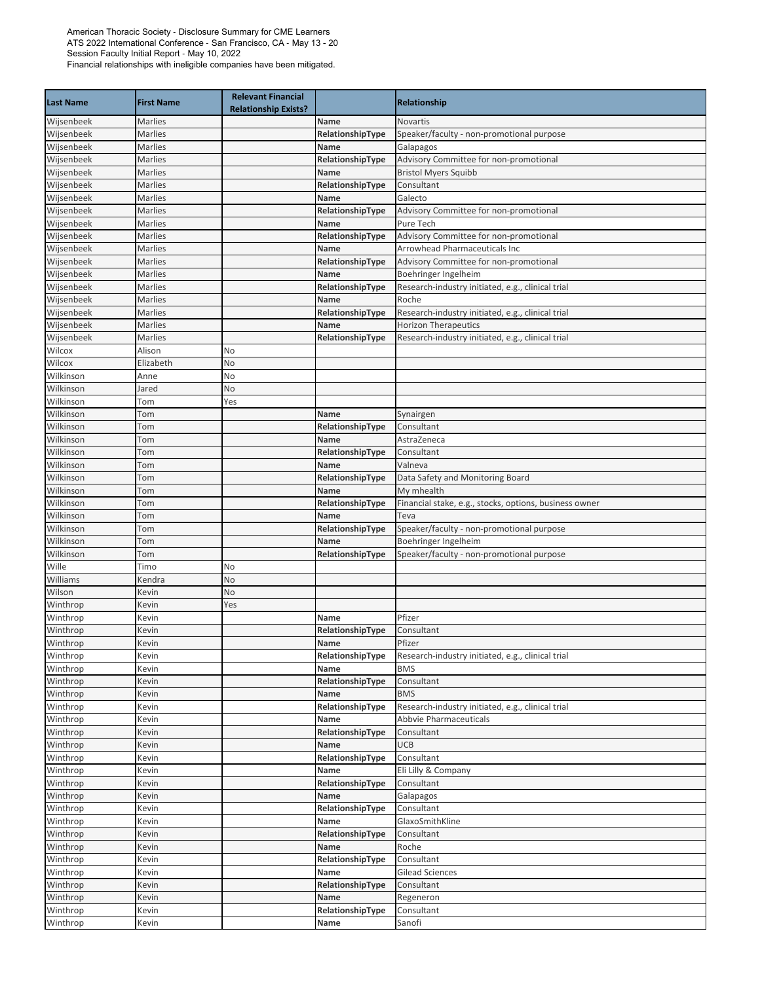| <b>Last Name</b> | <b>First Name</b> | <b>Relevant Financial</b><br><b>Relationship Exists?</b> |                  | <b>Relationship</b>                                    |
|------------------|-------------------|----------------------------------------------------------|------------------|--------------------------------------------------------|
| Wijsenbeek       | Marlies           |                                                          | Name             | Novartis                                               |
| Wijsenbeek       | Marlies           |                                                          | RelationshipType | Speaker/faculty - non-promotional purpose              |
| Wijsenbeek       | <b>Marlies</b>    |                                                          | <b>Name</b>      | Galapagos                                              |
| Wijsenbeek       | Marlies           |                                                          | RelationshipType | Advisory Committee for non-promotional                 |
| Wijsenbeek       | Marlies           |                                                          | Name             | <b>Bristol Myers Squibb</b>                            |
| Wijsenbeek       | <b>Marlies</b>    |                                                          | RelationshipType | Consultant                                             |
| Wijsenbeek       | Marlies           |                                                          | Name             | Galecto                                                |
| Wijsenbeek       | Marlies           |                                                          | RelationshipType | Advisory Committee for non-promotional                 |
| Wijsenbeek       | Marlies           |                                                          | Name             | Pure Tech                                              |
| Wijsenbeek       | Marlies           |                                                          | RelationshipType | Advisory Committee for non-promotional                 |
| Wijsenbeek       | Marlies           |                                                          | Name             | <b>Arrowhead Pharmaceuticals Inc</b>                   |
| Wijsenbeek       | Marlies           |                                                          | RelationshipType | Advisory Committee for non-promotional                 |
| Wijsenbeek       | Marlies           |                                                          | Name             | Boehringer Ingelheim                                   |
| Wijsenbeek       | Marlies           |                                                          | RelationshipType | Research-industry initiated, e.g., clinical trial      |
| Wijsenbeek       | Marlies           |                                                          | Name             | Roche                                                  |
| Wijsenbeek       | Marlies           |                                                          | RelationshipType | Research-industry initiated, e.g., clinical trial      |
| Wijsenbeek       | Marlies           |                                                          | Name             | <b>Horizon Therapeutics</b>                            |
| Wijsenbeek       | Marlies           |                                                          | RelationshipType | Research-industry initiated, e.g., clinical trial      |
| Wilcox           | Alison            | No                                                       |                  |                                                        |
| Wilcox           | Elizabeth         | No                                                       |                  |                                                        |
| Wilkinson        | Anne              | No                                                       |                  |                                                        |
| Wilkinson        | Jared             | No                                                       |                  |                                                        |
| Wilkinson        | Tom               | Yes                                                      |                  |                                                        |
| Wilkinson        | Tom               |                                                          | Name             | Synairgen                                              |
| Wilkinson        | Tom               |                                                          | RelationshipType | Consultant                                             |
| Wilkinson        | Tom               |                                                          | Name             | AstraZeneca                                            |
| Wilkinson        | Tom               |                                                          | RelationshipType | Consultant                                             |
| Wilkinson        | Tom               |                                                          | Name             | Valneva                                                |
| Wilkinson        | Tom               |                                                          | RelationshipType | Data Safety and Monitoring Board                       |
| Wilkinson        | Tom               |                                                          | Name             | My mhealth                                             |
| Wilkinson        | Tom               |                                                          | RelationshipType | Financial stake, e.g., stocks, options, business owner |
| Wilkinson        | Tom               |                                                          | Name             | Teva                                                   |
| Wilkinson        | Tom               |                                                          | RelationshipType | Speaker/faculty - non-promotional purpose              |
| Wilkinson        | Tom               |                                                          | <b>Name</b>      | Boehringer Ingelheim                                   |
| Wilkinson        | Tom               |                                                          | RelationshipType | Speaker/faculty - non-promotional purpose              |
| Wille            | Timo              | No                                                       |                  |                                                        |
| Williams         | Kendra            | No                                                       |                  |                                                        |
| Wilson           | Kevin             | No                                                       |                  |                                                        |
| Winthrop         | Kevin             | Yes                                                      |                  |                                                        |
| Winthrop         | Kevin             |                                                          | Name             | Pfizer                                                 |
| Winthrop         | Kevin             |                                                          | RelationshipType | Consultant                                             |
| Winthrop         | Kevin             |                                                          | Name             | Pfizer                                                 |
| Winthrop         | Kevin             |                                                          | RelationshipType | Research-industry initiated, e.g., clinical trial      |
| Winthrop         | Kevin             |                                                          | Name             | <b>BMS</b>                                             |
| Winthrop         | Kevin             |                                                          | RelationshipType | Consultant                                             |
| Winthrop         | Kevin             |                                                          | Name             | <b>BMS</b>                                             |
| Winthrop         | Kevin             |                                                          | RelationshipType | Research-industry initiated, e.g., clinical trial      |
| Winthrop         | Kevin             |                                                          | Name             | Abbvie Pharmaceuticals                                 |
| Winthrop         | Kevin             |                                                          | RelationshipType | Consultant                                             |
| Winthrop         | Kevin             |                                                          | Name             | <b>UCB</b>                                             |
| Winthrop         | Kevin             |                                                          | RelationshipType | Consultant                                             |
| Winthrop         | Kevin             |                                                          | Name             | Eli Lilly & Company                                    |
| Winthrop         | Kevin             |                                                          | RelationshipType | Consultant                                             |
| Winthrop         | Kevin             |                                                          | Name             | Galapagos                                              |
| Winthrop         | Kevin             |                                                          | RelationshipType | Consultant                                             |
| Winthrop         | Kevin             |                                                          | Name             | GlaxoSmithKline                                        |
| Winthrop         | Kevin             |                                                          | RelationshipType | Consultant                                             |
| Winthrop         | Kevin             |                                                          | Name             | Roche                                                  |
| Winthrop         | Kevin             |                                                          | RelationshipType | Consultant                                             |
| Winthrop         | Kevin             |                                                          | Name             | <b>Gilead Sciences</b>                                 |
| Winthrop         | Kevin             |                                                          | RelationshipType | Consultant                                             |
| Winthrop         | Kevin             |                                                          | Name             | Regeneron                                              |
| Winthrop         | Kevin             |                                                          | RelationshipType | Consultant                                             |
| Winthrop         | Kevin             |                                                          | Name             | Sanofi                                                 |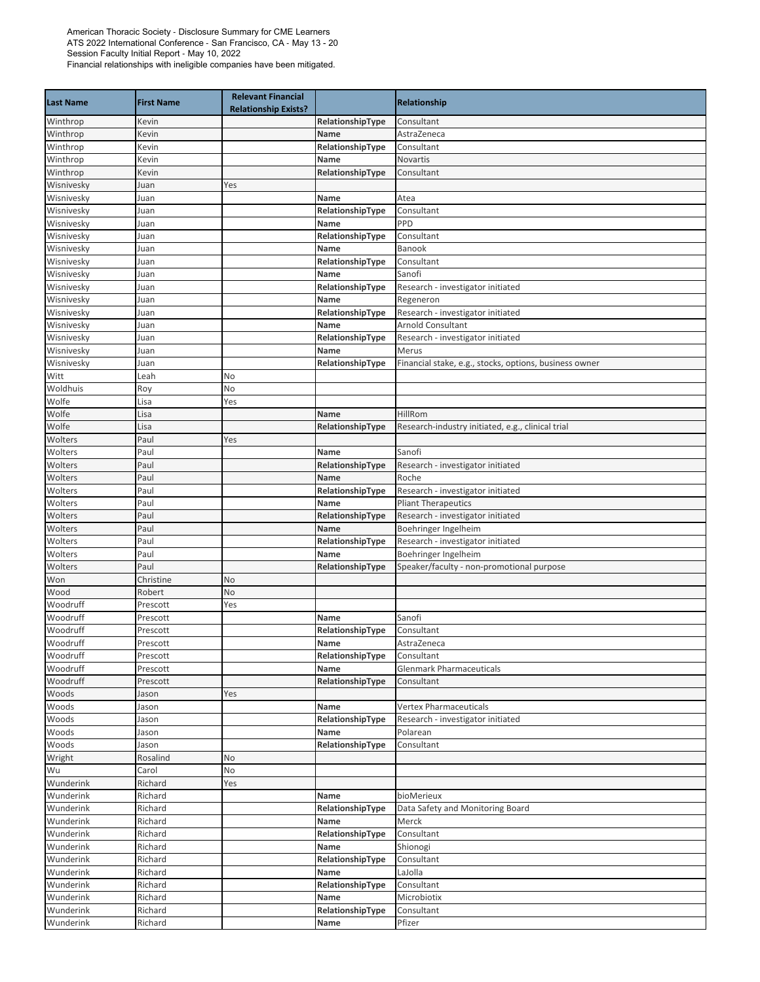| <b>Last Name</b>       | <b>First Name</b>  | <b>Relevant Financial</b><br><b>Relationship Exists?</b> |                          | Relationship                                                    |
|------------------------|--------------------|----------------------------------------------------------|--------------------------|-----------------------------------------------------------------|
| Winthrop               | Kevin              |                                                          | RelationshipType         | Consultant                                                      |
| Winthrop               | Kevin              |                                                          | Name                     | AstraZeneca                                                     |
| Winthrop               | Kevin              |                                                          | RelationshipType         | Consultant                                                      |
| Winthrop               | Kevin              |                                                          | Name                     | Novartis                                                        |
| Winthrop               | Kevin              |                                                          | RelationshipType         | Consultant                                                      |
| Wisnivesky             | Juan               | Yes                                                      |                          |                                                                 |
| Wisnivesky             | Juan               |                                                          | Name                     | Atea                                                            |
| Wisnivesky             | Juan               |                                                          | RelationshipType         | Consultant                                                      |
| Wisnivesky             | Juan               |                                                          | Name                     | PPD                                                             |
| Wisnivesky             | Juan               |                                                          | RelationshipType         | Consultant                                                      |
| Wisnivesky             | Juan               |                                                          | Name                     | Banook                                                          |
| Wisnivesky             | Juan               |                                                          | RelationshipType         | Consultant                                                      |
| Wisnivesky             | Juan               |                                                          | Name                     | Sanofi                                                          |
| Wisnivesky             | Juan               |                                                          | RelationshipType         | Research - investigator initiated                               |
| Wisnivesky             | Juan               |                                                          | Name                     | Regeneron                                                       |
| Wisnivesky             | Juan               |                                                          | RelationshipType         | Research - investigator initiated                               |
| Wisnivesky             | Juan               |                                                          | Name                     | <b>Arnold Consultant</b>                                        |
| Wisnivesky             | Juan               |                                                          | RelationshipType         | Research - investigator initiated                               |
| Wisnivesky             | Juan               |                                                          | Name                     | Merus<br>Financial stake, e.g., stocks, options, business owner |
| Wisnivesky             | Juan               |                                                          | RelationshipType         |                                                                 |
| Witt<br>Woldhuis       | Leah               | No<br>No                                                 |                          |                                                                 |
| Wolfe                  | Roy<br>Lisa        | Yes                                                      |                          |                                                                 |
| Wolfe                  | Lisa               |                                                          | Name                     | HillRom                                                         |
| Wolfe                  | Lisa               |                                                          | RelationshipType         | Research-industry initiated, e.g., clinical trial               |
| Wolters                | Paul               | Yes                                                      |                          |                                                                 |
| Wolters                | Paul               |                                                          | Name                     | Sanofi                                                          |
| Wolters                | Paul               |                                                          | RelationshipType         | Research - investigator initiated                               |
| Wolters                | Paul               |                                                          | Name                     | Roche                                                           |
| Wolters                | Paul               |                                                          | RelationshipType         | Research - investigator initiated                               |
| Wolters                | Paul               |                                                          | Name                     | <b>Pliant Therapeutics</b>                                      |
| Wolters                | Paul               |                                                          | RelationshipType         | Research - investigator initiated                               |
| Wolters                | Paul               |                                                          | Name                     | Boehringer Ingelheim                                            |
| Wolters                | Paul               |                                                          | RelationshipType         | Research - investigator initiated                               |
| Wolters                | Paul               |                                                          | Name                     | Boehringer Ingelheim                                            |
| Wolters                | Paul               |                                                          | RelationshipType         | Speaker/faculty - non-promotional purpose                       |
| Won                    | Christine          | No                                                       |                          |                                                                 |
| Wood                   | Robert             | No                                                       |                          |                                                                 |
| Woodruff               | Prescott           | Yes                                                      |                          |                                                                 |
| Woodruff               | Prescott           |                                                          | Name                     | Sanofi                                                          |
| Woodruff               | Prescott           |                                                          | RelationshipType         | Consultant                                                      |
| Woodruff               | Prescott           |                                                          | Name                     | AstraZeneca                                                     |
| Woodruff               | Prescott           |                                                          | RelationshipType         | Consultant                                                      |
| Woodruff               | Prescott           |                                                          | Name                     | <b>Glenmark Pharmaceuticals</b>                                 |
| Woodruff               | Prescott           |                                                          | RelationshipType         | Consultant                                                      |
| Woods                  | Jason              | Yes                                                      |                          |                                                                 |
| Woods                  | Jason              |                                                          | Name                     | Vertex Pharmaceuticals                                          |
| Woods                  | Jason              |                                                          | RelationshipType         | Research - investigator initiated                               |
| Woods                  | Jason              |                                                          | Name                     | Polarean                                                        |
| Woods                  | Jason              |                                                          | RelationshipType         | Consultant                                                      |
| Wright                 | Rosalind           | No                                                       |                          |                                                                 |
| Wu                     | Carol              | No                                                       |                          |                                                                 |
| Wunderink              | Richard            | Yes                                                      |                          |                                                                 |
| Wunderink              | Richard            |                                                          | Name                     | bioMerieux                                                      |
| Wunderink              | Richard            |                                                          | RelationshipType         | Data Safety and Monitoring Board                                |
| Wunderink              | Richard            |                                                          | Name                     | Merck                                                           |
| Wunderink              | Richard            |                                                          | RelationshipType         | Consultant                                                      |
| Wunderink              | Richard            |                                                          | Name                     | Shionogi                                                        |
| Wunderink              | Richard            |                                                          | RelationshipType<br>Name | Consultant                                                      |
| Wunderink              | Richard            |                                                          |                          | LaJolla<br>Consultant                                           |
| Wunderink<br>Wunderink | Richard<br>Richard |                                                          | RelationshipType<br>Name | Microbiotix                                                     |
| Wunderink              | Richard            |                                                          | RelationshipType         | Consultant                                                      |
| Wunderink              | Richard            |                                                          | Name                     | Pfizer                                                          |
|                        |                    |                                                          |                          |                                                                 |